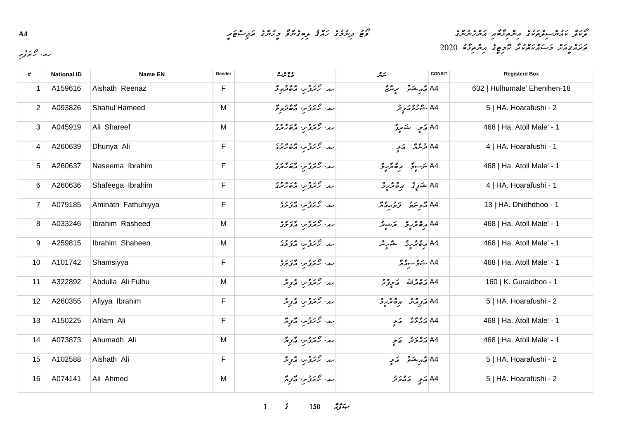*sCw7q7s5w7m< o<n9nOoAw7o< sCq;mAwBoEw7q<m; wBm;vB* م من المرة المرة المرة المرجع المرجع في المركبة 2020<br>مجم*د المريض المربوط المربع المرجع في المراجع المركبة* 

| ے ر د       |  |
|-------------|--|
| رە، ئەنزوىر |  |

| #              | <b>National ID</b> | <b>Name EN</b>     | Gender      | ړی پرے                | سرپر                                  | <b>CONSIT</b> | <b>Registerd Box</b>         |
|----------------|--------------------|--------------------|-------------|-----------------------|---------------------------------------|---------------|------------------------------|
|                | A159616            | Aishath Reenaz     | $\mathsf F$ | رەر ئەترىس، ئەھمىرى ئ | A4 مەم ئىستىم مېرىتىنى                |               | 632   Hulhumale' Ehenihen-18 |
| $\overline{2}$ | A093826            | Shahul Hameed      | M           | رە، رىزۇر، ئەھەرە ئ   | A4 خەرىجە <i>تەرە</i> تر              |               | 5   HA. Hoarafushi - 2       |
| 3              | A045919            | Ali Shareef        | M           | رد. رود و وه وه       | A4 <i>ھَ جِ</i> شَمَعِيوُ             |               | 468   Ha. Atoll Male' - 1    |
| $\overline{4}$ | A260639            | Dhunya Ali         | F           | رە بەللەر ئەرەبەر     | A4 ترىنى <i>گە</i> كەمچە              |               | 4   HA. Hoarafushi - 1       |
| 5              | A260637            | Naseema Ibrahim    | F           | מי המציעי המימים      | A4 سَرَسِوتَر مِنْ مُحَمَّدِيْ        |               | 468   Ha. Atoll Male' - 1    |
| 6              | A260636            | Shafeega Ibrahim   | F           | رد. رمزوین از ۱۵۵۵    | A4 ڪَنزِ ٿَن رُهڻَرَ پِروُ            |               | 4   HA. Hoarafushi - 1       |
| $\overline{7}$ | A079185            | Aminath Fathuhiyya | $\mathsf F$ | رە ئەنزۈپ ئەزەپ       | A4 مُحْرِسَمَةَ وَحَمِيهِ مُمَّ       |               | 13   HA. Dhidhdhoo - 1       |
| 8              | A033246            | Ibrahim Rasheed    | M           | رە ئەنزۈپ ئەزەپ       | A4 م <i>ەھەردى مەش</i> ىقر            |               | 468   Ha. Atoll Male' - 1    |
| 9              | A259815            | Ibrahim Shaheen    | M           | رە بەردىن ەردە        | A4 مەھەر ئۇ سەم ئىقىرىس               |               | 468   Ha. Atoll Male' - 1    |
| 10             | A101742            | Shamsiyya          | F           | رە بەردىن ەردە        | A4 خەرىبە <i>م ھەت</i> ر              |               | 468   Ha. Atoll Male' - 1    |
| 11             | A322892            | Abdulla Ali Fulhu  | M           | رە، ئەترۇس ھۇر        | A4 رَصْحَرْاللَّهُ     رَحِوتَرْ حَرْ |               | 160   K. Guraidhoo - 1       |
| 12             | A260355            | Afiyya Ibrahim     | F           | رە - ئەتترىق ئەترەتر  | A4 <i>مَوْمَدٌ م</i> ِ صَمَّرِ دُ     |               | 5   HA. Hoarafushi - 2       |
| 13             | A150225            | Ahlam Ali          | F           | رە، ئەنزۈس ئەربۇ      | A4 <i>ټرنگرې ټ</i> ې                  |               | 468   Ha. Atoll Male' - 1    |
| 14             | A073873            | Ahumadh Ali        | M           | رە، ئەنزۇس ھۆرھ       | A4 <i>مَدْدَوَنْھُ مَ</i> حِي         |               | 468   Ha. Atoll Male' - 1    |
| 15             | A102588            | Aishath Ali        | F           | رە، ئەنزۇس ھۇرىگە     | A4 مُحصر مَعِيدِ                      |               | 5   HA. Hoarafushi - 2       |
| 16             | A074141            | Ali Ahmed          | M           | رە، رىمزۇير، ئەبەئر   | A4 <i>جَرِيدِ حَدَّدَ</i> تَر         |               | 5   HA. Hoarafushi - 2       |

*1 sC 150 nNw?mS*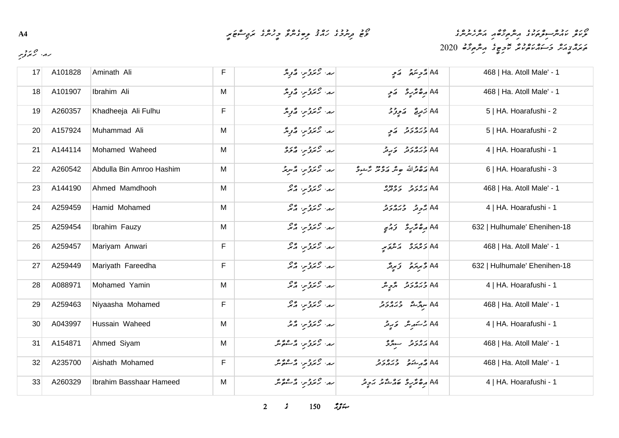*sCw7q7s5w7m< o<n9nOoAw7o< sCq;mAwBoEw7q<m; wBm;vB* م من المرة المرة المرة المرجع المرجع في المركبة 2020<br>مجم*د المريض المربوط المربع المرجع في المراجع المركبة* 

| 17 | A101828 | Aminath Ali              | F            | رە، ئەندۇس قەرەم        | A4 مَرْحِبَنَهُمْ      مَدحٍ                     | 468   Ha. Atoll Male' - 1    |
|----|---------|--------------------------|--------------|-------------------------|--------------------------------------------------|------------------------------|
| 18 | A101907 | Ibrahim Ali              | M            | رە - ئەترۇس ھۆر         | A4 مەھم <i>گىي</i> ى ھەمچ                        | 468   Ha. Atoll Male' - 1    |
| 19 | A260357 | Khadheeja Ali Fulhu      | F            | رو، رنجوز کور و گرورگر  | A4 كَتِيعً - مَعِرْثَرٌ                          | 5   HA. Hoarafushi - 2       |
| 20 | A157924 | Muhammad Ali             | M            | رەپ رىموتىرىن ئەتوپىر   | A4 ديرە دىخە ئەر                                 | 5   HA. Hoarafushi - 2       |
| 21 | A144114 | Mohamed Waheed           | M            | رە كەنزىر، ئەنزو        | A4 <i>\$ بَرْدْ دَبْرِ</i> مَر <sub>ْ</sub> مِرْ | 4   HA. Hoarafushi - 1       |
| 22 | A260542 | Abdulla Bin Amroo Hashim | M            | رە ، ئەندۇب ، ئەبىرىم   | A4 رَصْحْرَاللَّهُ صِسْرَ رَحْمَدُ رَّسْوَدَ     | 6   HA. Hoarafushi - 3       |
| 23 | A144190 | Ahmed Mamdhooh           | M            | رە، رىمۇقرىن ئەتتى      | A4 كەبرو بەھ دە                                  | 468   Ha. Atoll Male' - 1    |
| 24 | A259459 | Hamid Mohamed            | M            | رە - رىمۇس ئەتر         | A4 جُومِرٌ وَبَرُودَوَرٌ                         | 4   HA. Hoarafushi - 1       |
| 25 | A259454 | Ibrahim Fauzy            | M            | رە - ئەندۇس ئەتر        | A4 م <i>وھنگرد</i> و ترم <sup>ی</sup>            | 632   Hulhumale' Ehenihen-18 |
| 26 | A259457 | Mariyam Anwari           | F            | رە - ئەيروس ئەتر        | A4 5 محمدة حرم المستعدة من                       | 468   Ha. Atoll Male' - 1    |
| 27 | A259449 | Mariyath Fareedha        | $\mathsf{F}$ | رە - ئەندۇس ئەتر        | A4 قَ <sup>م</sup> ِي <i>دَة وَم</i> ِيَّةَ      | 632   Hulhumale' Ehenihen-18 |
| 28 | A088971 | Mohamed Yamin            | M            | رە - ئەيروس ئەتر        | A4 <i>وُبَہُ دُوَ تَہُ مُ</i> ُوَسُ              | 4   HA. Hoarafushi - 1       |
| 29 | A259463 | Niyaasha Mohamed         | $\mathsf{F}$ | رە - رىمۇس ئەتر         | A4 سرگرشگ ترکرد در                               | 468   Ha. Atoll Male' - 1    |
| 30 | A043997 | Hussain Waheed           | M            | رە - ئەندۇس ئەتر        | A4 بر <i>کے مربٹر کا ہونڈ</i>                    | 4   HA. Hoarafushi - 1       |
| 31 | A154871 | Ahmed Siyam              | M            | رە، رىزۇس ئەسىم ئىر     | A4 كەبرى كىرى سىزگە                              | 468   Ha. Atoll Male' - 1    |
| 32 | A235700 | Aishath Mohamed          | $\mathsf F$  | رە، رىزۇس ئەسىم ئىر     | A4 مەم شىم ئىس ئىس كىلىرى بىر                    | 468   Ha. Atoll Male' - 1    |
| 33 | A260329 | Ibrahim Basshaar Hameed  | M            | رە بەللەردىن ئەسىم ئىگە | A4 مەھەر بەھ ھەرشە ئەر ئىرىد                     | 4   HA. Hoarafushi - 1       |

*2 sC 150 nNw?mS*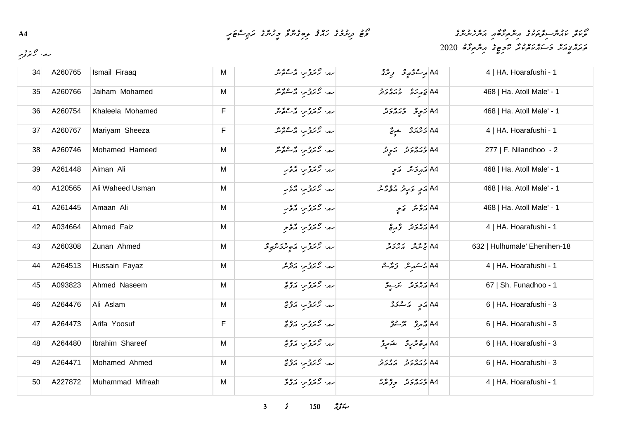*sCw7q7s5w7m< o<n9nOoAw7o< sCq;mAwBoEw7q<m; wBm;vB* م من المسجد المسجد المسجد المسجد المسجد العام 2020<br>مسجد المسجد المسجد المسجد المسجد المسجد المسجد المسجد المسجد ال

| 34 | A260765 | Ismail Firaaq    | M | رە. ئەنزۇير، <b>ئ</b> ەسقۇنى <i>گە</i> | A4 مرڪو <i>گويو ويگرج</i>               | 4   HA. Hoarafushi - 1       |
|----|---------|------------------|---|----------------------------------------|-----------------------------------------|------------------------------|
| 35 | A260766 | Jaiham Mohamed   | M | رە، رىزۇس ئەسىم ئىر                    | A4 <i>قەدرى ئەمم</i> ەر بە              | 468   Ha. Atoll Male' - 1    |
| 36 | A260754 | Khaleela Mohamed | F | رە، رىزۇس ئەمەمۇمىر                    | A4 زَمِرِتَرَ تَ <i>حْدَهُ وَ دُ</i>    | 468   Ha. Atoll Male' - 1    |
| 37 | A260767 | Mariyam Sheeza   | F | رە رىزۇس ئەرەپ ھ                       | A4 <i>5 بروج</i> شویج                   | 4   HA. Hoarafushi - 1       |
| 38 | A260746 | Mohamed Hameed   | M | رە، رىزۇس ئەسىھەتتى                    | A4 دُبَرْدْدَتْرَ بَرْدِتْرَ            | 277   F. Nilandhoo - 2       |
| 39 | A261448 | Aiman Ali        | M | رە : ئەنزۇير، ئەۋر                     | A4 <i>مەمەق ھەم</i> چ                   | 468   Ha. Atoll Male' - 1    |
| 40 | A120565 | Ali Waheed Usman | M | رە : ئەنزۇر، ئەۋر                      | A4 كەيچ كەرپەتر كەن <sub>م</sub> ۇگەنتر | 468   Ha. Atoll Male' - 1    |
| 41 | A261445 | Amaan Ali        | M | رە، ئەتزۇير، ئەقرىب                    | A4 پرځې ته په                           | 468   Ha. Atoll Male' - 1    |
| 42 | A034664 | Ahmed Faiz       | M | رە، رىزۇس مەھر                         | A4 كەشكەتقى ئۇم تىج                     | 4   HA. Hoarafushi - 1       |
| 43 | A260308 | Zunan Ahmed      | M | رە، ئەترىپ ھەترىكى ئى                  | A4 ج بتربتر بدبر دير                    | 632   Hulhumale' Ehenihen-18 |
| 44 | A264513 | Hussain Fayaz    | M | رە بەردىن ەيمەر                        | A4 يُرْسَمبر مَثَر مُرَشَّد             | 4   HA. Hoarafushi - 1       |
| 45 | A093823 | Ahmed Naseem     | M | رە، رىمۇقرىن ئەۋىج                     | A4 <i>252.5 مترسو</i> ر                 | 67   Sh. Funadhoo - 1        |
| 46 | A264476 | Ali Aslam        | M | رە بە ئەترۇس بەرەپچ                    | A4 <i>جَرِيد ج</i> مس <i>تو</i> و       | 6   HA. Hoarafushi - 3       |
| 47 | A264473 | Arifa Yoosuf     | F | رە، رىمۇقرىن مۇئ                       | A4 ڪيمبر قسم جي جي ج                    | 6   HA. Hoarafushi - 3       |
| 48 | A264480 | Ibrahim Shareef  | M | رە، ئەتزۇير، مەزج                      | A4 مەھەر ئەر ئىكتىمى ۋ                  | 6   HA. Hoarafushi - 3       |
| 49 | A264471 | Mohamed Ahmed    | M | رە، ئەنزۇس ئەۋىج                       | A4 وبرەرو برەرو                         | 6   HA. Hoarafushi - 3       |
| 50 | A227872 | Muhammad Mifraah | M | رە، رىمۇقر، مەدبى                      | A4 دُبَرْدَدَ وِرْتَمْدَ                | 4   HA. Hoarafushi - 1       |

*3 3 s 150 <i>z*<sub>*i*</sub> *z*<sub>*i*</sub>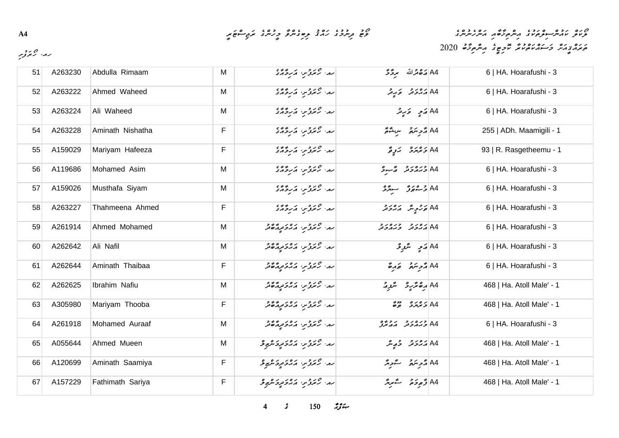*sCw7q7s5w7m< o<n9nOoAw7o< sCq;mAwBoEw7q<m; wBm;vB* م من المسجد المسجد المسجد المسجد المسجد العام 2020<br>مسجد المسجد المسجد المسجد المسجد المسجد المسجد المسجد المسجد ال

| 51 | A263230 | Abdulla Rimaam   | M           | رە بەلگە ئۇر ئەسىرى       | A4 \$2 م م د د محمد د                                          | 6   HA. Hoarafushi - 3    |
|----|---------|------------------|-------------|---------------------------|----------------------------------------------------------------|---------------------------|
| 52 | A263222 | Ahmed Waheed     | M           | رە رىزور ەردەر            | A4 كەندى قىر قىر قىلىمىتىلىرى بىر                              | 6   HA. Hoarafushi - 3    |
| 53 | A263224 | Ali Waheed       | M           | رد. رنزوین پردوره         | A4 <i>ھَ جِه حَبي</i> قر                                       | 6   HA. Hoarafushi - 3    |
| 54 | A263228 | Aminath Nishatha | F           | رە بەردىن ەردەر           | A4 مُرْحِسَمَ مِنْ مِشْهُمُّ                                   | 255   ADh. Maamigili - 1  |
| 55 | A159029 | Mariyam Hafeeza  | F           | رە ئەترىپ ەردە            | A4 ك <i>ر بركر بركمي تك</i> ريد                                | 93   R. Rasgetheemu - 1   |
| 56 | A119686 | Mohamed Asim     | M           | رە رىزۇس ەردەپ            | A4  <i>323,25 مگ</i> ېدو                                       | 6   HA. Hoarafushi - 3    |
| 57 | A159026 | Musthafa Siyam   | M           | رە بەردىر، ئەردىدى        |                                                                | 6   HA. Hoarafushi - 3    |
| 58 | A263227 | Thahmeena Ahmed  | $\mathsf F$ | رە رىزۇس ەردەپ            | A4 <sub>ح</sub> َرْحٍ شَرَ مَ <sup>ر</sup> ْحَ <sup>و</sup> رَ | 6   HA. Hoarafushi - 3    |
| 59 | A261914 | Ahmed Mohamed    | M           | رە ئەترىپ ەردىر دە        | A4 كەبرو دىرەرو                                                | 6   HA. Hoarafushi - 3    |
| 60 | A262642 | Ali Nafil        | M           | رە . 2 ئۇن ئەرە ئەرە      | A4 کی په شموی پی                                               | 6   HA. Hoarafushi - 3    |
| 61 | A262644 | Aminath Thaibaa  | $\mathsf F$ | رە . 2 ئۇن ئەرە ئەرە      | A4 مُجِسَعَ بِمَ <i>وْرة</i> ً                                 | 6   HA. Hoarafushi - 3    |
| 62 | A262625 | Ibrahim Nafiu    | M           | رە ئەترىپ كەردىر ئەتر     | A4 مەھەرىپى سىمبەر                                             | 468   Ha. Atoll Male' - 1 |
| 63 | A305980 | Mariyam Thooba   | F           | رە . 2 ئۇن ئەرە ئەرە      | A4 كەبەرە دەپىر                                                | 468   Ha. Atoll Male' - 1 |
| 64 | A261918 | Mohamed Auraaf   | M           | رە ئەترىپ ەردىر دە        | A4 32023 A4 دوم                                                | 6   HA. Hoarafushi - 3    |
| 65 | A055644 | Ahmed Mueen      | M           | رە. رىمرۇس كەردىرى ئىرى   | A4 <i>ג 25 جو جو مر</i>                                        | 468   Ha. Atoll Male' - 1 |
| 66 | A120699 | Aminath Saamiya  | F           | رە. رىمزۇر، مەدىرىرى ئىرى | A4 مَرْحِ سَوَ سَنَّحْرِ مَرَّ                                 | 468   Ha. Atoll Male' - 1 |
| 67 | A157229 | Fathimath Sariya | F           | رە. رىمزۇر، مەدۋىرەكمىي ئ | A4 وَجوحَة مُحسِّرة                                            | 468   Ha. Atoll Male' - 1 |

*4 s* 150 *i*<sub>s</sub>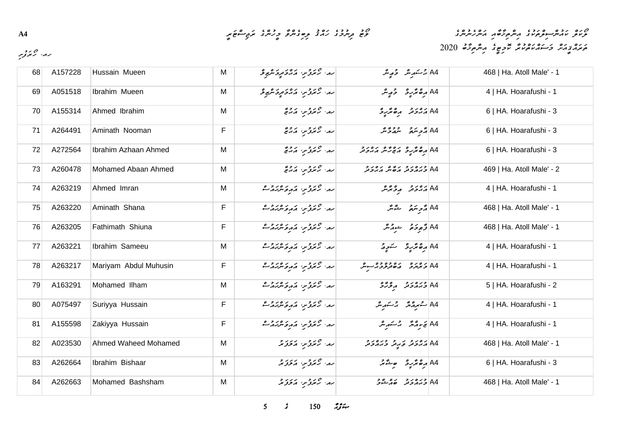*sCw7q7s5w7m< o<n9nOoAw7o< sCq;mAwBoEw7q<m; wBm;vB* م من المسجد المسجد المسجد المسجد المسجد العام 2020<br>مسجد المسجد المسجد المسجد المسجد المسجد المسجد المسجد المسجد ال

| 68 | A157228 | Hussain Mueen         | M            | رە. ئەتزۇر، הלכתבית בית    | A4  پر شمېر شرح م <sub>ح</sub> مد شر   | 468   Ha. Atoll Male' - 1 |
|----|---------|-----------------------|--------------|----------------------------|----------------------------------------|---------------------------|
| 69 | A051518 | Ibrahim Mueen         | M            | رە، ئەترۇس كەردۈرۈم ۋ      | A4 مەھەرىپى ئەمپىر                     | 4   HA. Hoarafushi - 1    |
| 70 | A155314 | Ahmed Ibrahim         | M            | رە ، ئەندۇب ، ئەندىج       |                                        | 6   HA. Hoarafushi - 3    |
| 71 | A264491 | Aminath Nooman        | F            | رە، رىمۇقرىن ئەرەپىچ       | A4 مَّحِسَمَ مَعَمَّدَ مَّرْ           | 6   HA. Hoarafushi - 3    |
| 72 | A272564 | Ibrahim Azhaan Ahmed  | M            | رە، ئەنزۇس ئەزىج           | A4 مەھزىرى مەم ئەم مەدەبىر             | 6   HA. Hoarafushi - 3    |
| 73 | A260478 | Mohamed Abaan Ahmed   | $\mathsf{M}$ | رە ، ئەندۇب ، ئەندىج       | A4 ورورو ره و رورو                     | 469   Ha. Atoll Male' - 2 |
| 74 | A263219 | Ahmed Imran           | M            | رە ، ئەترىس، مەمەتىرىمەت   | A4 <i>مَدْدَوْرَ مِ</i> وْتَمَّتْر     | 4   HA. Hoarafushi - 1    |
| 75 | A263220 | Aminath Shana         | F            | رە . 2 ئۇترىن مەمەتكەر 2 ق | A4 مُرْحِبِّرَةٌ شَدَّمَّتْهِ          | 468   Ha. Atoll Male' - 1 |
| 76 | A263205 | Fathimath Shiuna      | F            | رە ، ئەترىس مەركەردە ئ     | A4 <i>وَّجِوحَةْ</i> سُو <i>مْ</i> تَر | 468   Ha. Atoll Male' - 1 |
| 77 | A263221 | Ibrahim Sameeu        | M            | رە ئەترىپ مەركىدىك         | A4 مەھەر ئەر سىمرى <i>م</i>            | 4   HA. Hoarafushi - 1    |
| 78 | A263217 | Mariyam Abdul Muhusin | $\mathsf F$  | رە ئەنزىر، مەركىدىن ئ      | A4 <i>و</i> برو و بره وه وه به ش       | 4   HA. Hoarafushi - 1    |
| 79 | A163291 | Mohamed Ilham         | M            | رە ، ئىكروم، مەمەكلىرىمىگە | A4 <i>وُبَهُ وَبَدْ</i> مِوَرَّدَ      | 5   HA. Hoarafushi - 2    |
| 80 | A075497 | Suriyya Hussain       | F            | رە ، ئەترىس مەركەردە ئ     | A4 شىمەر جىر برگىتىدىش                 | 4   HA. Hoarafushi - 1    |
| 81 | A155598 | Zakiyya Hussain       | F            | رە ، ئەترىس مەركەردە ئ     | A4 ئ <i>ے بدھ پڑ جي شر</i> پٿر         | 4   HA. Hoarafushi - 1    |
| 82 | A023530 | Ahmed Waheed Mohamed  | M            | ىدا رىمۇس مۇۋىر            | A4 كەندى ئەر ئەر ئەر ئەر ئىر           | 468   Ha. Atoll Male' - 1 |
| 83 | A262664 | Ibrahim Bishaar       | M            | رە، رىزۇپ ئەترىر           | A4 مەھەرىپە ھەشىر                      | 6   HA. Hoarafushi - 3    |
| 84 | A262663 | Mohamed Bashsham      | M            | رە، رىمۇس ئەنزىر           | A4 دېرونر که د څو                      | 468   Ha. Atoll Male' - 1 |

 $5$   $5$   $150$   $25$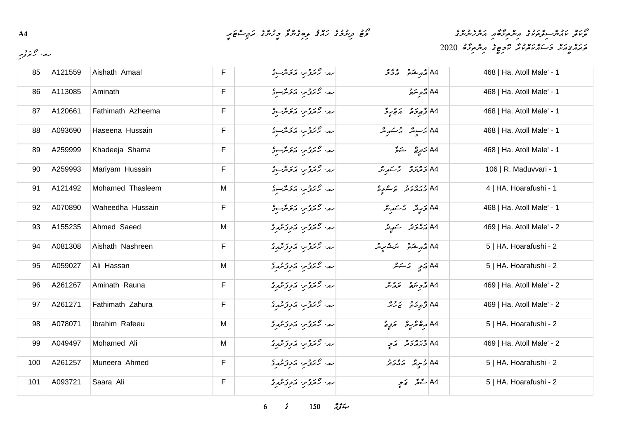*sCw7q7s5w7m< o<n9nOoAw7o< sCq;mAwBoEw7q<m; wBm;vB* م من المرة المرة المرة المرجع المرجع في المركبة 2020<br>مجم*د المريض المربوط المربع المرجع في المراجع المركبة* 

| 85  | A121559 | Aishath Amaal     | F            | رە بالمحدوثين ئەبخەمدىسى      | A4 مەرىسىم مەڭر                            | 468   Ha. Atoll Male' - 1 |
|-----|---------|-------------------|--------------|-------------------------------|--------------------------------------------|---------------------------|
| 86  | A113085 | Aminath           | F            | رە ، ئەترۇس ، ئەئەترىسى       | A4 مَرْحِبِ مَرْمَ <sub>ةِ</sub>           | 468   Ha. Atoll Male' - 1 |
| 87  | A120661 | Fathimath Azheema | $\mathsf F$  | رە، رىرۇس مەكەشرى             | A4 تَ <i>جوحَمَ مَنْ رِحَّ</i>             | 468   Ha. Atoll Male' - 1 |
| 88  | A093690 | Haseena Hussain   | $\mathsf F$  | رەر، رىمرى بىر كە ئە ئەسرى    | A4 بَرَ سوِیٹر کر کے م <i>رینل</i>         | 468   Ha. Atoll Male' - 1 |
| 89  | A259999 | Khadeeja Shama    | F            | رە ئەنزىر، ئەنزىترىسى         | A4 كَتَمِيعٌ صُنَوَّةٌ                     | 468   Ha. Atoll Male' - 1 |
| 90  | A259993 | Mariyam Hussain   | $\mathsf{F}$ | رە، رىمۇم، مۇمۇسى             | A4 كەبرىرى ب <sub>ە</sub> سەر بىر          | 106   R. Maduvvari - 1    |
| 91  | A121492 | Mohamed Thasleem  | M            | رەر، رىمرى بىر ئە ئە ئەربىر ئ | A4 <i>وُبَهُ وَمَدْ بِهُ حَيْ</i> جُو مُحْ | 4   HA. Hoarafushi - 1    |
| 92  | A070890 | Waheedha Hussain  | $\mathsf F$  | رە، ئەترۇس مۇشرىتى            | A4 <i>ق بي</i> قر برجسمبر شر               | 468   Ha. Atoll Male' - 1 |
| 93  | A155235 | Ahmed Saeed       | M            | رە ئەترىپ ەيدىمىدە            | A4 <i>م برو بن</i> ه سک <i>می</i> متر      | 469   Ha. Atoll Male' - 2 |
| 94  | A081308 | Aishath Nashreen  | $\mathsf{F}$ | رە ، ئەترۇپ ، ئەبەر ئەرئ      | A4 م <i>ەم شەھ</i> سرىشىمىرىتر             | 5   HA. Hoarafushi - 2    |
| 95  | A059027 | Ali Hassan        | M            | رە زىروس ەردىرى               | A4 كەبىي كەسكەنلە                          | 5   HA. Hoarafushi - 2    |
| 96  | A261267 | Aminath Rauna     | F            | رە رىمرۇس مەدەممەد            | A4 مَّحِسَمَّةً مَمَ <i>مَّةً</i> مَّ      | 469   Ha. Atoll Male' - 2 |
| 97  | A261271 | Fathimath Zahura  | $\mathsf F$  | رە ، ئەترۇپ ، ئەبەر ئەرگە     | A4 وَّجِعَةٍ حَمَّ حَمَّدَ مَدَّ           | 469   Ha. Atoll Male' - 2 |
| 98  | A078071 | Ibrahim Rafeeu    | M            | رە ، ئەترىس، مەدرىمەد         | A4 م <i>وڭ ئۈرى ئىنچە</i>                  | 5   HA. Hoarafushi - 2    |
| 99  | A049497 | Mohamed Ali       | M            | رە . ئەنزۇس ، ئەبزۇترە ئ      | A4 دېم ديم ته کم                           | 469   Ha. Atoll Male' - 2 |
| 100 | A261257 | Muneera Ahmed     | $\mathsf F$  | رە رىمۇس مەدىمىدى             | A4 دڻيو <i>بگ پر د</i> ور                  | 5   HA. Hoarafushi - 2    |
| 101 | A093721 | Saara Ali         | F            | رە . رىمۇمى . مۇۋىرە ئ        | A4 گے <i>مگرم</i> چر                       | 5   HA. Hoarafushi - 2    |

 $6$   $\cancel{5}$   $150$   $\cancel{25}$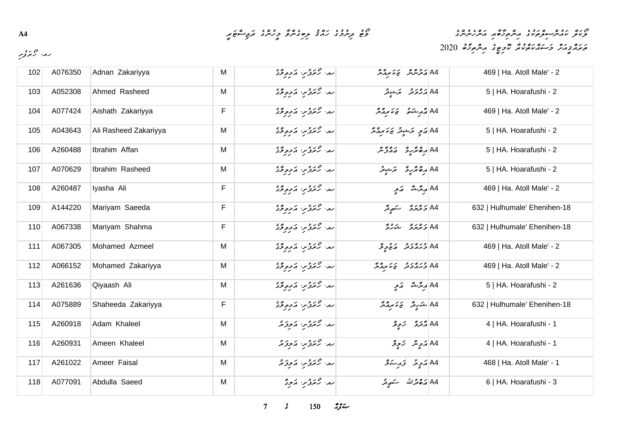*sCw7q7s5w7m< o<n9nOoAw7o< sCq;mAwBoEw7q<m; wBm;vB* م من المرة المرة المرة المرجع المرجع في المركبة 2020<br>مجم*د المريض المربوط المربع المرجع في المراجع المركبة* 

| 102 | A076350 | Adnan Zakariyya       | M           | ره، رهمزوین هموه و محمد | A4 <i>مَحْدَمَّدَمَّدَ بِنَ مَدِهْ مَّ</i> | 469   Ha. Atoll Male' - 2    |
|-----|---------|-----------------------|-------------|-------------------------|--------------------------------------------|------------------------------|
| 103 | A052308 | Ahmed Rasheed         | M           | رە، رىزۇس ئەرەپمى       | A4 كەبرى قىم ئىمكىشوقىر                    | 5   HA. Hoarafushi - 2       |
| 104 | A077424 | Aishath Zakariyya     | $\mathsf F$ | رە، رىزۇس مەدەبى        | A4 مەم شىم ئىم ئىم ئىر مەم ئىر             | 469   Ha. Atoll Male' - 2    |
| 105 | A043643 | Ali Rasheed Zakariyya | M           | رە، رىمۇس مەدەبى        | A4 كەبىي ترىشونىر تە <i>ن بىر كە</i> بۇر   | 5   HA. Hoarafushi - 2       |
| 106 | A260488 | Ibrahim Affan         | M           | رە، رىزۇس مەرەپچى       | A4 مەھم <i>گىر 3 مەمۇ</i> تىر              | 5   HA. Hoarafushi - 2       |
| 107 | A070629 | Ibrahim Rasheed       | M           | رە، رىزۇس ئەرەپمى       | A4 م <i>ەھتىر بىر مەش<sub>ت</sub>ىتى</i>   | 5   HA. Hoarafushi - 2       |
| 108 | A260487 | Iyasha Ali            | $\mathsf F$ | رە . ئەنزۇس ، ئەبەبەلچى | A4 مِتَرْتَّہ مَرْمِ                       | 469   Ha. Atoll Male' - 2    |
| 109 | A144220 | Mariyam Saeeda        | $\mathsf F$ | رە . ئەترۇس ، ئەبەبەلچى | A4 دَ بَرْ پَرْ مَسَ سَمَّ بِرْ مَرْ       | 632   Hulhumale' Ehenihen-18 |
| 110 | A067338 | Mariyam Shahma        | F           | رە رىزۇس ەردە دى        | A4 كو <i>بروۋ</i> شەرق                     | 632   Hulhumale' Ehenihen-18 |
| 111 | A067305 | Mohamed Azmeel        | M           | رە بەترۇس ەيرە ئى       | A4 دُبَرْدَ دَبَرَ دَبِحْ دِ وَ            | 469   Ha. Atoll Male' - 2    |
| 112 | A066152 | Mohamed Zakariyya     | M           | رە، ئەترۇس ەيرە دى      | A4 درەرد سى ئىرمەش                         | 469   Ha. Atoll Male' - 2    |
| 113 | A261636 | Qiyaash Ali           | M           | رە . ئەترۇس ، ئەبەبەلچى | A4 فرمزشے کرمبر                            | 5   HA. Hoarafushi - 2       |
| 114 | A075889 | Shaheeda Zakariyya    | $\mathsf F$ | رە، رىزۇس ئەرەپمى       | A4 ڪرپر تم <i>مامبرم</i> گر                | 632   Hulhumale' Ehenihen-18 |
| 115 | A260918 | Adam Khaleel          | M           | رە، رىمۇم، مەدۇلم       | A4 مَرْتَرَرُ کَمْ پِرْتَوْ                | 4   HA. Hoarafushi - 1       |
| 116 | A260931 | Ameen Khaleel         | M           | رە، رىمۇس مەدۇم         | A4 كەچ شەرىجى ئىچە ئىچە ئىچە ئىچە ئىچە ئال | 4   HA. Hoarafushi - 1       |
| 117 | A261022 | Ameer Faisal          | M           | رە، رىمۇس مەدۇم         | A4 كەچ بىر قەر بىكى تىل                    | 468   Ha. Atoll Male' - 1    |
| 118 | A077091 | Abdulla Saeed         | M           | رە ، ئەترۇس ەمرەتم      | A4 كەھەراللە س <i>ەم</i> بەتر              | 6   HA. Hoarafushi - 3       |

*7 sC 150 nNw?mS*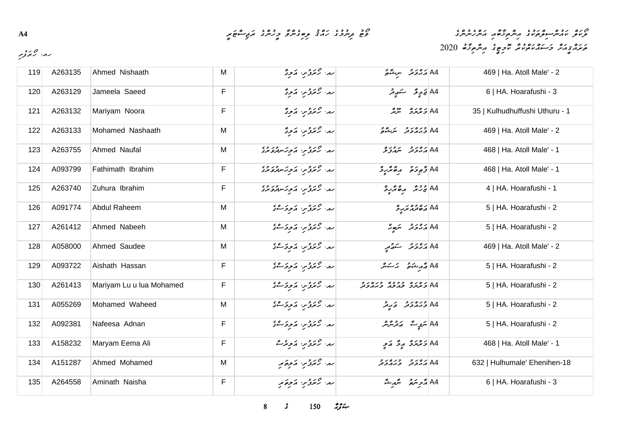*sCw7q7s5w7m< o<n9nOoAw7o< sCq;mAwBoEw7q<m; wBm;vB* م من المرة المرة المرة المرجع المرجع في المركبة 2020<br>مجم*د المريض المربوط المربع المرجع في المراجع المركبة* 

| 119 | A263135 | Ahmed Nishaath           | M           | رە، رىجۇ ئۇس مەجبۇ             | A4 كەبرى كىر سرىسىگە تو                   | 469   Ha. Atoll Male' - 2      |
|-----|---------|--------------------------|-------------|--------------------------------|-------------------------------------------|--------------------------------|
| 120 | A263129 | Jameela Saeed            | F           | رر رمروس رئزو                  | A4 <sub>تح</sub> وٍقت سَم <i>وٍيْر</i> ُ  | 6   HA. Hoarafushi - 3         |
| 121 | A263132 | Mariyam Noora            | $\mathsf F$ | رە، رىمۇقرا ئەبرۇ              | A4 كەبەر ھەم بىر                          | 35   Kulhudhuffushi Uthuru - 1 |
| 122 | A263133 | Mohamed Nashaath         | M           | رە، رىمۇقرا مەدئ               | A4 <i>وبروبرو ست</i> ختمو                 | 469   Ha. Atoll Male' - 2      |
| 123 | A263755 | Ahmed Naufal             | M           | رە ئەتروپ كەرىسىدە برە         | A4 <i>225 مگرون</i> و                     | 468   Ha. Atoll Male' - 1      |
| 124 | A093799 | Fathimath Ibrahim        | $\mathsf F$ | رە . 2 ئۇقرىر، ئەبەر ئىرىدە دە | A4 زَّجِرْدَةُ مِنْ مَرْرِدْ              | 468   Ha. Atoll Male' - 1      |
| 125 | A263740 | Zuhura Ibrahim           | $\mathsf F$ | رە . 2 ئۇقرىر . ئەبەر سەر دە   | A4 جُرْبَرٌ مِنْ حَمَّدِ دِ               | 4   HA. Hoarafushi - 1         |
| 126 | A091774 | Abdul Raheem             | M           | رە . 2 تۈۋىن ، ئەبرو شى        | A4 رَصْعَرْ مَرَ مِرَ وَ                  | 5   HA. Hoarafushi - 2         |
| 127 | A261412 | Ahmed Nabeeh             | M           | رەر ئەتروس كەبىرە ئ            | A4 <i>مَدْدَوْرْ سَهِدْ</i>               | 5   HA. Hoarafushi - 2         |
| 128 | A058000 | Ahmed Saudee             | M           | رە بەترىپ ەيروت                | A4 كەبرى قىرىمىسى بىر ئىس                 | 469   Ha. Atoll Male' - 2      |
| 129 | A093722 | Aishath Hassan           | $\mathsf F$ | رە بەترىپ ەيرەت ت              | A4 مەم يىسكە بىر سىكىش                    | 5   HA. Hoarafushi - 2         |
| 130 | A261413 | Mariyam Lu u lua Mohamed | $\mathsf F$ | رەر بەترىق مەجەر ق             | A4   د صرح حدد حده د د د                  | 5   HA. Hoarafushi - 2         |
| 131 | A055269 | Mohamed Waheed           | M           | رە بەترىپ ەيرەت ت              | A4 <i>\$ بَرْ دُوَ دَ وَ بِ</i> مِرْ      | 5   HA. Hoarafushi - 2         |
| 132 | A092381 | Nafeesa Adnan            | F           | رە بەترىپ ەيرەت ت              | A4 سَمِرٍ — مَصَدَّسَ مَشَرِ اللهِ عَلَيْ | 5   HA. Hoarafushi - 2         |
| 133 | A158232 | Maryam Eema Ali          | $\mathsf F$ | رە، رىمزىر، مەدىرى             | A4 وَبَرْ پُر وَ کَمْ پِر مِ              | 468   Ha. Atoll Male' - 1      |
| 134 | A151287 | Ahmed Mohamed            | M           | بدر محترفر موءبر               | A4 ג׳כנת כמהכנת                           | 632   Hulhumale' Ehenihen-18   |
| 135 | A264558 | Aminath Naisha           | $\mathsf F$ | رە، رىمزىر، مەجەمبە            | A4 مۇمەتتى شمەيشە                         | 6   HA. Hoarafushi - 3         |

**8** *s* **150** *rg*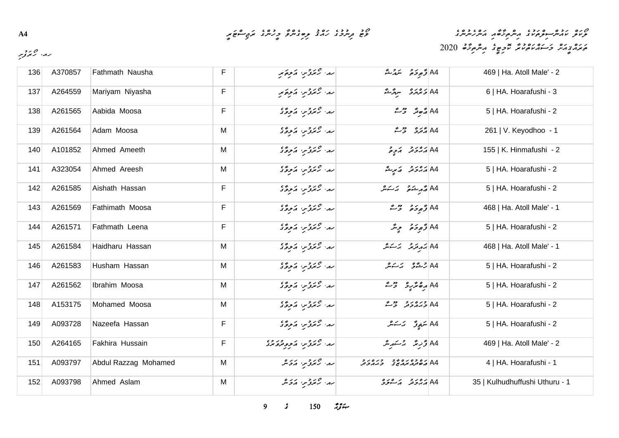*sCw7q7s5w7m< o<n9nOoAw7o< sCq;mAwBoEw7q<m; wBm;vB* م من المسجد المسجد المسجد المسجد المسجد العام 2020<br>مسجد المسجد المسجد المسجد المسجد المسجد المسجد المسجد المسجد ال

| 136 | A370857 | Fathmath Nausha      | F           | ره رسموقرین مرکزه بر   | A4  <i>وَّهِ دَهْ</i> سَمَ <i>دْ</i> يَدُ | 469   Ha. Atoll Male' - 2      |
|-----|---------|----------------------|-------------|------------------------|-------------------------------------------|--------------------------------|
| 137 | A264559 | Mariyam Niyasha      | $\mathsf F$ | رە، ئەترۇر، ئەرەبر     | A4 <i>5 برور و سرور ش</i>                 | 6   HA. Hoarafushi - 3         |
| 138 | A261565 | Aabida Moosa         | F           | رە بەللەر ئەرەلى       | $23$ $20\%$ A4                            | 5   HA. Hoarafushi - 2         |
| 139 | A261564 | Adam Moosa           | M           | رە بەردىن ەردە         | $23$ $25$ $25$ $A4$                       | 261   V. Keyodhoo - 1          |
| 140 | A101852 | Ahmed Ameeth         | M           | رە، ئەنزۈس مەدەن       | A4 كەبرى قىر كەر كەر كەن ئاس              | 155   K. Hinmafushi - 2        |
| 141 | A323054 | Ahmed Areesh         | M           | رە ئەتزۇر، ئەرگە       | A4 كەش <sup>ى</sup> قىر كەمپرىش           | 5   HA. Hoarafushi - 2         |
| 142 | A261585 | Aishath Hassan       | F           | رە بەللەر ئەرەلى       | A4 مەمرىشىمۇ بەسكەنلىر                    | 5   HA. Hoarafushi - 2         |
| 143 | A261569 | Fathimath Moosa      | F           | رە بەردىن ەيدە         | A4 تَهِ <i>ح</i> ق حَمَّـَ مَ             | 468   Ha. Atoll Male' - 1      |
| 144 | A261571 | Fathmath Leena       | $\mathsf F$ | رە - 2 ئۇترىن مەمزەتمى | A4 وَج <i>وحَ</i> هُمْ مُحِسَّرٌ          | 5   HA. Hoarafushi - 2         |
| 145 | A261584 | Haidharu Hassan      | M           | رە بەردىن ەردە         |                                           | 468   Ha. Atoll Male' - 1      |
| 146 | A261583 | Husham Hassan        | M           | رە بەللەر ئەرەلى       | A4 ج شقو - تر <i>ست</i> مبر               | 5   HA. Hoarafushi - 2         |
| 147 | A261562 | Ibrahim Moosa        | M           | رە بەللەر ئەرەلى       | A4 مەھمىر 3 ق-2                           | 5   HA. Hoarafushi - 2         |
| 148 | A153175 | Mohamed Moosa        | M           | رە بەردىن ەيدە         | A4 دېم دي د حقيقه                         | 5   HA. Hoarafushi - 2         |
| 149 | A093728 | Nazeefa Hassan       | $\mathsf F$ | رو، رحمزو من و کروی    | A4 سَمِرٍوَّ بَرَسَ <b>سَ</b> ر           | 5   HA. Hoarafushi - 2         |
| 150 | A264165 | Fakhira Hussain      | $\mathsf F$ | رور محموق المعروفروق   | A4 تَوْرِيمٌ بِرْسَمبِ مِرْ               | 469   Ha. Atoll Male' - 2      |
| 151 | A093797 | Abdul Razzag Mohamed | M           | رە - ئەيزۇر، ئەدىئە    | A4 رەمەم مەم مەم مەم دە                   | 4   HA. Hoarafushi - 1         |
| 152 | A093798 | Ahmed Aslam          | M           | رە بەردىن ەركە         | A4 كەبروتىر كەسىر <i>ە د</i> ە            | 35   Kulhudhuffushi Uthuru - 1 |

*9 s* 150 *f*<sub>*s*</sub> *n*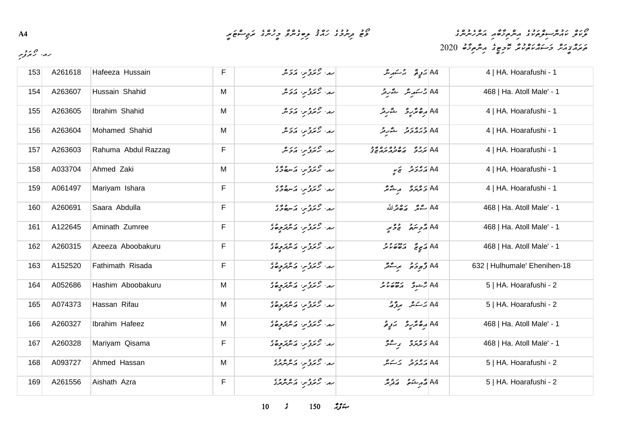*sCw7q7s5w7m< o<n9nOoAw7o< sCq;mAwBoEw7q<m; wBm;vB* م من المسجد المسجد المسجد المسجد المسجد العام 2020<br>مسجد المسجد المسجد المسجد المسجد المسجد المسجد المسجد المسجد ال

| 153 | A261618 | Hafeeza Hussain     | F           | رە بەلگەدىن مەئەنگە  | A4 كَمَرٍ مَحْ مَ مُسَمَّدٍ مِثْرٍ                                                         | 4   HA. Hoarafushi - 1       |
|-----|---------|---------------------|-------------|----------------------|--------------------------------------------------------------------------------------------|------------------------------|
| 154 | A263607 | Hussain Shahid      | M           | رە بەردىن ەركە       | A4 پُرڪوپر شگوپر شگوپر                                                                     | 468   Ha. Atoll Male' - 1    |
| 155 | A263605 | Ibrahim Shahid      | M           | رە زىردىن ەردى       | A4 مەھەمگەرى <sub>جە</sub> ھەرىگە                                                          | 4   HA. Hoarafushi - 1       |
| 156 | A263604 | Mohamed Shahid      | M           | رە بەردىن ەردىگە     | A4 <i>وُبَهُ وَمَثَ</i> رَ مُقَرَّمَتُ                                                     | 4   HA. Hoarafushi - 1       |
| 157 | A263603 | Rahuma Abdul Razzag | $\mathsf F$ | رە بەردىن ەردىگە     | A4 تریری ده ده ده دی.<br>A4 تریری مقام مرد مردم بر                                         | 4   HA. Hoarafushi - 1       |
| 158 | A033704 | Ahmed Zaki          | M           | מה המציקי היישכל     | A4 كەش <sub>ە</sub> كەنتىر تىم بىر                                                         | 4   HA. Hoarafushi - 1       |
| 159 | A061497 | Mariyam Ishara      | F           | מגי המציעי ה'יישיבל  | A4  <i>5 برېږدو پر</i> ېشم <sup>ت</sup> ر                                                  | 4   HA. Hoarafushi - 1       |
| 160 | A260691 | Saara Abdulla       | F           | מגי המנתי ה'יינסכל   | A4 جَمَّد صَ <b>صَ</b> قَرَاللَّه                                                          | 468   Ha. Atoll Male' - 1    |
| 161 | A122645 | Aminath Zumree      | F           | رە زىروس كەنگرىزە ئ  | A4 مَجْ سَمَعَ تَجْ حَمِيهِ                                                                | 468   Ha. Atoll Male' - 1    |
| 162 | A260315 | Azeeza Aboobakuru   | F           | رە زىروس كەنگرىزە ئ  | $2222$ $\frac{2}{3}$ $\frac{2}{3}$ $\frac{2}{3}$ $\frac{2}{3}$ $\frac{2}{3}$ $\frac{2}{3}$ | 468   Ha. Atoll Male' - 1    |
| 163 | A152520 | Fathimath Risada    | F           | رە زىروس كەنگە دە    | A4 تَرْجِوحَة مَ سِنَّةَتَّر                                                               | 632   Hulhumale' Ehenihen-18 |
| 164 | A052686 | Hashim Aboobakuru   | M           | رە زىروس كەنگە دە    | $2222$ $24$                                                                                | 5   HA. Hoarafushi - 2       |
| 165 | A074373 | Hassan Rifau        | M           | رە بەردىن كەنگەردە   | A4 بَرَسَۃ مِروَّجَّۃ                                                                      | 5   HA. Hoarafushi - 2       |
| 166 | A260327 | Ibrahim Hafeez      | M           | رە بەتروپ كەنگە دە   | A4 مەھەمگەر <i>3 سىرى</i> قى                                                               | 468   Ha. Atoll Male' - 1    |
| 167 | A260328 | Mariyam Qisama      | F           | رە بەللەر ئەسلەردە   | A4 كەبىر بىر ئەسىمىسى ئىس                                                                  | 468   Ha. Atoll Male' - 1    |
| 168 | A093727 | Ahmed Hassan        | M           | رە بەلگەن كەھەم دە   | A4 كەبروتى كەسكەنلى                                                                        | 5   HA. Hoarafushi - 2       |
| 169 | A261556 | Aishath Azra        | F           | رە - ئەيروپ كەنگەندى | A4 مەم ھەم ئىقرىتىر                                                                        | 5   HA. Hoarafushi - 2       |

*10 sC 150 nNw?mS*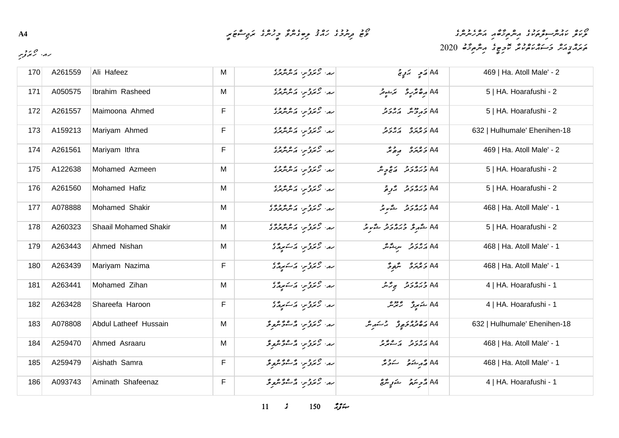*sCw7q7s5w7m< o<n9nOoAw7o< sCq;mAwBoEw7q<m; wBm;vB* م من المرة المرة المرة المرجع المرجع في المركبة 2020<br>مجم*د المريض المربوط المربع المرجع في المراجع المركبة* 

| 170 | A261559 | Ali Hafeez                   | M           | رە. ئەنزۇس ئەنگەنزىرى     | A4 <i>ھَ جِه بَ</i> وِجْ              | 469   Ha. Atoll Male' - 2    |
|-----|---------|------------------------------|-------------|---------------------------|---------------------------------------|------------------------------|
| 171 | A050575 | Ibrahim Rasheed              | M           | رە رىزور، كەنگەندى        | A4 مەھەرىرى سىنىدىمە                  | 5   HA. Hoarafushi - 2       |
| 172 | A261557 | Maimoona Ahmed               | F           | رە بەر دىر ئەھەدە         | A4 كَەرتى مَدىم كەندى ئىلگە           | 5   HA. Hoarafushi - 2       |
| 173 | A159213 | Mariyam Ahmed                | $\mathsf F$ | رە بە ئەرەب كەنگەندى      | A4 كەبەر بەر بەر د                    | 632   Hulhumale' Ehenihen-18 |
| 174 | A261561 | Mariyam Ithra                | F           | رە بەردىن كەھەمدە         | A4 <i>5 بروز</i> و م <i>جو</i> یگر    | 469   Ha. Atoll Male' - 2    |
| 175 | A122638 | Mohamed Azmeen               | M           | رە بە ئەرەب كەنگەندى      | A4 درورو روپر                         | 5   HA. Hoarafushi - 2       |
| 176 | A261560 | Mohamed Hafiz                | M           | رە بەلگەن كەھەم دە        | A4  <i>32,325 بُرُوءُ</i>             | 5   HA. Hoarafushi - 2       |
| 177 | A078888 | Mohamed Shakir               | M           | رە بەرەپ كەھەم دە         | A4 <i>وُبَهُ دُوَ</i> تَرَ شَمَّسَ    | 468   Ha. Atoll Male' - 1    |
| 178 | A260323 | <b>Shaail Mohamed Shakir</b> | M           | رو. رود به کارو دور       | A4 شەم ئۇرگە ئەسىر ئىسىمىتى ئىس       | 5   HA. Hoarafushi - 2       |
| 179 | A263443 | Ahmed Nishan                 | M           | رە رىزۇس كەسىملەر         | A4 كەبرى تىر سرىشەنلەر                | 468   Ha. Atoll Male' - 1    |
| 180 | A263439 | Mariyam Nazima               | $\mathsf F$ | رە - رىزۇس كەستېرگەنى     | A4 دَ بَرْ بَرْ بَرْ بِرَ بِهِ بِرَ   | 468   Ha. Atoll Male' - 1    |
| 181 | A263441 | Mohamed Zihan                | M           | رە - 2 ئۇقرىر، ئەسكىرىدى  | A4 <i>5 جاد جو جي جي ج</i>            | 4   HA. Hoarafushi - 1       |
| 182 | A263428 | Shareefa Haroon              | F           | رە ، ئەترىس، ئەسكىرىدى    | A4 ڪ <sub>يون</sub> و گريزير          | 4   HA. Hoarafushi - 1       |
| 183 | A078808 | Abdul Latheef Hussain        | M           | رە. ئەنزۇس ئەسەئەتلىرىگە  | A4 مَ <i>ھوم حَمِيوْ جَ</i> سَمَرِ سَ | 632   Hulhumale' Ehenihen-18 |
| 184 | A259470 | Ahmed Asraaru                | M           | رە ، ئەيروس ئەسىر ئىرە بۇ | A4 كەبروتىر كەسىر يىز                 | 468   Ha. Atoll Male' - 1    |
| 185 | A259479 | Aishath Samra                | F           | رە. ئەنزۇر، ئەسىۋىرى ئە   | A4 مەم ئىقتى سىزدىمە                  | 468   Ha. Atoll Male' - 1    |
| 186 | A093743 | Aminath Shafeenaz            | F           | رە. رىمزۇير، ئەسىرخىرى ئ  | A4 أَمَّ حِسَمَةٌ مُسَوِيقَةٌ         | 4   HA. Hoarafushi - 1       |

 $11$  *s*  $150$  *if*<sub>s</sub>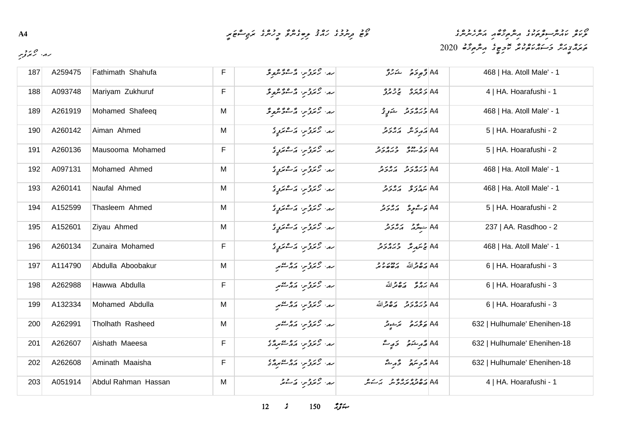*sCw7q7s5w7m< o<n9nOoAw7o< sCq;mAwBoEw7q<m; wBm;vB* م من المسجد المسجد المسجد المسجد المسجد العام 2020<br>مسجد المسجد المسجد المسجد المسجد المسجد المسجد المسجد المسجد ال

| 187 | A259475 | Fathimath Shahufa   | F           | رە، ئەنزۇير، ەمسۇنجىلرىدۇ | A4  تَ <i>جِ حَمَّةَ</i> شَمَرَتَّرَ    | 468   Ha. Atoll Male' - 1    |
|-----|---------|---------------------|-------------|---------------------------|-----------------------------------------|------------------------------|
| 188 | A093748 | Mariyam Zukhuruf    | $\mathsf F$ | رە. ئەنزۇر، ئەسىۋىرمۇ     | A4 كەنگەر قايدىق چىلىنى كىل             | 4   HA. Hoarafushi - 1       |
| 189 | A261919 | Mohamed Shafeeq     | M           | رە، ئەنزۇس ئەسەئەتلىرىگە  | A4  <i>32,325 شورِ ج</i>                | 468   Ha. Atoll Male' - 1    |
| 190 | A260142 | Aiman Ahmed         | M           | رە، رىمەرىر، ئەسمىرى      | A4 <i>הَدِوَ</i> سَ <i>הَدُوَنَّر</i> َ | 5   HA. Hoarafushi - 2       |
| 191 | A260136 | Mausooma Mohamed    | $\mathsf F$ | رە، رىزۇس ئەسىرو ئ        | A4 زوجہ ورہ دیا                         | 5   HA. Hoarafushi - 2       |
| 192 | A097131 | Mohamed Ahmed       | M           | رە بە ئەترۇس كەسىسىرى     | A4 <i>وبروبرو بروبرو</i>                | 468   Ha. Atoll Male' - 1    |
| 193 | A260141 | Naufal Ahmed        | M           | رە، رىمەترىن ئەسىمەتەرى   | A4 سَمَدَوَى مَدَوَى                    | 468   Ha. Atoll Male' - 1    |
| 194 | A152599 | Thasleem Ahmed      | M           | رە ، ئەترۇپ، ئەسەترو ئ    |                                         | 5   HA. Hoarafushi - 2       |
| 195 | A152601 | Ziyau Ahmed         | M           | رە، رىمەرىر، ئەسمىرى      | A4 خەترە كەردىتى                        | 237   AA. Rasdhoo - 2        |
| 196 | A260134 | Zunaira Mohamed     | F           | رە ، ئەندىس، ئەسلىمەيدە   | A4 ىن ئىرى <i>گە جەم</i> كەرد           | 468   Ha. Atoll Male' - 1    |
| 197 | A114790 | Abdulla Aboobakur   | M           | ىد ئىمزىن مەسىر           | A4 مَهْ مَرْاللّه مُصْحَمَّة مِ         | 6   HA. Hoarafushi - 3       |
| 198 | A262988 | Hawwa Abdulla       | F           | رە بەترىپ، ئەھمىسىپ       | A4 بَرْمَةً بِرَصْحَراللّه              | 6   HA. Hoarafushi - 3       |
| 199 | A132334 | Mohamed Abdulla     | M           | رە بەللەت ئەرەپىي         | A4 32025 مَرْهُوللَّه                   | 6   HA. Hoarafushi - 3       |
| 200 | A262991 | Tholhath Rasheed    | M           | رە ، ئەترىس، مەھ شىمبە    | A4 بر <i>ؤبرة بم</i> شوقر               | 632   Hulhumale' Ehenihen-18 |
| 201 | A262607 | Aishath Maeesa      | F           | رە بەردىن ئەھمىسىدە ئ     | A4 مَدْمِ شَمَعْ = حَرِيبٌ              | 632   Hulhumale' Ehenihen-18 |
| 202 | A262608 | Aminath Maaisha     | F           | رە بەردىن ئەھمىسىدە       | A4 مَّحِسَمَةٌ وَمَثَّةٌ                | 632   Hulhumale' Ehenihen-18 |
| 203 | A051914 | Abdul Rahman Hassan | M           | رە، رىمۇتىر، ئەسىمگە      | A4  مەھە <i>رەرە جەرھەر بىر كى</i> ر    | 4   HA. Hoarafushi - 1       |

 $12$  *s*  $150$  *i*<sub>s</sub>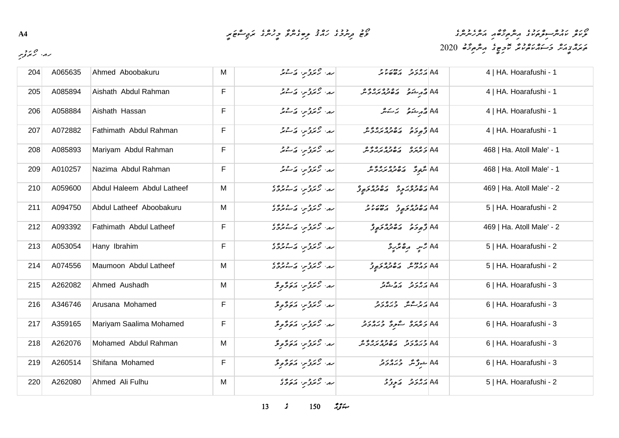*sCw7q7s5w7m< o<n9nOoAw7o< sCq;mAwBoEw7q<m; wBm;vB* م من المرة المرة المرة المرجع المرجع في المركبة 2020<br>مجم*د المريض المربوط المربع المرجع في المراجع المركبة* 

| 204 | A065635 | Ahmed Aboobakuru           | M            | رە بەترى كەسىمى          | $22222$ $224$ $24$                              | 4   HA. Hoarafushi - 1    |
|-----|---------|----------------------------|--------------|--------------------------|-------------------------------------------------|---------------------------|
| 205 | A085894 | Aishath Abdul Rahman       | F            | رە بەردىن ەسىم           | A4 مجم <i>د شوی م</i> ص <i>حد م</i> عد مصر م    | 4   HA. Hoarafushi - 1    |
| 206 | A058884 | Aishath Hassan             | F            | رە بەردىن كەلىمىتى       | A4 مەمرىشكى ئەسكەنلىر                           | 4   HA. Hoarafushi - 1    |
| 207 | A072882 | Fathimath Abdul Rahman     | F            | رە بەردىن كەلىمىتى       | 4 زیرو ره ده ره ده د                            | 4   HA. Hoarafushi - 1    |
| 208 | A085893 | Mariyam Abdul Rahman       | F            | رە بەردىن كەلىمىتى       |                                                 | 468   Ha. Atoll Male' - 1 |
| 209 | A010257 | Nazima Abdul Rahman        | F            | رو، رحمزویں اور دور      | A4 گمگنجر <i>گر م</i> ی <i>قرو مربر و</i> گر    | 468   Ha. Atoll Male' - 1 |
| 210 | A059600 | Abdul Haleem Abdul Latheef | M            | رور المحروس وكالمستخدم و | A4 رەدەبرو رەدەر ۋ                              | 469   Ha. Atoll Male' - 2 |
| 211 | A094750 | Abdul Latheef Aboobakuru   | M            | رە بەلگەن كەسىردە        | 14 בסמת כפיר המסטית                             | 5   HA. Hoarafushi - 2    |
| 212 | A093392 | Fathimath Abdul Latheef    | F            | رە بەلگەن كەسىم دە       | A4 تُجِرِّدَة مُصْرَمَّة مُجَرِّدٍ وَ           | 469   Ha. Atoll Male' - 2 |
| 213 | A053054 | Hany Ibrahim               | F            | رە بەر دەر كەسەندە ئ     | A4 ٿيپ م <i>ھنڙپ</i> و                          | 5   HA. Hoarafushi - 2    |
| 214 | A074556 | Maumoon Abdul Latheef      | $\mathsf{M}$ | رە بەر دىر دىن دەر       | A4 دروده ره وه در و                             | 5   HA. Hoarafushi - 2    |
| 215 | A262082 | Ahmed Aushadh              | M            | رە، رىزۇس مەدۇبەق        | A4 كەبروتىر كەرگەشكى<br>A4                      | 6   HA. Hoarafushi - 3    |
| 216 | A346746 | Arusana Mohamed            | F            | رە، رىزۇس ئەۋۋەت         | A4 كەيرىشىش جەم دىر                             | 6   HA. Hoarafushi - 3    |
| 217 | A359165 | Mariyam Saalima Mohamed    | F            | رە، رىزۇس مەدۇرۇ         | A4 كەمەر ئەر ئەرەر دەر د                        | 6   HA. Hoarafushi - 3    |
| 218 | A262076 | Mohamed Abdul Rahman       | M            | رەر ، ئەندۇس ، ئەنەۋە بۇ | A4 درور د رودوروده<br>A4 د برمرد تر مصرم برگرمر | 6   HA. Hoarafushi - 3    |
| 219 | A260514 | Shifana Mohamed            | F            | رە، رىزۇس ئەن ئوق        | A4 خوتر <i>شرق دیم</i> در د                     | 6   HA. Hoarafushi - 3    |
| 220 | A262080 | Ahmed Ali Fulhu            | M            | رە بەللەر ئەرەل          | A4 كەبرى <i>كەبەد ئى</i>                        | 5   HA. Hoarafushi - 2    |

 $13$  *s*  $150$  *n***<sub>s</sub>**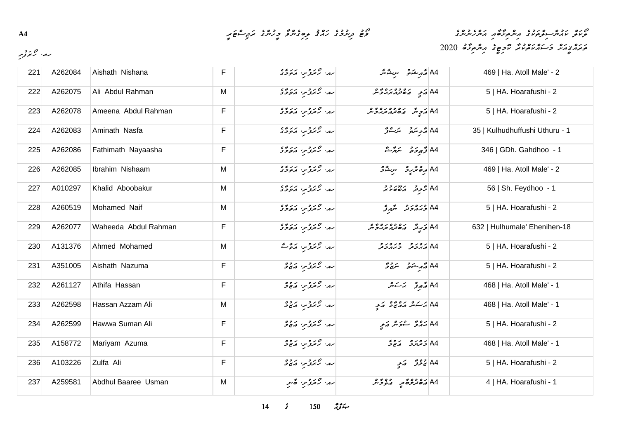*sCw7q7s5w7m< o<n9nOoAw7o< sCq;mAwBoEw7q<m; wBm;vB* م من المسجد المسجد المسجد المسجد المسجد العام 2020<br>مسجد المسجد المسجد المسجد المسجد المسجد المسجد المسجد المسجد ال

| 221 | A262084 | Aishath Nishana      | F | رە بەلگەنزىر، مەم 25 | A4 صَّمَر مُشَمَّدٍ مُسْرِمُشَمَّدَ                   | 469   Ha. Atoll Male' - 2      |
|-----|---------|----------------------|---|----------------------|-------------------------------------------------------|--------------------------------|
| 222 | A262075 | Ali Abdul Rahman     | M | رە بەردىن ئەرەپ      | A4 <i>مَج مَعْ مَمْهُ مَدَوَّ</i> مَرَّ               | 5   HA. Hoarafushi - 2         |
| 223 | A262078 | Ameena Abdul Rahman  | F | رە بەردىن ئەرەپ      | A4 <i>הُحِسَّى مُ</i> ھ <i>ترم بُربر</i> و مَر        | 5   HA. Hoarafushi - 2         |
| 224 | A262083 | Aminath Nasfa        | F | رە بەردىن ئەرەپ      |                                                       | 35   Kulhudhuffushi Uthuru - 1 |
| 225 | A262086 | Fathimath Nayaasha   | F | رە بەردىن ئەرەپ      | A4 تَرْجِرْحَمْ سَمَدَّتْ َ                           | 346   GDh. Gahdhoo - 1         |
| 226 | A262085 | Ibrahim Nishaam      | M | رە بەردىن ئەرەپ      | A4 مەھەر بول سرىشەتى                                  | 469   Ha. Atoll Male' - 2      |
| 227 | A010297 | Khalid Aboobakur     | M | رە بەللەر ئەرەل      | A4 تَجعِدَ 2007 م                                     | 56   Sh. Feydhoo - 1           |
| 228 | A260519 | Mohamed Naif         | M | رە بەردىن ئەرەپ      | A4 <i>2525 مگ</i> رو                                  | 5   HA. Hoarafushi - 2         |
| 229 | A262077 | Waheeda Abdul Rahman | F | رد. رنزوین دروه      | A4 <i>وَبرِنَّز مَ مَعْرَمُ بَرَبَّرَ بِّرَ مَّرَ</i> | 632   Hulhumale' Ehenihen-18   |
| 230 | A131376 | Ahmed Mohamed        | M | رە، رىمۇم، ئۇش       | A4  كەبرو مەمەدىر                                     | 5   HA. Hoarafushi - 2         |
| 231 | A351005 | Aishath Nazuma       | F | رە بە ئەترىپ كەلج ئ  | A4 مەم شىم مىسى ئىچ                                   | 5   HA. Hoarafushi - 2         |
| 232 | A261127 | Athifa Hassan        | F | رە، رىمۇقرا ئەنج     | A4 مَيْھِ وَيَسَمَّسُ                                 | 468   Ha. Atoll Male' - 1      |
| 233 | A262598 | Hassan Azzam Ali     | M | رە، رىمۇتىر، ئەنج    | A4   يَرْسَمْ شَهْرَ جُمْحَ صَعِيق                    | 468   Ha. Atoll Male' - 1      |
| 234 | A262599 | Hawwa Suman Ali      | F | رە ئەترىپ كەنج       | A4 بَرْدَةَ سَوَسْ <sub>مَ</sub> عِ                   | 5   HA. Hoarafushi - 2         |
| 235 | A158772 | Mariyam Azuma        | F | رە، رىمۇقرىي ھەم 2   | $552$ $272$ $84$                                      | 468   Ha. Atoll Male' - 1      |
| 236 | A103226 | Zulfa Ali            | F | رە، رىمۇقرا ئەنج     | A4 يحوً <i>و أم</i> َم <i>و</i>                       | 5   HA. Hoarafushi - 2         |
| 237 | A259581 | Abdhul Baaree Usman  | M | رە، رىمزۇير، ھەير    | A4 كەھەرگەھىر   مەھەر س                               | 4   HA. Hoarafushi - 1         |

 $14$  *s*  $150$   $23$   $\div$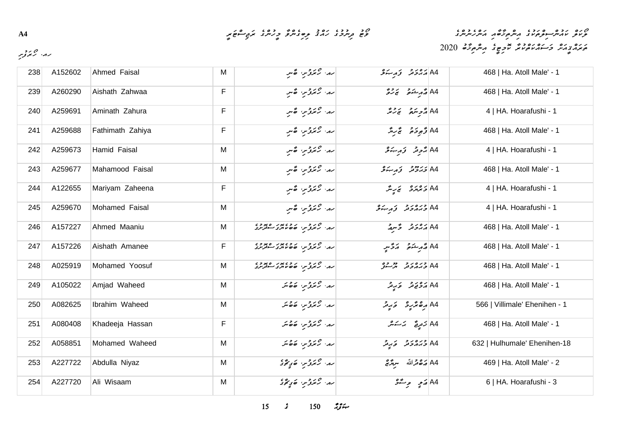*sCw7q7s5w7m< o<n9nOoAw7o< sCq;mAwBoEw7q<m; wBm;vB* م من المسجد المسجد المسجد المسجد المسجد العام 2020<br>مسجد المسجد المسجد المسجد المسجد المسجد المسجد المسجد المسجد ال

| 238 | A152602 | Ahmed Faisal     | M           | رە بىلىمۇتىر، <b>ئ</b> ەس | A4 كەبرى قىلى ئەرىبكى تىلى             | 468   Ha. Atoll Male' - 1     |
|-----|---------|------------------|-------------|---------------------------|----------------------------------------|-------------------------------|
| 239 | A260290 | Aishath Zahwaa   | $\mathsf F$ | رە، رېمۇقرما ھەر          | A4 مەم شىم تەن تەرگە                   | 468   Ha. Atoll Male' - 1     |
| 240 | A259691 | Aminath Zahura   | F           | رە، رىمۇقرىيا ھەير        | A4 مَّ حِسَمَةٌ بِحَرْمَّدَ            | 4   HA. Hoarafushi - 1        |
| 241 | A259688 | Fathimath Zahiya | $\mathsf F$ | رە، ئەترۇس ھەر            | A4 وَجوحَمَد تَج سِهَرَ                | 468   Ha. Atoll Male' - 1     |
| 242 | A259673 | Hamid Faisal     | M           | رو، رحمزوین ځېر           | A4 جَّحِيمٌ وَمِسَوَّرٌ                | 4   HA. Hoarafushi - 1        |
| 243 | A259677 | Mahamood Faisal  | M           | رە، رىمزۇير، ھەير         | A4 <i>قەترى قەبى</i> نى                | 468   Ha. Atoll Male' - 1     |
| 244 | A122655 | Mariyam Zaheena  | $\mathsf F$ | رە، ئەنزۇس ھېر            | A4 <i>5 برجرد تم</i> ریٹر              | 4   HA. Hoarafushi - 1        |
| 245 | A259670 | Mohamed Faisal   | M           | رە، رېمۇقرىي ھەر          | A4 3222 ق.م. يكو                       | 4   HA. Hoarafushi - 1        |
| 246 | A157227 | Ahmed Maaniu     | M           |                           | A4 كەبرى قىر ئەسىم                     | 468   Ha. Atoll Male' - 1     |
| 247 | A157226 | Aishath Amanee   | $\mathsf F$ |                           | A4 م <i>ەم ھەق مە</i> گەس              | 468   Ha. Atoll Male' - 1     |
| 248 | A025919 | Mohamed Yoosuf   | M           | ת ירי היו בשמות בינים     | A4 دېرو ده در وو                       | 468   Ha. Atoll Male' - 1     |
| 249 | A105022 | Amjad Waheed     | M           | رە ئىروس ھەش              | A4 كەۋقەتقى ق <i>ەب</i> ەتمە           | 468   Ha. Atoll Male' - 1     |
| 250 | A082625 | Ibrahim Waheed   | M           | رو. رسور کارونک           | A4 مەھەرىپ قىرىتر                      | 566   Villimale' Ehenihen - 1 |
| 251 | A080408 | Khadeeja Hassan  | $\mathsf F$ | بدر محمد و معاملا         | A4 كَتَمِيعٌ = كَتَ <sup>م</sup> َسَّر | 468   Ha. Atoll Male' - 1     |
| 252 | A058851 | Mohamed Waheed   | M           | رە بەردىن ھەش             | A4 <i>32825</i> حَرِيمً                | 632   Hulhumale' Ehenihen-18  |
| 253 | A227722 | Abdulla Niyaz    | M           | رە. رىمزۇس ھۆكۈپى         | A4 مَرْدَّقْرَاللَّهُ سِيَرْمَى        | 469   Ha. Atoll Male' - 2     |
| 254 | A227720 | Ali Wisaam       | M           | رە بەردىن ھېمگى           | A4 رَمِ <sub>مِر</sub> سَّوْ           | 6   HA. Hoarafushi - 3        |

 $15$  *s*  $150$   $23$   $\div$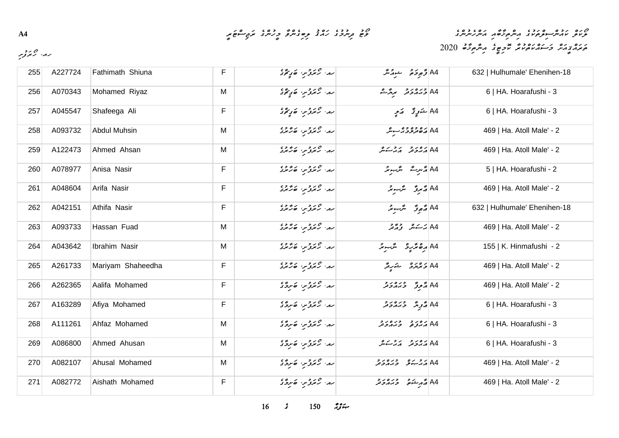*sCw7q7s5w7m< o<n9nOoAw7o< sCq;mAwBoEw7q<m; wBm;vB* م من المرة المرة المرة المرجع المرجع في المركبة 2020<br>مجم*د المريض المربوط المربع المرجع في المراجع المركبة* 

| 255 | A227724 | Fathimath Shiuna    | F | رو. رموز موسی کامی گانده کا | A4 <i>وَّجِوحَةْ</i> سِمْ <i>دْ</i> مَّرْ | 632   Hulhumale' Ehenihen-18 |
|-----|---------|---------------------|---|-----------------------------|-------------------------------------------|------------------------------|
| 256 | A070343 | Mohamed Riyaz       | M | رە، ئەترىس ھېرگەنى          | A4 <i>وُبَہُ وَمَدْ بِرِیزُ</i> ٹُ        | 6   HA. Hoarafushi - 3       |
| 257 | A045547 | Shafeega Ali        | F | رە، ئەترۇس ھۆكۈڭ            | A4 ڪ <i>وپڙ مک</i> م                      | 6   HA. Hoarafushi - 3       |
| 258 | A093732 | <b>Abdul Muhsin</b> | M | رد. رسود کاربرد و د         | A4 رەپرى <i>ۋە يېرىدى</i> ر               | 469   Ha. Atoll Male' - 2    |
| 259 | A122473 | Ahmed Ahsan         | M | رد. رسور المروره            | A4 كەبر <i>ە بىر كەبرىكى</i> گە           | 469   Ha. Atoll Male' - 2    |
| 260 | A078977 | Anisa Nasir         | F | رە بەردىر، ھەمدى            | A4 مُرْسِرْ مُسْتَمَرِ مِرْ               | 5   HA. Hoarafushi - 2       |
| 261 | A048604 | Arifa Nasir         | F | رە بەردىر، ھەدىر            | A4 مەسمەرىش سىرسىرىتىر                    | 469   Ha. Atoll Male' - 2    |
| 262 | A042151 | Athifa Nasir        | F | رە بەردىن ھەمدى             | A4 م <i>ەھبۇ سىتى</i> سىر                 | 632   Hulhumale' Ehenihen-18 |
| 263 | A093733 | Hassan Fuad         | M | رە بەردىر، ھەدىر            | A4 بَرَسَتَ بَرْ وَرَّتَرَ                | 469   Ha. Atoll Male' - 2    |
| 264 | A043642 | Ibrahim Nasir       | M | رە بەردىن ھەمدى             | A4 مەھەرىرى سىرلىرىمى                     | 155   K. Hinmafushi - 2      |
| 265 | A261733 | Mariyam Shaheedha   | F | رە بەردىر، ھەدىر            | A4 وَ بَرْ بِرَ مُسَ مِرَ بِرَّ           | 469   Ha. Atoll Male' - 2    |
| 266 | A262365 | Aalifa Mohamed      | F | رە بەللەر ئەردى             | A4 مَّحِوَّدٌ حَمَدَ مَحَمَّدٌ            | 469   Ha. Atoll Male' - 2    |
| 267 | A163289 | Afiya Mohamed       | F | رە بەردىر، ھېردى            | A4 مَرْوِيمٌ وَبَرُودَوْرَ                | 6   HA. Hoarafushi - 3       |
| 268 | A111261 | Ahfaz Mohamed       | M | رە ئەترىپ ھېردى             | A4 كەبرە مەمەمەدىر                        | 6   HA. Hoarafushi - 3       |
| 269 | A086800 | Ahmed Ahusan        | M | ره رمزور ځروه               | A4 كەبرى قىر كەرگەنگىر                    | 6   HA. Hoarafushi - 3       |
| 270 | A082107 | Ahusal Mohamed      | M | رە ئەترىپ ھېردى             | A4 كەبرىكى ئەمەد ئىر                      | 469   Ha. Atoll Male' - 2    |
| 271 | A082772 | Aishath Mohamed     | F | رە بەللەر ئەردى             | A4 مەم شىم ئەمەد قىر                      | 469   Ha. Atoll Male' - 2    |

 $16$  *s*  $150$  *z***<sub>3</sub>**  $\frac{2}{3}$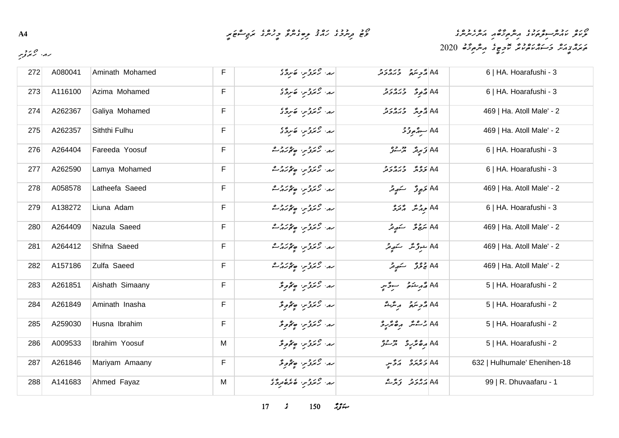*sCw7q7s5w7m< o<n9nOoAw7o< sCq;mAwBoEw7q<m; wBm;vB* م من المسجد المسجد المسجد المسجد المسجد العام 2020<br>مجم*د المسجد المسجد المستجد المسجد المسجد المسجد المسجد المسجد المسجد المسجد المسجد المسجد المسجد المسجد المسجد* 

| 272 | A080041 | Aminath Mohamed | F           | رە ئەترۇس ھېردى       | A4 مُجِسَعْهِ حَمَدُ مُحَمَّد      | 6   HA. Hoarafushi - 3       |
|-----|---------|-----------------|-------------|-----------------------|------------------------------------|------------------------------|
| 273 | A116100 | Azima Mohamed   | $\mathsf F$ | رو، رحمزویں کامرڈ کی  | A4 مَّ <i>فودَّة حَمَّدُ حَرَّ</i> | 6   HA. Hoarafushi - 3       |
| 274 | A262367 | Galiya Mohamed  | F           | رو، رحمزویں کامرونخ   | A4 أَدَّحِيمٌ وَبَرْدُونَدِ        | 469   Ha. Atoll Male' - 2    |
| 275 | A262357 | Siththi Fulhu   | $\mathsf F$ | رە بەردىر، ئەردى      | A4 سوچرموتر م <sup>3</sup>         | 469   Ha. Atoll Male' - 2    |
| 276 | A264404 | Fareeda Yoosuf  | F           | بدر محدوس گردد م      | A4 كۈمپەتر بىر دە                  | 6   HA. Hoarafushi - 3       |
| 277 | A262590 | Lamya Mohamed   | $\mathsf F$ | مدر محمومه گردد م     | A4 تر <i>وېژ وبرو</i> رو           | 6   HA. Hoarafushi - 3       |
| 278 | A058578 | Latheefa Saeed  | $\mathsf F$ | مدر محمومه ھەمدى      | A4 كَرَجِوِكَ     سَمَرٍ شَرْ      | 469   Ha. Atoll Male' - 2    |
| 279 | A138272 | Liuna Adam      | $\mathsf F$ | מגי תיתריתי פיציבת    | A4 <i>ج</i> ەممىگە ئەتىرى          | 6   HA. Hoarafushi - 3       |
| 280 | A264409 | Nazula Saeed    | $\mathsf F$ | رو. ريزور، ھاءُرو ھ   | A4 سَرَيْحَةَ سَمَ <i>وِيدْ</i>    | 469   Ha. Atoll Male' - 2    |
| 281 | A264412 | Shifna Saeed    | F           | תגי תותרתי פיצואת כ   | A4 شورگس کوپوټر                    | 469   Ha. Atoll Male' - 2    |
| 282 | A157186 | Zulfa Saeed     | $\mathsf F$ | رە بەترىر، ھەرەر م    | A4 ج څوگ <i> ڪوپ</i> و             | 469   Ha. Atoll Male' - 2    |
| 283 | A261851 | Aishath Simaany | F           | رو، رنجوز من حافزو څ  | A4 مۇمەيشقى سو <i>ڭى</i> ر         | 5   HA. Hoarafushi - 2       |
| 284 | A261849 | Aminath Inasha  | $\mathsf F$ | رو، رنجوز مور ھاجو مح | A4 مَرْحِ سَرَةَ مِسَّرْشَةَ       | 5   HA. Hoarafushi - 2       |
| 285 | A259030 | Husna Ibrahim   | $\mathsf F$ | به رنمزور محور        | A4 برْے مَدَّ مِرْحَدَّ بِرِدْ     | 5   HA. Hoarafushi - 2       |
| 286 | A009533 | Ibrahim Yoosuf  | M           | بدر ريمزور ھ محوف     | A4 مەھەر بەل مەسىر                 | 5   HA. Hoarafushi - 2       |
| 287 | A261846 | Mariyam Amaany  | $\mathsf F$ | رە، ئەتزۇير، ھەھمۇ ئە | A4 <i>5 بروژ د د</i> گرمبر         | 632   Hulhumale' Ehenihen-18 |
| 288 | A141683 | Ahmed Fayaz     | M           | رد. رکوری، ځای دی     | A4 كەبرى تەرگەشى بىر               | 99   R. Dhuvaafaru - 1       |

 $17$  *s*  $150$  *if*<sub>s</sub>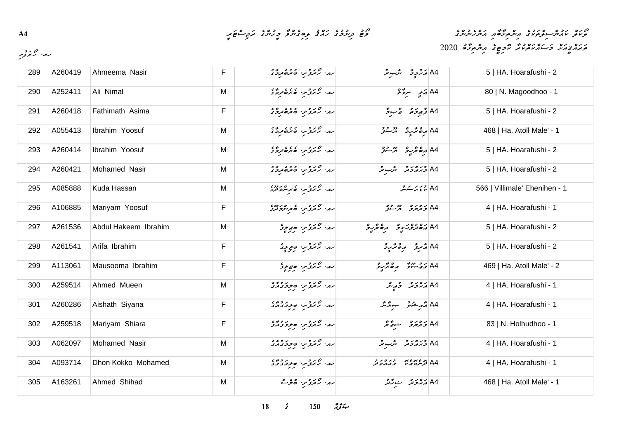*sCw7q7s5w7m< o<n9nOoAw7o< sCq;mAwBoEw7q<m; wBm;vB* م من المسجد المسجد المسجد المسجد المسجد العام 2020<br>مجم*د المسجد المسجد المستجد المسجد المسجد المسجد المسجد المسجد المسجد المسجد المسجد المسجد المسجد المسجد المسجد* 

| 289 | A260419 | Ahmeema Nasir        | F           | رە. رىمزۇير، ھىرھىردى  | A4  رَرْحٍ وَيُّسْتَمَدِ مِنْ الْمُحْمَدِ                                                                      | 5   HA. Hoarafushi - 2        |
|-----|---------|----------------------|-------------|------------------------|----------------------------------------------------------------------------------------------------------------|-------------------------------|
| 290 | A252411 | Ali Nimal            | M           | رړ کرو ده ده ده ده     | A4 كەم سرگە ئى                                                                                                 | 80   N. Magoodhoo - 1         |
| 291 | A260418 | Fathimath Asima      | F           | رو و در دور ده ده و در | A4 تَ <i>وجِ حَقَّ</i> شَبِعَتَ                                                                                | 5   HA. Hoarafushi - 2        |
| 292 | A055413 | Ibrahim Yoosuf       | M           | رو. رکور ده ده در ده   | A4 مەھمگىر قەرىپىتى بىر                                                                                        | 468   Ha. Atoll Male' - 1     |
| 293 | A260414 | Ibrahim Yoosuf       | M           | رد. رکروس کارور در د   | A4 رەئىر ئەسىرە                                                                                                | 5   HA. Hoarafushi - 2        |
| 294 | A260421 | Mohamed Nasir        | M           | رو. رکوری، ځای دی      | A4 <i>وُبَهُ دُوَ</i> مَرْسِمَّ                                                                                | 5   HA. Hoarafushi - 2        |
| 295 | A085888 | Kuda Hassan          | M           | رد. رکوری، ځېرمروره    | A4 تون <del>چ بر س</del> ے میں                                                                                 | 566   Villimale' Ehenihen - 1 |
| 296 | A106885 | Mariyam Yoosuf       | F           | رړ کرو گرونه ته بروده  | A4 كەبىر بىر جەمبىر بىر                                                                                        | 4   HA. Hoarafushi - 1        |
| 297 | A261536 | Abdul Hakeem Ibrahim | M           | رە، رىمۇتر، ھەجرى      | A4 مَ <i>مَوْجِدَ بِهِ وَ مَحْبِ</i> حْ                                                                        | 5   HA. Hoarafushi - 2        |
| 298 | A261541 | Arifa Ibrahim        | F           | ره رمزوم مهود          | A4 م <i>ەبىرق مەھترى</i> رى                                                                                    | 5   HA. Hoarafushi - 2        |
| 299 | A113061 | Mausooma Ibrahim     | F           | ره، رنموتر، ھي وڻ      | A4 <i>خەشىنى مەمگرى</i> ئ                                                                                      | 469   Ha. Atoll Male' - 2     |
| 300 | A259514 | Ahmed Mueen          | M           | رد. رنگوش گودوده       | A4 <i>גَ بَدْوَ</i> تَر گَهِ سَ                                                                                | 4   HA. Hoarafushi - 1        |
| 301 | A260286 | Aishath Siyana       | F           | رد. رنور مودد ده       | A4 مەم ئىسكىمە سىبەتتىگە                                                                                       | 4   HA. Hoarafushi - 1        |
| 302 | A259518 | Mariyam Shiara       | $\mathsf F$ | מי ליציעי סיפציבוב     | A4 <i>5 برورد</i> شو <i>م</i> گر                                                                               | 83   N. Holhudhoo - 1         |
| 303 | A062097 | Mohamed Nasir        | M           | رد. رنمزور، صووردو،    | A4 <i>وُبَهُ دُوَ</i> تَرَ سَرَجِيرَ                                                                           | 4   HA. Hoarafushi - 1        |
| 304 | A093714 | Dhon Kokko Mohamed   | M           | رد. رنجوی گودی ده      | A4 ترمرین مرد و دره در و                                                                                       | 4   HA. Hoarafushi - 1        |
| 305 | A163261 | Ahmed Shihad         | M           | رە، ئەتزۇير، ھۇسە      | A4 كەبرى كىمى ئىسى ئىستى ئىستى ئىستى ئىستى ئىستى ئىستى ئىستى ئىستى ئىستى ئىستى ئىستى ئىستى ئىستى ئىستى ئىستى ئ | 468   Ha. Atoll Male' - 1     |

*18 sC 150 nNw?mS*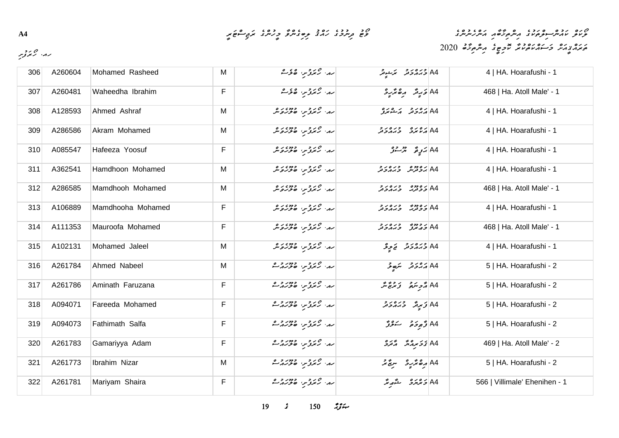*sCw7q7s5w7m< o<n9nOoAw7o< sCq;mAwBoEw7q<m; wBm;vB* م من المسجد المسجد المسجد المسجد المسجد العام 2020<br>مجم*د المسجد المسجد المستجد المسجد المسجد المسجد المسجد المسجد المسجد المسجد المسجد المسجد المسجد المسجد المسجد* 

| 306 | A260604 | Mohamed Rasheed   | M           | رە ئەتروپر، ھۇھ                          | A4 332,3 كرشونر                           | 4   HA. Hoarafushi - 1        |
|-----|---------|-------------------|-------------|------------------------------------------|-------------------------------------------|-------------------------------|
| 307 | A260481 | Waheedha Ibrahim  | $\mathsf F$ | رە بەردىر، ھۆت                           | A4 كۈبېتىر <b>مە</b> ھمىيەتى              | 468   Ha. Atoll Male' - 1     |
| 308 | A128593 | Ahmed Ashraf      | M           | رد. رمزوجه دود، ره<br>رد. رمزوجه گاموروس | A4 كەبرى كىمە كەشلىر <i>ۇ</i>             | 4   HA. Hoarafushi - 1        |
| 309 | A286586 | Akram Mohamed     | M           | מי התנתי סבופית                          | A4 كەندى دېرەرد                           | 4   HA. Hoarafushi - 1        |
| 310 | A085547 | Hafeeza Yoosuf    | F           | رو. رور وووي ده<br>رو. ريزوس گوروس       | A4 بَرَوٍ جَ حَرْبَ وَ مِنْ الْمَرْبَعَةِ | 4   HA. Hoarafushi - 1        |
| 311 | A362541 | Hamdhoon Mohamed  | M           | رد. رمزور، دود، ره                       | A4 كەفتەم مەمەم دىر                       | 4   HA. Hoarafushi - 1        |
| 312 | A286585 | Mamdhooh Mohamed  | M           | رړ ور د دوه ده ده.<br>رړ رنگونو، هڅرونگر |                                           | 468   Ha. Atoll Male' - 1     |
| 313 | A106889 | Mamdhooha Mohamed | F           | מרי התנתי סביקתי                         | A4 كەفتەت قەرەر د                         | 4   HA. Hoarafushi - 1        |
| 314 | A111353 | Mauroofa Mohamed  | $\mathsf F$ | מי המציעי סיבגפית                        | A4 <i>خەمىرى جەم</i> ەر ج                 | 468   Ha. Atoll Male' - 1     |
| 315 | A102131 | Mohamed Jaleel    | M           | رد. رمزور، دود، ره                       | A4 \$ <i>بَرْدٌ \$ بَرْ فَي بِ</i> حْرِ   | 4   HA. Hoarafushi - 1        |
| 316 | A261784 | Ahmed Nabeel      | M           | رد. رمزوید، دورو و                       | A4 كەندى قىر سىر يىلىن ئى                 | 5   HA. Hoarafushi - 2        |
| 317 | A261786 | Aminath Faruzana  | F           | رد. رمزور، ۱۳۶۵ و.                       | A4 مَرْحِ سَرَمَ تَرَبَّرْ بَيْرَ مَدَّ   | 5   HA. Hoarafushi - 2        |
| 318 | A094071 | Fareeda Mohamed   | $\mathsf F$ | رد. رمزور، مورد و ه                      | A4 تزىرى <i>گە جەمەھەت</i> ر              | 5   HA. Hoarafushi - 2        |
| 319 | A094073 | Fathimath Salfa   | F           | מגי למציעי סיבמה כ                       | A4 تَهِ دَمَ مَنْ نَوْتَرَ                | 5   HA. Hoarafushi - 2        |
| 320 | A261783 | Gamariyya Adam    | F           | מגי המניקי פירובים                       | A4 تَوَسِ <i>مِهُمَّہ مُ</i> قَرِّدً      | 469   Ha. Atoll Male' - 2     |
| 321 | A261773 | Ibrahim Nizar     | M           | מי למציעי סיבומרים                       | A4 مەھەر يەر سىنى ئىر                     | 5   HA. Hoarafushi - 2        |
| 322 | A261781 | Mariyam Shaira    | F           | מגי למציעי סיבמה בים                     | A4 كەنگەر ئىگە ئىگە ئىگە ئىگە             | 566   Villimale' Ehenihen - 1 |

*19 s 150 <i>n*<sub>s</sub>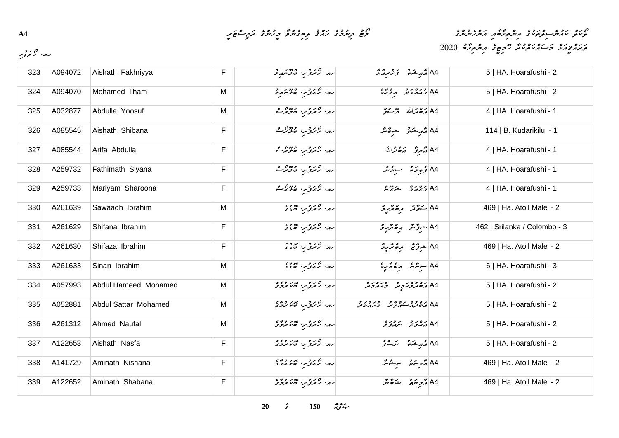*sCw7q7s5w7m< o<n9nOoAw7o< sCq;mAwBoEw7q<m; wBm;vB* م من المسجد المسجد المسجد المسجد المسجد العام 2020<br>مجم*د المسجد المسجد المستجد المسجد المسجد المسجد المسجد المسجد المسجد المسجد المسجد المسجد المسجد المسجد المسجد* 

| 323 | A094072 | Aishath Fakhriyya    | F | رە. ئەنزۇر، ھۆشمەتر                        | A4 مُرمِّدْمَة وَتَرْمُرْمَّتَرَ      | 5   HA. Hoarafushi - 2       |
|-----|---------|----------------------|---|--------------------------------------------|---------------------------------------|------------------------------|
| 324 | A094070 | Mohamed Ilham        | M | رە بەيروپە ھۆشمەت                          | A4  <i>وبروبروم</i> م <i>ورث</i> و    | 5   HA. Hoarafushi - 2       |
| 325 | A032877 | Abdulla Yoosuf       | M | מגי המנתי סיבינים                          | A4 مَەھىراللە مەدىر                   | 4   HA. Hoarafushi - 1       |
| 326 | A085545 | Aishath Shibana      | F | מגי המציקי פרבים                           | A4 مُرمِشَمْ شِقَّتَر                 | 114   B. Kudarikilu - 1      |
| 327 | A085544 | Arifa Abdulla        | F | رد. رنزوین مورده و                         | A4 صحي <i>ق ص</i> صحرالله             | 4   HA. Hoarafushi - 1       |
| 328 | A259732 | Fathimath Siyana     | F | رد. رمزور، ۱۳۶۵ ه                          | A4 زَّەپرىزە ئەرتىر                   | 4   HA. Hoarafushi - 1       |
| 329 | A259733 | Mariyam Sharoona     | F | מגי המציקי פרבים                           | A4 ك <i>روره</i> شەمىر                | 4   HA. Hoarafushi - 1       |
| 330 | A261639 | Sawaadh Ibrahim      | M | رە، رىمزىر، ئەدە                           | A4 سَعَرَّتْر مِرْهُ مَدَّرِدْ        | 469   Ha. Atoll Male' - 2    |
| 331 | A261629 | Shifana Ibrahim      | F | رە، رىمۇرىيە، بودە                         | A4 حورٌ شَر مِرصَّرَ رِ               | 462   Srilanka / Colombo - 3 |
| 332 | A261630 | Shifaza Ibrahim      | F | رە بەردىن مەدە                             | A4 خورج مرگ <i>م کرد</i> گر           | 469   Ha. Atoll Male' - 2    |
| 333 | A261633 | Sinan Ibrahim        | M | ره کرون پوده                               | A4 سومتربتر م <i>وڭ ت</i> ربىرى       | 6   HA. Hoarafushi - 3       |
| 334 | A057993 | Abdul Hameed Mohamed | M | رد. رورو به دوه                            |                                       | 5   HA. Hoarafushi - 2       |
| 335 | A052881 | Abdul Sattar Mohamed | M | روم دوم مدروده                             | A4 ره وه ره د و وره رو                | 5   HA. Hoarafushi - 2       |
| 336 | A261312 | Ahmed Naufal         | M | מגי מיכן ואין ביום.<br>מגי מודקיתי ליטובים | A4 كەبرى تەرىخ ھەرى                   | 5   HA. Hoarafushi - 2       |
| 337 | A122653 | Aishath Nasfa        | F | رد. رود به دوه                             | A4 مەمرىشىمۇ سىرسى <i>مۇ</i>          | 5   HA. Hoarafushi - 2       |
| 338 | A141729 | Aminath Nishana      | F | رد. ریزوین مدروده                          | A4 مُرْحِ سَرَمُ مِن مِشْرَسَّر       | 469   Ha. Atoll Male' - 2    |
| 339 | A122652 | Aminath Shabana      | F | رد. رمزور، مدروده،                         | A4 مَّ <i>حِ سَرَةَ مَدَةٌ مَّ</i> رَ | 469   Ha. Atoll Male' - 2    |

 $20$  *s*  $150$  *z***<sub>3</sub>** $\approx$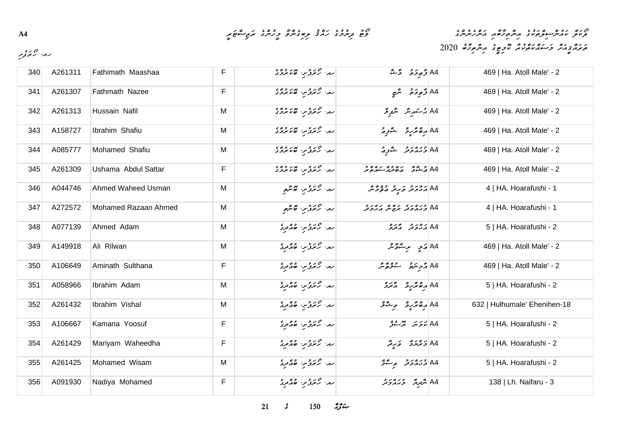*sCw7q7s5w7m< o<n9nOoAw7o< sCq;mAwBoEw7q<m; wBm;vB* م من المسجد المسجد المسجد المسجد المسجد العام 2020<br>مجم*د المسجد المسجد المستجد المسجد المسجد المسجد المسجد المسجد المسجد المسجد المسجد المسجد المسجد المسجد المسجد* 

| 340 | A261311 | Fathimath Maashaa    | F           | رە بەلگەدىن ھەتمەدە          | A4  <i>وَّجِ دَمَّة</i> ُ گَتْتُمُ | 469   Ha. Atoll Male' - 2    |
|-----|---------|----------------------|-------------|------------------------------|------------------------------------|------------------------------|
| 341 | A261307 | Fathmath Nazee       | F           | رد. رمزور، مدروده،           | A4 وَّجِوحَةُ مَّتَبِعِ            | 469   Ha. Atoll Male' - 2    |
| 342 | A261313 | Hussain Nafil        | M           | رد. رورو به دوه و            | A4 پرکسر سر سر مگر پر ع            | 469   Ha. Atoll Male' - 2    |
| 343 | A158727 | Ibrahim Shafiu       | M           | رد. رورو به دوه و            | A4 مەھەرىرى ھەرتى                  | 469   Ha. Atoll Male' - 2    |
| 344 | A085777 | Mohamed Shafiu       | M           | رد. رسود ساله دور            | A4 <i>52828 مشمورة</i>             | 469   Ha. Atoll Male' - 2    |
| 345 | A261309 | Ushama Abdul Sattar  | $\mathsf F$ | رد. رورو به بروون            | A4 ریمو ره ده ره د و               | 469   Ha. Atoll Male' - 2    |
| 346 | A044746 | Ahmed Waheed Usman   | M           | رە بەردىر، ھەھم              | A4 كەبرى تەرەپ ئەھەر ئىس           | 4   HA. Hoarafushi - 1       |
| 347 | A272572 | Mohamed Razaan Ahmed | M           | رە، ئەنزۇر، ھەم <sub>ە</sub> | A4 وبرەرو برور برەرو               | 4   HA. Hoarafushi - 1       |
| 348 | A077139 | Ahmed Adam           | M           | ره بر مرور وه وه             | A4 كەبرى بىر ئەترى                 | 5   HA. Hoarafushi - 2       |
| 349 | A149918 | Ali Rilwan           | M           | رو. رموتر، ۱۵۶ و.            | A4 رَمِ برِشْرَتْرَ                | 469   Ha. Atoll Male' - 2    |
| 350 | A106649 | Aminath Sulthana     | F           | ره بر روه وه وه              | A4 مُرْحِبِيرُ مُشْرِمُوتِيَّر     | 469   Ha. Atoll Male' - 2    |
| 351 | A058966 | Ibrahim Adam         | M           | ره محروم، مهرمری             | A4 مەھەمگەر 2 مەمرى                | 5   HA. Hoarafushi - 2       |
| 352 | A261432 | Ibrahim Vishal       | M           | رە بەردىر، ھەمدى             | A4 مەھەر ئەھ مۇھەر بىرىنى ئىس      | 632   Hulhumale' Ehenihen-18 |
| 353 | A106667 | Kamana Yoosuf        | F           | رو. رنزو ده ده ده            | A4 بَدَ تَهُ مَشْتَوَفَرَ          | 5   HA. Hoarafushi - 2       |
| 354 | A261429 | Mariyam Waheedha     | F           | رە بەردىر، ھەمدى             | A4 كەنگە <i>نگە كەبدى</i> گە       | 5   HA. Hoarafushi - 2       |
| 355 | A261425 | Mohamed Wisam        | M           | رو. رموتر، حدور              | A4  ج: جر حرفته عرف عرف            | 5   HA. Hoarafushi - 2       |
| 356 | A091930 | Nadiya Mohamed       | F           | رو. رنزو ده ده ده            | A4 سَمَعِيدَ حَمَدَ حَدِيدَ        | 138   Lh. Naifaru - 3        |

 $21$  *s*  $150$  *z***<sub>3</sub>** $\approx$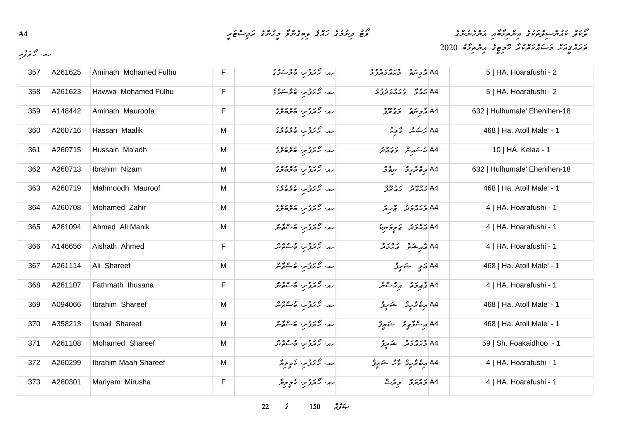*sCw7q7s5w7m< o<n9nOoAw7o< sCq;mAwBoEw7q<m; wBm;vB* م من المسجد المسجد المسجد المسجد المسجد العام 2020<br>مجم*د المسجد المسجد المستجد المسجد المسجد المسجد المسجد المسجد المسجد المسجد المسجد المسجد المسجد المسجد المسجد* 

| 357 | A261625 | Aminath Mohamed Fulhu       | F            | رە. ئەنزۇس ھۇسودى       | A4 <i>ה و سمہ ۔ و بر و دو و</i> و                          | 5   HA. Hoarafushi - 2       |
|-----|---------|-----------------------------|--------------|-------------------------|------------------------------------------------------------|------------------------------|
| 358 | A261623 | Hawwa Mohamed Fulhu         | $\mathsf F$  | رە بەر دەپ دەرە         | A4 پژوي وبروپورو د                                         | 5   HA. Hoarafushi - 2       |
| 359 | A148442 | Aminath Mauroofa            | $\mathsf{F}$ | رد. رمزور، ۱۵۶۵۶        | A4 مُجِسَعَةٍ حَصَمَّةٍ                                    | 632   Hulhumale' Ehenihen-18 |
| 360 | A260716 | Hassan Maalik               | M            | رد. رورو وووه وه        | A4   پرستر و محموم <u>ة</u>                                | 468   Ha. Atoll Male' - 1    |
| 361 | A260715 | Hussain Ma'adh              | M            | رد. رورو ووه وه         | A4 يُرَ مَهر مَدَّ 45 مَدَّ مِرَ 2                         | 10   HA. Kelaa - 1           |
| 362 | A260713 | Ibrahim Nizam               | M            | رد. روبرو وووه و        | A4 مەھم <i>گىي</i> ھەممۇر                                  | 632   Hulhumale' Ehenihen-18 |
| 363 | A260719 | Mahmoodh Mauroof            | M            | رد. رمزور، ۱۵۶۵۶        | A4 <i>ق</i> رصور كروموه                                    | 468   Ha. Atoll Male' - 1    |
| 364 | A260708 | Mohamed Zahir               | M            | ے دو۔<br>روڪوٽرين ھوھوی | A4 <i>5225 تى ب</i>                                        | 4   HA. Hoarafushi - 1       |
| 365 | A261094 | Ahmed Ali Manik             | M            | رو. رود و دولو و        | A4 كەبرى كە كەرىخ سرىر                                     | 4   HA. Hoarafushi - 1       |
| 366 | A146656 | Aishath Ahmed               | F            | رو. رود و دومور         | A4 مەم شىم مەر دەر د                                       | 4   HA. Hoarafushi - 1       |
| 367 | A261114 | Ali Shareef                 | M            | رە، رىزۇس ھەمۇس         | A4 كەمچە سىمىمىرتى                                         | 468   Ha. Atoll Male' - 1    |
| 368 | A261107 | Fathmath Ihusana            | F            | رە رىروپە ھەم ھەر       | A4 تَهِ حَقَّ مِيمَسَّسَّ                                  | 4   HA. Hoarafushi - 1       |
| 369 | A094066 | Ibrahim Shareef             | M            | رە رىروپە ھەم ھەر       | A4 مەھەر ئەرىرى ھەمبەر A4                                  | 468   Ha. Atoll Male' - 1    |
| 370 | A358213 | <b>Ismail Shareef</b>       | M            | رد. ريزور، ده ده د      | A4 م <i>ر حوڏمي ٿي جو پو</i> ڙ                             | 468   Ha. Atoll Male' - 1    |
| 371 | A261108 | Mohamed Shareef             | M            | رە، رىزۇس ھەمۇس         | A4 <i>\$ بَرُمْ دَمَّرَ</i> شَ <sub>مَ</sub> بِرُ <i>؟</i> | 59   Sh. Foakaidhoo - 1      |
| 372 | A260299 | <b>Ibrahim Maah Shareef</b> | M            | رە، رىمۇس ئام مەر       | A4 مەھەرىرى ئ <sup>ې</sup> ر شەمرى                         | 4   HA. Hoarafushi - 1       |
| 373 | A260301 | Mariyam Mirusha             | F            | رە، رىمزۇر، ئامەدەگە    | A4 <i>5 بروگر و بر</i> گ                                   | 4   HA. Hoarafushi - 1       |

 $22$  *s*  $150$  *i*<sub>s</sub>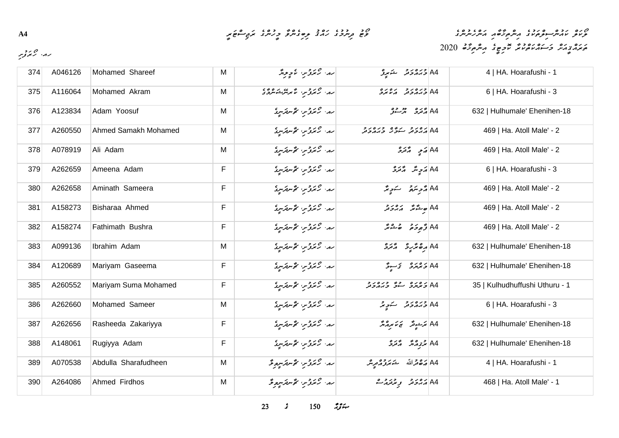*sCw7q7s5w7m< o<n9nOoAw7o< sCq;mAwBoEw7q<m; wBm;vB* م من المرة المرة المرة المرجع المرجع في المركبة 2020<br>مجم*د المريض المربوط المربع المرجع في المراجع المركبة* 

| 374 | A046126 | Mohamed Shareef      | M           | رە، رىمزۇير، ئاچ جەڭر    | A4  <i>32,252 خەير</i> ۇ                        | 4   HA. Hoarafushi - 1         |
|-----|---------|----------------------|-------------|--------------------------|-------------------------------------------------|--------------------------------|
| 375 | A116064 | Mohamed Akram        | M           | رە ئەتروپ ئەرەپىيە دەپ   | A4 ورەرو رەرە                                   | 6   HA. Hoarafushi - 3         |
| 376 | A123834 | Adam Yoosuf          | M           | رە، ئەترۇس ئۇسترسى       | A4 گەنىرى ھۆسىۋ                                 | 632   Hulhumale' Ehenihen-18   |
| 377 | A260550 | Ahmed Samakh Mohamed | M           | رە، ئەترۇس ئۇسترىسىد     | A4 رەرو كەۋە دېرەرو                             | 469   Ha. Atoll Male' - 2      |
| 378 | A078919 | Ali Adam             | M           | رە ، ئەترۇس كۇسىرسى      | A4 <i>جَ جِهِ مُ</i> تَرَدُّ                    | 469   Ha. Atoll Male' - 2      |
| 379 | A262659 | Ameena Adam          | $\mathsf F$ | رە ، ئەترۇس كۇسىرسى      | A4 كەچ ئىگە ئەگەرنى                             | 6   HA. Hoarafushi - 3         |
| 380 | A262658 | Aminath Sameera      | F           | رە ، ئەترۇس ئۇسترسىد     | A4 مَرْحِ سَوَ سَوَ سَرَ جَهْ                   | 469   Ha. Atoll Male' - 2      |
| 381 | A158273 | Bisharaa Ahmed       | F           | رە ، ئەترىس، ئۇسلامىي    | A4 صِنْتُمَّدَ مَدْحَدَ                         | 469   Ha. Atoll Male' - 2      |
| 382 | A158274 | Fathimath Bushra     | F           |                          | A4 تَ <i>وجوح</i> صَشْعَتَر                     | 469   Ha. Atoll Male' - 2      |
| 383 | A099136 | Ibrahim Adam         | M           | رە، ئەترۇس ئۇسترسى       | A4 مەھمىر ئەھمىدە                               | 632   Hulhumale' Ehenihen-18   |
| 384 | A120689 | Mariyam Gaseema      | $\mathsf F$ | رە ، ئەترۇس ئۇسترىيدى    | A4 ى يۇرى تۇسوم                                 | 632   Hulhumale' Ehenihen-18   |
| 385 | A260552 | Mariyam Suma Mohamed | $\mathsf F$ | رە، ئەترۇس ئۇسترىسى      | A4 ويروره معدود ورورو                           | 35   Kulhudhuffushi Uthuru - 1 |
| 386 | A262660 | Mohamed Sameer       | M           | رە، ئەترۇس ئۇسترسى       | A4 دُبَرْدْدَ مَدْ سَوِيْر                      | 6   HA. Hoarafushi - 3         |
| 387 | A262656 | Rasheeda Zakariyya   | F           | رە ، ئەترۇس ئۇسترىيدى    | A4 ىَرَسْدِتَرَ گَمَ <i>مَرورْ مَّ</i> رَ       | 632   Hulhumale' Ehenihen-18   |
| 388 | A148061 | Rugiyya Adam         | F           | رە ، ئەترۇس ئۇسترىيرى    | A4 برت <sub>و</sub> م برگ مرکز در محمد بر       | 632   Hulhumale' Ehenihen-18   |
| 389 | A070538 | Abdulla Sharafudheen | M           | رە ئەترۇس ئۇسترىيرىدۇ.   | A4 كَرْھُ قَرْاللَّهُ ۖ شَوَمَرُوْكُرْ قَرِيْشُ | 4   HA. Hoarafushi - 1         |
| 390 | A264086 | Ahmed Firdhos        | M           | رە ، ئەنزىر، ئۇسترىيرى ئ | A4 كەبروتىر ب <i>ويتىدە</i> م                   | 468   Ha. Atoll Male' - 1      |

 $23$  *s*  $\cancel{5}$  **150** *z***<sub>3</sub>** $\cancel{5}$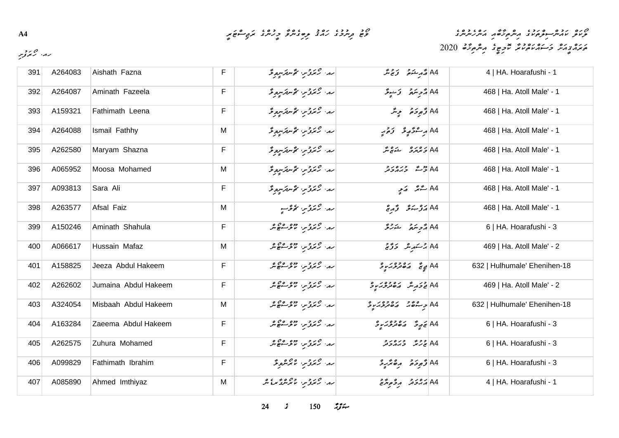*sCw7q7s5w7m< o<n9nOoAw7o< sCq;mAwBoEw7q<m; wBm;vB* م من المرة المرة المرة المرجع المرجع في المركبة 2020<br>مجم*د المريض المربوط المربع المرجع في المراجع المركبة* 

| 391 | A264083 | Aishath Fazna        | F           | رە ، ئەنزۇس ئۇسقەسرە بۇ  | A4 مَ <i>ذْمِرْ حَنْحَمْ وَكَيْ</i> مُدَّرِ | 4   HA. Hoarafushi - 1       |
|-----|---------|----------------------|-------------|--------------------------|---------------------------------------------|------------------------------|
| 392 | A264087 | Aminath Fazeela      | $\mathsf F$ | رە، ئەنزۇس ئۇسترسىدۇ.    | A4 مَّ <i>وِسَمَعْ _ وَسِوَّدَّ</i>         | 468   Ha. Atoll Male' - 1    |
| 393 | A159321 | Fathimath Leena      | F           | رە ئەترۇپ ئۇسترىيرىدۇ.   | A4 وَج <i>وحَ</i> هُمْ مُحِسَّرٌ            | 468   Ha. Atoll Male' - 1    |
| 394 | A264088 | Ismail Fathhy        | M           | رە ، ئەنزىر، ئۇسترىيرى ئ | A4 مرڪو <i>ڻيو ڏوپ</i>                      | 468   Ha. Atoll Male' - 1    |
| 395 | A262580 | Maryam Shazna        | $\mathsf F$ | رە ئەترۇس ئۇسترسىدۇ      | A4  <i>كەنگەنگە</i> شەمئى ئىگە              | 468   Ha. Atoll Male' - 1    |
| 396 | A065952 | Moosa Mohamed        | M           | رە ، ئەنزىر، ئۇسترىيرى ئ | A4 ترقيق به دره در د                        | 468   Ha. Atoll Male' - 1    |
| 397 | A093813 | Sara Ali             | F           | رە، ئەنزۇس ئۇسترسىدۇ.    | A4 گے پتر کی ج                              | 468   Ha. Atoll Male' - 1    |
| 398 | A263577 | Afsal Faiz           | M           | رە، ئەنزۇس كۇۋىس         | A4 كەرىسىدى ئۇرى                            | 468   Ha. Atoll Male' - 1    |
| 399 | A150246 | Aminath Shahula      | F           | برون وده وده وه وه ورا   | A4 مَّ حِ سَمَّ مَ حَدَثَوَّ                | 6   HA. Hoarafushi - 3       |
| 400 | A066617 | Hussain Mafaz        | M           | מגי המנתי ודפים בים יי   | A4 بر سَمبر شرح وَ وَ مَح                   | 469   Ha. Atoll Male' - 2    |
| 401 | A158825 | Jeeza Abdul Hakeem   | $\mathsf F$ | رە بەردىن ئەبۇرەھەر      | A4 يې ته په <i>ه ه ترڅ تړ</i> و             | 632   Hulhumale' Ehenihen-18 |
| 402 | A262602 | Jumaina Abdul Hakeem | F           | رړ، رګور، لومړيو هم      | A4 في <i>خم مش مش محمد حرار و</i>           | 469   Ha. Atoll Male' - 2    |
| 403 | A324054 | Misbaah Abdul Hakeem | M           | رە بەردىن ئەبۇرەھەر      | A4 وبدة بره ده دور رو                       | 632   Hulhumale' Ehenihen-18 |
| 404 | A163284 | Zaeema Abdul Hakeem  | F           | رە بەردىن ئەبۇرەھەر      | A4 يَهِ دَمَ صَوَّحْ يَرَ وَ                | 6   HA. Hoarafushi - 3       |
| 405 | A262575 | Zuhura Mohamed       | $\mathsf F$ | رە بەر دىرە مەھ مەھ ھ    | A4 ج ح محمد حدود مر                         | 6   HA. Hoarafushi - 3       |
| 406 | A099829 | Fathimath Ibrahim    | F           | ىد. ئىغروس مەمگىرىم      | A4 زَّەپرَ مَ مِرْھَ مَّرْرِ \$             | 6   HA. Hoarafushi - 3       |
| 407 | A085890 | Ahmed Imthiyaz       | M           | رە ئەسروپ دە ەر ئەس      | A4 ג׳ג'כנג הַכْתַּתٌ <i>א</i>               | 4   HA. Hoarafushi - 1       |

 $24$  *s*  $150$   $23$   $\div$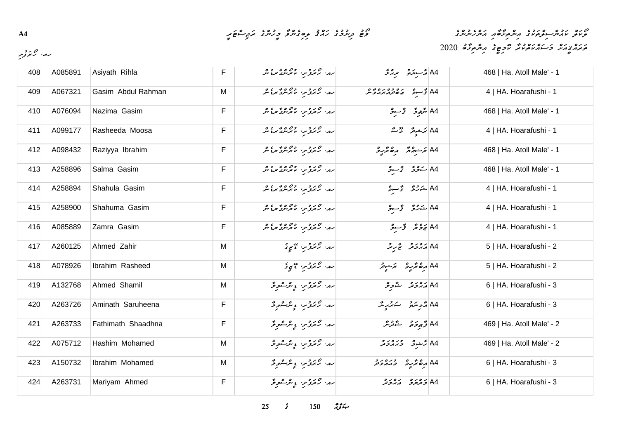*sCw7q7s5w7m< o<n9nOoAw7o< sCq;mAwBoEw7q<m; wBm;vB* م من المرة المرة المرة المرجع المرجع في المركبة 2020<br>مجم*د المريض المربوط المربع المرجع في المراجع المركبة* 

| 408 | A085891 | Asiyath Rihla      | F           | رە بەردىن ئەمەدە ئەنگە     | A4 مرَّ-مِ <i>رَدَة</i> برِبْرْ تَرَ   | 468   Ha. Atoll Male' - 1 |
|-----|---------|--------------------|-------------|----------------------------|----------------------------------------|---------------------------|
| 409 | A067321 | Gasim Abdul Rahman | M           | رو. رسور در ۲۵۵۰ ور در     | A4 تخ سوم مصر مصر محمد تر محمد حسر     | 4   HA. Hoarafushi - 1    |
| 410 | A076094 | Nazima Gasim       | F           | رە، ئەنزۇس ئاترىش ئىگە ئار | A4 سَّمَعِ حَمَّ تَحْ سِرْحَ           | 468   Ha. Atoll Male' - 1 |
| 411 | A099177 | Rasheeda Moosa     | F           | رە بەر دەرە دەھ دەر دە     | A4 بَرَشوِتَرُ 2°بُّ مُ                | 4   HA. Hoarafushi - 1    |
| 412 | A098432 | Raziyya Ibrahim    | F           | رە ئەسروپ دە ەر ئەس        | A4 بَرَى <i>نِيهُمَّ مِرْهُ بَرْدِ</i> | 468   Ha. Atoll Male' - 1 |
| 413 | A258896 | Salma Gasim        | F           | رە ئەسروپ دە ەر ئەس        | A4 كەنزى تۇسىۋ                         | 468   Ha. Atoll Male' - 1 |
| 414 | A258894 | Shahula Gasim      | F           | به کیمون میگردیم و         | $3 - 3$ $3 - 2 - 14$                   | 4   HA. Hoarafushi - 1    |
| 415 | A258900 | Shahuma Gasim      | $\mathsf F$ | מי לתקני ומשיב מליל        | $3 - 3 - 2 - 14$                       | 4   HA. Hoarafushi - 1    |
| 416 | A085889 | Zamra Gasim        | F           |                            | A4 كى 3 مىگە سىتى سىر 3 بىر            | 4   HA. Hoarafushi - 1    |
| 417 | A260125 | Ahmed Zahir        | M           | رە، ئەتتۇس قىم ئ           | A4 كەبرى قىم ئىچ مەتتىر.               | 5   HA. Hoarafushi - 2    |
| 418 | A078926 | Ibrahim Rasheed    | M           | رە ، ئەترۇس ، ئاي ئ        | A4 مەھەر ئەر مىز مىزدىر                | 5   HA. Hoarafushi - 2    |
| 419 | A132768 | Ahmed Shamil       | M           | ىد. ئۇنمۇس بېشىشمۇ ئ       | A4 كەبرى تەرىخى ئىسىمب                 | 6   HA. Hoarafushi - 3    |
| 420 | A263726 | Aminath Saruheena  | $\mathsf F$ | ىد. ئەنزۇس پەشرىئو ئە      | A4 مَّ حِ سَمَعَ مَسَسَمَّهِ سِعَّرَ   | 6   HA. Hoarafushi - 3    |
| 421 | A263733 | Fathimath Shaadhna | F           | به رسموس پیر شوځ           | A4 وَّجِرْحَرْمَ حَسَّمْتَرْسَرَ       | 469   Ha. Atoll Male' - 2 |
| 422 | A075712 | Hashim Mohamed     | M           | به رسموس پیشودهٔ           | A4 گەخوى ئ <i>ەكەم</i> دىر             | 469   Ha. Atoll Male' - 2 |
| 423 | A150732 | Ibrahim Mohamed    | M           | ىد. ئىغۇس پەشھۇق           | A4 رەئزىرى ئەرەرىيە                    | 6   HA. Hoarafushi - 3    |
| 424 | A263731 | Mariyam Ahmed      | F           | ىد. ئىترۇس پەشرىئونۇ       | A4 كەبىر بەر يەر بەر ج                 | 6   HA. Hoarafushi - 3    |

 $25$  *s*  $\cancel{150}$  *z***<sub>3</sub>**  $\cancel{25}$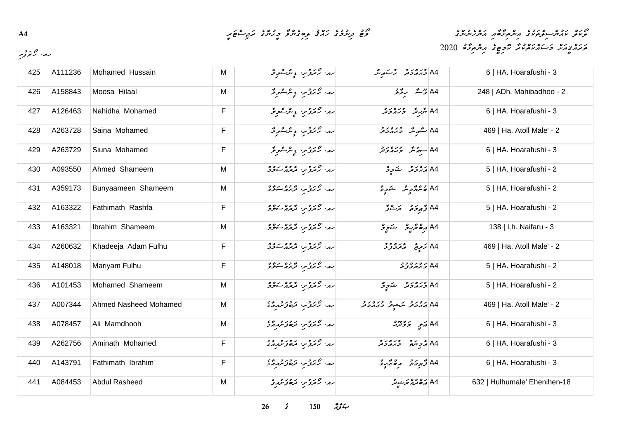*sCw7q7s5w7m< o<n9nOoAw7o< sCq;mAwBoEw7q<m; wBm;vB* م من المرة المرة المرة المرجع المرجع في المركبة 2020<br>مجم*د المريض المربوط المربع المرجع في المراجع المركبة* 

| 425 | A111236 | Mohamed Hussain       | M            | رە. ئەنزۇر، بېشرىقوقە    | A4 <i>وُبَرُودُو بِرُسَهِ بِرْ</i> | 6   HA. Hoarafushi - 3       |
|-----|---------|-----------------------|--------------|--------------------------|------------------------------------|------------------------------|
| 426 | A158843 | Moosa Hilaal          | M            | به رسمزور، پیش شوځه      | A4 جي شه ريمونو                    | 248   ADh. Mahibadhoo - 2    |
| 427 | A126463 | Nahidha Mohamed       | $\mathsf F$  | ىد. ئىنمۇس بېشىشوقە      | A4 مَرْرِمَّر وَبَرَ وَوَ          | 6   HA. Hoarafushi - 3       |
| 428 | A263728 | Saina Mohamed         | F            | ىد. ئىنمۇس بېشىشوقە      | A4 گەرىگە ئەمەمەتەر                | 469   Ha. Atoll Male' - 2    |
| 429 | A263729 | Siuna Mohamed         | $\mathsf{F}$ | ىد. ئەنزۇس بېشرىقوقە     | A4 سوړننگ ت <i>و ټرم</i> ختر       | 6   HA. Hoarafushi - 3       |
| 430 | A093550 | Ahmed Shameem         | M            | رە بەرەپ بەدە بەرە       | A4 <i>2525 مشو</i> ر               | 5   HA. Hoarafushi - 2       |
| 431 | A359173 | Bunyaameen Shameem    | M            | رە - 2 ئۇترىن قرىزە سىۋى | A4 <i>ھُنگوچش</i> شَوِدُ           | 5   HA. Hoarafushi - 2       |
| 432 | A163322 | Fathimath Rashfa      | $\mathsf F$  | رە بەردىر، تەرەر بەرە    | A4 تَ <i>جوحَمَّة</i> تَرَشُوَّرَّ | 5   HA. Hoarafushi - 2       |
| 433 | A163321 | Ibrahim Shameem       | M            | رە ئەنزىر، ئەدەب ئور     | A4 م <i>وھنگرد</i> و ڪوچ           | 138   Lh. Naifaru - 3        |
| 434 | A260632 | Khadeeja Adam Fulhu   | $\mathsf F$  | رە ئەيزۇر، ئۇيرە بەيدە   | A4 كَتَعِيقٌ مُحْمَدَ وَمُوْمَدٌ   | 469   Ha. Atoll Male' - 2    |
| 435 | A148018 | Mariyam Fulhu         | $\mathsf F$  | رە بەر دىرە بەرە بەر     | A4 ئەبەر <i>235</i>                | 5   HA. Hoarafushi - 2       |
| 436 | A101453 | Mohamed Shameem       | M            | رە بەرەپ بەدە بەرە       | A4  3 <i>522 \$ محكو</i> ثر        | 5   HA. Hoarafushi - 2       |
| 437 | A007344 | Ahmed Nasheed Mohamed | M            | رە رىمۇم برورو دە        | A4 كەندى كەر بەر جەمدى ج           | 469   Ha. Atoll Male' - 2    |
| 438 | A078457 | Ali Mamdhooh          | M            | رە ئەتروپ روز دەپ        | A4 كەمچە كەلىم دەرىجە              | 6   HA. Hoarafushi - 3       |
| 439 | A262756 | Aminath Mohamed       | F            | رد. رمزور، درور و ده     | A4 مُحْرِسَمُ وَكَرْمُرْدَمْرَ     | 6   HA. Hoarafushi - 3       |
| 440 | A143791 | Fathimath Ibrahim     | $\mathsf F$  | ره رکروس مرور و ده       | A4 زَّجِرَة مِصْرَبِة مِ           | 6   HA. Hoarafushi - 3       |
| 441 | A084453 | <b>Abdul Rasheed</b>  | M            | رە . ئەتروپر، ترەۋىرە ئ  | A4 پر <i>۱۳۵۵ پر ش</i> وتر         | 632   Hulhumale' Ehenihen-18 |

 $26$  *s*  $\cancel{5}$  **150** *z*  $\cancel{5}$  *z*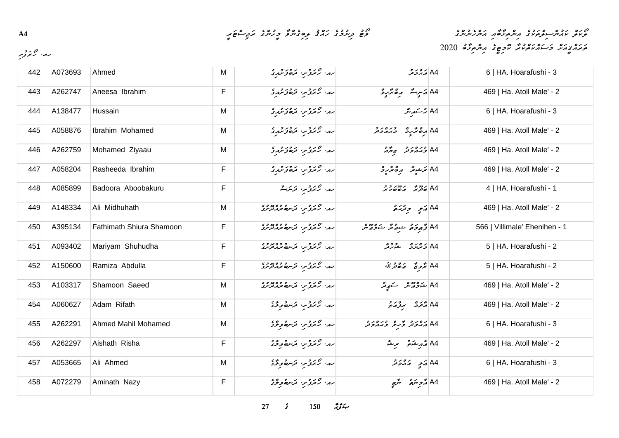*sCw7q7s5w7m< o<n9nOoAw7o< sCq;mAwBoEw7q<m; wBm;vB* م من المسجد المسجد المسجد المسجد المسجد العام 2020<br>مجم*د المسجد المسجد المستجد المسجد المسجد المسجد المسجد المسجد المسجد المسجد المسجد المسجد المسجد المسجد المسجد* 

| 442 | A073693 | Ahmed                      | M            | رە بە ئەتروپ ئەھۇترە ئ                         | A4 بر بر بحر تعر                       | 6   HA. Hoarafushi - 3        |
|-----|---------|----------------------------|--------------|------------------------------------------------|----------------------------------------|-------------------------------|
| 443 | A262747 | Aneesa Ibrahim             | $\mathsf F$  | رە بەلگەن ئەھەر ئەر                            | A4 كەيرىسە مەھەر ئىچ                   | 469   Ha. Atoll Male' - 2     |
| 444 | A138477 | Hussain                    | M            | رە . ئەترۇس ترەۋرو ،                           | A4 بر مسم <i>و بن</i> گ                | 6   HA. Hoarafushi - 3        |
| 445 | A058876 | Ibrahim Mohamed            | M            | رە بەلگەن ئەھەر ئەر                            | A4 مەھمگىرو ئەممەدىر                   | 469   Ha. Atoll Male' - 2     |
| 446 | A262759 | Mohamed Ziyaau             | M            | رو. رموز در در در در د                         | A4 دېرورو په پژ <sub>م</sub>           | 469   Ha. Atoll Male' - 2     |
| 447 | A058204 | Rasheeda Ibrahim           | $\mathsf F$  | رە بەلگەن ئەھەر ئەر                            | A4 بَرَحْدٍ مَّرْ مِنْ مَرْكِزِ \$     | 469   Ha. Atoll Male' - 2     |
| 448 | A085899 | Badoora Aboobakuru         | $\mathsf{F}$ | رە بەر ئەترىپ، ئەتەرى                          | $7222$ $-226$ $-14$                    | 4   HA. Hoarafushi - 1        |
| 449 | A148334 | Ali Midhuhath              | M            |                                                | A4 <i>مَجِ وِمْدَهْ</i>                | 469   Ha. Atoll Male' - 2     |
| 450 | A395134 | Fathimath Shiura Shamoon   | F            | رد. رمزور، در دوه بدوه                         | A4 تُهِ رَحْمٍ شِهْرَ يُمْ شُوَمَ سُرَ | 566   Villimale' Ehenihen - 1 |
| 451 | A093402 | Mariyam Shuhudha           | $\mathsf F$  | رد. رمزور، در دوه بردوه                        | A4 كەنگەر ھەر ئىش ئىش كىلگەن ئىش       | 5   HA. Hoarafushi - 2        |
| 452 | A150600 | Ramiza Abdulla             | $\mathsf F$  | رد. کریزی ترسه بردون<br>رد. کریزی ترسه بردترین | A4 بَرَّحِ بَجَ مَرَصَّعْرَاللَّه      | 5   HA. Hoarafushi - 2        |
| 453 | A103317 | Shamoon Saeed              | M            | رد. رمزور، ترسه دوه بدوه                       | A4 شى <i>ۋەتتى سىمپىتى</i>             | 469   Ha. Atoll Male' - 2     |
| 454 | A060627 | Adam Rifath                | M            | رە ، ئەترۇس ئەسھونۇق                           | A4 جُرَح بروجو                         | 469   Ha. Atoll Male' - 2     |
| 455 | A262291 | <b>Ahmed Mahil Mohamed</b> | M            | رو. رنجوفر، ترسه و دمی                         | A4 , גלג' באיב בג' בביר בי             | 6   HA. Hoarafushi - 3        |
| 456 | A262297 | Aishath Risha              | $\mathsf F$  | رە، ئەترۇس ئەسھىرگە                            | A4 مُرمِشَمُو مِرْشَر                  | 469   Ha. Atoll Male' - 2     |
| 457 | A053665 | Ali Ahmed                  | M            | رە . ئەترۇس ئەسھونۇق                           | A4 كەير كەبر <i>ە دى</i> ر             | 6   HA. Hoarafushi - 3        |
| 458 | A072279 | Aminath Nazy               | F            | رە . ئەترۇس ترسھوترى                           | A4 مَرْحِ سَمَعْ مَسْمَعِ              | 469   Ha. Atoll Male' - 2     |

*27 sC 150 nNw?mS*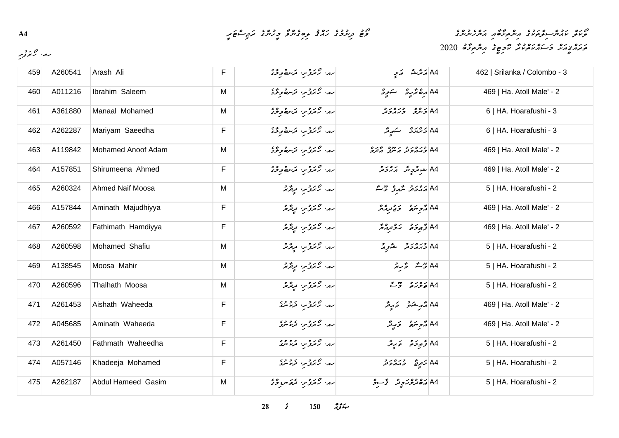*sCw7q7s5w7m< o<n9nOoAw7o< sCq;mAwBoEw7q<m; wBm;vB* م من المرة المرة المرة المرجع المرجع في المركبة 2020<br>مجم*د المريض المربوط المربع المرجع في المراجع المركبة* 

| 459 | A260541 | Arash Ali               | F           | رە بەترۇپ ئەسھوڭرى                  | A4 پرتڙ شه پر چي                                   | 462   Srilanka / Colombo - 3 |
|-----|---------|-------------------------|-------------|-------------------------------------|----------------------------------------------------|------------------------------|
| 460 | A011216 | Ibrahim Saleem          | M           | رە ئەترۇس ئەسھىرگە                  | A4 مەھەرىپى سىموپى                                 | 469   Ha. Atoll Male' - 2    |
| 461 | A361880 | Manaal Mohamed          | M           | رە ئەترۇپ ئەسھىر ئەس                | A4 كەنگرى ئەيرە ئەر                                | 6   HA. Hoarafushi - 3       |
| 462 | A262287 | Mariyam Saeedha         | $\mathsf F$ | رە، ئەترۇپ ئەسھونگى                 | A4  ئ <i>ۈچۈك سەم</i> پەتگە                        | 6   HA. Hoarafushi - 3       |
| 463 | A119842 | Mohamed Anoof Adam      | M           | رە ، ئەترۇس ئەسھىر ئەت              | A4 ويروبر و بر دوه بر بره<br>A4 ويروزو و سرو اوترد | 469   Ha. Atoll Male' - 2    |
| 464 | A157851 | Shirumeena Ahmed        | F           | رە ، ئەترۇس ئەسھونۇق                | A4 حو <i>مرّو مدّ كەنز قىر</i>                     | 469   Ha. Atoll Male' - 2    |
| 465 | A260324 | <b>Ahmed Naif Moosa</b> | M           | رە، ئەترۇس مەمگە                    | A4 <i>225 مگرو و</i> حت                            | 5   HA. Hoarafushi - 2       |
| 466 | A157844 | Aminath Majudhiyya      | F           | رە، ئەتزۇر، يەتزىر                  | A4 مُتَّحِسَمُ حَقَّ مِهْدَمَّ                     | 469   Ha. Atoll Male' - 2    |
| 467 | A260592 | Fathimath Hamdiyya      | $\mathsf F$ | رە، ئەتمۇس مەيگە                    | A4 ژ <sub>نجو</sub> ځنځ بروبرمنگ                   | 469   Ha. Atoll Male' - 2    |
| 468 | A260598 | Mohamed Shafiu          | M           | رە، ئەتزۇر، مەمگە                   | A4 <i>52825 مسكوم</i>                              | 5   HA. Hoarafushi - 2       |
| 469 | A138545 | Moosa Mahir             | M           | رە، ئەتزۇر، يېڭىز                   |                                                    | 5   HA. Hoarafushi - 2       |
| 470 | A260596 | Thalhath Moosa          | M           | رە، ئەترۇپ مەيرى                    | A4 يومر و ديگر                                     | 5   HA. Hoarafushi - 2       |
| 471 | A261453 | Aishath Waheeda         | F           | رە، رىمزۇس ئەم مى                   | A4 م <i>ەمبىشى ق ب</i> وتىر                        | 469   Ha. Atoll Male' - 2    |
| 472 | A045685 | Aminath Waheeda         | F           | رد. د برو .<br>رد. ر برو بر، فرماسی |                                                    | 469   Ha. Atoll Male' - 2    |
| 473 | A261450 | Fathmath Waheedha       | F           | رە، رىمروس ئۇرەملىك                 | A4 وَّجِوَدَةٌ وَرِيْدً                            | 5   HA. Hoarafushi - 2       |
| 474 | A057146 | Khadeeja Mohamed        | F           | رە، ئەنزۇس ئەدەرە                   | A4 كَتْمِيعٌ وَيَرْدُونَّرْ                        | 5   HA. Hoarafushi - 2       |
| 475 | A262187 | Abdul Hameed Gasim      | M           | رە ، ئەترۇس ئۇچ سوڭ ئ               | A4 كەھەر 25 تۇسىر ئ                                | 5   HA. Hoarafushi - 2       |

*28 sC 150 nNw?mS*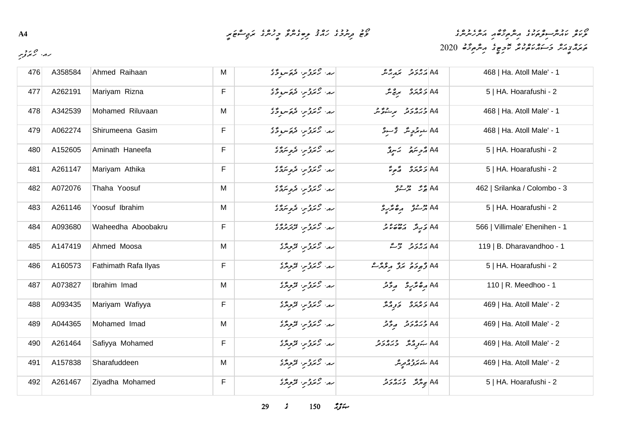*sCw7q7s5w7m< o<n9nOoAw7o< sCq;mAwBoEw7q<m; wBm;vB* م من المرة المرة المرة المرجع المرجع في المركبة 2020<br>مجم*د المريض المربوط المربع المرجع في المراجع المركبة* 

| 476 | A358584 | Ahmed Raihaan        | M           | رە. ئەنزۇس ئۇمۇسوڭرى    | A4 كەبرى قىلى ئىكرىشى ئىس                         | 468   Ha. Atoll Male' - 1     |
|-----|---------|----------------------|-------------|-------------------------|---------------------------------------------------|-------------------------------|
| 477 | A262191 | Mariyam Rizna        | F           | رە بەتروپ ئەرسوڭ        | A4 <i>حەمدى ھەمبى م</i> ىر                        | 5   HA. Hoarafushi - 2        |
| 478 | A342539 | Mohamed Riluvaan     | M           | رە، ئەترۇس ئۇھ سوڭ ئ    | A4 32028 مرتبو <i>گ</i> ر                         | 468   Ha. Atoll Male' - 1     |
| 479 | A062274 | Shirumeena Gasim     | F           | رە، ئەترۇس ترەسوڭ       | A4 سوبۇرچىگر گ <sup>ې</sup> سوگر                  | 468   Ha. Atoll Male' - 1     |
| 480 | A152605 | Aminath Haneefa      | $\mathsf F$ | رە، رىزۇس ئرەپروت       | A4 مَّ حِ سَعَةٌ سَمَّتِيَّ                       | 5   HA. Hoarafushi - 2        |
| 481 | A261147 | Mariyam Athika       | F           | رە بەلگەترىن ترەپىرى    | A4 كەممەر <i>2 مەم</i> رىم                        | 5   HA. Hoarafushi - 2        |
| 482 | A072076 | Thaha Yoosuf         | M           | رە بەترىپ ئەرسى         | A4 پُرِ تَرْ تَرْ وَهِ                            | 462   Srilanka / Colombo - 3  |
| 483 | A261146 | Yoosuf Ibrahim       | M           | رە بەترىپ ئەر بەر       | A4 مرسوم مەھمەر 2                                 | 5   HA. Hoarafushi - 2        |
| 484 | A093680 | Waheedha Aboobakru   | F           | رد. رمزو د. مرد د د ه ه | A4 كوبرىتر مەھەمىر                                | 566   Villimale' Ehenihen - 1 |
| 485 | A147419 | Ahmed Moosa          | M           | رە، ئەنزۇس قرىزىدى      | A4 كەبرى قريم ئىستە                               | 119   B. Dharavandhoo - 1     |
| 486 | A160573 | Fathimath Rafa Ilyas | F           | رە بەردىر، شەھەر        | A4 تَ <i>جوحَمْ بَرَتَّ م</i> ِعْ <i>مَّرَّتُ</i> | 5   HA. Hoarafushi - 2        |
| 487 | A073827 | Ibrahim Imad         | M           | رە. ئەنزۇس ئىرمەمج      | A4 مەھ <i>ئۇر</i> ئەمەم ئىقر                      | 110   R. Meedhoo - 1          |
| 488 | A093435 | Mariyam Wafiyya      | $\mathsf F$ | رە بەردىر، شەھەر        | A4 وَيَرْ <i>مَرْدَ وَوِ مُ</i> مَرَّ             | 469   Ha. Atoll Male' - 2     |
| 489 | A044365 | Mohamed Imad         | M           | رە بەردىر، شەھەر        | A4 <i>3523 م</i> وگ <sup>و</sup> ر                | 469   Ha. Atoll Male' - 2     |
| 490 | A261464 | Safiyya Mohamed      | F           | رە بەردىر، ئەرلەي       | A4 بەرەر ئەرەرد                                   | 469   Ha. Atoll Male' - 2     |
| 491 | A157838 | Sharafuddeen         | M           | رە بەللەتتىر ئەبەللەت   | A4 ڪ <i>يو ترو هوينگ</i> ر                        | 469   Ha. Atoll Male' - 2     |
| 492 | A261467 | Ziyadha Mohamed      | F           | رە، ئەترۇس قرىزىدى      | A4 يې تر تر <i>مر د د تر</i>                      | 5   HA. Hoarafushi - 2        |

*29 sC 150 nNw?mS*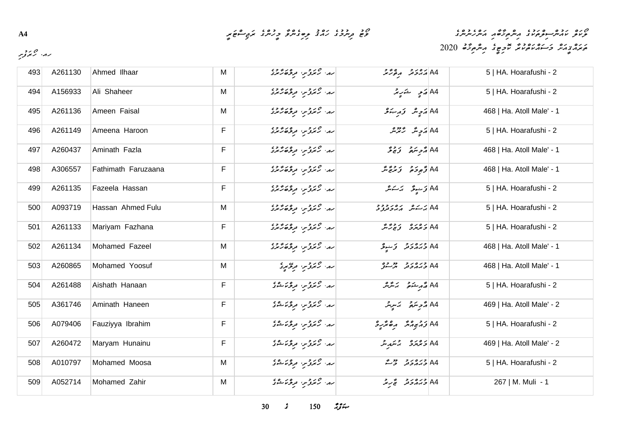*sCw7q7s5w7m< o<n9nOoAw7o< sCq;mAwBoEw7q<m; wBm;vB* م من المرة المرة المرة المرجع المرجع في المركبة 2020<br>مجم*د المريض المربوط المربع المرجع في المراجع المركبة* 

| 493 | A261130 | Ahmed Ilhaar        | M           | رە بە ئەترۇس مەركەت بىرى | A4 كەبرى بىر مەھ <i>رىتى</i>           | 5   HA. Hoarafushi - 2    |
|-----|---------|---------------------|-------------|--------------------------|----------------------------------------|---------------------------|
| 494 | A156933 | Ali Shaheer         | M           | رە بەتروپ ئېرمەترى       | A4 <i>مَرْمِ شَرِيرٌ</i>               | 5   HA. Hoarafushi - 2    |
| 495 | A261136 | Ameen Faisal        | M           | ره بروس مروه دوه         | A4 كەچ شەر قەم بىكى تىلى               | 468   Ha. Atoll Male' - 1 |
| 496 | A261149 | Ameena Haroon       | F           | رە بەردىر، مەدەپرە       | A4 أ <i>مَّجٍ مَّدَّ مَحْمَّدٌ</i>     | 5   HA. Hoarafushi - 2    |
| 497 | A260437 | Aminath Fazla       | F           | رە بەردىن مەدەپرە        | A4 مُجِسَعَة وَتَحَ                    | 468   Ha. Atoll Male' - 1 |
| 498 | A306557 | Fathimath Faruzaana | $\mathsf F$ | رە بەردىن مەدەپرە        | A4 وَّجِعَةً حَمَّدَ مِّنَ مَّرَّ      | 468   Ha. Atoll Male' - 1 |
| 499 | A261135 | Fazeela Hassan      | F           | رە بەر ئەرەب مەدەپ دە    | A4 كى ئىيىتى كەشكىر                    | 5   HA. Hoarafushi - 2    |
| 500 | A093719 | Hassan Ahmed Fulu   | M           | رە بەردىن مەدەپرە        | A4 ټريکش پر پروتورونو                  | 5   HA. Hoarafushi - 2    |
| 501 | A261133 | Mariyam Fazhana     | F           | رە بەردىن مەدەپرە        | A4 كەبىر بىر ئىن ئىگەنگە               | 5   HA. Hoarafushi - 2    |
| 502 | A261134 | Mohamed Fazeel      | M           | رە بەردىن مەدەپرە        | A4 <i>\$ پر\$ بخش تى</i> سو بىلى       | 468   Ha. Atoll Male' - 1 |
| 503 | A260865 | Mohamed Yoosuf      | M           | رە، ئەترۇس مەھرى         | A4 3232 مرحوم من                       | 468   Ha. Atoll Male' - 1 |
| 504 | A261488 | Aishath Hanaan      | F           | رە رىمۇس مەدىنىڭ ئ       | A4 مَ <i>ذہبختمۃ برَ متَرْ م</i> َر    | 5   HA. Hoarafushi - 2    |
| 505 | A361746 | Aminath Haneen      | F           | رە رىمرور، مەھرىقى       | A4 مَرْحِ سَرَمَ = سَرِسْرَ            | 469   Ha. Atoll Male' - 2 |
| 506 | A079406 | Fauziyya Ibrahim    | F           | رە رىمۇس مەدىنىڭ ئ       | A4 زَرۡعِ مِرَّ مِهۡ مِّرِ وَ          | 5   HA. Hoarafushi - 2    |
| 507 | A260472 | Maryam Hunainu      | F           | رە، رىمۇم، مەۋرىقى       | A4 كالمحركر محترم محمد محمد المحمد الم | 469   Ha. Atoll Male' - 2 |
| 508 | A010797 | Mohamed Moosa       | M           | رە بەترىرى مەدىن ھە      | A4  32,25 ° ش                          | 5   HA. Hoarafushi - 2    |
| 509 | A052714 | Mohamed Zahir       | M           | رە بەترۇس بروتەشى        | A4 <i>3223 توب</i> تر                  | 267   M. Muli - 1         |

*30 sC 150 nNw?mS*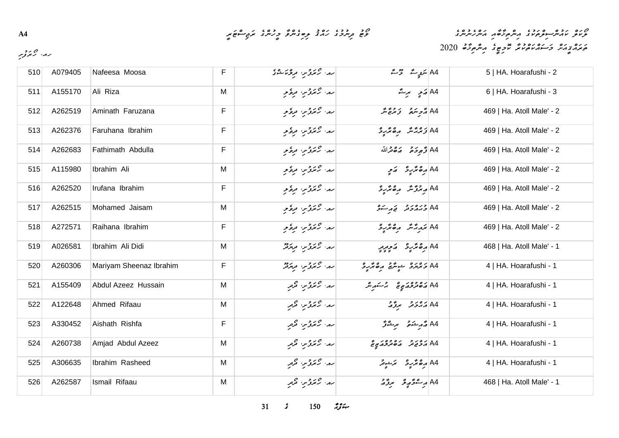*sCw7q7s5w7m< o<n9nOoAw7o< sCq;mAwBoEw7q<m; wBm;vB* م من المرة المرة المرة المرجع المرجع في المركبة 2020<br>مجم*د المريض المربوط المربع المرجع في المراجع المركبة* 

| 510 | A079405 | Nafeesa Moosa           | F            | رە بەترۇس مرۇرىمىشى  | A4  سَمِرٍ گُ تَرْ گُہُ ا                                                                                      | 5   HA. Hoarafushi - 2    |
|-----|---------|-------------------------|--------------|----------------------|----------------------------------------------------------------------------------------------------------------|---------------------------|
| 511 | A155170 | Ali Riza                | M            | رە، ئەنزۇس مەغ م     | A4 کی موت                                                                                                      | 6   HA. Hoarafushi - 3    |
| 512 | A262519 | Aminath Faruzana        | $\mathsf{F}$ | رە، رىمۇقر، مەنگە    | A4 مَّ <i>حِ سَع</i> َ رَحِمَّةَ سَّرَ                                                                         | 469   Ha. Atoll Male' - 2 |
| 513 | A262376 | Faruhana Ibrahim        | $\mathsf{F}$ | رە، ئەنزۇس مەغ م     | A4 زَيْرْيَّتَرَّ مِنْ مَرْجَ                                                                                  | 469   Ha. Atoll Male' - 2 |
| 514 | A262683 | Fathimath Abdulla       | F            | رو، رهمزو من مرغبو   | A4 وَجِعَةٍ صَدَّدَاللَّهُ                                                                                     | 469   Ha. Atoll Male' - 2 |
| 515 | A115980 | Ibrahim Ali             | M            | رە، رىمۇقرىر، مەھرىي | A4 مەھمىر ئىچە مەم                                                                                             | 469   Ha. Atoll Male' - 2 |
| 516 | A262520 | Irufana Ibrahim         | F            | رە، ئەنزۇر، مەنزىر   | A4 م <i>ينگرنگر م</i> ېرمو پر                                                                                  | 469   Ha. Atoll Male' - 2 |
| 517 | A262515 | Mohamed Jaisam          | M            | ره رمحموش مرغبو      | A4 <i>وُبَهُ وَبَنَّ فَهِ</i> سَنَّوَ                                                                          | 469   Ha. Atoll Male' - 2 |
| 518 | A272571 | Raihana Ibrahim         | $\mathsf F$  | رە، رىمۇقر، مەھرى    | A4 <i>ىَدَمِ شَتَّر م</i> ەھ <i>مَدَرِ د</i>                                                                   | 469   Ha. Atoll Male' - 2 |
| 519 | A026581 | Ibrahim Ali Didi        | M            | ره محموم مهدم        | A4 مەھەرىي ھەمبىرىس                                                                                            | 468   Ha. Atoll Male' - 1 |
| 520 | A260306 | Mariyam Sheenaz Ibrahim | F            | رو، رحموقرما فرادود  | A4 <i>وَ بُرْمَرْ وَ سُبِسَّعْ وَ هُ بَرْرِ وَ</i>                                                             | 4   HA. Hoarafushi - 1    |
| 521 | A155409 | Abdul Azeez Hussain     | M            | رە ، ئەندۇب ئۇم      | A4 مەھىر <i>ۈم يې مەسەر س</i>                                                                                  | 4   HA. Hoarafushi - 1    |
| 522 | A122648 | Ahmed Rifaau            | M            | رە - 2ىزۇپ تۇبر      | A4 كەندى كىلىمى ئىرگە                                                                                          | 4   HA. Hoarafushi - 1    |
| 523 | A330452 | Aishath Rishfa          | $\mathsf{F}$ | رە - 2 تروپ كۈمپ     | A4 مەمرىشىمى موشۇق                                                                                             | 4   HA. Hoarafushi - 1    |
| 524 | A260738 | Amjad Abdul Azeez       | M            | رە - 2 تروپ كۈمپ     | A4 גورو ره وه در ه                                                                                             | 4   HA. Hoarafushi - 1    |
| 525 | A306635 | Ibrahim Rasheed         | M            | رە بە ئەترىپ ئۇمبر   | A4 مەھەرىپ كىمىسى ئىككى بىر ئىككى ئىككى بىر ئىككى ئىككى ئىككى بىر ئىككى بىر ئىككى بىر ئىككى بىر ئىككى بىر ئىكك | 4   HA. Hoarafushi - 1    |
| 526 | A262587 | Ismail Rifaau           | M            | رە، رىمۇقىر، قرىر    | A4 مرےوً موقد مرو <i>گ</i>                                                                                     | 468   Ha. Atoll Male' - 1 |

 $31$  *s*  $150$  *n***<sub>y</sub>**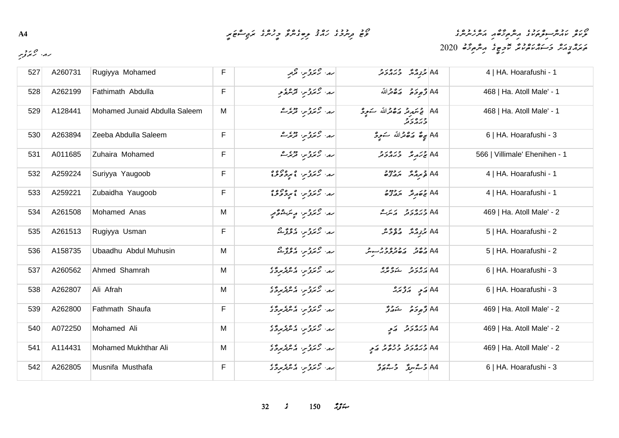*sCw7q7s5w7m< o<n9nOoAw7o< sCq;mAwBoEw7q<m; wBm;vB* م من المرة المرة المرة المرجع المرجع في المركبة 2020<br>مجم*د المريض المربوط المربع المرجع في المراجع المركبة* 

| 527 | A260731 | Rugiyya Mohamed               | F           | رە بەسىمەتىرىيە ئ <i>ى</i> رتىر | A4 بحرّةٍ مُركّد حرّمت حرفته                                                     | 4   HA. Hoarafushi - 1        |
|-----|---------|-------------------------------|-------------|---------------------------------|----------------------------------------------------------------------------------|-------------------------------|
| 528 | A262199 | Fathimath Abdulla             | F           | رە، ئەنزۇر، ئېترغرغر            | A4 وَجِعَة صَصْغَراللّه                                                          | 468   Ha. Atoll Male' - 1     |
| 529 | A128441 | Mohamed Junaid Abdulla Saleem | M           | رە بەردىر، مەرگە                | A4 في سَمَدِ مَرْ صَدَّرْاللَّهُ سَمَعِ دَ<br>و ر ه ر د<br><del>ز</del> بر پر ته | 468   Ha. Atoll Male' - 1     |
| 530 | A263894 | Zeeba Abdulla Saleem          | F           | رە بەردىن دەپمى                 | A4 ىوڭ كەڭ قىراللە سەم <u>و</u> گ                                                | 6   HA. Hoarafushi - 3        |
| 531 | A011685 | Zuhaira Mohamed               | F           | رە بەردىن دەپمە                 | A4 ىم ئەربىگە ئەمەد ئىر                                                          | 566   Villimale' Ehenihen - 1 |
| 532 | A259224 | Suriyya Yaugoob               | $\mathsf F$ | رړ کرونو کا پرولوده             | A4 فوسره مر محمد و دور                                                           | 4   HA. Hoarafushi - 1        |
| 533 | A259221 | Zubaidha Yaugoob              | F           | ره کرد و ۱۵۵۵                   | A4 הַסְתָת תְ <i>תְרֶצ</i>                                                       | 4   HA. Hoarafushi - 1        |
| 534 | A261508 | Mohamed Anas                  | M           | رە بەتروپ بەيرىشۇپر             | A4 دېم دېمر ته ترسر مخ                                                           | 469   Ha. Atoll Male' - 2     |
| 535 | A261513 | Rugiyya Usman                 | F           | رە بەردىر، ئەۋۋىئە              | A4 - جر <i>بز هؤو</i> شر                                                         | 5   HA. Hoarafushi - 2        |
| 536 | A158735 | Ubaadhu Abdul Muhusin         | M           | رە بەر دىرى ئەھەم ھ             | A4 روم د د د د د د د به ش                                                        | 5   HA. Hoarafushi - 2        |
| 537 | A260562 | Ahmed Shamrah                 | M           | رە بەردىن كەنگە دە              | A4 كەبروتر خەرىجە                                                                | 6   HA. Hoarafushi - 3        |
| 538 | A262807 | Ali Afrah                     | M           | رە ، ئەتروپ، كەنترىردى          | A4 <i>جَ جِه مَوْتَرَة</i>                                                       | 6   HA. Hoarafushi - 3        |
| 539 | A262800 | Fathmath Shaufa               | F           | رە ، ئەترۇس ، ئەھبىرىدى         | A4 وَجِعَةٍ حَسَ <i>مَةٍ</i>                                                     | 469   Ha. Atoll Male' - 2     |
| 540 | A072250 | Mohamed Ali                   | M           | رە بەردىن كەنگە دە              | A4 دېمبروتر ک <i>ړې</i>                                                          | 469   Ha. Atoll Male' - 2     |
| 541 | A114431 | Mohamed Mukhthar Ali          | M           | رە بەردىن كەنگە دە              | A4 درورو وووو در                                                                 | 469   Ha. Atoll Male' - 2     |
| 542 | A262805 | Musnifa Musthafa              | F           | رە ، ئەترۇس ، ئەھبىرىدى         | A4 ۇ جەمبەر ئى ئەجزۇ                                                             | 6   HA. Hoarafushi - 3        |

*o6q?m8v5 .<5*

*32 s* 150 *if*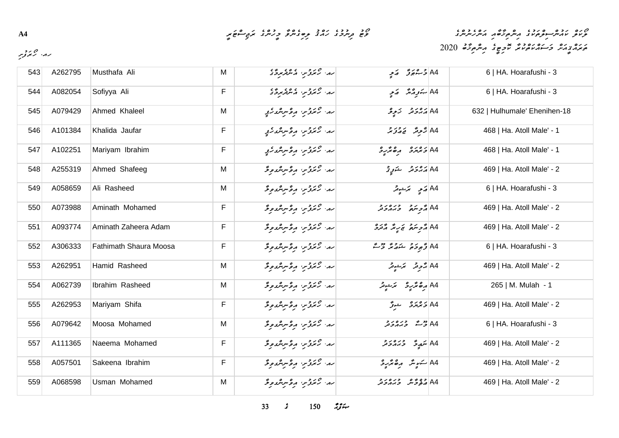*sCw7q7s5w7m< o<n9nOoAw7o< sCq;mAwBoEw7q<m; wBm;vB* م من المسجد المسجد المسجد المسجد المسجد العام 2020<br>مجم*د المسجد المسجد المستجد المسجد المسجد المسجد المسجد المسجد المسجد المسجد المسجد المسجد المسجد المسجد المسجد* 

| 543 | A262795 | Musthafa Ali           | M           | رە بەستىرگىن ەھەمبەرگەنج  |                                                      | 6   HA. Hoarafushi - 3       |
|-----|---------|------------------------|-------------|---------------------------|------------------------------------------------------|------------------------------|
| 544 | A082054 | Sofiyya Ali            | F           | رە بەردىن كەنگەردە        | A4 ج <i>وړه قم</i> ر                                 | 6   HA. Hoarafushi - 3       |
| 545 | A079429 | Ahmed Khaleel          | M           | رە، ئەنزۇر، مەھرىكىمەتدىر | A4  پَرْدَوَتَر کَرِدِ وَ                            | 632   Hulhumale' Ehenihen-18 |
| 546 | A101384 | Khalida Jaufar         | F           | رە، ئەنزۇر، مەھرىكىمەتدىر | A4 تَرْمِتَر بِحَ <b>مَ</b> وَمَرَ                   | 468   Ha. Atoll Male' - 1    |
| 547 | A102251 | Mariyam Ibrahim        | F           | رە ئىمۇس مۇسىر ئىر        | A4 <i>د مرمرد م</i> ه مرب <i>د</i>                   | 468   Ha. Atoll Male' - 1    |
| 548 | A255319 | Ahmed Shafeeg          | M           | رە. ئەترۇس مەھسىرى بەر    | A4 كەش <b>كەتتى</b> شىموپىتى                         | 469   Ha. Atoll Male' - 2    |
| 549 | A058659 | Ali Rasheed            | M           | رە، رىمۇم، مەھرىكىمى ئ    | A4 <i>مَنْجِ - مَنْ</i> شِيقَر                       | 6   HA. Hoarafushi - 3       |
| 550 | A073988 | Aminath Mohamed        | F           | رە. ئەنزىر، مەھرىكىمون    | A4 مُجِسَعَ حَمَدَ مَحَد                             | 469   Ha. Atoll Male' - 2    |
| 551 | A093774 | Aminath Zaheera Adam   | $\mathsf F$ | رە. ئىزگىر مۇسىرىمدۇ      | A4 مَّ <i>حِ سَمَعْ</i> بِحَ رِيمٌ مَ <i>حْدَ</i> حَ | 469   Ha. Atoll Male' - 2    |
| 552 | A306333 | Fathimath Shaura Moosa | F           | ىد. ئىمۇس مۇسىمدۇق        | A4 ژَجِ <i>دَهُ ۽ شَهتر دَ</i> سَمَّ                 | 6   HA. Hoarafushi - 3       |
| 553 | A262951 | Hamid Rasheed          | M           | رە. ئەنزۈس مەھسىرى بەر    | A4 بَرْحِ مَرْ سَمَسِيقَرْ                           | 469   Ha. Atoll Male' - 2    |
| 554 | A062739 | Ibrahim Rasheed        | M           | رە، ئەنزۈس مەھسىرى بەر    | A4 م <i>وھ مگرچ</i> و سمڪومر                         | 265   M. Mulah - 1           |
| 555 | A262953 | Mariyam Shifa          | F           | رە، ئەنزۈس مەھسىرى بەر    | A4 كەممەر ئىمى ئىسىمىتى كىيەتتى بىر                  | 469   Ha. Atoll Male' - 2    |
| 556 | A079642 | Moosa Mohamed          | M           | رە، ئەنزىن مەھرىكىموڭ     | A4 ترقيقه بر دره در د                                | 6   HA. Hoarafushi - 3       |
| 557 | A111365 | Naeema Mohamed         | F           | رە. ئەترۇس مەھسىرى بەر    | A4 سَمِيعٌ وَبَرْمُ وَمَدْ                           | 469   Ha. Atoll Male' - 2    |
| 558 | A057501 | Sakeena Ibrahim        | F           | رە، رىمۇم، مەھرىكىمەدۇ    | A4 سَمبِ مَّر مِرْحَمَّدَ بِرَحْ                     | 469   Ha. Atoll Male' - 2    |
| 559 | A068598 | Usman Mohamed          | M           | رە- رىمزۇس مەھسىر مەدون   | A4 مەۋۋىر بەربەربە                                   | 469   Ha. Atoll Male' - 2    |

**33** *s* **150** *z***<sub>***s***</sub>**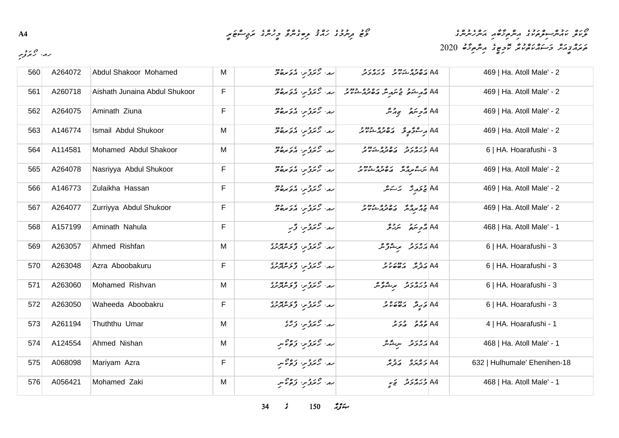*sCw7q7s5w7m< o<n9nOoAw7o< sCq;mAwBoEw7q<m; wBm;vB* م من المرة المرة المرة المرجع المرجع في المركبة 2020<br>مجم*د المريض المربوط المربع المرجع في المراجع المركبة* 

| 560 | A264072 | Abdul Shakoor Mohamed         | M | הגי היינקי הפינסיב          | A4   ره وه مردو و وره رو<br>A4   پره تربر شونړ پر بربر برتر                                                   | 469   Ha. Atoll Male' - 2    |
|-----|---------|-------------------------------|---|-----------------------------|---------------------------------------------------------------------------------------------------------------|------------------------------|
| 561 | A260718 | Aishath Junaina Abdul Shukoor | F |                             | A4 محمد شوم و شمیر شره و ده دور و است. محمد و در دور در دور در دور در دور در دور در دور در دور در دور در در د | 469   Ha. Atoll Male' - 2    |
| 562 | A264075 | Aminath Ziuna                 | F | הגי המציעי הפימסיב          | A4 مُحرِسَع <sub>َ</sub> بِمَشَّ                                                                              | 469   Ha. Atoll Male' - 2    |
| 563 | A146774 | Ismail Abdul Shukoor          | M | הגי המציקי הפימסיב          | A4 مەمۇم ئوھ مەھدە مەدەر                                                                                      | 469   Ha. Atoll Male' - 2    |
| 564 | A114581 | Mohamed Abdul Shakoor         | M | הגי הובני הפוסיב            | A4 ورەرو دەوەردوو                                                                                             | 6   HA. Hoarafushi - 3       |
| 565 | A264078 | Nasriyya Abdul Shukoor        | F | הו ליצועי ולא בר            | A4 سرب مرد مرد در دور دور در در در در در د                                                                    | 469   Ha. Atoll Male' - 2    |
| 566 | A146773 | Zulaikha Hassan               | F | הגי היותר המוציע בדי        | A4 ئج تزمر تر تر تەشر                                                                                         | 469   Ha. Atoll Male' - 2    |
| 567 | A264077 | Zurriyya Abdul Shukoor        | F | הו ליצועי ולא בר            | A4 בפיקה הפינה בנגב                                                                                           | 469   Ha. Atoll Male' - 2    |
| 568 | A157199 | Aminath Nahula                | F | رە ، ئەندۇب دۇب             | A4 مُتَّحِسَمَةٌ سَرَكْتُرَ                                                                                   | 468   Ha. Atoll Male' - 1    |
| 569 | A263057 | Ahmed Rishfan                 | M | رە ئەنزۇس ۋىرەپدە،          | A4 كەبرى تەر بىرسىمبرىش                                                                                       | 6   HA. Hoarafushi - 3       |
| 570 | A263048 | Azra Aboobakuru               | F | رە بەرەپ ۋىمەدە،            | A4 كەنىرىكى مەھەم ئىر                                                                                         | 6   HA. Hoarafushi - 3       |
| 571 | A263060 | Mohamed Rishvan               | M | رور المرور المحركة والمروري | A4 32025 مرشو <i>م</i> ش                                                                                      | 6   HA. Hoarafushi - 3       |
| 572 | A263050 | Waheeda Aboobakru             | F | رەر بەرەپ ۋىرەپدە ئ         | A4 كۆبەتش مەھەملىمە                                                                                           | 6   HA. Hoarafushi - 3       |
| 573 | A261194 | Thuththu Umar                 | M | رە، رىمۇقر، ئەممى           | $222 202$ A4                                                                                                  | 4   HA. Hoarafushi - 1       |
| 574 | A124554 | Ahmed Nishan                  | M | رو، رنجوژين وکارمايل        | A4 كەبرى تىر سىيەتكىر                                                                                         | 468   Ha. Atoll Male' - 1    |
| 575 | A068098 | Mariyam Azra                  | F | رە، رىزۇپ ۋەممىر            | A4 كەممەد ھەفرىگە                                                                                             | 632   Hulhumale' Ehenihen-18 |
| 576 | A056421 | Mohamed Zaki                  | M | رە، رىزۇر، زەم بىر          | A4  <i>دېنه دو</i> تم                                                                                         | 468   Ha. Atoll Male' - 1    |

**34** *s* **150** *n***<sub>s</sub>***n* 

رە، ر*اي*وتوبر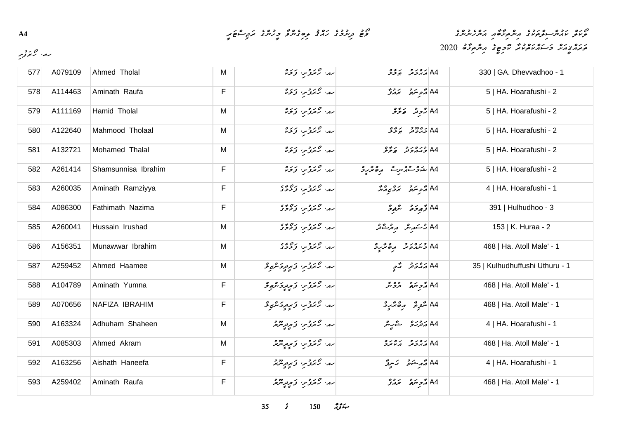*sCw7q7s5w7m< o<n9nOoAw7o< sCq;mAwBoEw7q<m; wBm;vB* م من المرة المرة المرة المرجع المرجع في المركبة 2020<br>مجم*د المريض المربوط المربع المرجع في المراجع المركبة* 

| 577 | A079109 | Ahmed Tholal        | M           | رە، ئەترۇپ دىرە            | A4 , د و د محمد المحمد المحمد المحمد المعمد الم | 330   GA. Dhevvadhoo - 1       |
|-----|---------|---------------------|-------------|----------------------------|-------------------------------------------------|--------------------------------|
| 578 | A114463 | Aminath Raufa       | $\mathsf F$ | رە، رىمۇم، ئەنە            | A4 مُجِسَعَ بَرْمَرُ مُنَ                       | 5   HA. Hoarafushi - 2         |
| 579 | A111169 | Hamid Tholal        | M           | رە . 2 ئۇتى، ئەنزە         | A4 جَّحِرْ ۾َ وَ چُ                             | 5   HA. Hoarafushi - 2         |
| 580 | A122640 | Mahmood Tholaal     | M           | رە ، 2 ئۇتىر، ئۇنزىقا      | A4 درودو پروو                                   | 5   HA. Hoarafushi - 2         |
| 581 | A132721 | Mohamed Thalal      | M           | رە - 2 تروپ ۇ ئەرە         | A4 <i>32025 بروه</i>                            | 5   HA. Hoarafushi - 2         |
| 582 | A261414 | Shamsunnisa Ibrahim | $\mathsf F$ | رە، رىمۇم، ئەنمە           | A4 خۇچەمبرىشە مەھەردى                           | 5   HA. Hoarafushi - 2         |
| 583 | A260035 | Aminath Ramziyya    | $\mathsf F$ | رد. رمزور، زره د،          | A4 مَّحِسَمَ مَحَرَّمٍ مَمَّرٌ                  | 4   HA. Hoarafushi - 1         |
| 584 | A086300 | Fathimath Nazima    | F           | رە بەردىن ۋىدە             | A4 وَّجِ دَمَّةَ مَّسْجِرَّةَ                   | 391   Hulhudhoo - 3            |
| 585 | A260041 | Hussain Irushad     | M           | رە بەردىن ۋە دە            | A4 پر <i>شمہر مثل میں ج</i> وشقور               | 153   K. Huraa - 2             |
| 586 | A156351 | Munawwar Ibrahim    | M           | رد. رمزوین وره وه          | A4 3 متم مقدمة مقدمة محمد                       | 468   Ha. Atoll Male' - 1      |
| 587 | A259452 | Ahmed Haamee        | M           | رر رمزوم ورود مرد          | A4  پَرْدُوَنْزَ کَرِّ مِ                       | 35   Kulhudhuffushi Uthuru - 1 |
| 588 | A104789 | Aminath Yumna       | F           | رە، رىمۇم، ۋىرىردىرى       | A4 مَّحِسَمَةٌ مَرْحَسَّ                        | 468   Ha. Atoll Male' - 1      |
| 589 | A070656 | NAFIZA IBRAHIM      | $\mathsf F$ | رە، رىمۇم، كېرىردىرى       | A4 سَّعِي <i>ةً م</i> ِ صَمَّرِ 2               | 468   Ha. Atoll Male' - 1      |
| 590 | A163324 | Adhuham Shaheen     | M           | رە رىمۇس كەيدىدىنى         | A4 كەندىرى ھەرىش                                | 4   HA. Hoarafushi - 1         |
| 591 | A085303 | Ahmed Akram         | M           | رماس محرومين كالمومر يتزير | A4 كەبروتر كەندىرى                              | 468   Ha. Atoll Male' - 1      |
| 592 | A163256 | Aishath Haneefa     | $\mathsf F$ | رە ، 2 ئۇترىن كەيدىرىش.    | A4 صَّمَرِ مَشَمَّعَ سَمَّدِيقَ                 | 4   HA. Hoarafushi - 1         |
| 593 | A259402 | Aminath Raufa       | F           | رد. رنجوين وتبرير بيري     | A4 مُجِسَعَةٍ بِمَمْرَ                          | 468   Ha. Atoll Male' - 1      |

*o6q?m8v5 .<5*

**35** *s* **150** *z***<sub>***s***</sub>** *z*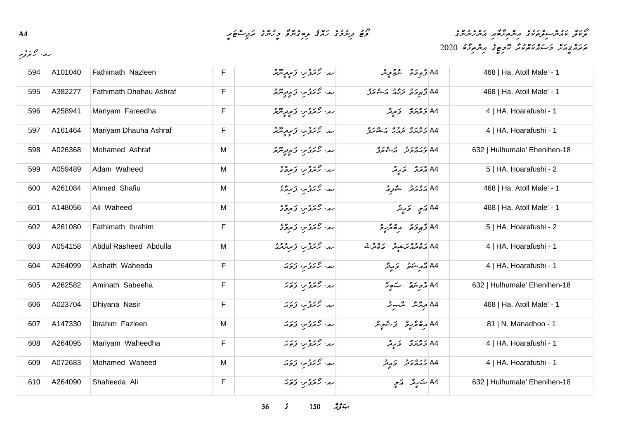*sCw7q7s5w7m< o<n9nOoAw7o< sCq;mAwBoEw7q<m; wBm;vB* م من المرة المرة المرة المرجع المرجع في المركبة 2020<br>مجم*د المريض المربوط المربع المرجع في المراجع المركبة* 

| 594 | A101040 | Fathimath Nazleen       | F           | رە. ئەنگەرىن كەيدىر يېزىگە | A4 زَّەپرىق مەتتىج ب <sub>و</sub> مىز        | 468   Ha. Atoll Male' - 1    |
|-----|---------|-------------------------|-------------|----------------------------|----------------------------------------------|------------------------------|
| 595 | A382277 | Fathimath Dhahau Ashraf | F           | رماس محرومين كالمومر يتزير | A4 تُرجوحه تركه ترشيتو                       | 468   Ha. Atoll Male' - 1    |
| 596 | A258941 | Mariyam Fareedha        | $\mathsf F$ | رە، رىمۇس كېرىرىش          | A4 كەبھە <i>تكە</i> كەممەتگە                 | 4   HA. Hoarafushi - 1       |
| 597 | A161464 | Mariyam Dhauha Ashraf   | $\mathsf F$ | رە رىمۇس كېرىرىش           | A4 كەبەرە بەدە كەشلىرى                       | 4   HA. Hoarafushi - 1       |
| 598 | A026368 | Mohamed Ashraf          | M           | رە ئەترۇس كەيدىدىن         | A4 32028 كم شومرو                            | 632   Hulhumale' Ehenihen-18 |
| 599 | A059489 | Adam Waheed             | M           | رە . 2 ئۇترىن كەيدۇ ئ      | A4 <i>مُرْمَرْدَ وَب</i> ِعْرَ               | 5   HA. Hoarafushi - 2       |
| 600 | A261084 | Ahmed Shafiu            | M           | رە بەردىن كەرگە            | A4 كەبرى قىر سىگە <i>يە</i> ر                | 468   Ha. Atoll Male' - 1    |
| 601 | A148056 | Ali Waheed              | M           | رە . ئەنزۇس كەنزەتمى       | A4 <i>ھَ۔ جِ حَبي</i> قر                     | 468   Ha. Atoll Male' - 1    |
| 602 | A261080 | Fathimath Ibrahim       | F           | رە، ئەندۇس كەندۇق          | A4 تَهِ رَحْمَ مِنْ مَحْرَبِ 3               | 5   HA. Hoarafushi - 2       |
| 603 | A054158 | Abdul Rasheed Abdulla   | M           | رد. ریزوین کریزدی          | A4 رَصْحَرْ رَحْمَتِ مِنْ مِنْ حَمْدِ اللَّه | 4   HA. Hoarafushi - 1       |
| 604 | A264099 | Aishath Waheeda         | $\mathsf F$ | رە - رىمۇتىر، ئەنجەت       | A4 مەم ئىقىمە ئىم ئىرىگە                     | 4   HA. Hoarafushi - 1       |
| 605 | A262582 | Aminath Sabeeha         | F           | رە بە ئەترۇس ۋەپر          | A4 مَرْحِسَمَة جَمَعِيَّة                    | 632   Hulhumale' Ehenihen-18 |
| 606 | A023704 | Dhiyana Nasir           | $\mathsf F$ | رە، رىمۇقرا ئەدىر          | A4 مرمَّز مَّرْ مَبْرِ مِرْ                  | 468   Ha. Atoll Male' - 1    |
| 607 | A147330 | Ibrahim Fazleen         | M           | رە، رىمۇقر، ئەدىر          | A4 مەھەرىرى كى مەموش                         | 81   N. Manadhoo - 1         |
| 608 | A264095 | Mariyam Waheedha        | F           | رە بە ئەترۇس ۋەپر          | A4 <i>5 پروژ</i> ک <i>وب</i> وتگر            | 4   HA. Hoarafushi - 1       |
| 609 | A072683 | Mohamed Waheed          | M           | رە بە ئەترۇس ۋەپر          | A4 <i>وبرووتر كەب</i> ىر                     | 4   HA. Hoarafushi - 1       |
| 610 | A264090 | Shaheeda Ali            | F           | رە، رىمۇقرا ئەدىر          | A4 ڪرپنگر گھرمپر                             | 632   Hulhumale' Ehenihen-18 |

**36** *s* **150** *z***<sub>***s***</sub>** *z*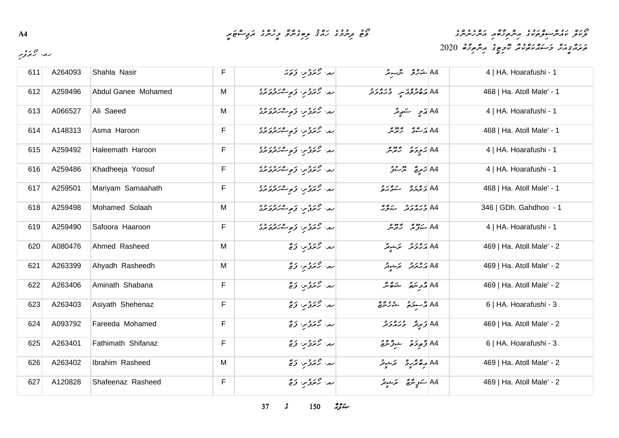*sCw7q7s5w7m< o<n9nOoAw7o< sCq;mAwBoEw7q<m; wBm;vB* م من المسجد المسجد المسجد المسجد المسجد العام 2020<br>مسجد المسجد المسجد المسجد المسجد المسجد المسجد المسجد المسجد ال

| 611 | A264093 | Shahla Nasir        | F | رە بە ئەترۇس ئەرىر            | A4 خەر <sub>گۇ س</sub> ۇببەتر                                                                                          | 4   HA. Hoarafushi - 1    |
|-----|---------|---------------------|---|-------------------------------|------------------------------------------------------------------------------------------------------------------------|---------------------------|
| 612 | A259496 | Abdul Ganee Mohamed | M | رە ، ئەنزۈپ زەپەسەردىرە       | A4 בֿבּינּגַלראַ 2500 C                                                                                                | 468   Ha. Atoll Male' - 1 |
| 613 | A066527 | Ali Saeed           | M | رړ. رموړي توپه شرورو ده       | A4 <i>ھَ جِ سَموِينَ</i>                                                                                               | 4   HA. Hoarafushi - 1    |
| 614 | A148313 | Asma Haroon         | F | رە، رىمۇقرىي ئەھمەترىق بودە   | A4 كەشق ئەچمىش                                                                                                         | 468   Ha. Atoll Male' - 1 |
| 615 | A259492 | Haleemath Haroon    | F | رە، رىمۇقرىي ئەھمەترىق بودە   | A4 كەمچەدەرە مەدەمەر                                                                                                   | 4   HA. Hoarafushi - 1    |
| 616 | A259486 | Khadheeja Yoosuf    | F | رە، رىمۇقرىي ئەھمەسىر قرەرە   | A4 كَتَمْرِيحٌ مَرْكَبِيْرٌ مِ                                                                                         | 4   HA. Hoarafushi - 1    |
| 617 | A259501 | Mariyam Samaahath   | F | رە ، ئەترۇس كەرەپرە دە        | A4 كەبىر كىرى سىۋېر <i>ھ</i>                                                                                           | 468   Ha. Atoll Male' - 1 |
| 618 | A259498 | Mohamed Solaah      | M | رە، رىمۇقرىن ئەھمەسىر بورە دە | A4 <i>32823 سكۇر</i>                                                                                                   | 346   GDh. Gahdhoo - 1    |
| 619 | A259490 | Safoora Haaroon     | F | رە، رىمۇقرىي ئەھمەترىق بودە   | A4 ڪوفير شعير محمد س                                                                                                   | 4   HA. Hoarafushi - 1    |
| 620 | A080476 | Ahmed Rasheed       | M | رە، رىمۇس ئ                   | A4  كەبۇ <i>52 - كەنسى</i> تەر                                                                                         | 469   Ha. Atoll Male' - 2 |
| 621 | A263399 | Ahyadh Rasheedh     | M | رە، رىمۇس ئ                   | A4 <i>م بر مرکز مرش</i> ومر                                                                                            | 469   Ha. Atoll Male' - 2 |
| 622 | A263406 | Aminath Shabana     | F | رە، رىمۇمى، ئ                 | A4 مَّ <i>حِ سَرَةَ مَدَةٌ مَّ</i> رَ                                                                                  | 469   Ha. Atoll Male' - 2 |
| 623 | A263403 | Asiyath Shehenaz    | F | رە، رىمۇس ئ                   | A4 أَمُر سومرمو مُستوسر من من المعنى                                                                                   | 6   HA. Hoarafushi - 3    |
| 624 | A093792 | Fareeda Mohamed     | F | رە، رىمۇس ئ                   | A4 تزىرى <i>گە ئەتەرەت</i> ر                                                                                           | 469   Ha. Atoll Male' - 2 |
| 625 | A263401 | Fathimath Shifanaz  | F | رە، رىمۇس ئ                   | A4 زَّەپرەَ ئ <sup>ە</sup> ر ئىستى ئىستى                                                                               | 6   HA. Hoarafushi - 3    |
| 626 | A263402 | Ibrahim Rasheed     | M | رە، رىمۇس ئ                   | A4 م <i>ەھترى</i> ر ئىسىمىتى ئىشتىدىگىنى كىشىمىتىكى كىشتى ئىستىكى ئىستىكى ئىستىكى ئىستى ئىستىكى ئىستى ئىستى ئىستى ئىست | 469   Ha. Atoll Male' - 2 |
| 627 | A120828 | Shafeenaz Rasheed   | F | رە، رىمۇس ئ                   | A4 سَمَرٍ مُتَرَجَّ مَرَسُوتَر                                                                                         | 469   Ha. Atoll Male' - 2 |

*37 sC 150 nNw?mS*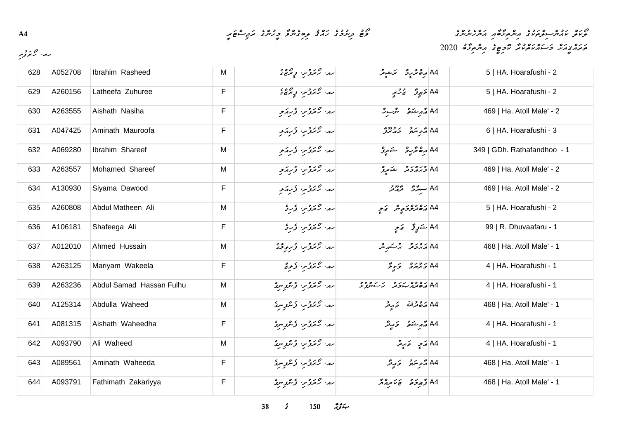*sCw7q7s5w7m< o<n9nOoAw7o< sCq;mAwBoEw7q<m; wBm;vB* م من المسجد المسجد المسجد المسجد المسجد العام 2020<br>مسجد المسجد المسجد المسجد المسجد المسجد المسجد المسجد المسجد ال

| 628 | A052708 | Ibrahim Rasheed          | M           | رە بەتروپى پەترە ئ                | A4 م <i>وڭ مگرى</i> دۇ . مگرىش <sub>ى</sub> دۇر                                                                           | 5   HA. Hoarafushi - 2      |
|-----|---------|--------------------------|-------------|-----------------------------------|---------------------------------------------------------------------------------------------------------------------------|-----------------------------|
| 629 | A260156 | Latheefa Zuhuree         | $\mathsf F$ | رە بەردىن پەرە                    | A4 كَيْهِوْ كَانْ مِرْسِ                                                                                                  | 5   HA. Hoarafushi - 2      |
| 630 | A263555 | Aishath Nasiha           | F           | رە، ئەندۇس ۋرەئىر                 | A4 م <i>ەمبەشكى مەمبىرىد</i>                                                                                              | 469   Ha. Atoll Male' - 2   |
| 631 | A047425 | Aminath Mauroofa         | $\mathsf F$ | بدر رمحد وساد                     | A4 مُتَّحِسَمَةَ بِهِ وَمَسَرَّزَ                                                                                         | 6   HA. Hoarafushi - 3      |
| 632 | A069280 | Ibrahim Shareef          | M           | بدر رحمدقرما ومرتزمو              | A4 مەھمىر ئىسىمبىر ئىسىمبىر ئىسىمبىر ئىسىمبىر ئىسىمبىر ئىسىمبىر ئىسىمبىر ئىسىمبىر ئىسىمبىر ئىسلامبىر ئىسلامبى<br>ئىسىمبىر | 349   GDh. Rathafandhoo - 1 |
| 633 | A263557 | Mohamed Shareef          | M           | رماس محتوفين وترمذير              | A4 <i>\$ بَرْدْ دَ</i> تْرَ مُسَمَّمِيْرٌ                                                                                 | 469   Ha. Atoll Male' - 2   |
| 634 | A130930 | Siyama Dawood            | F           | بدر محتوفين وبدئر                 | A4 سوپرمجر محمد محمد محمد الس                                                                                             | 469   Ha. Atoll Male' - 2   |
| 635 | A260808 | Abdul Matheen Ali        | M           | رە، رىمۇقرىن ۋېرى                 | A4 حَ <i>ھوچو حَ جِي شَ</i> حَرِ جِ                                                                                       | 5   HA. Hoarafushi - 2      |
| 636 | A106181 | Shafeega Ali             | F           | رە، ئەترۇس ۋرى                    | A4 ڪ <i>ُوپِ ڏُھوپِ</i>                                                                                                   | 99   R. Dhuvaafaru - 1      |
| 637 | A012010 | Ahmed Hussain            | M           | رە، ئەنزۇر، ۋرەۋە                 | A4 كەبرى بىر بىر ئىسكىمبەش                                                                                                | 468   Ha. Atoll Male' - 1   |
| 638 | A263125 | Mariyam Wakeela          | $\mathsf F$ | رە، ئەنزۇر، ۋوچ                   | A4 كەبىر <i>مىتى ھەيدى</i>                                                                                                | 4   HA. Hoarafushi - 1      |
| 639 | A263236 | Abdul Samad Hassan Fulhu | M           | بها رحمة وسابق والمعالج بالمعالجة | A4 رەمەم بەرەپ كەسىمبىرى                                                                                                  | 4   HA. Hoarafushi - 1      |
| 640 | A125314 | Abdulla Waheed           | M           | رە، ئەترۇس ۋىلومبۇ                | A4 مَەھمَّدَاللَّه    حَ بِقَر                                                                                            | 468   Ha. Atoll Male' - 1   |
| 641 | A081315 | Aishath Waheedha         | F           | رە، ئەترۇس ۋىلومبۇ                | A4 م <i>ەم ھەم قىم</i> يىم                                                                                                | 4   HA. Hoarafushi - 1      |
| 642 | A093790 | Ali Waheed               | M           | رە، ئەنزۇس ۋىلروسىد               | A4 <i>ھَ جِه حَ بِ</i> مِرَ                                                                                               | 4   HA. Hoarafushi - 1      |
| 643 | A089561 | Aminath Waheeda          | F           | رە، ئەنزۇس ۋىلروسىد               | A4 مَّ <i>حِ سَع</i> ْرِ عَ <sub>مَ</sub> يَدَّ                                                                           | 468   Ha. Atoll Male' - 1   |
| 644 | A093791 | Fathimath Zakariyya      | F           | رە، ئەترۇپ ۋىلومبۇ                | A4 <i>وَّجِوحَمْ</i> تم <i>تم تبرم</i> ْتَرَ                                                                              | 468   Ha. Atoll Male' - 1   |

*38 sC 150 nNw?mS*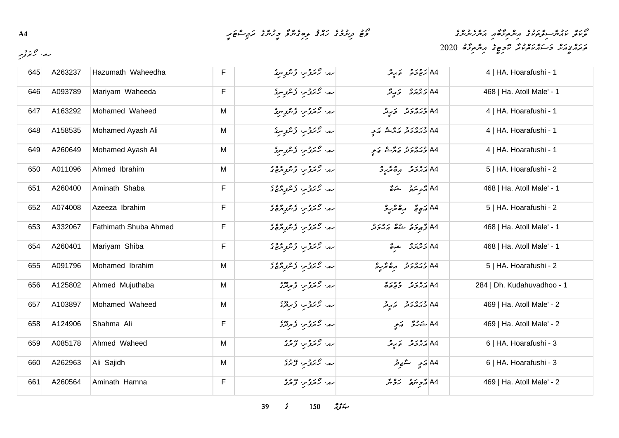*sCw7q7s5w7m< o<n9nOoAw7o< sCq;mAwBoEw7q<m; wBm;vB* م من المسجد المسجد المسجد المسجد المسجد العام 2020<br>مسجد المسجد المسجد المسجد المسجد المسجد المسجد المسجد المسجد ال

| 645 | A263237 | Hazumath Waheedha            | F | رە. ئەنزۇير، ۋىلرو بىرق | A4 كەيم <i>5 كى ھەم</i> يەنگر          | 4   HA. Hoarafushi - 1     |
|-----|---------|------------------------------|---|-------------------------|----------------------------------------|----------------------------|
| 646 | A093789 | Mariyam Waheeda              | F | رە، رىمۇم، ۋىلومبۇ      | A4 كەنگە <i>نگە</i> كەر ئىگە           | 468   Ha. Atoll Male' - 1  |
| 647 | A163292 | Mohamed Waheed               | M | رە، ئەترۇس ۋىلروسىد     | A4 <i>وُبَرُوْدَوْ</i> کَرِیْرَ        | 4   HA. Hoarafushi - 1     |
| 648 | A158535 | Mohamed Ayash Ali            | M | رە، ئەنزۇر، زېمۇسۇ      | A4 دېم <i>ډېر ډېر ش</i> ه کم           | 4   HA. Hoarafushi - 1     |
| 649 | A260649 | Mohamed Ayash Ali            | M | بدر محروس وعرسو         | A4 در برور دگرشی کرم                   | 4   HA. Hoarafushi - 1     |
| 650 | A011096 | Ahmed Ibrahim                | M | رە بەتروپ ۋىلومەء       | A4 <i>225 م</i> وصور م                 | 5   HA. Hoarafushi - 2     |
| 651 | A260400 | Aminath Shaba                | F | رە زىرۇس ۋىترومىي       | A4 مُجِسَع <sub>ة</sub> شَقَّة         | 468   Ha. Atoll Male' - 1  |
| 652 | A074008 | Azeeza Ibrahim               | F | رە، رىمۇقرىي ۋىقرىدىنى  | A4 كەيپ قىم مەھترىپ                    | 5   HA. Hoarafushi - 2     |
| 653 | A332067 | <b>Fathimath Shuba Ahmed</b> | F | رم رمزوین و عروضی       | A4 تَهِ وَمَعْ صَنْعَ مَدَوَسَ         | 468   Ha. Atoll Male' - 1  |
| 654 | A260401 | Mariyam Shiba                | F | رە، ئەترۇس ۋىلومۇمى     | A4 كەممەر ئىرگە ئىسىسى ئىش             | 468   Ha. Atoll Male' - 1  |
| 655 | A091796 | Mohamed Ibrahim              | M | رە بەتروپ ۋىلومەء       | A4 درورد مقتربة                        | 5   HA. Hoarafushi - 2     |
| 656 | A125802 | Ahmed Mujuthaba              | M | رە ئەتروپر، ۋىزدە       | A4 كەبرو مەدەرە                        | 284   Dh. Kudahuvadhoo - 1 |
| 657 | A103897 | Mohamed Waheed               | M | رە بەردىر، ئەردە،       | A4 <i>وُبَهُ دُوَنَوْ ۔ وَب</i> ِيْرُ  | 469   Ha. Atoll Male' - 2  |
| 658 | A124906 | Shahma Ali                   | F | رە، ئەندۇس ۋىرىدى       | A4 خەرج <sub>ى</sub> كەم               | 469   Ha. Atoll Male' - 2  |
| 659 | A085178 | Ahmed Waheed                 | M | رە بەر دىرى ئەدە        | A4 كەش <sup>ى</sup> تىر قىرىتر         | 6   HA. Hoarafushi - 3     |
| 660 | A262963 | Ali Sajidh                   | M | رە، رېمۇترىن ئەمرى      | A4 <i>ھَ جِ</i> سُمَّم <i>ِي مَ</i> رْ | 6   HA. Hoarafushi - 3     |
| 661 | A260564 | Aminath Hamna                | F | رە، رىمۇقرىر، ئەمە      | A4 مَّحِسَعَةً رَحْسَّ                 | 469   Ha. Atoll Male' - 2  |

*39 sC 150 nNw?mS*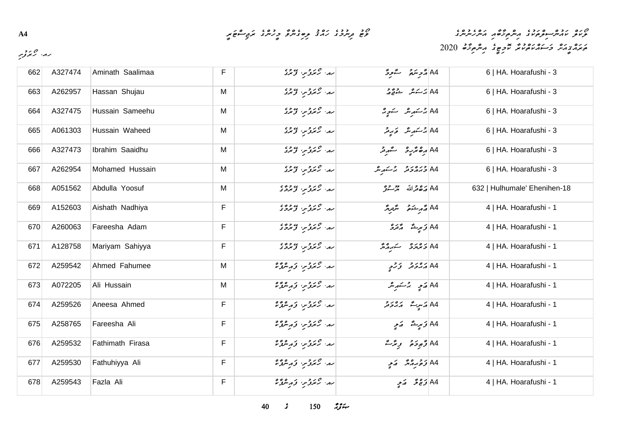*sCw7q7s5w7m< o<n9nOoAw7o< sCq;mAwBoEw7q<m; wBm;vB* م من المرة المرة المرة المرجع المرجع في المركبة 2020<br>مجم*د المريض المربوط المربع المرجع في المراجع المركبة* 

| 662 | A327474 | Aminath Saalimaa | F           | رە بەردىن ئەدە        | A4 مُرْحِسَمُ مُسْتَخِرَةٌ             | 6   HA. Hoarafushi - 3       |
|-----|---------|------------------|-------------|-----------------------|----------------------------------------|------------------------------|
| 663 | A262957 | Hassan Shujau    | M           | رە، رىمۇقرىر، ئەمە    | A4 بَرَسَہ شَرِ مُحَمَّدَةٍ مِ         | 6   HA. Hoarafushi - 3       |
| 664 | A327475 | Hussain Sameehu  | M           | رە، رىمۇقرىر، ئەمە    | A4  يُرْسَمْ مِيْرَ مُسْ سَوِيْر       | 6   HA. Hoarafushi - 3       |
| 665 | A061303 | Hussain Waheed   | M           | رە، رىمۇقرىر، ئەمە    | A4 بر <i>کے مربر کے بر</i> مز          | 6   HA. Hoarafushi - 3       |
| 666 | A327473 | Ibrahim Saaidhu  | M           | رە، رىمۇقرىر، ئەمە    | A4 مەھمىرى ئىمرىتى                     | 6   HA. Hoarafushi - 3       |
| 667 | A262954 | Mohamed Hussain  | M           | رە، رىمۇقرىر، ئەمە    | A4 دېم د د مختصر شر                    | 6   HA. Hoarafushi - 3       |
| 668 | A051562 | Abdulla Yoosuf   | M           | رە بەردىر، ئەدەر،     | A4 مَەھمَراللە مَرْتَوْتَر             | 632   Hulhumale' Ehenihen-18 |
| 669 | A152603 | Aishath Nadhiya  | F           | رە بەردىر، ئەدەر،     | A4 مَدْمِ شَوَمَ مَسْتَمْتِهِمَّةَ     | 4   HA. Hoarafushi - 1       |
| 670 | A260063 | Fareesha Adam    | F           | رە بەردىر، ئەدەر،     | A4 كَرَ مِي شَدَّ مَرْتَدَدَّ          | 4   HA. Hoarafushi - 1       |
| 671 | A128758 | Mariyam Sahiyya  | F           | رد. رورور، بادود،     | A4 كالمحكم مركز محمد مركز مركز المركز  | 4   HA. Hoarafushi - 1       |
| 672 | A259542 | Ahmed Fahumee    | M           | رە ئەتروپ ۋە ئىرلى    | A4 كەبرى قىمى ئەركىيە بىر 194 كىيە بىر | 4   HA. Hoarafushi - 1       |
| 673 | A072205 | Ali Hussain      | M           | رە ئەتروپ ۋە ھۇم      | A4 <i>مَج جُسَمب</i> ھ                 | 4   HA. Hoarafushi - 1       |
| 674 | A259526 | Aneesa Ahmed     | F           | رە . ئەترىپ، ئەر ئىچە | A4 كەسرىستە كەبرى قىر                  | 4   HA. Hoarafushi - 1       |
| 675 | A258765 | Fareesha Ali     | F           | رە رىزۇر، نەر ھۇم     | A4 ترىپىش كەمچ                         | 4   HA. Hoarafushi - 1       |
| 676 | A259532 | Fathimath Firasa | F           | رە بەردىن تەرەپى      | A4 وَجوحَة وِيَرْتَهُ                  | 4   HA. Hoarafushi - 1       |
| 677 | A259530 | Fathuhiyya Ali   | F           | رە رىزۇر، نەر ھۇم     | A4 زَ <i>ەپەرە ئەچ</i>                 | 4   HA. Hoarafushi - 1       |
| 678 | A259543 | Fazla Ali        | $\mathsf F$ | رە . رىزۇس كەر ھۇم    | A4 تى چىخە سىمىيە                      | 4   HA. Hoarafushi - 1       |

*40 sC 150 nNw?mS*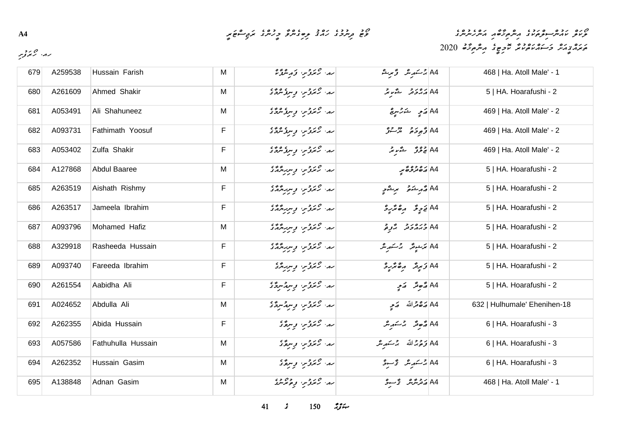*sCw7q7s5w7m< o<n9nOoAw7o< sCq;mAwBoEw7q<m; wBm;vB* م من المرة المرة المرة المرجع المرجع في المركبة 2020<br>مجم*د المريض المربوط المربع المرجع في المراجع المركبة* 

| 679 | A259538 | Hussain Farish     | M | رە. ئەنزۇر، زەبىرو ئا    | A4 يُرْسَمَ مِيْرٌ وَمَحْرِ مِيْتُ              | 468   Ha. Atoll Male' - 1    |
|-----|---------|--------------------|---|--------------------------|-------------------------------------------------|------------------------------|
| 680 | A261609 | Ahmed Shakir       | M | بدا ويحرون وسومعة        | A4 كەبرى قىر مەشرىتى بىر                        | 5   HA. Hoarafushi - 2       |
| 681 | A053491 | Ali Shahuneez      | M | بدا وترويرا ويتومدهم     | A4 <i>ھَ جِ</i> سَے جَسِي                       | 469   Ha. Atoll Male' - 2    |
| 682 | A093731 | Fathimath Yoosuf   | F | بدا وترويرا ويتومده      | A4 توجوح مرسوم                                  | 469   Ha. Atoll Male' - 2    |
| 683 | A053402 | Zulfa Shakir       | F | بدا ومروس وسومعد         | A4 ج څوگ <sup>ه</sup> شمېر جم                   | 469   Ha. Atoll Male' - 2    |
| 684 | A127868 | Abdul Baaree       | M | رماس محروس وسر المعام    | A4 ص <i>ق قرقرةً م</i> رِ                       | 5   HA. Hoarafushi - 2       |
| 685 | A263519 | Aishath Rishmy     | F | بدر محروس وسدامهم        | A4 مُحرِشَمُ مِنْشُورٍ                          | 5   HA. Hoarafushi - 2       |
| 686 | A263517 | Jameela Ibrahim    | F | رماس محروس وسر المده     |                                                 | 5   HA. Hoarafushi - 2       |
| 687 | A093796 | Mohamed Hafiz      | M | رد. رموس وسرچون          | A4 <i>وَبَرْدُوَنَوْ بُرُّوِنْوُ</i>            | 5   HA. Hoarafushi - 2       |
| 688 | A329918 | Rasheeda Hussain   | F | بدا متروس وسدادوه        | A4 بَرَحْمٍ مَّرْ مَرْ مَرْ مِرْ مِرْ           | 5   HA. Hoarafushi - 2       |
| 689 | A093740 | Fareeda Ibrahim    | F | رە ئەتروپ ۋىرىدۇ ئ       | A4 ترىرى <i>گە مەھەترى</i> رى                   | 5   HA. Hoarafushi - 2       |
| 690 | A261554 | Aabidha Ali        | F | رما رکندوس وسماسردمی     | A4 مُحصِّدٌ      مَدمٍ                          | 5   HA. Hoarafushi - 2       |
| 691 | A024652 | Abdulla Ali        | M | رە، ئىترۇس ۋىبرە ئىردۇ ئ | A4 صَرْحَةَ مِللَّهُ صَعِي                      | 632   Hulhumale' Ehenihen-18 |
| 692 | A262355 | Abida Hussain      | F | بدا رحمزمن وسرقمى        | A4 مَّەھ <sup>ق</sup> د جُسَمب <sup>و</sup>     | 6   HA. Hoarafushi - 3       |
| 693 | A057586 | Fathuhulla Hussain | M | بدا رحموس وسعدة          | A4 وَتَحْدِيْرَ اللَّهُ بِمَرْ سَنَ مِرْ مِثْرَ | 6   HA. Hoarafushi - 3       |
| 694 | A262352 | Hussain Gasim      | M | رە، ئەترۇس ۋىلىدۇ ئ      | A4 پر سمبر سر تۇسىۋ                             | 6   HA. Hoarafushi - 3       |
| 695 | A138848 | Adnan Gasim        | M | رە بەردىن ۋە دە دە       | A4 كەنترىترىتر گ <sup>ې</sup> سوڭ               | 468   Ha. Atoll Male' - 1    |

*41 s* 150 *if*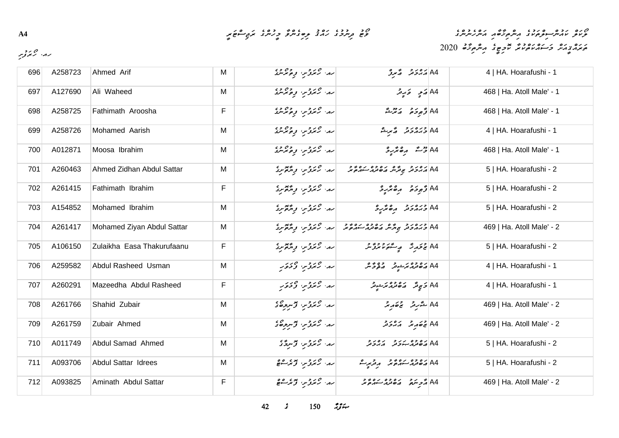*sCw7q7s5w7m< o<n9nOoAw7o< sCq;mAwBoEw7q<m; wBm;vB* م من المسجد المسجد المسجد المسجد المسجد العام 2020<br>مسجد المسجد المسجد المسجد المسجد المسجد المسجد المسجد المسجد ال

| 696 | A258723 | Ahmed Arif                 | M           | رە بە ئەنزۈپ رەتمەتلىكى | A4 , جرىم قريم محمد برقم المراقب المسلم المراقب المسلم المسلم المسلم المسلم المسلم المسلم المسلم الم | 4   HA. Hoarafushi - 1    |
|-----|---------|----------------------------|-------------|-------------------------|------------------------------------------------------------------------------------------------------|---------------------------|
| 697 | A127690 | Ali Waheed                 | M           | رړ . د بروس وه ده ده    | A4 <i>ھَ۔ جِ حَب</i> ِعْرُ                                                                           | 468   Ha. Atoll Male' - 1 |
| 698 | A258725 | Fathimath Aroosha          | F           | رە بەتروپى وەيرىت       | A4 تَ <i>وجوحو مَعْرَشَ</i> ّ                                                                        | 468   Ha. Atoll Male' - 1 |
| 699 | A258726 | Mohamed Aarish             | M           | روم دوم ده وه وه        | A4 <i>وُبَرُوْدَ تَرَ مُ</i> مِتْ                                                                    | 4   HA. Hoarafushi - 1    |
| 700 | A012871 | Moosa Ibrahim              | M           | بدر صروس وه دره         | A4 جيءُ م <i>ِ ھي</i> ُرِ ج                                                                          | 468   Ha. Atoll Male' - 1 |
| 701 | A260463 | Ahmed Zidhan Abdul Sattar  | M           | رو، رحمزوین و پرویزه    | A4 كەشەھ بەر ئەھەر ئەرە بەر ئەر                                                                      | 5   HA. Hoarafushi - 2    |
| 702 | A261415 | Fathimath Ibrahim          | F           | بها رمزوجرا والمعراء    | A4 زَّجِرْدَةُ مِصَمَّرِدْ                                                                           | 5   HA. Hoarafushi - 2    |
| 703 | A154852 | Mohamed Ibrahim            | M           | بدر محترفرما ومعربة     | A4  <i>درورو م</i> قتربرد                                                                            | 5   HA. Hoarafushi - 2    |
| 704 | A261417 | Mohamed Ziyan Abdul Sattar | M           |                         | A4 כמסגב המס גם כם גם בין המר המציעי ניתולים                                                         | 469   Ha. Atoll Male' - 2 |
| 705 | A106150 | Zulaikha Easa Thakurufaanu | $\mathsf F$ | بها رمزوم وحده          | A4 ىج ئۇرىژ بېرىش <i>ۇ ئابىرى</i> بىر                                                                | 5   HA. Hoarafushi - 2    |
| 706 | A259582 | Abdul Rasheed Usman        | M           | رە، ئەنزۇس ۋىزۇر        | A4 كەھەركە كۈچۈر بەق <i>ۋە ئى</i> ر                                                                  | 4   HA. Hoarafushi - 1    |
| 707 | A260291 | Mazeedha Abdul Rasheed     | F           | رە، ئەنزۇس ۋىزۇر        | A4 كۆپەتگە كەھە <i>تى مەركە ئىرى</i> شوتىر                                                           | 4   HA. Hoarafushi - 1    |
| 708 | A261766 | Shahid Zubair              | M           | ره رمور و سره و         | A4 ڪُرير ج6م <i>ڊ</i>                                                                                | 469   Ha. Atoll Male' - 2 |
| 709 | A261759 | Zubair Ahmed               | M           | رە ئەترۇس ۋىروڭ         | A4 يُهَمَّ مُدْدَمَّر                                                                                | 469   Ha. Atoll Male' - 2 |
| 710 | A011749 | <b>Abdul Samad Ahmed</b>   | M           | رە، ئەترۇس ئۇسرچ        | A4 رەم دىر دەر دەر دەر                                                                               | 5   HA. Hoarafushi - 2    |
| 711 | A093706 | <b>Abdul Sattar Idrees</b> | M           | بدر مردوب بدء ه         | A4 رەدە رەپرىس مەترىپ                                                                                | 5   HA. Hoarafushi - 2    |
| 712 | A093825 | Aminath Abdul Sattar       | F           | رە بەردىن ئوترىقى       | AA REND ROOM                                                                                         | 469   Ha. Atoll Male' - 2 |

*42 sC 150 nNw?mS*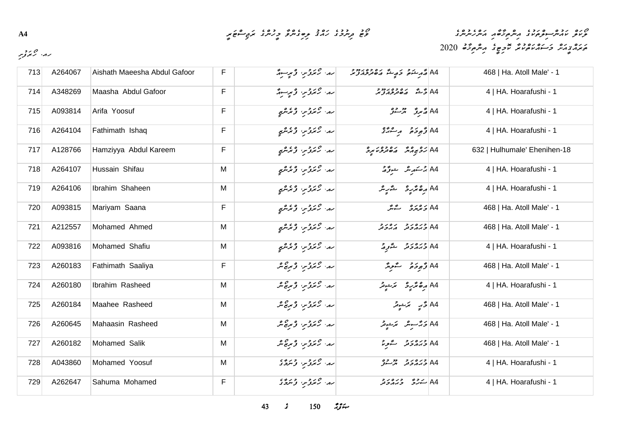*sCw7q7s5w7m< o<n9nOoAw7o< sCq;mAwBoEw7q<m; wBm;vB* م من المرة المرة المرة المرجع المرجع في المركبة 2020<br>مجم*د المريض المربوط المربع المرجع في المراجع المركبة* 

| 713 | A264067 | Aishath Maeesha Abdul Gafoor | F           | رە بە ئەترۇس ۋېرسىد | A4 مەم شىقى خەم شەھ مەھ <i>قرى دە</i> ج تە | 468   Ha. Atoll Male' - 1    |
|-----|---------|------------------------------|-------------|---------------------|--------------------------------------------|------------------------------|
| 714 | A348269 | Maasha Abdul Gafoor          | $\mathsf F$ | رە ئەترۇس ۋىرسەر    | A4 وََحَدٌ مَصْعَرِ مِرْدِدِ مِرَّ         | 4   HA. Hoarafushi - 1       |
| 715 | A093814 | Arifa Yoosuf                 | F           | رە، ئەنزۇر، ۋىزىترى | A4 مەسىرى مەسىرى                           | 4   HA. Hoarafushi - 1       |
| 716 | A264104 | Fathimath Ishaq              | F           | رە، ئەنزۇر، ۋىزىترى | A4 وَجِعَةَ مِ سَمَّتَةَ                   | 4   HA. Hoarafushi - 1       |
| 717 | A128766 | Hamziyya Abdul Kareem        | F           | بها رميزوين وعنقبي  | A4 كەنۋىمە ئەھ ئەھ ئىرى ئىرى               | 632   Hulhumale' Ehenihen-18 |
| 718 | A264107 | Hussain Shifau               | M           | رە، ئەتتۇر، ۋىڭ ھېچ | A4 يُرْسَمَّهِ مَّثَّرٍ مُشْرِوَّهُ مُ     | 4   HA. Hoarafushi - 1       |
| 719 | A264106 | Ibrahim Shaheen              | M           | بها رمحزوين وعنقبي  | A4 مەھەرىرى ھەرپىر                         | 4   HA. Hoarafushi - 1       |
| 720 | A093815 | Mariyam Saana                | F           | رماس محدوس وعامعي   | A4 دَ بَرْہَرُ شَبَّرَ                     | 468   Ha. Atoll Male' - 1    |
| 721 | A212557 | Mohamed Ahmed                | M           | رە، رىمزۇر، ۋىزىترى | A4 ويرەرو برەرو                            | 468   Ha. Atoll Male' - 1    |
| 722 | A093816 | Mohamed Shafiu               | M           | رە، ئەتزۇر، ۋېزىتنى | A4 <i>5 برو 5 برقر</i><br>A4               | 4   HA. Hoarafushi - 1       |
| 723 | A260183 | Fathimath Saaliya            | F           | رە، ئەنزۇر، ۋىرىجىم | A4 وَجوحَة مُصَّحِبَّرَ                    | 468   Ha. Atoll Male' - 1    |
| 724 | A260180 | Ibrahim Rasheed              | M           | رە، ئەترۇس ۋىرچىگە  | A4 مەھەرى كى مىز مىنىدىلىر                 | 4   HA. Hoarafushi - 1       |
| 725 | A260184 | Maahee Rasheed               | M           | رە، ئەندۇس ۋىرچىگە  | A4 محمد سم متر <sub>شو</sub> تر            | 468   Ha. Atoll Male' - 1    |
| 726 | A260645 | Mahaasin Rasheed             | M           | ىد ئەترىپ ۋىرچىر    | A4 كەنگەسى <sub>قىشى</sub> مەسىبەتر        | 468   Ha. Atoll Male' - 1    |
| 727 | A260182 | Mohamed Salik                | M           | رە، ئەندۇب ۋىرىجىم  | A4 دېرورو گور                              | 468   Ha. Atoll Male' - 1    |
| 728 | A043860 | Mohamed Yoosuf               | M           | رە، رىزۇس ۋىرە،     | A4 3232 مركز من                            | 4   HA. Hoarafushi - 1       |
| 729 | A262647 | Sahuma Mohamed               | F           | رە، رىزۇس ۋىرە،     | A4 كەرمى جەمەدىر                           | 4   HA. Hoarafushi - 1       |

*43 s* 150 *i*<sub>s</sub> $\approx$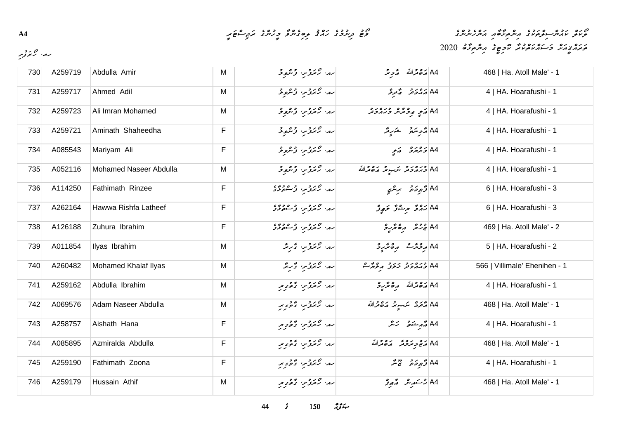*sCw7q7s5w7m< o<n9nOoAw7o< sCq;mAwBoEw7q<m; wBm;vB* م من المرة المرة المرة المرجع المرجع في المركبة 2020<br>مجم*د المريض المربوط المربع المرجع في المراجع المركبة* 

| 730 | A259719 | Abdulla Amir           | M           | رو، رحموزمن ومفرود     | A4 مَەھىراللە مەدىمە                          | 468   Ha. Atoll Male' - 1     |
|-----|---------|------------------------|-------------|------------------------|-----------------------------------------------|-------------------------------|
| 731 | A259717 | Ahmed Adil             | M           | رە، ئەنزۇس ۋىلھوق      | A4 كەبرى قىر ئەربى                            | 4   HA. Hoarafushi - 1        |
| 732 | A259723 | Ali Imran Mohamed      | M           | رە، رىزۇپ ۋىلموق       | A4 كەبىر مەڭگىر <i>25م</i> ەر <i>د</i>        | 4   HA. Hoarafushi - 1        |
| 733 | A259721 | Aminath Shaheedha      | $\mathsf F$ | رە، رىزۇپ ۋىلموق       | A4 مَرْحِ سَوَ سَوَرِ مَدْ                    | 4   HA. Hoarafushi - 1        |
| 734 | A085543 | Mariyam Ali            | F           | ىدا ئەيزۇرا ۋىلھوق     | A4 كانترندگر كم كرمو                          | 4   HA. Hoarafushi - 1        |
| 735 | A052116 | Mohamed Naseer Abdulla | M           | رە، ئەنزۇر، زىگەنج     | A4 <i>وبروبرو مربوبر مك</i> ومرالله           | 4   HA. Hoarafushi - 1        |
| 736 | A114250 | Fathimath Rinzee       | F           | رە بەر دەرە بەر دەرە   | A4 رَّجِوحَة مَ سِتْرَى                       | 6   HA. Hoarafushi - 3        |
| 737 | A262164 | Hawwa Rishfa Latheef   | $\mathsf F$ | رد. در در در دره دره د | A4 بَرْدَةَ مِشْرَقَ وَجِوْرً                 | 6   HA. Hoarafushi - 3        |
| 738 | A126188 | Zuhura Ibrahim         | F           | رە بەردىن ۋە دەرە      | A4 ىن ئەنگە مەھەر ئىر ئ                       | 469   Ha. Atoll Male' - 2     |
| 739 | A011854 | Ilyas Ibrahim          | M           | رە، ئەترۇس ئارىگە      | A4 مەمەر ئەھەر مەمەر ئە                       | 5   HA. Hoarafushi - 2        |
| 740 | A260482 | Mohamed Khalaf Ilyas   | M           | رە، ئەترۇپ ئەرىگە      | A4 در دور در در دور ۱                         | 566   Villimale' Ehenihen - 1 |
| 741 | A259162 | Abdulla Ibrahim        | M           | رە، رىزۇس ئەمرىر       | A4 رَصْحَراللّه مِصْغَرِ وَ                   | 4   HA. Hoarafushi - 1        |
| 742 | A069576 | Adam Naseer Abdulla    | M           | رە، رىمۇم، ئەمى بر     | A4 أَمَّ تَدَكَّ سَرَجِيمَ أَمَّ 25ْ اللَّهُ  | 468   Ha. Atoll Male' - 1     |
| 743 | A258757 | Aishath Hana           | F           | رە، رىزۇس ئەمى بر      | A4 مەم ئىسىم ئىگر                             | 4   HA. Hoarafushi - 1        |
| 744 | A085895 | Azmiralda Abdulla      | F           | رە، رىزۇس ئەمرىر       | A4 مَ يح <i>و مَدَوْمَّة مَ هُ</i> مَدَّاللّه | 468   Ha. Atoll Male' - 1     |
| 745 | A259190 | Fathimath Zoona        | F           | ىدا ئەترۇس ۋە ي        | A4 تُرجوحه حي تَثَرَّ                         | 4   HA. Hoarafushi - 1        |
| 746 | A259179 | Hussain Athif          | M           | رە، رىزۇس ئەۋرىر       | A4 برڪوينگ ڪھيوري                             | 468   Ha. Atoll Male' - 1     |

*44 sC 150 nNw?mS*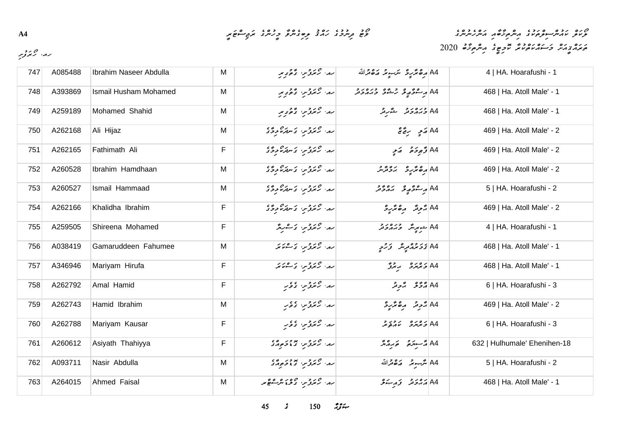*sCw7q7s5w7m< o<n9nOoAw7o< sCq;mAwBoEw7q<m; wBm;vB* م من المرة المرة المرة المرجع المرجع في المركبة 2020<br>مجم*د المريض المربوط المربع المرجع في المراجع المركبة* 

| 747 | A085488 | Ibrahim Naseer Abdulla       | M           | رە بەردىن ئەھمى بىر       | A4 مِرْحَمَّدِرِدْ سَرَسِوِمْهُ مَرْحَمْدَاللَّه | 4   HA. Hoarafushi - 1       |
|-----|---------|------------------------------|-------------|---------------------------|--------------------------------------------------|------------------------------|
| 748 | A393869 | <b>Ismail Husham Mohamed</b> | M           | بدر محرومز ومحور          | A4 رحوم و مشوه ورەرو                             | 468   Ha. Atoll Male' - 1    |
| 749 | A259189 | Mohamed Shahid               | M           | رە، رىزۇس ئەۋرىر          | A4 <i>وُبَرُودَوْ</i> شَرِيْرُ                   | 468   Ha. Atoll Male' - 1    |
| 750 | A262168 | Ali Hijaz                    | M           | رە بەردىن كەنگەرى كەن     | A4 <i>ھَ جِ</i> سِمَّع                           | 469   Ha. Atoll Male' - 2    |
| 751 | A262165 | Fathimath Ali                | F           | رە ، ئەتروپ ، ئەسلام ئەدە | A4 وَجوحَد صَمِ                                  | 469   Ha. Atoll Male' - 2    |
| 752 | A260528 | Ibrahim Hamdhaan             | M           | رە، رىمۇرىن كەسلەنموقرى   | A4 مەھەر بەر بەر ئەرەبىر                         | 469   Ha. Atoll Male' - 2    |
| 753 | A260527 | Ismail Hammaad               | M           | رە، رىزۇس ئەسلەنموقرى     | A4 <sub>م</sub> ر مۇ <i>مۇھەت ئەم</i> ۇم         | 5   HA. Hoarafushi - 2       |
| 754 | A262166 | Khalidha Ibrahim             | F           | رە بەردىن ئەسلەرە دە      | A4 بَرْمِتَر م <i>ِ هُ بَرْرِ دَّ</i>            | 469   Ha. Atoll Male' - 2    |
| 755 | A259505 | Shireena Mohamed             | $\mathsf F$ | رە، رىزۇس ئەسرىگە         | A4 خومريگر قر <i>م دور</i> و                     | 4   HA. Hoarafushi - 1       |
| 756 | A038419 | Gamaruddeen Fahumee          | M           | رە . رىزۇس كەسىمىتى       | A4 تَوَمَرْ رُمْشِ وَرُحِيَّ                     | 468   Ha. Atoll Male' - 1    |
| 757 | A346946 | Mariyam Hirufa               | $\mathsf F$ | رە . رىزۇس كەسىمىتى       | A4 كا <i>بروگردى بر برگ</i>                      | 468   Ha. Atoll Male' - 1    |
| 758 | A262792 | Amal Hamid                   | $\mathsf F$ | رە بەردىن دەپ             | A4 څڅو څې تر                                     | 6   HA. Hoarafushi - 3       |
| 759 | A262743 | Hamid Ibrahim                | M           | رە، رىمۇقر، ئاھار         | A4 جَّح <i>ِيدُ م</i> ِ صَخَّبِ دُ               | 469   Ha. Atoll Male' - 2    |
| 760 | A262788 | Mariyam Kausar               | F           | رە ، ئەترۇس دەپ           | A4 كەممەر ئەرگە كەرگە                            | 6   HA. Hoarafushi - 3       |
| 761 | A260612 | Asiyath Thahiyya             | $\mathsf F$ | رماس مرور بدور بها        | A4 جُسِي <i>رَة وَبِ</i> رْمَّةَ                 | 632   Hulhumale' Ehenihen-18 |
| 762 | A093711 | Nasir Abdulla                | M           | رماس وروب بدورا والم      | A4 مُرْسِعِ مُرْكَ مُدَاللَّهُ                   | 5   HA. Hoarafushi - 2       |
| 763 | A264015 | Ahmed Faisal                 | M           | رە بەردىن ئەمزەرە ئەر     | A4 <i>הُدْوَنْ وَمِ</i> سَوْ                     | 468   Ha. Atoll Male' - 1    |

*45 sC 150 nNw?mS*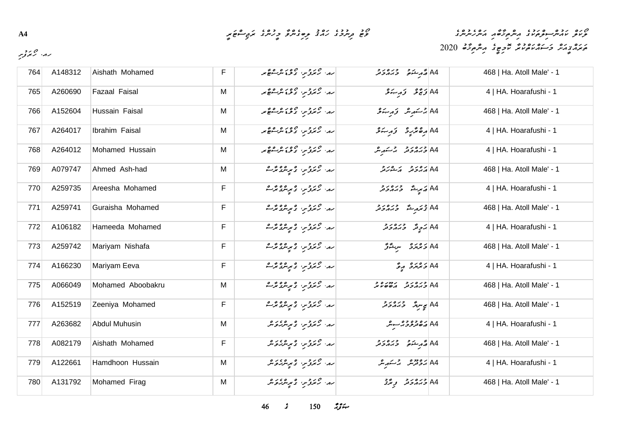*sCw7q7s5w7m< o<n9nOoAw7o< sCq;mAwBoEw7q<m; wBm;vB* م من المسجد المسجد المسجد المسجد المسجد العام 2020<br>مسجد المسجد المسجد المسجد المسجد المسجد المسجد المسجد المسجد ال

| 764 | A148312 | Aishath Mohamed      | F | رەسىمەدىن كەن ھەم ھەم      | A4 مەم ئىشقى مەمەر ئىس            | 468   Ha. Atoll Male' - 1 |
|-----|---------|----------------------|---|----------------------------|-----------------------------------|---------------------------|
| 765 | A260690 | <b>Fazaal Faisal</b> | M | رو. رمزور، دوه موره مع     | A4 ترتج بحت توبر بتذبحه           | 4   HA. Hoarafushi - 1    |
| 766 | A152604 | Hussain Faisal       | M | رە . ئەيزۇس ، ئاما ئەھقىر  | A4 يُرْسَمْ بِي مِنْ وَمِرْسَوْرٌ | 468   Ha. Atoll Male' - 1 |
| 767 | A264017 | Ibrahim Faisal       | M | رە بەردىن ئەمرەرە ئەم      | A4 مەھەر تەرىبكى                  | 4   HA. Hoarafushi - 1    |
| 768 | A264012 | Mohamed Hussain      | M | رە بەردىن ئەمەرەرە ئەس     | A4 دېم د د مختصر شر               | 4   HA. Hoarafushi - 1    |
| 769 | A079747 | Ahmed Ash-had        | M | رە. ئەنزۇس ۋىر شۇنگەش      | A4 كەبرى قر كەن ئىسكەتىر          | 468   Ha. Atoll Male' - 1 |
| 770 | A259735 | Areesha Mohamed      | F | رە، ئەترۇس ئەيرىش ترگ      | A4 كەموشە قەمەم <i>قەرى</i> قىر   | 4   HA. Hoarafushi - 1    |
| 771 | A259741 | Guraisha Mohamed     | F | رە. ئەنزۇس ۋىر شۇنگەش      | A4 تختمدينة وبرودور               | 468   Ha. Atoll Male' - 1 |
| 772 | A106182 | Hameeda Mohamed      | F | رە ، ئەترىس ، ئايرىشمە ترگ | A4 بَرْحٍ مَدَّ مَدَّ مَدَّ مَدَّ | 4   HA. Hoarafushi - 1    |
| 773 | A259742 | Mariyam Nishafa      | F | رە. ئەنزۇس ئەيرىش ئەت      | A4 كەنگەر ئەرسىتىگەرگە            | 468   Ha. Atoll Male' - 1 |
| 774 | A166230 | Mariyam Eeva         | F | رړ. رمړنې و پرسې تر ه      | A4 كەبھەنى مەڭ                    | 4   HA. Hoarafushi - 1    |
| 775 | A066049 | Mohamed Aboobakru    | M | رە. ئەنزۇس ئەيرىش ئەت      | A4 Croce room                     | 468   Ha. Atoll Male' - 1 |
| 776 | A152519 | Zeeniya Mohamed      | F | رە. ئەنزۇس ئەيرىش ئەت      | A4 يې سرگر تر 25 د 3 د            | 468   Ha. Atoll Male' - 1 |
| 777 | A263682 | Abdul Muhusin        | M | رە بەردىن ئەيرىكرىق        | A4 رەپرى <i>ۋە بەسى</i> ر         | 4   HA. Hoarafushi - 1    |
| 778 | A082179 | Aishath Mohamed      | F | رە بەردىن ئەيرىكرىمەش      | A4 مەم شەھ ئىقدىمىتى              | 468   Ha. Atoll Male' - 1 |
| 779 | A122661 | Hamdhoon Hussain     | M | رە بەردىن ئەيرىكرىق        | A4 ئەۋدىر ب <sub>ە</sub> شىرىش    | 4   HA. Hoarafushi - 1    |
| 780 | A131792 | Mohamed Firag        | M | رە بەردىن ئەيرىكرىق        | A4 3223 و پژيخ                    | 468   Ha. Atoll Male' - 1 |

*46 sC 150 nNw?mS*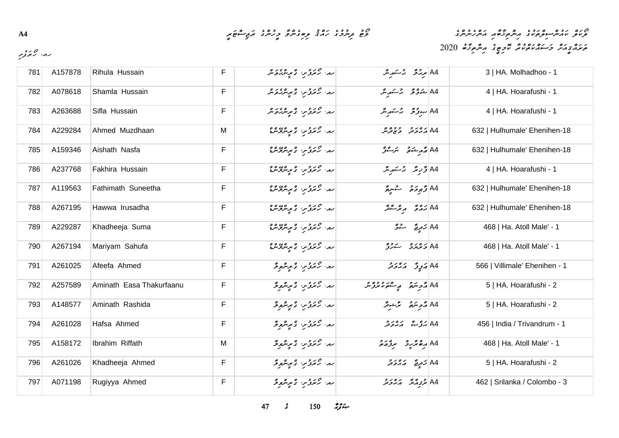*sCw7q7s5w7m< o<n9nOoAw7o< sCq;mAwBoEw7q<m; wBm;vB* م من المرة المرة المرة المرجع المرجع في المركبة 2020<br>مجم*د المريض المربوط المربع المرجع في المراجع المركبة* 

| 781 | A157878 | Rihula Hussain           | $\mathsf F$ | رە بەردىن ئىر مەردە مە      | A4 ىر جۇ ئەسكەر بىر                                      | 3   HA. Molhadhoo - 1         |
|-----|---------|--------------------------|-------------|-----------------------------|----------------------------------------------------------|-------------------------------|
| 782 | A078618 | Shamla Hussain           | F           | رە بەردىن ئەمەمەر ھ         | A4 خۇنۇ ئەسىرى <i>گ</i>                                  | 4   HA. Hoarafushi - 1        |
| 783 | A263688 | Sifla Hussain            | F           | رە بەردىن ئەيرىكرىق         | A4 جوتر تخت بر شهر بنز                                   | 4   HA. Hoarafushi - 1        |
| 784 | A229284 | Ahmed Muzdhaan           | M           | به رمزور و مده وه           | A4 كەبرى قىرى قىرىش                                      | 632   Hulhumale' Ehenihen-18  |
| 785 | A159346 | Aishath Nasfa            | F           | رە بەردىن كەيدىق ئەرە       | A4 مَ <sub>مْ</sub> مِــْمَعْ <sub>وِ</sub> سَرَــْمَوَّ | 632   Hulhumale' Ehenihen-18  |
| 786 | A237768 | Fakhira Hussain          | $\mathsf F$ | رە ئەتروپ قەيدىن ق          | A4 وَّزِيمَ بِرْسَهِ بِرْ                                | 4   HA. Hoarafushi - 1        |
| 787 | A119563 | Fathimath Suneetha       | F           | رە. رىزۇس ئەير شەھ          | A4 ۇ <sub>جو</sub> رَمْ سىمب <i>وڭ</i>                   | 632   Hulhumale' Ehenihen-18  |
| 788 | A267195 | Hawwa Irusadha           | F           | رە بەردىن كەيدىن ئەھمە      | A4 بَرْدَةَ مِكْرَ يَمَّةَ                               | 632   Hulhumale' Ehenihen-18  |
| 789 | A229287 | Khadheeja Suma           | F           | رړ. رمړنې و پر هغه وه       | A4 كَرْمِيعٌ مُسْتَرَكَّرُ                               | 468   Ha. Atoll Male' - 1     |
| 790 | A267194 | Mariyam Sahufa           | F           | رړ کرو کورونو په ۱۵۵۵ و     | A4 كەبۇر ئەرق                                            | 468   Ha. Atoll Male' - 1     |
| 791 | A261025 | Afeefa Ahmed             | F           | رە . 2 ئۇترىن ، ئۇ يەنكرى ئ | A4 كەرى قىم ئەرىخە ئىر                                   | 566   Villimale' Ehenihen - 1 |
| 792 | A257589 | Aminath Easa Thakurfaanu | F           | رە بەترىن ئەيرىگرىدىگە      | A4 مَّ <i>جِ سَمَعَ</i> مِي سَمَعَ <i>مَدوَ</i> سَ       | 5   HA. Hoarafushi - 2        |
| 793 | A148577 | Aminath Rashida          | F           | رە . ئەترىس ئىمرىكرىدىگە    | A4 مَرْحِ سَرَمَ <sub>و</sub> مَرَّسْوِسَّرَ             | 5   HA. Hoarafushi - 2        |
| 794 | A261028 | Hafsa Ahmed              | F           | رە رىمزىر، ئىمپەشھەق        | A4 ټروبگ پر پروتر                                        | 456   India / Trivandrum - 1  |
| 795 | A158172 | Ibrahim Riffath          | ${\sf M}$   | رە . ئەترىس ، ئايرىشىرىگە   | A4 مەھمىر بولىدە بولغان بول                              | 468   Ha. Atoll Male' - 1     |
| 796 | A261026 | Khadheeja Ahmed          | F           | رە ئەترۇس كەيدىكرىدۇ        | A4 كَتَعِيقَ - مَ <i>مْرُوَ</i> مْرَ                     | 5   HA. Hoarafushi - 2        |
| 797 | A071198 | Rugiyya Ahmed            | F           | رە . ئەترىس ، ئايرىشرىگە    | A4 بر <sub>تو</sub> مر بر بر دير                         | 462   Srilanka / Colombo - 3  |

*47 sC 150 nNw?mS*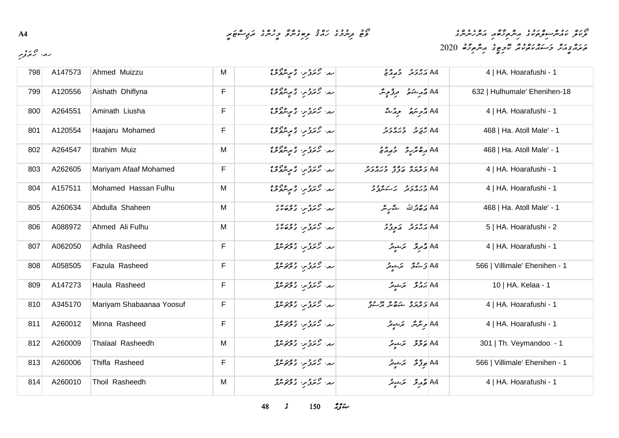*sCw7q7s5w7m< o<n9nOoAw7o< sCq;mAwBoEw7q<m; wBm;vB* م من المرة المرة المرة المرجع المرجع في المركبة 2020<br>مجم*د المريض المربوط المربع المرجع في المراجع المركبة* 

| 798 | A147573 | Ahmed Muizzu             | M           | رە بە ئەترىپ ئىم يەھ ئوغ  | A4 ג׳כנג במה ב                              | 4   HA. Hoarafushi - 1        |
|-----|---------|--------------------------|-------------|---------------------------|---------------------------------------------|-------------------------------|
| 799 | A120556 | Aishath Dhiflyna         | F           | رو. رومرو و مقام و ده و ه | A4 مَدْمِ شَمَعْ مِرْوَمِيمَّر              | 632   Hulhumale' Ehenihen-18  |
| 800 | A264551 | Aminath Liusha           | $\mathsf F$ | رە بەردىن ئەير مەمەم      | A4 مَّحِسَمَةً مِ <i>م</i> ُّسَّةً          | 4   HA. Hoarafushi - 1        |
| 801 | A120554 | Haajaru Mohamed          | $\mathsf F$ | رە بەردىن كەيدىن 200      | A4 رحمة من المردم المحمد المراجع            | 468   Ha. Atoll Male' - 1     |
| 802 | A264547 | Ibrahim Muiz             | M           | رە بەرەپ كەرمەە           | A4 مەھەرىي ئىقمى مەدى                       | 468   Ha. Atoll Male' - 1     |
| 803 | A262605 | Mariyam Afaaf Mohamed    | $\mathsf F$ | روم در دوم در ۱۵۵۵        | A4 کر مردہ کروہ ورہ دو                      | 4   HA. Hoarafushi - 1        |
| 804 | A157511 | Mohamed Hassan Fulhu     | M           | ره بر ورو و مره ۱۵۵۵      | A4 دېره د د کامندن                          | 4   HA. Hoarafushi - 1        |
| 805 | A260634 | Abdulla Shaheen          | M           | رد. رموز دوره             | A4 مَەھْتَراللە مەھمَر <i>ى</i> ش           | 468   Ha. Atoll Male' - 1     |
| 806 | A088972 | Ahmed Ali Fulhu          | M           | رد. رمزوین وه دوه         | A4 كەش <sup>ى</sup> رىق كەمب <i>وق</i> ى    | 5   HA. Hoarafushi - 2        |
| 807 | A062050 | Adhila Rasheed           | $\mathsf F$ | رە - ئەيزور، مەھمەتل      | A4 صَّمِرصَّ - مَرَحْدِمْرَ                 | 4   HA. Hoarafushi - 1        |
| 808 | A058505 | Fazula Rasheed           | $\mathsf F$ | رە بەترىپ دەرەپ           | A4 كَرْسْتْمَرَّ كَرَسْوِيْرْ               | 566   Villimale' Ehenihen - 1 |
| 809 | A147273 | Haula Rasheed            | $\mathsf F$ | رە بەلگەترىن كەنتى ئوسى   | A4 كەممىگە كىمىشوقىر                        | 10   HA. Kelaa - 1            |
| 810 | A345170 | Mariyam Shabaanaa Yoosuf | $\mathsf F$ | رە ، ئەترۇس دولارەتو      | A4 دېمهرې شوڅش پر ده وه                     | 4   HA. Hoarafushi - 1        |
| 811 | A260012 | Minna Rasheed            | $\mathsf F$ | رە ، ئەترۇس دولارەتو      | A4 ح <i>ویثرنگر کم مق</i> ویتر              | 4   HA. Hoarafushi - 1        |
| 812 | A260009 | <b>Thalaal Rasheedh</b>  | M           | رە بەلگەترىن كەنتى ئوسى   | A4 برَحَّرْ کَرَش <sub>ْتِ</sub> تْر        | 301   Th. Veymandoo - 1       |
| 813 | A260006 | Thifla Rasheed           | F           | رە بەترىپ دەرەپ           | A4 ج <sub>و</sub> رٌ مَتَ مَرْسُومٌرُ       | 566   Villimale' Ehenihen - 1 |
| 814 | A260010 | Thoil Rasheedh           | M           | رە . ئەترىپ ، ئەمەترى     | A4 ب <i>وَّم</i> ر محر سَمَّةٍ مِرَّةٍ مِنْ | 4   HA. Hoarafushi - 1        |

*48 sC 150 nNw?mS*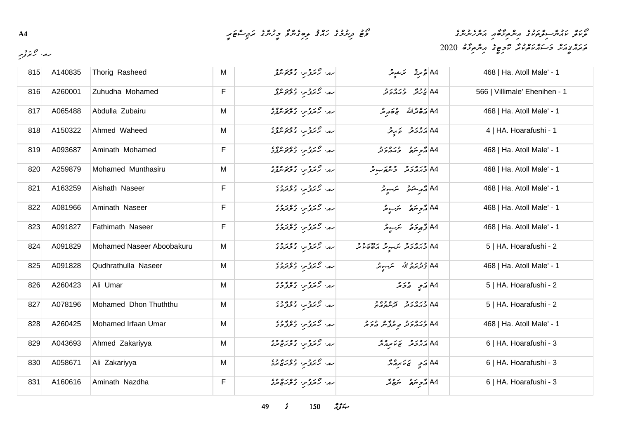*sCw7q7s5w7m< o<n9nOoAw7o< sCq;mAwBoEw7q<m; wBm;vB* م من المسجد المسجد المسجد المسجد المسجد العام 2020<br>مسجد المسجد المسجد المسجد المسجد المسجد المسجد المسجد المسجد ال

| 815 | A140835 | Thorig Rasheed            | M | رە. ئەنزۇر، ئەقەم ئىرو                    | A4 ۾ <i>مربق پر خودگر</i>                | 468   Ha. Atoll Male' - 1     |
|-----|---------|---------------------------|---|-------------------------------------------|------------------------------------------|-------------------------------|
| 816 | A260001 | Zuhudha Mohamed           | F | رە بەترىپ دەرەپ                           | A4  ع ژنگر    خ. <i>ز.د.څ</i> تر         | 566   Villimale' Ehenihen - 1 |
| 817 | A065488 | Abdulla Zubairu           | M | رە بەردىن دەرەرە                          | A4 مَـُــوْمِرْالله تم <i>حَمد م</i> َّر | 468   Ha. Atoll Male' - 1     |
| 818 | A150322 | Ahmed Waheed              | M | رە بەردىن دەرەرە                          | A4 كەبرى قىر قىر قىلىنىش                 | 4   HA. Hoarafushi - 1        |
| 819 | A093687 | Aminath Mohamed           | F | رە بەر دەرە دەرە دە                       | A4 مُتَّحِسَمُ وَيَسْتَحَمَّدَ           | 468   Ha. Atoll Male' - 1     |
| 820 | A259879 | Mohamed Munthasiru        | M | رە بەر دەرە دەرە دە                       | A4 ديرورو ومي جي                         | 468   Ha. Atoll Male' - 1     |
| 821 | A163259 | Aishath Naseer            | F | رە بەردىن دەردە                           | A4 مەم ھەم ئىش ئىرىسى ئىر                | 468   Ha. Atoll Male' - 1     |
| 822 | A081966 | Aminath Naseer            | F | رد. درور وورو،                            | A4 مَرْحِ مَرَمْ مَرْسِوِيْر             | 468   Ha. Atoll Male' - 1     |
| 823 | A091827 | Fathimath Naseer          | F | رد. رکوبر وه دوه                          | A4 وَّجِوحَةُ مَرَسِوِيْرَ               | 468   Ha. Atoll Male' - 1     |
| 824 | A091829 | Mohamed Naseer Aboobakuru | M | رد. رمزور دورده                           | A4 ويرورو شريد مردور و و                 | 5   HA. Hoarafushi - 2        |
| 825 | A091828 | Qudhrathulla Naseer       | M | رە بەردىن دەردە                           | A4 تح فتر بحرة الله للمحرب بحر           | 468   Ha. Atoll Male' - 1     |
| 826 | A260423 | Ali Umar                  | M | رد. رکوبرو وه وه وه                       | A4 <i>ڇَجِ ڇَڪَ پُرُ</i>                 | 5   HA. Hoarafushi - 2        |
| 827 | A078196 | Mohamed Dhon Thuththu     | M | رە بەردىن دەھ دە                          | A4 ورورو بووووو                          | 5   HA. Hoarafushi - 2        |
| 828 | A260425 | Mohamed Irfaan Umar       | M | رور الرور وه ووه                          | A4 وبرەرو پەيزىر پەدىر                   | 468   Ha. Atoll Male' - 1     |
| 829 | A043693 | Ahmed Zakariyya           | M | رە بەر دەر دەر دەر                        | A4 בכפר <sub>ה</sub> בעלי ה              | 6   HA. Hoarafushi - 3        |
| 830 | A058671 | Ali Zakariyya             | M | رە بەر دەر دەردە                          | A4 <i>مَجِ بِحَ مَعبِهِ مَّ</i>          | 6   HA. Hoarafushi - 3        |
| 831 | A160616 | Aminath Nazdha            | F | رړ کرو د وه روون<br>رړ کرېزونو ونورنځ برو | A4 مَّ حِ سَمَّةَ مَسَى مَّدَ            | 6   HA. Hoarafushi - 3        |

*49 sC 150 nNw?mS*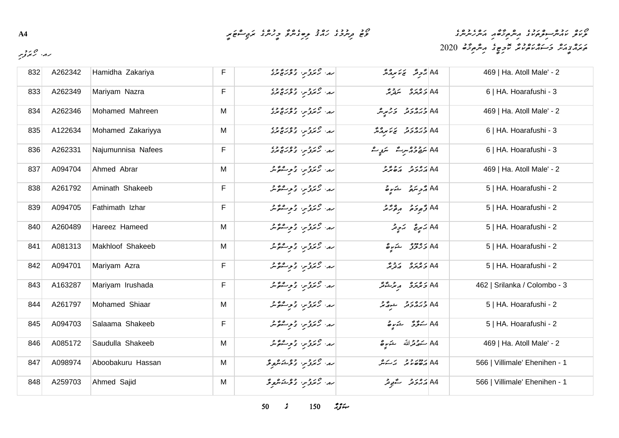*sCw7q7s5w7m< o<n9nOoAw7o< sCq;mAwBoEw7q<m; wBm;vB* م من المرة المرة المرة المرجع المرجع في المركبة 2020<br>مجم*د المريض المربوط المربع المرجع في المراجع المركبة* 

| 832 | A262342 | Hamidha Zakariya   | F           | رە بەلگەن دەرە دە     | A4 تَرْحِدَّتْهُ <i>تَأْمُدِهْ مَّ</i> رْ    | 469   Ha. Atoll Male' - 2     |
|-----|---------|--------------------|-------------|-----------------------|----------------------------------------------|-------------------------------|
| 833 | A262349 | Mariyam Nazra      | $\mathsf F$ | رە بەرەپ دەرەپەر      | A4 كەبەير ھەر ئىرىگە                         | 6   HA. Hoarafushi - 3        |
| 834 | A262346 | Mohamed Mahreen    | M           | رە بەردىن دەرە دە     | A4  3 <i>2025 قى توپىر</i>                   | 469   Ha. Atoll Male' - 2     |
| 835 | A122634 | Mohamed Zakariyya  | M           | رە بەردىن دەرە دە     | A4 32023 كالموردين                           | 6   HA. Hoarafushi - 3        |
| 836 | A262331 | Najumunnisa Nafees | F           | رە بەردىن دەرە دە     | A4 ىنز قى ئەرەپ كىرىپ مىگە                   | 6   HA. Hoarafushi - 3        |
| 837 | A094704 | Ahmed Abrar        | M           | رە ، ئەتروپ ۋېرسەتمەر | A4 <i>הככת הפיליק</i>                        | 469   Ha. Atoll Male' - 2     |
| 838 | A261792 | Aminath Shakeeb    | F           | رە ئەتروپ ئوسۇمۇ      | A4 مُرْحِبَتِهِ ۖ شَيْءٍ صُحْبِ              | 5   HA. Hoarafushi - 2        |
| 839 | A094705 | Fathimath Izhar    | F           | رە ، ئەتروپ ۋېرسەتمەر | A4 رَّج <i>وحَةُ مِغْرَبْتُ</i>              | 5   HA. Hoarafushi - 2        |
| 840 | A260489 | Hareez Hameed      | M           | رە ئەترۇس ئوسۇمۇم     |                                              | 5   HA. Hoarafushi - 2        |
| 841 | A081313 | Makhloof Shakeeb   | M           | رە، رىزۇس ئېرسەۋىر    | A4 5رودو شربره                               | 5   HA. Hoarafushi - 2        |
| 842 | A094701 | Mariyam Azra       | F           | رە، رىزۇس ئېرسەۋىر    | A4 كۆيىر ھەفرىگە                             | 5   HA. Hoarafushi - 2        |
| 843 | A163287 | Mariyam Irushada   | F           | رە ، ئەتروپ ئەمەسىر   | A4 كەنگەر كەرگەنگەنگە                        | 462   Srilanka / Colombo - 3  |
| 844 | A261797 | Mohamed Shiaar     | M           | رە ئەتروپ ۋېرسەتمىر   | A4 <i>وُبَهُ وَمَدْ</i> سُو <i>مَةً مَدْ</i> | 5   HA. Hoarafushi - 2        |
| 845 | A094703 | Salaama Shakeeb    | F           | رە ، ئەتروپ ئەمەسىر   | A4 سَتَرَّدَّ شَ <sub>مَ</sub> رِهُ          | 5   HA. Hoarafushi - 2        |
| 846 | A085172 | Saudulla Shakeeb   | M           | رە، رىمۇم، ئې مەھەر   | A4 كەچرىتىراللە مى <i>تىرى ھ</i>             | 469   Ha. Atoll Male' - 2     |
| 847 | A098974 | Aboobakuru Hassan  | M           | رە، رىمرۇس دوھەمھوڭ   | $2222$ $2722$ $A4$                           | 566   Villimale' Ehenihen - 1 |
| 848 | A259703 | Ahmed Sajid        | M           | رە، رىمۇتىر، مۇشەھرۇ  | A4 كەبرى قىرىق مىقومۇ                        | 566   Villimale' Ehenihen - 1 |

 $50$  *s*  $150$   $23$   $\div$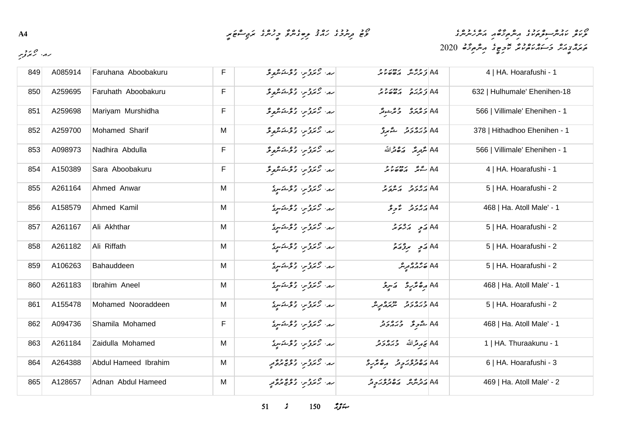*sCw7q7s5w7m< o<n9nOoAw7o< sCq;mAwBoEw7q<m; wBm;vB* م من المرة المرة المرة المرجع المرجع في المركبة 2020<br>مجم*د المريض المربوط المربع المرجع في المراجع المركبة* 

| 849 | A085914 | Faruhana Aboobakuru  | F | رە، ئەتزۇير، بۇ ئۇيغەنكرە ئ | A4 ۇىرگىگە ئەھەمدىمە             | 4   HA. Hoarafushi - 1        |
|-----|---------|----------------------|---|-----------------------------|----------------------------------|-------------------------------|
| 850 | A259695 | Faruhath Aboobakuru  | F | رە، ئەنزۇس دوشەھرىگە        | A4 زیربر محصوبه                  | 632   Hulhumale' Ehenihen-18  |
| 851 | A259698 | Mariyam Murshidha    | F | رە. رىزۇس كۆشەھرۇ           | A4 كەبرىرى مىسىمىتىگە            | 566   Villimale' Ehenihen - 1 |
| 852 | A259700 | Mohamed Sharif       | M | رە ئىتروپ دوخش ھوڭ          | A4 <i>2525 مَدَّمَورْ</i>        | 378   Hithadhoo Ehenihen - 1  |
| 853 | A098973 | Nadhira Abdulla      | F | رە ، ئەتروپ دوخش ھوڭ        | A4 سَرَمِرِسَمَن صَرَصَ اللّه    | 566   Villimale' Ehenihen - 1 |
| 854 | A150389 | Sara Aboobakuru      | F | رە، رىمۇرىن كەھشەھرىگە      | 2222 / 14                        | 4   HA. Hoarafushi - 1        |
| 855 | A261164 | Ahmed Anwar          | M | رە. ئەترۇس كەفرىشىرى        | A4 كەبروتىر كەشھەتتىر            | 5   HA. Hoarafushi - 2        |
| 856 | A158579 | Ahmed Kamil          | M | رە ، ئەترۇس كەھ شەرئە       | A4 كەبرى قرىم ئىم ئى             | 468   Ha. Atoll Male' - 1     |
| 857 | A261167 | Ali Akhthar          | M | رە بەترۇس دوھىمىرە          | A4 <i>ھَجِ مَڏُھُ</i> ٽُر        | 5   HA. Hoarafushi - 2        |
| 858 | A261182 | Ali Riffath          | M | رە بەردىن دوخشىرى           | A4 <i>جَ</i> حٍ برو <i>ُ ج</i> و | 5   HA. Hoarafushi - 2        |
| 859 | A106263 | Bahauddeen           | M | رە بەتروپر، بۇرغۇمبرى       | A4 <i>کا جُهُمْ دُورِ</i> سُ     | 5   HA. Hoarafushi - 2        |
| 860 | A261183 | Ibrahim Aneel        | M | رە، ئەترۇپ دوشەيرە          | A4 مەھەرىرى كەسمىتى              | 468   Ha. Atoll Male' - 1     |
| 861 | A155478 | Mohamed Nooraddeen   | M | رە ، ئەترۇس كەھىتىرى        | A4 د بره د د مرد مرسر محمد بر ش  | 5   HA. Hoarafushi - 2        |
| 862 | A094736 | Shamila Mohamed      | F | رە، رىزۇس قۇغەسى            | A4 څونځ و <i>ټ</i> رونر          | 468   Ha. Atoll Male' - 1     |
| 863 | A261184 | Zaidulla Mohamed     | M | رە، رىروس دوخشىر            | A4 تح مرتز الله و تر مرد تر      | 1   HA. Thuraakunu - 1        |
| 864 | A264388 | Abdul Hameed Ibrahim | M | رە بەردىن دەھ دەپر          | A4 בֿיפּיבּיבְיבֿ גַפּיבֿיבָ     | 6   HA. Hoarafushi - 3        |
| 865 | A128657 | Adnan Abdul Hameed   | M | رە ، ئەترۇس ، دەپرە دەپر    | A4 בترتر متر مصر دیگر دیگر       | 469   Ha. Atoll Male' - 2     |

 $51$  *s*  $150$  *i*<sub>s</sub>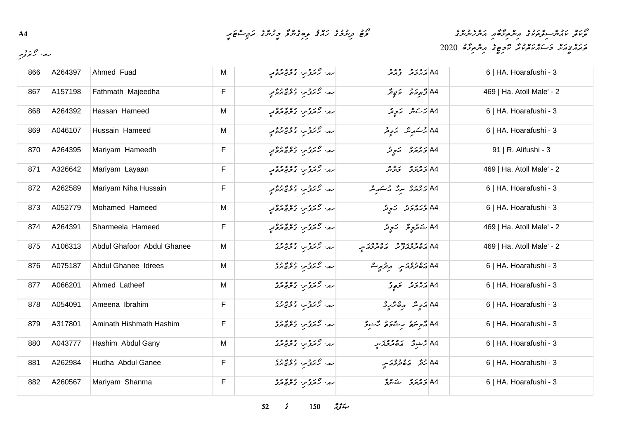*sCw7q7s5w7m< o<n9nOoAw7o< sCq;mAwBoEw7q<m; wBm;vB* م من المرة المرة المرة المرجع المرجع في المركبة 2020<br>مجم*د المريض المربوط المربع المرجع في المراجع المركبة* 

| 866 | A264397 | Ahmed Fuad                 | M            | رە بە ئەتروپ دە دەر                         | A4 كەبرى قرار ئەم                                     | 6   HA. Hoarafushi - 3    |
|-----|---------|----------------------------|--------------|---------------------------------------------|-------------------------------------------------------|---------------------------|
| 867 | A157198 | Fathmath Majeedha          | F            | رد. رکور ووځ ده.<br>رد. رنگوس، د ونځ نړه تو | A4 وَّجِ حَرَّمَ = حَ مِي مَّد                        | 469   Ha. Atoll Male' - 2 |
| 868 | A264392 | Hassan Hameed              | M            | رە ، ئەترۇس ، دەھ دەپر                      | A4  پرستمبر   پر ټر پر                                | 6   HA. Hoarafushi - 3    |
| 869 | A046107 | Hussain Hameed             | M            | رە ، ئەترۇس ، دەھ دەپر                      | A4 بر <i>کے مربنگ برج پ</i> ڑ                         | 6   HA. Hoarafushi - 3    |
| 870 | A264395 | Mariyam Hameedh            | F            | رە ، ئەيزۇر، دەھ دەر                        | A4  <i>5 پروژو پرو</i> ژ                              | 91   R. Alifushi - 3      |
| 871 | A326642 | Mariyam Layaan             | $\mathsf{F}$ | رە بەردىن دەۋەپ                             | A4  <i>5 پروژو څوگر</i> نگر                           | 469   Ha. Atoll Male' - 2 |
| 872 | A262589 | Mariyam Niha Hussain       | F            | رە ، ئەترۇس ، دەھ دەپر                      | A4 كەبۇرگە ئەرگە 2 سەربىر                             | 6   HA. Hoarafushi - 3    |
| 873 | A052779 | Mohamed Hameed             | M            | رە ، ئەترۇس ، دەھ دەپر                      | A4 دُبَرْدْدَتْرَ بَرَدِتْرَ                          | 6   HA. Hoarafushi - 3    |
| 874 | A264391 | Sharmeela Hameed           | F            | رە بەرەپ دەھ دەر                            | A4 ڪنگر <i>چونگر پر ج</i> ونگر                        | 469   Ha. Atoll Male' - 2 |
| 875 | A106313 | Abdul Ghafoor Abdul Ghanee | M            | رە بەرەپ دەپرە                              | A4 رەدەردە دەدەردەر<br>A4 مەمر <i>ومۇس مەمروم</i> رىر | 469   Ha. Atoll Male' - 2 |
| 876 | A075187 | Abdul Ghanee Idrees        | M            | رد. ره د د ده وه و د و و                    | A4 בەرگەترى مەركىيەت                                  | 6   HA. Hoarafushi - 3    |
| 877 | A066201 | Ahmed Latheef              | M            | رە بەرەپ دەپرە                              | A4 كەش <sup>ى</sup> كىرى ئىچ بىر 3.                   | 6   HA. Hoarafushi - 3    |
| 878 | A054091 | Ameena Ibrahim             | $\mathsf F$  | رە بەرەپ دەپرە                              | A4 كەچ ئىگە مەھ ئ <i>ۇر ۋ</i>                         | 6   HA. Hoarafushi - 3    |
| 879 | A317801 | Aminath Hishmath Hashim    | F            | رە بەردىن دەھ دە                            | A4 مٌحِ سَمَعٌ بِ شَوَحَ مُ سُوحٌ                     | 6   HA. Hoarafushi - 3    |
| 880 | A043777 | Hashim Abdul Gany          | M            | رد. گرورو وه وه وه                          | A4 جەھىرى ئەھەر ئەھەر بىر                             | 6   HA. Hoarafushi - 3    |
| 881 | A262984 | Hudha Abdul Ganee          | F            | رد. درور ووء وه                             | A4 كِنْدَ بِرَە وَوْبَرْ <sub>مَ</sub> رِ             | 6   HA. Hoarafushi - 3    |
| 882 | A260567 | Mariyam Shanma             | F            | رە بەرە بەرە دەرە                           | A4 كەبەر ھەر ئىيەتلەر ئى                              | 6   HA. Hoarafushi - 3    |

 $52$  *s*  $150$   $23$   $\div$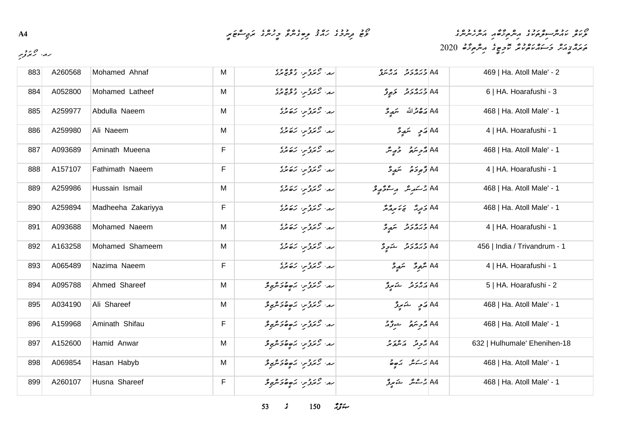*sCw7q7s5w7m< o<n9nOoAw7o< sCq;mAwBoEw7q<m; wBm;vB* م من المرة المرة المرة المرجع المرجع في المركبة 2020<br>مجم*د المريض المربوط المربع المرجع في المراجع المركبة* 

| 883 | A260568 | Mohamed Ahnaf      | M           | رە بە ئەترۇس دولومۇ     | A4 32825 كەبىر بول                     | 469   Ha. Atoll Male' - 2    |
|-----|---------|--------------------|-------------|-------------------------|----------------------------------------|------------------------------|
| 884 | A052800 | Mohamed Latheef    | M           | رە بەردىن دەھ دە        | A4 د <i>جرو د ب</i> ه تو پور           | 6   HA. Hoarafushi - 3       |
| 885 | A259977 | Abdulla Naeem      | M           | رە بەردىن ئەھىردە       | A4 كەھىراللە س <i>ىم</i> و2            | 468   Ha. Atoll Male' - 1    |
| 886 | A259980 | Ali Naeem          | M           | رە بەردىن ئەھىردە       | A4 كەمچە سى <i>مد</i> ۇ                | 4   HA. Hoarafushi - 1       |
| 887 | A093689 | Aminath Mueena     | F           | رە بەردىن ئەھىردە       | A4 مَّحِسَمَةٌ وَمِيسَّ                | 468   Ha. Atoll Male' - 1    |
| 888 | A157107 | Fathimath Naeem    | F           | رە بەردىن ئەھىردە       | A4 وَّجِ حَمَّى سَمَدٍ حَ              | 4   HA. Hoarafushi - 1       |
| 889 | A259986 | Hussain Ismail     | M           | رە بەردىن ئەھىردە       | A4 يُرْسَمبِ شَرْ مِرْ شَرَّ مِرْ وَ   | 468   Ha. Atoll Male' - 1    |
| 890 | A259894 | Madheeha Zakariyya | F           | رە بەردىن ئەھىردە       | A4 ك <sup>ۆ</sup> مىيە ئىس ئىر ئەرەتگە | 468   Ha. Atoll Male' - 1    |
| 891 | A093688 | Mohamed Naeem      | M           | رە بەردىن ئەھىردە       | A4 323.25 سَمِي <sup>و</sup>           | 4   HA. Hoarafushi - 1       |
| 892 | A163258 | Mohamed Shameem    | M           | رە ئەترۇس ئەمدە         |                                        | 456   India / Trivandrum - 1 |
| 893 | A065489 | Nazima Naeem       | $\mathsf F$ | رە بەردىن ئەھىردە       | A4 سَّمَوِدَ سَمِي <sup>و</sup>        | 4   HA. Hoarafushi - 1       |
| 894 | A095788 | Ahmed Shareef      | M           | رە، رىمزىر، رەھىمەھرى   | A4 كەش <sup>ى</sup> قىر سىتەمىرى       | 5   HA. Hoarafushi - 2       |
| 895 | A034190 | Ali Shareef        | M           | رە، رىمزىر، رەھىمەھرى   | A4 كەمچە ھەمچەر                        | 468   Ha. Atoll Male' - 1    |
| 896 | A159968 | Aminath Shifau     | F           | رە، ئەترۇس ئەھەد ئىرىمى | A4 مُتَّحِسَّعَةَ شَوَّرَّهُ           | 468   Ha. Atoll Male' - 1    |
| 897 | A152600 | Hamid Anwar        | M           | رە، ئەترۇس ئەھەد ئىبى ئ |                                        | 632   Hulhumale' Ehenihen-18 |
| 898 | A069854 | Hasan Habyb        | M           | رە، رىمزىر، رەھىمەھرى   | A4 ئەسەم ئەھ                           | 468   Ha. Atoll Male' - 1    |
| 899 | A260107 | Husna Shareef      | F           | رە، رىمزىر، رەھىمەسى ئ  | A4 بر شهر شمیرو                        | 468   Ha. Atoll Male' - 1    |

 $53$   $5$   $150$   $55$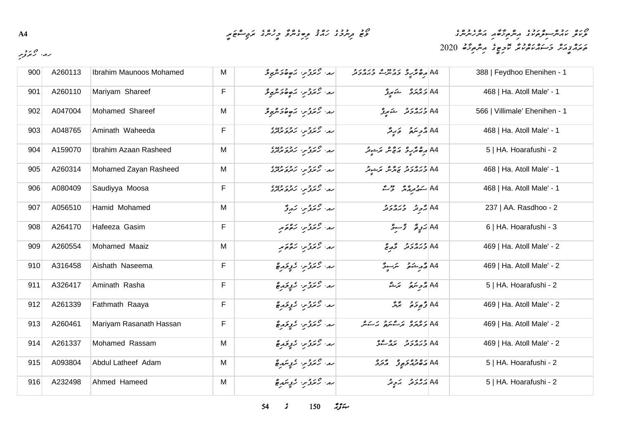*sCw7q7s5w7m< o<n9nOoAw7o< sCq;mAwBoEw7q<m; wBm;vB* م من المرة المرة المرة المرجع المرجع في المركبة 2020<br>مجم*د المريض المربوط المربع المرجع في المراجع المركبة* 

| 900 | A260113 | Ibrahim Maunoos Mohamed | M            | رە بەر ئەركىز بەھ ئەسىر ئى                       | A4 رەئۇر 3 كەدەر 3 كەردىر               | 388   Feydhoo Ehenihen - 1    |
|-----|---------|-------------------------|--------------|--------------------------------------------------|-----------------------------------------|-------------------------------|
| 901 | A260110 | Mariyam Shareef         | F            | رە، رىمزىر، رەھىمەھ بىر                          | A4  <i>5 برورو شمپرو</i>                | 468   Ha. Atoll Male' - 1     |
| 902 | A047004 | Mohamed Shareef         | M            | رە، رىمزىر، رەھىمەھ بىر                          | A4 <i>وُبَرُوْدَ وَ</i> شَمِيوْ         | 566   Villimale' Ehenihen - 1 |
| 903 | A048765 | Aminath Waheeda         | F            | رد. رمور در دره در ۲۶۰                           | A4 مَرْحِ مَرَةً مَ <sub>مَر</sub> ِيمً | 468   Ha. Atoll Male' - 1     |
| 904 | A159070 | Ibrahim Azaan Rasheed   | M            | رد. د بروس کرور وړه و                            | A4 مەھەرىرى مەنج س مەسىم                | 5   HA. Hoarafushi - 2        |
| 905 | A260314 | Mohamed Zayan Rasheed   | M            | رد. د بروس کرور وړه و                            | A4 <i>و برو د و برو و برخونه</i>        | 468   Ha. Atoll Male' - 1     |
| 906 | A080409 | Saudiyya Moosa          | $\mathsf{F}$ | ر در در دور ده در ده د<br>ر در کرتروس کرده بردرد | A4 كەھەمبەھ ق <sup>ىم</sup> تە          | 468   Ha. Atoll Male' - 1     |
| 907 | A056510 | Hamid Mohamed           | M            | رە، رىمۇقر، رەۋ                                  | A4 جُومَد حجبَ وحد                      | 237   AA. Rasdhoo - 2         |
| 908 | A264170 | Hafeeza Gasim           | F            | رە، ئەيرۇس ئەھمىر                                | A4 بَرَوٍ بِمَر تَحْ سِرْحَر            | 6   HA. Hoarafushi - 3        |
| 909 | A260554 | Mohamed Maaiz           | M            | رە، رىزۇس رەمد                                   | A4 <i>جەممى تىم قەم</i> ى               | 469   Ha. Atoll Male' - 2     |
| 910 | A316458 | Aishath Naseema         | F            | رما رمحدوس كروخها                                | A4 مەم ئىشقى ھەسبوقە                    | 469   Ha. Atoll Male' - 2     |
| 911 | A326417 | Aminath Rasha           | F            | رما ر بروس ر و دم                                | A4 مَّ حِسَمَة سَمَّتْهُ                | 5   HA. Hoarafushi - 2        |
| 912 | A261339 | Fathmath Raaya          | $\mathsf F$  | رە ، ئەترۇس ئەرىخەرچ                             | A4 وَجِعِدَ حَمَدَّ مَسَرَّمَ           | 469   Ha. Atoll Male' - 2     |
| 913 | A260461 | Mariyam Rasanath Hassan | $\mathsf{F}$ | رماس محروس كروخها                                | A4 دىمبرد ئرگەندە ئەسكىر                | 469   Ha. Atoll Male' - 2     |
| 914 | A261337 | Mohamed Rassam          | M            | رو، رنجوژس را و با بر بر ه                       | A4 ديره د ده ده و                       | 469   Ha. Atoll Male' - 2     |
| 915 | A093804 | Abdul Latheef Adam      | M            | رم رحمزور، روسكره                                | A4  رَەدەر مۇر ئەرە                     | 5   HA. Hoarafushi - 2        |
| 916 | A232498 | Ahmed Hameed            | M            | رە ئەتروپر، ئاپەسمەھ                             | A4 كەبرى قىر بەر بىر ئىل                | 5   HA. Hoarafushi - 2        |

 $54$  **s**  $150$  *if*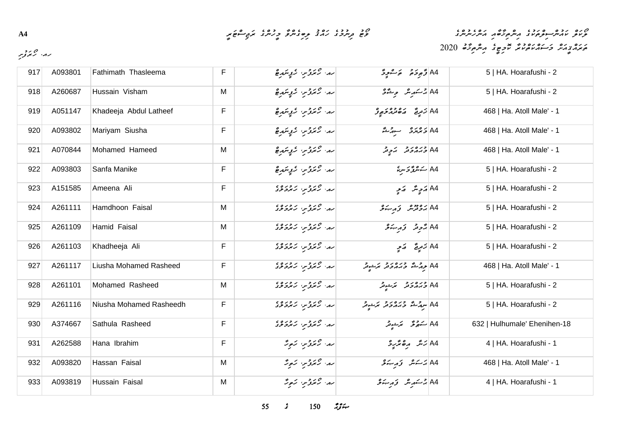*sCw7q7s5w7m< o<n9nOoAw7o< sCq;mAwBoEw7q<m; wBm;vB* م من المرة المرة المرة المرجع المرجع في المركبة 2020<br>مجم*د المريض المربوط المربع المرجع في المراجع المركبة* 

| 917 | A093801 | Fathimath Thasleema     | F           | رە بە ئەترۇس ئەربىكەغ    | A4 زَ <sub>ّج</sub> وحَ مَ سُمْرِحٌ            | 5   HA. Hoarafushi - 2       |
|-----|---------|-------------------------|-------------|--------------------------|------------------------------------------------|------------------------------|
| 918 | A260687 | Hussain Visham          | M           | رە ، ئەترۇس ئەرىئىدە     | A4 پرڪيريش <sub>حي</sub> شو ه                  | 5   HA. Hoarafushi - 2       |
| 919 | A051147 | Khadeeja Abdul Latheef  | F           | رماس محروس كالمح يتمده   | A4 كَتَرِيعٌ صَنْ صَ <i>مَّةٍ مَنْ حَجِيلٍ</i> | 468   Ha. Atoll Male' - 1    |
| 920 | A093802 | Mariyam Siusha          | F           | رە، ئەتزۇر، ئارىئدۇ      | A4 كەبىر بىرگە بىر ئىگە                        | 468   Ha. Atoll Male' - 1    |
| 921 | A070844 | Mohamed Hameed          | M           | رماس محروس كالمح يترمط   | A4 \$ <i>بَرْ \$ دَوْ بَرْدِ بْرُ</i>          | 468   Ha. Atoll Male' - 1    |
| 922 | A093803 | Sanfa Manike            | F           | رە ، ئەترىس، ئەيەشرىقى   | A4 سەھدىچە سرىئە                               | 5   HA. Hoarafushi - 2       |
| 923 | A151585 | Ameena Ali              | F           | رە بەترۇس ئەترورە ،      | A4 کی چینش کی ج                                | 5   HA. Hoarafushi - 2       |
| 924 | A261111 | Hamdhoon Faisal         | M           | رە بەردىن ئەردە ،        | A4 ئەۋتىرىتى قەربىكى ئى                        | 5   HA. Hoarafushi - 2       |
| 925 | A261109 | Hamid Faisal            | M           | رە بەلگە ئەرەپ ئەسىرە    | A4 جَّحِيمٌ وَمِسَوَّرٌ                        | 5   HA. Hoarafushi - 2       |
| 926 | A261103 | Khadheeja Ali           | F           | رە بەلگەن ئەلگەدە ئ      | A4 كَتَمِيعٌ      مَتَحٍ                       | 5   HA. Hoarafushi - 2       |
| 927 | A261117 | Liusha Mohamed Rasheed  | F           | رە بەلگە ئەرەپ ئەسىرە    | A4 مورث تش وبرورو برخوش                        | 468   Ha. Atoll Male' - 1    |
| 928 | A261101 | Mohamed Rasheed         | M           | رد. رود در زوره و        | A4 <i>وُبَرُهُ وَ</i> ثَرَ - بَرَسُوِيْرَ      | 5   HA. Hoarafushi - 2       |
| 929 | A261116 | Niusha Mohamed Rasheedh | $\mathsf F$ | رد. رود در زوره و        | A4 سرقرشہ ویرورو برخوتر                        | 5   HA. Hoarafushi - 2       |
| 930 | A374667 | Sathula Rasheed         | $\mathsf F$ | رە بەللەر ئەللەرە ئاللار |                                                | 632   Hulhumale' Ehenihen-18 |
| 931 | A262588 | Hana Ibrahim            | F           | رە، رىمۇقرىن رىموڭ       | A4   كَنْتَر مِنْ جُرْرِ جْ                    | 4   HA. Hoarafushi - 1       |
| 932 | A093820 | Hassan Faisal           | M           | رە، رىمۇقرىن رىموڭ       | A4   يَرْسَسْ وَمِرْسَوْر                      | 468   Ha. Atoll Male' - 1    |
| 933 | A093819 | Hussain Faisal          | M           | رە، ئەتمۇس ئەي           | A4 يُرْسَمبر شَرَ وَمِرْسَدَ فَرْ              | 4   HA. Hoarafushi - 1       |

 $55$   $\frac{2}{3}$   $150$   $\frac{2}{3}$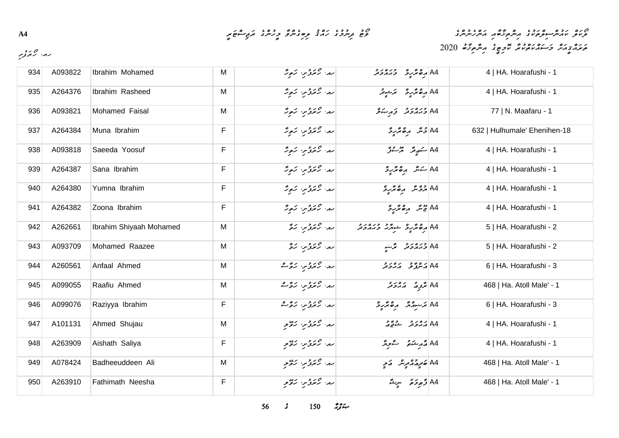*sCw7q7s5w7m< o<n9nOoAw7o< sCq;mAwBoEw7q<m; wBm;vB* م من المرة المرة المرة المرجع المرجع في المركبة 2020<br>مجم*د المريض المربوط المربع المرجع في المراجع المركبة* 

| 934 | A093822 | Ibrahim Mohamed         | M           | رە، رىمۇقرىيە رىموڭ | A4 مەھمگىي قىسىم ئىسىمبىر ئىس          | 4   HA. Hoarafushi - 1       |
|-----|---------|-------------------------|-------------|---------------------|----------------------------------------|------------------------------|
| 935 | A264376 | Ibrahim Rasheed         | M           | رە، رىمۇقرىن رىموڭ  | A4 مەھەرىپ كىمىسى ئىككى بىر ئىس        | 4   HA. Hoarafushi - 1       |
| 936 | A093821 | Mohamed Faisal          | M           | رە، ئەندۇب زەپ      | A4 3222 ق.م. يكو                       | 77   N. Maafaru - 1          |
| 937 | A264384 | Muna Ibrahim            | $\mathsf F$ | رە، ئەتزۇر، ئەرق    | A4 قَ. مَتَّ مِنْ مَحْرَبِ قَ          | 632   Hulhumale' Ehenihen-18 |
| 938 | A093818 | Saeeda Yoosuf           | F           | رە، رىمۇقرىي رىموڭ  | A4 ڪ <sub>ھي</sub> قر پڙينو            | 4   HA. Hoarafushi - 1       |
| 939 | A264387 | Sana Ibrahim            | $\mathsf F$ | رە، رىمۇقرىي رىموڭ  | A4 سَمَّتَر م <i>ِ ھَ بَدْرِ جَ</i>    | 4   HA. Hoarafushi - 1       |
| 940 | A264380 | Yumna Ibrahim           | F           | رە، ئەتمۇس ئەي      | A4 مركاشر مقامر مقدر بر                | 4   HA. Hoarafushi - 1       |
| 941 | A264382 | Zoona Ibrahim           | F           | رە، ئەنزۇس ئەرق     | A4 تج بىر مەھ ئىر بى                   | 4   HA. Hoarafushi - 1       |
| 942 | A262661 | Ibrahim Shiyaah Mohamed | M           | رە، رىمۇم، رَوْ     | A4 رەڭرىرى خىلەر دىرەرد                | 5   HA. Hoarafushi - 2       |
| 943 | A093709 | Mohamed Raazee          | M           | رە، زىرۇس زۇ        | A4 <i>وبروبرو پڙ</i> ينو               | 5   HA. Hoarafushi - 2       |
| 944 | A260561 | Anfaal Ahmed            | M           | رە، رىمزۇر، رۇم     | A4 كەنترىگە ئەركەتر                    | 6   HA. Hoarafushi - 3       |
| 945 | A099055 | Raafiu Ahmed            | M           | رە، رىمزۇير، زۇھ    | A4 بَرُوِ <sub>م</sub> َ     دَرُوتر   | 468   Ha. Atoll Male' - 1    |
| 946 | A099076 | Raziyya Ibrahim         | F           | رە بەردىن ئەۋىشە    | A4 بَرَى <i>نِيهُمَّ مِ®مَّرْبِ</i> دُ | 6   HA. Hoarafushi - 3       |
| 947 | A101131 | Ahmed Shujau            | M           | ىد. رىمۇمىز، رىمە   | A4 كەبرى قىرىقى ھەقى                   | 4   HA. Hoarafushi - 1       |
| 948 | A263909 | Aishath Saliya          | F           | رە بە ئەتروپ رەيج   | A4 مەمرىشى ھىسىمبەر                    | 4   HA. Hoarafushi - 1       |
| 949 | A078424 | Badheeuddeen Ali        | M           | رە زىردىن رىيىم     | A4 ڪَترِ <i>مُ مُ</i> رِمَّر مَرْحِ    | 468   Ha. Atoll Male' - 1    |
| 950 | A263910 | Fathimath Neesha        | F           | رە، رىمۇقرىن رىھىجە | A4 <i>وَّجودَة</i> سِيشًا              | 468   Ha. Atoll Male' - 1    |

 $56$  *s*  $150$  *z***<sub>3</sub>** $\approx$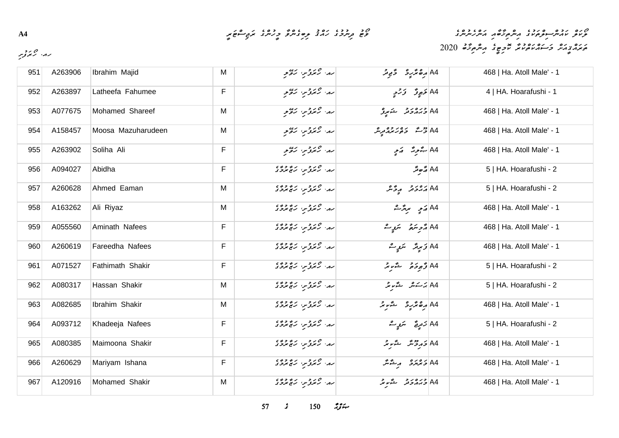*sCw7q7s5w7m< o<n9nOoAw7o< sCq;mAwBoEw7q<m; wBm;vB* م من المسجد المسجد المسجد المسجد المسجد العام 2020<br>مجم*د المسجد المسجد المستجد المسجد المسجد المسجد المسجد المسجد المسجد المسجد المسجد المسجد المسجد المسجد المسجد* 

| 951 | A263906 | Ibrahim Majid      | M           | رە بەلگەدىن كەنگە ب      | A4 مِرْھَمَّرُرٍ مُحْسِرَةٌ مُتَّحَمَّدِ مِنْ                                                                                                                                                                         | 468   Ha. Atoll Male' - 1 |
|-----|---------|--------------------|-------------|--------------------------|-----------------------------------------------------------------------------------------------------------------------------------------------------------------------------------------------------------------------|---------------------------|
| 952 | A263897 | Latheefa Fahumee   | F           | رە، رىمۇقرىن ئىۋىر       | A4 كَرَبِوتْ كَرَ <sup>حْر</sup> ٍ                                                                                                                                                                                    | 4   HA. Hoarafushi - 1    |
| 953 | A077675 | Mohamed Shareef    | M           | رە، رىمۇرىن رىمىي        | A4 <i>\$ بەيھ 5 مىڭ مىي</i> تى                                                                                                                                                                                        | 468   Ha. Atoll Male' - 1 |
| 954 | A158457 | Moosa Mazuharudeen | M           | رە، رىمۇقرىن رىھىجە      | A4 تر مصر معداد مور شر میں محمد میں محمد اللہ محمد اللہ محمد اللہ محمد اللہ محمد اللہ محمد اللہ محمد<br>محمد اللہ محمد اللہ محمد اللہ محمد اللہ محمد اللہ محمد اللہ محمد اللہ محمد اللہ محمد اللہ محمد اللہ محمد اللہ | 468   Ha. Atoll Male' - 1 |
| 955 | A263902 | Soliha Ali         | F           | رە، رىمۇنىر، رىمى        | A4 ڪوپڙ <i>ھي</i>                                                                                                                                                                                                     | 468   Ha. Atoll Male' - 1 |
| 956 | A094027 | Abidha             | F           | رە بەللەردىن كەنجا بولۇپ | A4 مُپەقر                                                                                                                                                                                                             | 5   HA. Hoarafushi - 2    |
| 957 | A260628 | Ahmed Eaman        | M           | رە بەللەر ئەلگەدە ئ      | A4 كەبرى قىر م <sub>و</sub> گەنگە                                                                                                                                                                                     | 5   HA. Hoarafushi - 2    |
| 958 | A163262 | Ali Riyaz          | M           | رە بەللەر ئەلگەدە ئ      | A4 کہ مورگر شہ                                                                                                                                                                                                        | 468   Ha. Atoll Male' - 1 |
| 959 | A055560 | Aminath Nafees     | F           | رە بەرەپ رەدەرە          | A4 مَرْحِ سَمَّةٍ مَسَمَّدٍ مُشَ                                                                                                                                                                                      | 468   Ha. Atoll Male' - 1 |
| 960 | A260619 | Fareedha Nafees    | $\mathsf F$ | ره با مرد به دوه با      | A4 كۆمچەتش سى <i>تى</i> چەتتە                                                                                                                                                                                         | 468   Ha. Atoll Male' - 1 |
| 961 | A071527 | Fathimath Shakir   | F           | رە بەللەردىن كەنجا بولۇپ | A4 تَ <i>جوحَمَّة</i> شَمْءِ تَمَّ                                                                                                                                                                                    | 5   HA. Hoarafushi - 2    |
| 962 | A080317 | Hassan Shakir      | M           | رە بەردىن ئەنەدە ،       | A4 كەستەمىر ئىقى <i>مايى</i> ر                                                                                                                                                                                        | 5   HA. Hoarafushi - 2    |
| 963 | A082685 | Ibrahim Shakir     | M           | رە بەرەپ رەمەدە          | A4 مەھەر ئەھمەر ئىگە ئىرىمىتى<br>مەنبە                                                                                                                                                                                | 468   Ha. Atoll Male' - 1 |
| 964 | A093712 | Khadeeja Nafees    | F           | رە بەللەر ئەلگەدە ئ      | A4 كَتَمِيعٌ مُتَمَعٍ مُسْتَمَدٍ مِنْ الْمَجْمَعِيضُ                                                                                                                                                                  | 5   HA. Hoarafushi - 2    |
| 965 | A080385 | Maimoona Shakir    | F           | ره با مرد به دوه با      | A4 ك <i>ۈم</i> ەتقىر شىمىرىتىر                                                                                                                                                                                        | 468   Ha. Atoll Male' - 1 |
| 966 | A260629 | Mariyam Ishana     | F           | رە بەردىن ئەنەدە ،       | A4 كەندىرى ب <sub>ە</sub> يەتىگە                                                                                                                                                                                      | 468   Ha. Atoll Male' - 1 |
| 967 | A120916 | Mohamed Shakir     | M           | رە بەللەر ئەلگەدە        | A4 <i>وُبَهُ وَمَدْ</i> سُمَّ مِرَّ                                                                                                                                                                                   | 468   Ha. Atoll Male' - 1 |

 $57$  **s**  $150$   $29$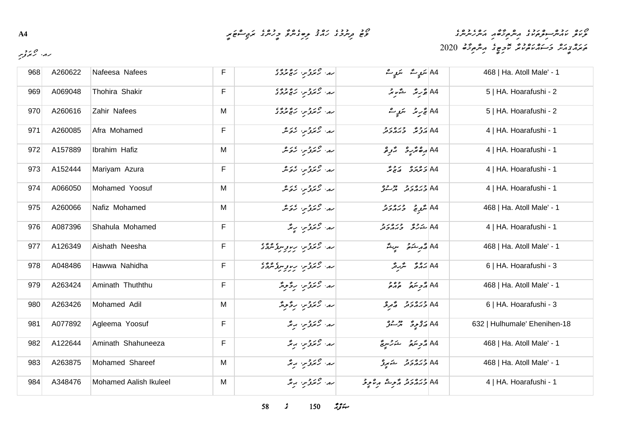*sCw7q7s5w7m< o<n9nOoAw7o< sCq;mAwBoEw7q<m; wBm;vB* م من المرة المرة المرة المرجع المرجع في المركبة 2020<br>مجم*د المريض المربوط المربع المرجع في المراجع المركبة* 

| 968 | A260622 | Nafeesa Nafees                | F           | رە بەلگە دەپ كەنتى بىردى | A4  سَمِرٍ سَمَّ سَمَرٍ سُمَّ   | 468   Ha. Atoll Male' - 1    |
|-----|---------|-------------------------------|-------------|--------------------------|---------------------------------|------------------------------|
| 969 | A069048 | Thohira Shakir                | F           | رە بەللەر ئەلگەدە ئ      | A4 جَرِيمَه مُشَرِيمَ           | 5   HA. Hoarafushi - 2       |
| 970 | A260616 | Zahir Nafees                  | M           | رە بەردىن ئەنج بروە ،    | A4 تج سر مر سنر مریک<br>م       | 5   HA. Hoarafushi - 2       |
| 971 | A260085 | Afra Mohamed                  | F           | رە بەردىن ئەرە           | A4 <i>مَوْتَرَ حِيدُوَمَ</i> د  | 4   HA. Hoarafushi - 1       |
| 972 | A157889 | Ibrahim Hafiz                 | M           | رە بەردىن ئەرە           | A4 مەھەرىپ ئىرىمى               | 4   HA. Hoarafushi - 1       |
| 973 | A152444 | Mariyam Azura                 | F           | رە بەردىن ئەرە           | A4 كەبىر بىر ئەرەبىر ئى         | 4   HA. Hoarafushi - 1       |
| 974 | A066050 | Mohamed Yoosuf                | M           | رە بەردىن ئەرە           | A4 دېږدونه پر ده                | 4   HA. Hoarafushi - 1       |
| 975 | A260066 | Nafiz Mohamed                 | M           | رە بەردىن ئەرە           | A4 مُرْدِجْ حَجَمَّ حَرَّمَ     | 468   Ha. Atoll Male' - 1    |
| 976 | A087396 | Shahula Mohamed               | F           | ىد. رىمۇمىز، يەنگە       | A4 خەرج جەم جەرىر               | 4   HA. Hoarafushi - 1       |
| 977 | A126349 | Aishath Neesha                | $\mathsf F$ | رە، ئەترۇس رىدۇسۇسىدە،   | A4 صَّمَرِ شَمَعَ      سِرِيشَہ | 468   Ha. Atoll Male' - 1    |
| 978 | A048486 | Hawwa Nahidha                 | F           | رە، رىمۇس رىروسۇمبرە     | A4 بَرْدُ مَّ سَّرَبِ مَّرْ     | 6   HA. Hoarafushi - 3       |
| 979 | A263424 | Aminath Thuththu              | F           | رە، ئەترۇس رۇۋە          | A4 مُجِسَعَة مِمْهِ             | 468   Ha. Atoll Male' - 1    |
| 980 | A263426 | Mohamed Adil                  | M           | رە، ئەتزۇير، بەۋۋەر      | A4 <i>5 - 5 - 5 - 5 مر</i> مح   | 6   HA. Hoarafushi - 3       |
| 981 | A077892 | Agleema Yoosuf                | F           | رە، ئەندۇس بەيگە         |                                 | 632   Hulhumale' Ehenihen-18 |
| 982 | A122644 | Aminath Shahuneeza            | F           | رەپ رىمىرۇس بەيگە        | A4 مَرْحِ سَوَ مَدَرْ سِرْ حَ   | 468   Ha. Atoll Male' - 1    |
| 983 | A263875 | Mohamed Shareef               | M           | رە، رىمۇقرىي برىگە       | A4 <i>وُبَہُ وَمَرَ</i> شَمِيوْ | 468   Ha. Atoll Male' - 1    |
| 984 | A348476 | <b>Mohamed Aalish Ikuleel</b> | M           | رە، رىمۇقرە بەش          | A4 دېممرک گروگ مراولوگو         | 4   HA. Hoarafushi - 1       |

 $58$  *s*  $\cancel{5}$  **150** *ij* $\cancel{5}$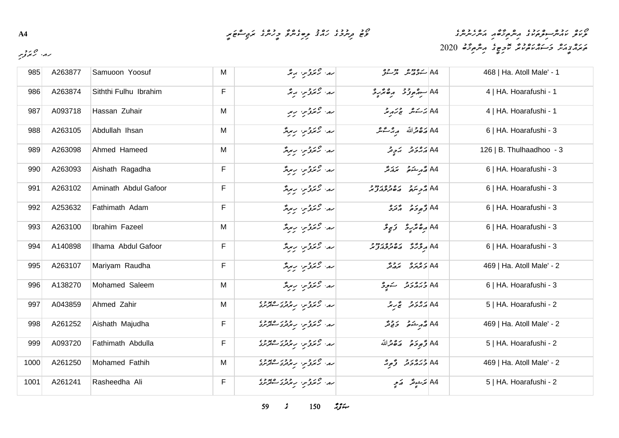*sCw7q7s5w7m< o<n9nOoAw7o< sCq;mAwBoEw7q<m; wBm;vB* م من المرة المرة المرة المرجع المرجع في المركبة 2020<br>مجم*د المريض المربوط المربع المرجع في المراجع المركبة* 

| 985  | A263877 | Samuoon Yoosuf        | M            | رە، ئەنزۇر، بەنڈ                               | A4 ڪوھي ھر سو                                  | 468   Ha. Atoll Male' - 1 |
|------|---------|-----------------------|--------------|------------------------------------------------|------------------------------------------------|---------------------------|
| 986  | A263874 | Siththi Fulhu Ibrahim | $\mathsf F$  | رەپ رىمىزۇس بەيتى                              | A4 سوړه ورځ پره ټرېږ ه                         | 4   HA. Hoarafushi - 1    |
| 987  | A093718 | Hassan Zuhair         | M            | رەپ رىموتى بىر بىر                             | A4  پرستمبر ہج <i>تر ہو ب</i> ر                | 4   HA. Hoarafushi - 1    |
| 988  | A263105 | Abdullah Ihsan        | M            | رە ، ئەنتى بىر ، بىر بىر                       | A4 صَرَّةَ مِرْاللَّهُ مِنْ مِنْ مُحْسَر       | 6   HA. Hoarafushi - 3    |
| 989  | A263098 | Ahmed Hameed          | M            | أسدر المحتوفون سعدهم                           | A4 كەندى كەر بەر بىر ئىل                       | 126   B. Thulhaadhoo - 3  |
| 990  | A263093 | Aishath Ragadha       | $\mathsf{F}$ | رە ، ئەنگەر ، رىدە ئ                           | A4 مەم ھەم ئىرىمەتىر                           | 6   HA. Hoarafushi - 3    |
| 991  | A263102 | Aminath Abdul Gafoor  | F            | رە ، ئەندۇس رىرەگە                             | A4 مرد منهور مده دود در دور در در در حد        | 6   HA. Hoarafushi - 3    |
| 992  | A253632 | Fathimath Adam        | F            | رە، ئەترۇس رىزەگە                              | A4 تَهِ <i>حَمَّة مَعْرَ</i> ة                 | 6   HA. Hoarafushi - 3    |
| 993  | A263100 | Ibrahim Fazeel        | M            | أبروا المحكومين الايراد                        | A4 مەھەمگەر تىم ئىم ئىچە ئىل                   | 6   HA. Hoarafushi - 3    |
| 994  | A140898 | Ilhama Abdul Gafoor   | F            | رە، ئەنزۇس رىدىگە                              | A4 مرثر محرَّرَ مصر محمد معرضه من              | 6   HA. Hoarafushi - 3    |
| 995  | A263107 | Mariyam Raudha        | $\mathsf F$  | رە، ئەترۇس رىدە                                | A4 <i>5 پروژه پروژ</i>                         | 469   Ha. Atoll Male' - 2 |
| 996  | A138270 | Mohamed Saleem        | M            | رەپ رىمىزدىن بەيدىگ                            | A4  352,3 3 سَمَعِ 2                           | 6   HA. Hoarafushi - 3    |
| 997  | A043859 | Ahmed Zahir           | M            | رد. حروس رودر ۱۶۶۵.<br>  رو. حروس ریزبری-مربری | A4 كەبرى قىر قىچ <i>بە</i> تىر                 | 5   HA. Hoarafushi - 2    |
| 998  | A261252 | Aishath Majudha       | F            | رړ کرېږي، ریږي سترس                            | A4 مەم شىم ئىقى ئىقى                           | 469   Ha. Atoll Male' - 2 |
| 999  | A093720 | Fathimath Abdulla     | F            | رړ کرېږي، ریږي سور ده                          | A4 قَ <i>جِ حَ</i> حْمَ صَ <b>صَحَر</b> ْاللّه | 5   HA. Hoarafushi - 2    |
| 1000 | A261250 | Mohamed Fathih        | M            | رړ کرېږي، ریږي سترس                            | A4 <i>وبروبرو تؤ<sub>م</sub>وبر</i>            | 469   Ha. Atoll Male' - 2 |
| 1001 | A261241 | Rasheedha Ali         | F            | رە بەر تەرەپ، بەيرەرى سەەرى د                  | A4 مَرْجومَّر - مَرْمٍ                         | 5   HA. Hoarafushi - 2    |

 $59$  *s*  $150$  *z*  $25$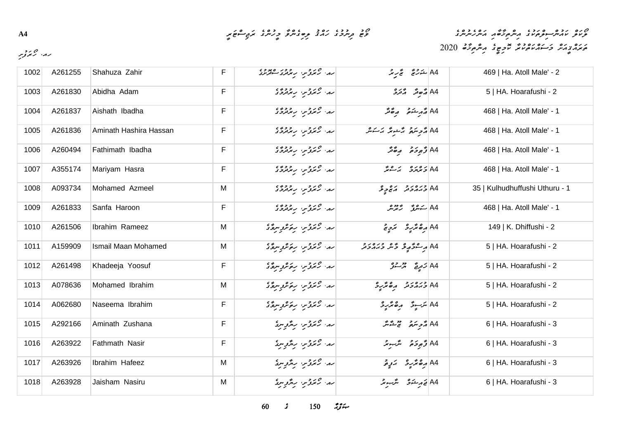*sCw7q7s5w7m< o<n9nOoAw7o< sCq;mAwBoEw7q<m; wBm;vB* م من المرة المرة المرة المرجع المرجع في المركبة 2020<br>مجم*د المريض المربوط المربع المرجع في المراجع المركبة* 

| 1002 | A261255 | Shahuza Zahir          | F           | رړ کريږي، رپه ده ده ده ده<br>رړ کريزونې رپه دون سافرنزو | A4 ڪريج تج پ                               | 469   Ha. Atoll Male' - 2      |
|------|---------|------------------------|-------------|---------------------------------------------------------|--------------------------------------------|--------------------------------|
| 1003 | A261830 | Abidha Adam            | F           | رد. رودوس روووه                                         | A4 صُّصِعَدُ صُعَرَ <i>د</i> ُ             | 5   HA. Hoarafushi - 2         |
| 1004 | A261837 | Aishath Ibadha         | F           | رد. دروس رپروژه                                         | A4 مەم شىم مەھقىر                          | 468   Ha. Atoll Male' - 1      |
| 1005 | A261836 | Aminath Hashira Hassan | $\mathsf F$ | بدر محدوث بتداروه                                       | A4 مٌحِ سَمَعٌ مُتَ سِمَّرٌ مَرَ سَمَسَّر  | 468   Ha. Atoll Male' - 1      |
| 1006 | A260494 | Fathimath Ibadha       | F           | رد. رودوس روووه                                         | A4 توجوحتم م <i>ح</i> قتر                  | 468   Ha. Atoll Male' - 1      |
| 1007 | A355174 | Mariyam Hasra          | $\mathsf F$ | رە بەتروپ رىزىردە                                       | A4 كەنگەر بەر يەنگەنگە                     | 468   Ha. Atoll Male' - 1      |
| 1008 | A093734 | Mohamed Azmeel         | M           | رە بەتروپ رىزىردە                                       | A4 دُبَرْدْدَتْر   دَجْ دِ وْ              | 35   Kulhudhuffushi Uthuru - 1 |
| 1009 | A261833 | Sanfa Haroon           | $\mathsf F$ | رە بەتروپ رىزىردە                                       | A4 سەمىر ئەمزىر                            | 468   Ha. Atoll Male' - 1      |
| 1010 | A261506 | Ibrahim Rameez         | M           | به رسمون برځ عرو سرځ د                                  | A4 م <i>وھنگرچ پر چ</i>                    | 149   K. Dhiffushi - 2         |
| 1011 | A159909 | Ismail Maan Mohamed    | M           | بەر، ئەنزۈس بەئزىر ئەرەمى                               | A4 مِـــْمَرَّمٍ وَ مَعْرَ وَبَرَمَرَ مَرَ | 5   HA. Hoarafushi - 2         |
| 1012 | A261498 | Khadeeja Yoosuf        | F           | رە، ئەنزۇس بەرگەپرىدە ئ                                 | A4 كَتَعْرِيجَ مَتَرْ مَتَوَ               | 5   HA. Hoarafushi - 2         |
| 1013 | A078636 | Mohamed Ibrahim        | M           | رە، ئەنزۇس بەرگەپرىدە ئ                                 | A4 دُبَرُ دَوَيْرِ مِنْ مُدَرِدْ           | 5   HA. Hoarafushi - 2         |
| 1014 | A062680 | Naseema Ibrahim        | F           | رە، ئەنزۇس رەكزىرە ئ                                    | A4 سَرَ—وَدَّ مِنْ صَحَّرِ وَ2             | 5   HA. Hoarafushi - 2         |
| 1015 | A292166 | Aminath Zushana        | F           | رە، ئەترۇس بەرگەسىد                                     | A4 مَّ حِسَعَهُ حَمَّ يَحَسَّرَ            | 6   HA. Hoarafushi - 3         |
| 1016 | A263922 | Fathmath Nasir         | F           | رە، ئەترۇس رەگرىدى                                      | A4 ۇج <sub>و</sub> چە ئەسىبەتمە            | 6   HA. Hoarafushi - 3         |
| 1017 | A263926 | Ibrahim Hafeez         | M           | رە، ئەترۇس رىزۇسرى                                      | A4 مەھەرىپ كەرپەتى                         | 6   HA. Hoarafushi - 3         |
| 1018 | A263928 | Jaisham Nasiru         | M           | رە، ئەتزۇس رىزۇمىر                                      | A4 <i>فے م</i> ِ حدَوْ سَمَرْ <i>ج</i> ر   | 6   HA. Hoarafushi - 3         |

*60 sC 150 nNw?mS*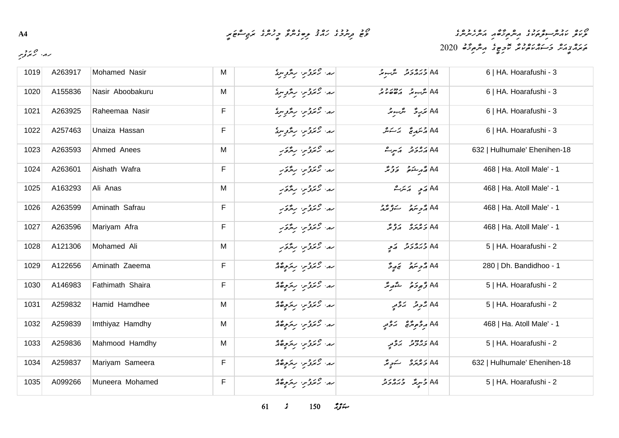*sCw7q7s5w7m< o<n9nOoAw7o< sCq;mAwBoEw7q<m; wBm;vB* م من المسجد المسجد المسجد المسجد المسجد العام 2020<br>مجم*د المسجد المسجد المستجد المسجد المسجد المسجد المسجد المسجد المسجد المسجد المسجد المسجد المسجد المسجد المسجد* 

| 1019 | A263917 | Mohamed Nasir    | M            | رە بىر ئىكرومىز، سە <b>ئ</b> رىسىدىگى | A4  <i>322323, مگرب پ</i> ر          | 6   HA. Hoarafushi - 3       |
|------|---------|------------------|--------------|---------------------------------------|--------------------------------------|------------------------------|
| 1020 | A155836 | Nasir Aboobakuru | M            | بدر محترقين بتزكر منذ                 | $2222$ $\frac{2}{3}$                 | 6   HA. Hoarafushi - 3       |
| 1021 | A263925 | Raheemaa Nasir   | F            | رە، ئەترۇس رەگەسىگە                   | A4 بَرَبِيرَةٌ - مُرْسِومُرُ         | 6   HA. Hoarafushi - 3       |
| 1022 | A257463 | Unaiza Hassan    | $\mathsf F$  | رە، ئەنزۇس بەرگەندى                   | A4 م <sup>ح</sup> سَمہ بچ سے بک      | 6   HA. Hoarafushi - 3       |
| 1023 | A263593 | Ahmed Anees      | M            | بدر محدوثين بتقريب                    | A4  كەبۇ <i>15 كەبىرى</i> مىلكە      | 632   Hulhumale' Ehenihen-18 |
| 1024 | A263601 | Aishath Wafra    | F            | رە، ئەترۇس رەئۇر                      | A4 مەم ھىقىم ھىم ئىستىكى ئىستىك      | 468   Ha. Atoll Male' - 1    |
| 1025 | A163293 | Ali Anas         | M            | رە، ئەتزۇر، رەزەر                     | A4 كەبىي كەنترىشە                    | 468   Ha. Atoll Male' - 1    |
| 1026 | A263599 | Aminath Safrau   | $\mathsf{F}$ | بدر حربروس سده به                     | A4 مَّ حِسَمَة مَسَوَسَمَّة          | 468   Ha. Atoll Male' - 1    |
| 1027 | A263596 | Mariyam Afra     | F            | بدر محتوفين بتلافر                    | A4 كەبىر بىرە بەر ئەرىپ              | 468   Ha. Atoll Male' - 1    |
| 1028 | A121306 | Mohamed Ali      | M            | بدر محتوفين بتقوير                    | A4 <i>وَبَرُوْدَوْ</i> كَمَعِ        | 5   HA. Hoarafushi - 2       |
| 1029 | A122656 | Aminath Zaeema   | F            | رە ئىزۇس بەر ئەھم                     | A4 مُجِسَعَ بِمَ مِرْحٌ              | 280   Dh. Bandidhoo - 1      |
| 1030 | A146983 | Fathimath Shaira | F            | رو، رنزوین روزخهٔ د                   | A4 تَرْجِوحَة حَسَّمَ <i>ر بَدَّ</i> | 5   HA. Hoarafushi - 2       |
| 1031 | A259832 | Hamid Hamdhee    | M            | رد. رنزوس روژه ده                     | A4 جَّحِرْ جَمَّى جَمَعِي            | 5   HA. Hoarafushi - 2       |
| 1032 | A259839 | Imthiyaz Hamdhy  | M            | رو، رنجوژ مور سرگردگار                | A4 مرڈمومزی برڈ س <sub>ی</sub>       | 468   Ha. Atoll Male' - 1    |
| 1033 | A259836 | Mahmood Hamdhy   | M            | رە . ئەترۇس بەزچە ۋ                   | A4 كەمەدىر كەھىر                     | 5   HA. Hoarafushi - 2       |
| 1034 | A259837 | Mariyam Sameera  | F            | מי לזרתי מתקסף                        | A4 كەبۇر <i>دۇ سەم</i> چەتر          | 632   Hulhumale' Ehenihen-18 |
| 1035 | A099266 | Muneera Mohamed  | F            | رر محدوم رمز وگا                      | A4  دسمبرنگ دی۔<br>مسلم              | 5   HA. Hoarafushi - 2       |

 $61$  *s*  $150$  *n***<sub>s</sub>**  $\frac{2}{3}$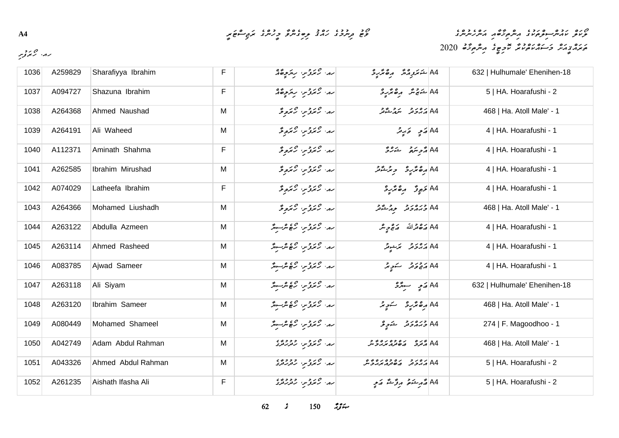*sCw7q7s5w7m< o<n9nOoAw7o< sCq;mAwBoEw7q<m; wBm;vB* م من المرة المرة المرة المرجع المرجع في المركبة 2020<br>مجم*د المريض المربوط المربع المرجع في المراجع المركبة* 

| 1036 | A259829 | Sharafiyya Ibrahim | F | رە بە ئەتدۇس سەزىيە قاۋ    | A4 ڪَمَرَوِ <i>هڻ هو گُري</i> و            | 632   Hulhumale' Ehenihen-18 |
|------|---------|--------------------|---|----------------------------|--------------------------------------------|------------------------------|
| 1037 | A094727 | Shazuna Ibrahim    | F | رە . ئىتروس بەزچە چ        | A4 شەيم ئىر مەھ ئ <i>ۇر ۋ</i>              | 5   HA. Hoarafushi - 2       |
| 1038 | A264368 | Ahmed Naushad      | M | رە، رىزۇر، رىزۇغ           | A4 كەبرو كەرمىيە ئەرەبىر                   | 468   Ha. Atoll Male' - 1    |
| 1039 | A264191 | Ali Waheed         | M | رە، رىزۇر، رىزۇنج          | A4 <i>ھَ جِه حَ پ</i> ه                    | 4   HA. Hoarafushi - 1       |
| 1040 | A112371 | Aminath Shahma     | F | رە، رىمۇتىر، رىمبۇر        | A4 مُتَّحِسَمَةَ شَدَكَّةً                 | 4   HA. Hoarafushi - 1       |
| 1041 | A262585 | Ibrahim Mirushad   | M | رە، ئەندۇر، ئەندە بۇ       | A4 رەئمرىرى مەرئىقىر                       | 4   HA. Hoarafushi - 1       |
| 1042 | A074029 | Latheefa Ibrahim   | F | رە، رىمزۇير، رىمزۇغ        | A4 خَھوِرَ مُتَصَمَّرِ حَ                  | 4   HA. Hoarafushi - 1       |
| 1043 | A264366 | Mohamed Liushadh   | M | رە، رىمۇتىر، رىمبۇر        | A4  <i>وُبَہُووَتَوْ جِهُ</i> شُوَتَر      | 468   Ha. Atoll Male' - 1    |
| 1044 | A263122 | Abdulla Azmeen     | M | رە بەتروپر، ئەھ بىر بىلەشل | A4 كەھەراللە كەمچ <i>چەر بىر</i>           | 4   HA. Hoarafushi - 1       |
| 1045 | A263114 | Ahmed Rasheed      | M | ىد. ئەنزۇر، ئۇيمرىسىز      | A4 <i>م بر\$قر مم</i> َ ش <sub>و</sub> مَر | 4   HA. Hoarafushi - 1       |
| 1046 | A083785 | Ajwad Sameer       | M | رە ، ئەيزۇر، ئۇغەربىدۇ     | A4 مقا <i>فرق متمو</i> نژ                  | 4   HA. Hoarafushi - 1       |
| 1047 | A263118 | Ali Siyam          | M | رە ، ئەترۇپ، ئۇغىرسىد      | A4 ڪپو سوگرد گ                             | 632   Hulhumale' Ehenihen-18 |
| 1048 | A263120 | Ibrahim Sameer     | M | رە بەردىن رەي ھەسەر        | A4 مەھمەر ئەھمەت ئىستىر ئىگە               | 468   Ha. Atoll Male' - 1    |
| 1049 | A080449 | Mohamed Shameel    | M | رو. رموزین رمای مرتبط      | A4 <i>وُبَہُ وَبَرْ</i> مُسَوِّرٌ          | 274   F. Magoodhoo - 1       |
| 1050 | A042749 | Adam Abdul Rahman  | M | رو به رو در دوده و در در   | A4 مرمره بره وه بره و و                    | 468   Ha. Atoll Male' - 1    |
| 1051 | A043326 | Ahmed Abdul Rahman | M | رە بەردىن كەردە ئ          | A4  مەرەر مەدەبەرە ئەھ                     | 5   HA. Hoarafushi - 2       |
| 1052 | A261235 | Aishath Ifasha Ali | F | رە بەيروس رودورى           | A4 مَّەمِشَمَّ مِرَّشَّہُ مَہِ             | 5   HA. Hoarafushi - 2       |

 $62$  *s*  $150$   $23$   $\div$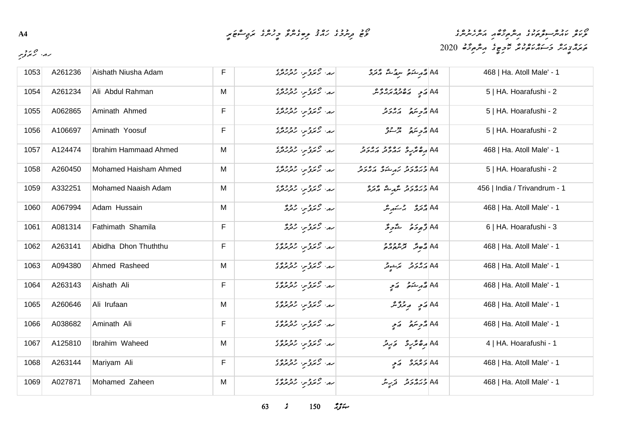*sCw7q7s5w7m< o<n9nOoAw7o< sCq;mAwBoEw7q<m; wBm;vB* م من المسجد المسجد المسجد المسجد المسجد العام 2020<br>مجم*د المسجد المسجد المستجد المسجد المسجد المسجد المسجد المسجد المسجد المسجد المسجد المسجد المسجد المسجد المسجد* 

| 1053 | A261236 | Aishath Niusha Adam   | F | رە بەلگەنجەترىن كەنگەنگەن | A4 مُرمِ مُنوَمٌ مِرمِّدٌ مُرَمَّرٌ     | 468   Ha. Atoll Male' - 1    |
|------|---------|-----------------------|---|---------------------------|-----------------------------------------|------------------------------|
| 1054 | A261234 | Ali Abdul Rahman      | M | رە بەردىن رودۈپ           | A4 <i>مَرْمِ مَعْتَمْهُ مَدَوْمَهُ</i>  | 5   HA. Hoarafushi - 2       |
| 1055 | A062865 | Aminath Ahmed         | F | رە بەيروس رودورى          | A4 مَّ حِسَمَة مَدَّدَ مَدْ             | 5   HA. Hoarafushi - 2       |
| 1056 | A106697 | Aminath Yoosuf        | F | رد. رحمزوین کوروژه        |                                         | 5   HA. Hoarafushi - 2       |
| 1057 | A124474 | Ibrahim Hammaad Ahmed | M | رد. رمزوجر، رفورندی       | A4 رەپرىي بەمەد بەرد                    | 468   Ha. Atoll Male' - 1    |
| 1058 | A260450 | Mohamed Haisham Ahmed | M | رد. رمزوجر، رفورندی       | A4 ورەرو كەيشكى كەرەرو                  | 5   HA. Hoarafushi - 2       |
| 1059 | A332251 | Mohamed Naaish Adam   | M | رە بەردىن رودودە          | A4 وبرورو محمدے محدو                    | 456   India / Trivandrum - 1 |
| 1060 | A067994 | Adam Hussain          | M | رە، ئەنزۇس ئەنزۇ          | A4 مُحَمَّدَ مُحَسَّمِهِ مَّرْ          | 468   Ha. Atoll Male' - 1    |
| 1061 | A081314 | Fathimath Shamila     | F | رە، رىمۇقرىي رودە         | A4 تَ <i>وْجِ</i> وَحَمَّ شَمَّحِرَّتَر | 6   HA. Hoarafushi - 3       |
| 1062 | A263141 | Abidha Dhon Thuththu  | F | رد. رمووس وووده           | A4 مُهِ مَنْ مَحْمَدِ مِنْ مَعْ         | 468   Ha. Atoll Male' - 1    |
| 1063 | A094380 | Ahmed Rasheed         | M | رد. رموز در دود،          | A4 <i>م بر\$قر مرَ</i> خومر             | 468   Ha. Atoll Male' - 1    |
| 1064 | A263143 | Aishath Ali           | F | رە بەيروس جەدورە          | A4 مەم شىم ھىم                          | 468   Ha. Atoll Male' - 1    |
| 1065 | A260646 | Ali Irufaan           | M | رد. رمود ووود،            | A4 <i>ھَ جِه مِعْرَفْتَر</i>            | 468   Ha. Atoll Male' - 1    |
| 1066 | A038682 | Aminath Ali           | F | رە بەيروس جەدە بەي        | A4 مُتَّحِسَّعَةُ صَعِي                 | 468   Ha. Atoll Male' - 1    |
| 1067 | A125810 | Ibrahim Waheed        | M | رد. رمزوین رود وره و      | A4 مەھەمگەر ئىق كەرىمىتىكى<br>يام       | 4   HA. Hoarafushi - 1       |
| 1068 | A263144 | Mariyam Ali           | F | رد. رمووس وووده           | A4 <i>5 پر پڑو ک</i> ے پر               | 468   Ha. Atoll Male' - 1    |
| 1069 | A027871 | Mohamed Zaheen        | M | رە بەترۇس جەددە ئ         | A4 <i>\$ بَە\$ قىز تۇرى</i> تر          | 468   Ha. Atoll Male' - 1    |

 $63$  *s*  $\cancel{5}$  **150** *z*  $\cancel{5}$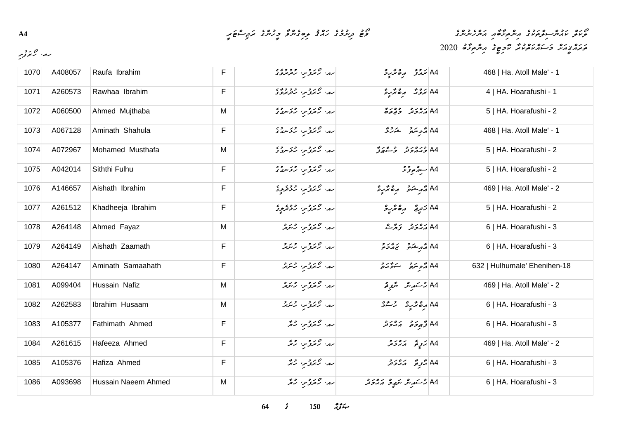*sCw7q7s5w7m< o<n9nOoAw7o< sCq;mAwBoEw7q<m; wBm;vB* م من المسجد المسجد المسجد المسجد المسجد العام 2020<br>مجم*د المسجد المسجد المستجد المسجد المسجد المسجد المسجد المسجد المسجد المسجد المسجد المسجد المسجد المسجد المسجد* 

| 1070 | A408057 | Raufa Ibrahim       | F            | رە ئەترۇس ئەزىردە       | A4 بَرَ <i>مَرْتَ مِـ هُنَّرْبِ</i> \$                                                              | 468   Ha. Atoll Male' - 1    |
|------|---------|---------------------|--------------|-------------------------|-----------------------------------------------------------------------------------------------------|------------------------------|
| 1071 | A260573 | Rawhaa Ibrahim      | $\mathsf{F}$ | رد. رمووس وووده         | A4 بَرَةِ بَرَّ مِنْ بِرَّةِ \$                                                                     | 4   HA. Hoarafushi - 1       |
| 1072 | A060500 | Ahmed Mujthaba      | M            | رە ، ئەترىس، ئەنگەندى   | A4 كەمەدىرە جەم ھە                                                                                  | 5   HA. Hoarafushi - 2       |
| 1073 | A067128 | Aminath Shahula     | $\mathsf F$  | رە بەردىن رىمىسىدى      | A4 مَّ حِسَمَةَ شَدَكَّرَ                                                                           | 468   Ha. Atoll Male' - 1    |
| 1074 | A072967 | Mohamed Musthafa    | M            | رە، رىزۇس روسىدۇ        | A4 ديره د د د ورو                                                                                   | 5   HA. Hoarafushi - 2       |
| 1075 | A042014 | Siththi Fulhu       | $\mathsf{F}$ | رە بەلگە دەپ رىمى ئەن   | A4 سو <i>ه هو و</i> حم                                                                              | 5   HA. Hoarafushi - 2       |
| 1076 | A146657 | Aishath Ibrahim     | F            | رە بە ئەتروپى ئەردىسى   | A4 مەم ئىقى مەھەر بى                                                                                | 469   Ha. Atoll Male' - 2    |
| 1077 | A261512 | Khadheeja Ibrahim   | $\mathsf F$  | رە بەلگەترىن كەنگە يەم  | A4 كَتَعْرِيجٌ - مِنْ صُمَّرِيْتِرْ –                                                               | 5   HA. Hoarafushi - 2       |
| 1078 | A264148 | Ahmed Fayaz         | M            | رە، رىمۇس رىكرو         | A4  پروژنز کوچر شو                                                                                  | 6   HA. Hoarafushi - 3       |
| 1079 | A264149 | Aishath Zaamath     | F            | رە - 2 ئۇقرىر، 2 ئىرنىڭ | A4 مەم شەھ ئىم <i>مەدە</i>                                                                          | 6   HA. Hoarafushi - 3       |
| 1080 | A264147 | Aminath Samaahath   | F            | رە - 2 ئۇقرىر، 2 ئىرنىڭ | A4 مُجَعِبتَهُ سَنَجَبَةً                                                                           | 632   Hulhumale' Ehenihen-18 |
| 1081 | A099404 | Hussain Nafiz       | M            | رە - ئەنزۇر، ئەنزىر     | A4 پرڪ <i>مبر بنگ سگويئ</i> و                                                                       | 469   Ha. Atoll Male' - 2    |
| 1082 | A262583 | Ibrahim Husaam      | M            | رە، رىمۇقرىر، رىمىگە    | A4 مەھم <i>گىر</i> 3 - مەكتى                                                                        | 6   HA. Hoarafushi - 3       |
| 1083 | A105377 | Fathimath Ahmed     | F            | رە، رىمزۇر، رىز         | A4 وَجِوَدَ حَمَدَ حَمَد                                                                            | 6   HA. Hoarafushi - 3       |
| 1084 | A261615 | Hafeeza Ahmed       | F            | رە، رىمۇتىر، رىز        | A4 بَرَمٍ يَمَه بِرَوْمِرٌ مَنْ الْمَرْدِمُ                                                         | 469   Ha. Atoll Male' - 2    |
| 1085 | A105376 | Hafiza Ahmed        | F            | رە، ئەندۇس ئەند         |                                                                                                     | 6   HA. Hoarafushi - 3       |
| 1086 | A093698 | Hussain Naeem Ahmed | M            | رو، رحمزویں رحمہ        | A4 يُرْسَمَ مِيْتَ مِيْتَ مَدَّرَ مِيْتَ مِيْتَ مِيْتَ مِيْتَ مِيْتَ مِيْتَ مِيْتَ مِيْتَ مِيْتَ مِ | 6   HA. Hoarafushi - 3       |

 $64$  *s*  $150$  *z*  $25$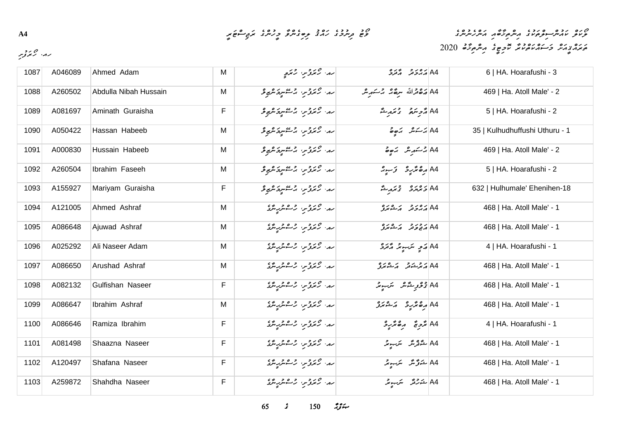*sCw7q7s5w7m< o<n9nOoAw7o< sCq;mAwBoEw7q<m; wBm;vB* م من المرة المرة المرة المرجع المرجع في المركبة 2020<br>مجم*د المريض المربوط المربع المرجع في المراجع المركبة* 

| 1087 | A046089 | Ahmed Adam            | M | رە، رىمۇقرىن رقىمۇ          | A4 پروتر پڑترو                                 | 6   HA. Hoarafushi - 3         |
|------|---------|-----------------------|---|-----------------------------|------------------------------------------------|--------------------------------|
| 1088 | A260502 | Abdulla Nibah Hussain | M | رە. رىمزۇر، برگەرچەكرىج ئ   | A4 رَحْدُاللّه سِعَةَ بِرْسَهِ مِنْ مِنْ       | 469   Ha. Atoll Male' - 2      |
| 1089 | A081697 | Aminath Guraisha      | F | رە رىمرۇس برگىرىكرىگى ئ     | A4 مُرْحِ سَمَّةٌ وَسَمَّدِ حَشَّ              | 5   HA. Hoarafushi - 2         |
| 1090 | A050422 | Hassan Habeeb         | M | رە. رىمرۇس بۇسە ئەركەنلى ئ  | A4  يَرْسَعْشَ بَرَصِرَةَ مَ                   | 35   Kulhudhuffushi Uthuru - 1 |
| 1091 | A000830 | Hussain Habeeb        | M | رە، رىمرۇس برىئىر كەشھۇ     | A4 بر مسکور ملک بر سرچ تھا<br>مسلم             | 469   Ha. Atoll Male' - 2      |
| 1092 | A260504 | Ibrahim Faseeh        | M | رە، رىمرۇس برىئىپرىكرىغ     | A4 مەھەرىپى تەسىر                              | 5   HA. Hoarafushi - 2         |
| 1093 | A155927 | Mariyam Guraisha      | F | رە، رىمرۇس برىئورىگىرى ئو   | A4 ك <i>و برورد تو ترو</i> يسًا                | 632   Hulhumale' Ehenihen-18   |
| 1094 | A121005 | Ahmed Ashraf          | M | رە، ئەنزۇس رقسەمرىتىگە      | A4 كەبرى كىمە كەشلىر <i>ۇ</i>                  | 468   Ha. Atoll Male' - 1      |
| 1095 | A086648 | Ajuwad Ashraf         | M | رە ، ئەتروپر، ئەسەسرىيەتترى | A4 برورو به برشوره<br>A4 برقع <i>و</i> تر      | 468   Ha. Atoll Male' - 1      |
| 1096 | A025292 | Ali Naseer Adam       | M | رە ، ئەندۇس ئەسەمىر ئىگە    | A4 كەبىي س <i>رسې مگرون</i> گ                  | 4   HA. Hoarafushi - 1         |
| 1097 | A086650 | Arushad Ashraf        | M | رە ، ئەتروپ رقسەتلەرلىرى    | A4 كەيمرىشكەتر كەشقە <i>تت</i> رتو             | 468   Ha. Atoll Male' - 1      |
| 1098 | A082132 | Gulfishan Naseer      | F | رە ئەتروپى ئەسەس ئىر        | A4 تۇقۇرىشگىر - س <i>رس</i> ومۇ                | 468   Ha. Atoll Male' - 1      |
| 1099 | A086647 | Ibrahim Ashraf        | M | رە ، ئەتروپر، ئەسەسرىرىترى  | A4 مەھەرىرى مەشىرى                             | 468   Ha. Atoll Male' - 1      |
| 1100 | A086646 | Ramiza Ibrahim        | F | رە، رىمزۇر، رىشىرىيەتنى     | A4 بَرْدِبَّ مِرْهُ بَرْرِدْ                   | 4   HA. Hoarafushi - 1         |
| 1101 | A081498 | Shaazna Naseer        | F | رە، رىمۇم، رىشترىرىش        | A4 شَمَوْرْتَرَ تَرَسِوِيْرَ                   | 468   Ha. Atoll Male' - 1      |
| 1102 | A120497 | Shafana Naseer        | F | رە ، ئەتروپر، ئەسەسرىيەتترى | A4 شَوَرٌ مَّرْ مَرَسِوِيْرُ                   | 468   Ha. Atoll Male' - 1      |
| 1103 | A259872 | Shahdha Naseer        | F | رە ، ئەترىس، ئەسەسرىسىد     | A4 ش <i>ۇرىگە</i> س <i>ر<sub>ىب ت</sub>و</i> ر | 468   Ha. Atoll Male' - 1      |

 $65$  *s*  $150$   $29$   $\div$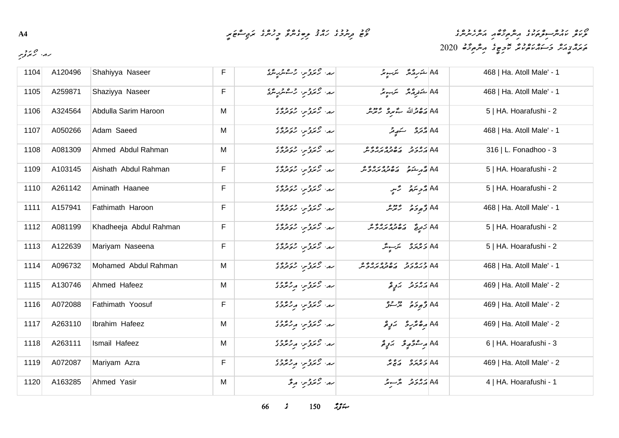*sCw7q7s5w7m< o<n9nOoAw7o< sCq;mAwBoEw7q<m; wBm;vB* م من المسجد المسجد المسجد المسجد المسجد العام 2020<br>مجم*د المسجد المسجد المستجد المسجد المسجد المسجد المسجد المسجد المسجد المسجد المسجد المسجد المسجد المسجد المسجد* 

| 1104 | A120496 | Shahiyya Naseer        | F            | رە ، ئەنزۇس، ئەسەھەر يىڭگ | A4 ڪرير گر سرب پر                      | 468   Ha. Atoll Male' - 1 |
|------|---------|------------------------|--------------|---------------------------|----------------------------------------|---------------------------|
| 1105 | A259871 | Shaziyya Naseer        | F            | رەر، كەندۇس، كەسلەر سىندە | A4 ڪن <i>وپر مگر جي سر</i>             | 468   Ha. Atoll Male' - 1 |
| 1106 | A324564 | Abdulla Sarim Haroon   | M            | رو به رومر د و و و و      | A4 رَصْحْرَاللّهُ جَمَعِهِ حَمَّعَتِهِ | 5   HA. Hoarafushi - 2    |
| 1107 | A050266 | Adam Saeed             | M            | رد. رودو. وودوه           | A4 مُرترد مُ سَم <i>وِينْ</i>          | 468   Ha. Atoll Male' - 1 |
| 1108 | A081309 | Ahmed Abdul Rahman     | м            | رور المرور المرور و داد   | A4 رور د مره ده د رومو                 | 316   L. Fonadhoo - 3     |
| 1109 | A103145 | Aishath Abdul Rahman   | $\mathsf{F}$ | رو به روم در ود و         | A4 مەم شەھ مەھەرمەم بىرى ھىر           | 5   HA. Hoarafushi - 2    |
| 1110 | A261142 | Aminath Haanee         | F            | رە بەردىن ئەۋەردە         | A4 مَرْحِ سَعْهِ مَسْتِهِ بِ           | 5   HA. Hoarafushi - 2    |
| 1111 | A157941 | Fathimath Haroon       | $\mathsf F$  | رد. رکوبر رکوترور         | A4 تُرجوحَ مُحمَّسٌ                    | 468   Ha. Atoll Male' - 1 |
| 1112 | A081199 | Khadheeja Abdul Rahman | F            | رد. رمزور، رود ده         |                                        | 5   HA. Hoarafushi - 2    |
| 1113 | A122639 | Mariyam Naseena        | $\mathsf F$  | رور در در دره ده          | A4 كەبىر بىر ئىرسىدىگە                 | 5   HA. Hoarafushi - 2    |
| 1114 | A096732 | Mohamed Abdul Rahman   | M            | رور در در دره ده          | A4 כנסני נסכסנסטים                     | 468   Ha. Atoll Male' - 1 |
| 1115 | A130746 | Ahmed Hafeez           | M            | رد. رنزوس در دود          | A4 كەبرى <i>قىرى بى</i> رى             | 469   Ha. Atoll Male' - 2 |
| 1116 | A072088 | Fathimath Yoosuf       | F            | رد. رنزوین در موده        | A4 توجوحتمو مرسوم                      | 469   Ha. Atoll Male' - 2 |
| 1117 | A263110 | Ibrahim Hafeez         | M            | بدر محدوس ومتدوء          | A4 مەھمگرىي تەرىخ                      | 469   Ha. Atoll Male' - 2 |
| 1118 | A263111 | Ismail Hafeez          | M            | رو، رنجوی ورجوده          | A4 مرڪو <i>گو پو</i> گھ جو آھي         | 6   HA. Hoarafushi - 3    |
| 1119 | A072087 | Mariyam Azra           | F            | رد. رنجوی در برد          | A4 <i>5 پروژه وگ</i> ړه.               | 469   Ha. Atoll Male' - 2 |
| 1120 | A163285 | Ahmed Yasir            | M            | رە، رىمۇقرە بەق           | A4 كەبرى قىر مۇسى <i>بى</i> ر          | 4   HA. Hoarafushi - 1    |

 $66$  *s*  $150$  *z*  $25$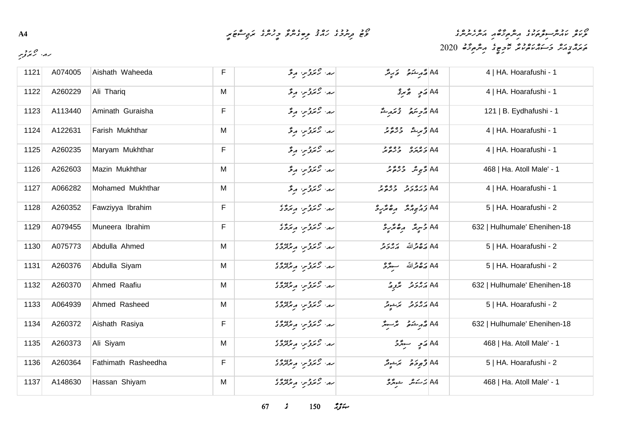*sCw7q7s5w7m< o<n9nOoAw7o< sCq;mAwBoEw7q<m; wBm;vB* م من المسجد المسجد المسجد المسجد المسجد العام 2020<br>مجم*د المسجد المسجد المستجد المسجد المسجد المسجد المسجد المسجد المسجد المسجد المسجد المسجد المسجد المسجد المسجد* 

| 1121 | A074005 | Aishath Waheeda     | F           | رە بە ئەنزۇ <sub>س</sub> ، مەنز | A4 مَگرمشمرح مَ رَمَّز مَ                                 | 4   HA. Hoarafushi - 1       |
|------|---------|---------------------|-------------|---------------------------------|-----------------------------------------------------------|------------------------------|
| 1122 | A260229 | Ali Thariq          | M           | رە : ئەنزۇس مەق                 | A4 <i>مَجِ</i> بِجَمِي <sup>قِ</sup>                      | 4   HA. Hoarafushi - 1       |
| 1123 | A113440 | Aminath Guraisha    | F           | رە، رىمۇتىر، مەنگ               | A4 مَّحِسَمَ تَحْمَدِيَّةَ                                | 121   B. Eydhafushi - 1      |
| 1124 | A122631 | Farish Mukhthar     | M           | أىد. رىمۇس مەغ                  | A4 تُرْمِرْ شَرْحَرْمَرُ X                                | 4   HA. Hoarafushi - 1       |
| 1125 | A260235 | Maryam Mukhthar     | F           | رە - رىمۇمى بەق                 | A4 كوجرمو محمد حرم بر                                     | 4   HA. Hoarafushi - 1       |
| 1126 | A262603 | Mazin Mukhthar      | M           | رە، ئەنزىن مەق                  | A4 گەيپ مىر قەرمۇمىز                                      | 468   Ha. Atoll Male' - 1    |
| 1127 | A066282 | Mohamed Mukhthar    | M           | رە - رىمزۇس مەنۇ                | A4 وبرەرو وەھ د                                           | 4   HA. Hoarafushi - 1       |
| 1128 | A260352 | Fawziyya Ibrahim    | F           | بدر محدوثين متعددة              | A4 زَمَّ مِمَّ مَّ مِرْهَ مِمَّةٍ مِ                      | 5   HA. Hoarafushi - 2       |
| 1129 | A079455 | Muneera Ibrahim     | $\mathsf F$ | رە بەردىن مەيزە ئ               | A4 دنبریگر بر <i>ے بگرد</i> ی                             | 632   Hulhumale' Ehenihen-18 |
| 1130 | A075773 | Abdulla Ahmed       | M           | رد. رمزو در دوره و              | A4 مَەمْمَراللە مَەرْمَىر                                 | 5   HA. Hoarafushi - 2       |
| 1131 | A260376 | Abdulla Siyam       | M           | رد. رموز د بروه و               | A4 رَصْعَرْاللَّهُ بِعَثَرَ <i>دُ</i>                     | 5   HA. Hoarafushi - 2       |
| 1132 | A260370 | Ahmed Raafiu        | M           | رور المرور المربوري             | A4 كەش <sup>ى</sup> تىر مىگرى <sub>م</sub> ىتى ئىشتىر بىر | 632   Hulhumale' Ehenihen-18 |
| 1133 | A064939 | Ahmed Rasheed       | M           | رد. رموز د بروه و               | A4 <i>مَہُدُوَ مَمْ</i> سُوِمِّرُ                         | 5   HA. Hoarafushi - 2       |
| 1134 | A260372 | Aishath Rasiya      | F           | رو، رنجوتو، ويرتزون             | A4 مەم شىم ئىسىمىسىسىدىكى<br>مەم                          | 632   Hulhumale' Ehenihen-18 |
| 1135 | A260373 | Ali Siyam           | M           | رد. رمزوین دمودوی               | A4 كەمچە سى <i>مەرىخ</i>                                  | 468   Ha. Atoll Male' - 1    |
| 1136 | A260364 | Fathimath Rasheedha | $\mathsf F$ | رد. رمزوس پرمورون               | A4 تَرْجِرِحَةً مَرَسْبِقَّرَ                             | 5   HA. Hoarafushi - 2       |
| 1137 | A148630 | Hassan Shiyam       | M           | رد. رموز رمود در در             | A4 بَرَسَمَّرْ حَقِيرٌوْ                                  | 468   Ha. Atoll Male' - 1    |

*67 sC 150 nNw?mS*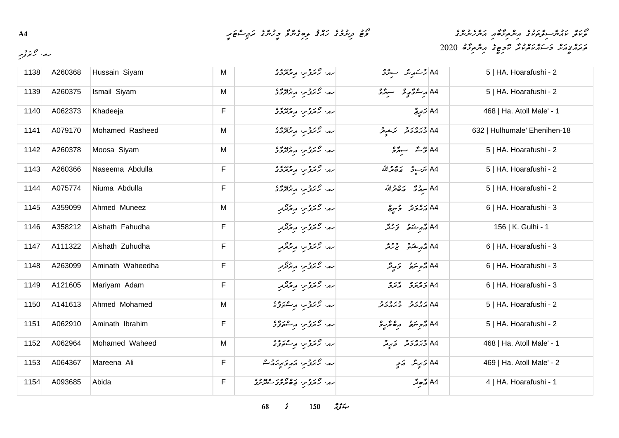*sCw7q7s5w7m< o<n9nOoAw7o< sCq;mAwBoEw7q<m; wBm;vB* م من المرة المرة المرة المرجع المرجع في المركبة 2020<br>مجم*د المريض المربوط المربع المرجع في المراجع المركبة* 

| 1138 | A260368 | Hussain Siyam    | M           | رړ کرونږ پر وړون                                       | A4  جُسَمَہ بھُ سِن <i>مُرُوْ</i>                                                                    | 5   HA. Hoarafushi - 2       |
|------|---------|------------------|-------------|--------------------------------------------------------|------------------------------------------------------------------------------------------------------|------------------------------|
| 1139 | A260375 | Ismail Siyam     | M           | رو به مرو به استروره و                                 | A4 م <i>وسٹو چو</i> جو سو پر حا                                                                      | 5   HA. Hoarafushi - 2       |
| 1140 | A062373 | Khadeeja         | F           | رد. رموز د بروه و                                      | A4 كَتَمْرِيخَ                                                                                       | 468   Ha. Atoll Male' - 1    |
| 1141 | A079170 | Mohamed Rasheed  | M           | رد. رنزوس ويرودون                                      | A4 <i>وُبَرُوْدَ تَرَ</i> حْدِثَرُ                                                                   | 632   Hulhumale' Ehenihen-18 |
| 1142 | A260378 | Moosa Siyam      | M           | رور از بروس وی ده و                                    | A4 جي مشرقت بين جي المستركة المن المستركة المن المستركة المن المستركة المستركة المستركة المستركة الم | 5   HA. Hoarafushi - 2       |
| 1143 | A260366 | Naseema Abdulla  | $\mathsf F$ | رور المرور المرور ويرور                                | A4 سَرَسِوتَر صَرْحَةَ للهَ                                                                          | 5   HA. Hoarafushi - 2       |
| 1144 | A075774 | Niuma Abdulla    | F           | رد. رموز رموزده                                        | A4 س <i>رقر قەھەت</i> ەللە                                                                           | 5   HA. Hoarafushi - 2       |
| 1145 | A359099 | Ahmed Muneez     | M           | بدر محروس متعفير                                       | A4 كەندى قىلى ئىس كىلىنى ئىس                                                                         | 6   HA. Hoarafushi - 3       |
| 1146 | A358212 | Aishath Fahudha  | F           | رە بەلگەترىن مەمگەمىي                                  | A4 مەم شىم ئى تەتىر                                                                                  | 156   K. Gulhi - 1           |
| 1147 | A111322 | Aishath Zuhudha  | $\mathsf F$ | رماس محركة فرام برقرقر                                 | A4 مەم شىم ئىم ئىمىزلىر                                                                              | 6   HA. Hoarafushi - 3       |
| 1148 | A263099 | Aminath Waheedha | $\mathsf F$ | رد. رموتوس ومرفرقر                                     |                                                                                                      | 6   HA. Hoarafushi - 3       |
| 1149 | A121605 | Mariyam Adam     | F           | رە بەلەۋىر، مەيدىن                                     | A4 كەبىر بەر ئەرە                                                                                    | 6   HA. Hoarafushi - 3       |
| 1150 | A141613 | Ahmed Mohamed    | M           | بدر مرد به مساوره د                                    | A4 كەبرو بور بورىر                                                                                   | 5   HA. Hoarafushi - 2       |
| 1151 | A062910 | Aminath Ibrahim  | F           | رور المرور المراسم وروء                                | A4 مُتَعِسَمُ مِنْ مُعَتَّبِ د                                                                       | 5   HA. Hoarafushi - 2       |
| 1152 | A062964 | Mohamed Waheed   | M           | رد. رموتور، در ۱۶۶۵                                    |                                                                                                      | 468   Ha. Atoll Male' - 1    |
| 1153 | A064367 | Mareena Ali      | F           | رە رىمزىر، مەمۇرىدىك                                   | A4  دَسِتَر   رَمِ                                                                                   | 469   Ha. Atoll Male' - 2    |
| 1154 | A093685 | Abida            | F           | ہے دو در دہ ہے ہے دو ہے<br>مدار متعرفی فیصلحوی سیمبروی | A4 مُحصِقَر                                                                                          | 4   HA. Hoarafushi - 1       |

*68 sC 150 nNw?mS*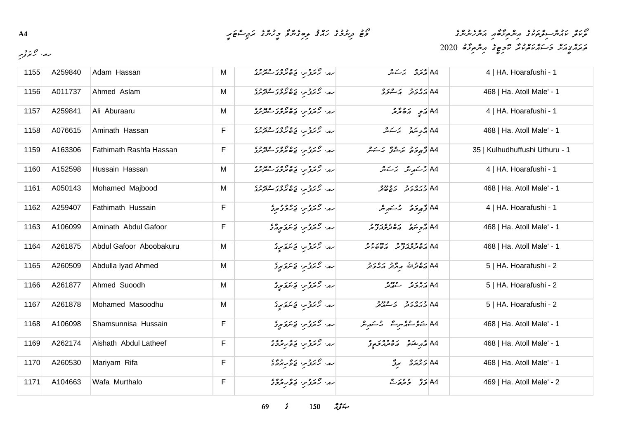*sCw7q7s5w7m< o<n9nOoAw7o< sCq;mAwBoEw7q<m; wBm;vB* م من المرة المرة المرة المرجع المرجع في المركبة 2020<br>مجم*د المريض المربوط المربع المرجع في المراجع المركبة* 

| 1155 | A259840 | Adam Hassan             | M           | ر در همرو در ۲۵۵۵ در ۲۶۵۵ در ۲۶۵۵ در در ۲۵ در در ۲۵ در در ۲۵ در ۲۵ در ۲۵ در ۲۵ در ۲۵ در ۲۵ در ۲۵ در ۲۵ در ۲۵ د | A4 پر <i>تر پر ش</i> هر                            | 4   HA. Hoarafushi - 1         |
|------|---------|-------------------------|-------------|----------------------------------------------------------------------------------------------------------------|----------------------------------------------------|--------------------------------|
| 1156 | A011737 | Ahmed Aslam             | M           | در ده در در ۱۵۵۵ مرور و برون<br>در کرگرفران فی همزموی سوتورن                                                   | A4 كەبروتىر كەسىۋى                                 | 468   Ha. Atoll Male' - 1      |
| 1157 | A259841 | Ali Aburaaru            | M           | ہ رے دے ۔<br>روس ریموٹی کے بھی موجود سوتوری                                                                    | A4 <i>مَجِ مَ§مَّ</i> مَّ                          | 4   HA. Hoarafushi - 1         |
| 1158 | A076615 | Aminath Hassan          | F           |                                                                                                                | A4 مَجَ سَنَعْرِ مَسَسَسَر                         | 468   Ha. Atoll Male' - 1      |
| 1159 | A163306 | Fathimath Rashfa Hassan | $\mathsf F$ | در ده در در ۱۵۵۵ مرور و برون<br>در کرگرفران فی همزموی سوتورن                                                   | A4 ۇ <sub>ج</sub> وڭ ئ <sub>ىر ش</sub> وگە ئەسەنلە | 35   Kulhudhuffushi Uthuru - 1 |
| 1160 | A152598 | Hussain Hassan          | M           | י מי כן מסיסי בינים<br>מגי מינציתי ביסיניבי המתו                                                               | A4 پر کے مربائل کے سکانگر<br>م                     | 4   HA. Hoarafushi - 1         |
| 1161 | A050143 | Mohamed Majbood         | M           | در ده در در ۱۵۵۵ مرور و برون<br>در کرگرفران فی همزموی سوتورن                                                   | A4 وبره د و بره دوه<br>A4 وبرورو ترکوه تر          | 468   Ha. Atoll Male' - 1      |
| 1162 | A259407 | Fathimath Hussain       | F           | رە بەردىن ئەردە دە                                                                                             | A4 ۇج <sub>و</sub> خۇ ئەسكىرىنگە                   | 4   HA. Hoarafushi - 1         |
| 1163 | A106099 | Aminath Abdul Gafoor    | F           | رە ئەترۇس قاسقاتىدە                                                                                            | A4 څوشۍ مەھىر دوم                                  | 468   Ha. Atoll Male' - 1      |
| 1164 | A261875 | Abdul Gafoor Aboobakuru | M           | روا المتعرفون الجاملي مردمي                                                                                    | A4 בספר בסינר ברייבר                               | 468   Ha. Atoll Male' - 1      |
| 1165 | A260509 | Abdulla Iyad Ahmed      | M           | رە ئەترۇس قاسقەترى                                                                                             | A4 رەوراللە مەمزىر مەروىر                          | 5   HA. Hoarafushi - 2         |
| 1166 | A261877 | Ahmed Suoodh            | M           | روا ريمزوس في مكرمون                                                                                           | A4 كەبروتر سىھەتىر                                 | 5   HA. Hoarafushi - 2         |
| 1167 | A261878 | Mohamed Masoodhu        | M           | رە ، ئەترۇس، ئەسكەتبرى                                                                                         | A4 دېم ده ده ده ده د                               | 5   HA. Hoarafushi - 2         |
| 1168 | A106098 | Shamsunnisa Hussain     | F           | رە، ئەترۇس قاشقاتىرى                                                                                           | A4 خۇڭ مەھرىرىگە ب <sub>ە</sub> شكىرىش             | 468   Ha. Atoll Male' - 1      |
| 1169 | A262174 | Aishath Abdul Latheef   | $\mathsf F$ | رە بەتروپ ئەۋرىدوك                                                                                             | A4 مەرشىم مەھىرمى <i>مبورى</i>                     | 468   Ha. Atoll Male' - 1      |
| 1170 | A260530 | Mariyam Rifa            | F           | رە ئەترۇس ئەۋرىردە                                                                                             | A4 كەبەيدى موتى                                    | 468   Ha. Atoll Male' - 1      |
| 1171 | A104663 | Wafa Murthalo           | F           | رە ، ئەترۇس ئەۋرىدۈ ،                                                                                          | A4 وَقَ وَتَمْهُوَ يَّةُ                           | 469   Ha. Atoll Male' - 2      |

*69 s* 150 *i*<sub>s</sub> $\div$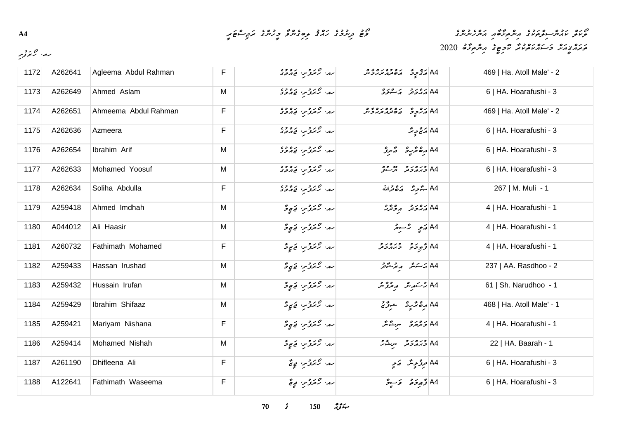*sCw7q7s5w7m< o<n9nOoAw7o< sCq;mAwBoEw7q<m; wBm;vB* م من المسجد المسجد المسجد المسجد المسجد العام 2020<br>مجم*د المسجد المسجد المستجد المسجد المسجد المسجد المسجد المسجد المسجد المسجد المسجد المسجد المسجد المسجد المسجد* 

| 1172 | A262641 | Agleema Abdul Rahman | F | رړ کرونو، مخ د ۶۶۵      | A4 ביציי בסינה ביציירי               | 469   Ha. Atoll Male' - 2 |
|------|---------|----------------------|---|-------------------------|--------------------------------------|---------------------------|
| 1173 | A262649 | Ahmed Aslam          | M | رد. رکوبرو ده ده ده     | A4 كەبروتىر كەسىر <i>ە بى</i>        | 6   HA. Hoarafushi - 3    |
| 1174 | A262651 | Ahmeema Abdul Rahman | F | رو با الاره وه ده والا  | A4 ג'לכ" גם כם קם כי כ               | 469   Ha. Atoll Male' - 2 |
| 1175 | A262636 | Azmeera              | F | رە بەردىر دەدە          | A4 پرچ <sub>حي</sub> پر              | 6   HA. Hoarafushi - 3    |
| 1176 | A262654 | Ibrahim Arif         | м | رد. رکوبر ده ده         | A4 مەھەمگەر ئەھمىرى A4               | 6   HA. Hoarafushi - 3    |
| 1177 | A262633 | Mohamed Yoosuf       | M | رو با محموم المعروج     | A4 دېم ده د جوړې ده کل               | 6   HA. Hoarafushi - 3    |
| 1178 | A262634 | Soliha Abdulla       | F | رد. رکوبرو ده ده ده     | A4  جَمْعِ بَرَّ صَرَّةَ اللَّه      | 267   M. Muli - 1         |
| 1179 | A259418 | Ahmed Imdhah         | M | رە، رىمۇتو، ق ئ ئ       | A4 בכבת הכתב                         | 4   HA. Hoarafushi - 1    |
| 1180 | A044012 | Ali Haasir           | M | رە، ئەترۇس قاياۋ        | A4 ڪپو گرسويٽر                       | 4   HA. Hoarafushi - 1    |
| 1181 | A260732 | Fathimath Mohamed    | F | رە. رىمزور، ئەي ۋ       | A4 تَ <i>وجدَّة حُدَّهْدَوْتَر</i>   | 4   HA. Hoarafushi - 1    |
| 1182 | A259433 | Hassan Irushad       | M | رە، ئەترۇس قەي ۋ        | A4 ئەسەمىش مەيتمەتتىر                | 237   AA. Rasdhoo - 2     |
| 1183 | A259432 | Hussain Irufan       | M | رە، ئەترۇس قاياۋ        | A4 بڑے مریش مریمرڈ تیر               | 61   Sh. Narudhoo - 1     |
| 1184 | A259429 | Ibrahim Shifaaz      | M | رە. رىمزۇس قەمچەم       | A4 مەھمگىر ھەرىخى ئىسىمىتى تىلىم     | 468   Ha. Atoll Male' - 1 |
| 1185 | A259421 | Mariyam Nishana      | F | رە، ئەترۇس قەمچە ئ      | A4 <i>5 پر<sub>م</sub>رو سرچ</i> ئر  | 4   HA. Hoarafushi - 1    |
| 1186 | A259414 | Mohamed Nishah       | M | رو، " رحموقرس تح مي وَّ | A4 <i>وُبَرُوُدَ</i> تَرُ سِرِيْدَرُ | 22   HA. Baarah - 1       |
| 1187 | A261190 | Dhifleena Ali        | F | رو، رحمزو مو مو پخ      | A4 مروج شر کرم پر                    | 6   HA. Hoarafushi - 3    |
| 1188 | A122641 | Fathimath Waseema    | F | رە. رىمۇتو، يېڭى        | A4 وَجوحَمْ وَسِوَّةً                | 6   HA. Hoarafushi - 3    |

*70 sC 150 nNw?mS*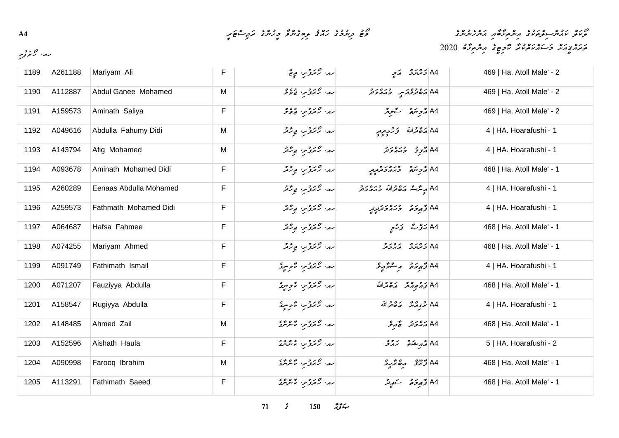*sCw7q7s5w7m< o<n9nOoAw7o< sCq;mAwBoEw7q<m; wBm;vB* م من المرة المرة المرة المرجع المرجع في المركبة 2020<br>مجم*د المريض المربوط المربع المرجع في المراجع المركبة* 

| 1189 | A261188 | Mariyam Ali            | F           | رە، ئەترۇپ يېڭى        | A4 كانتر <i>مركز مركز ب</i> ر                                                                                       | 469   Ha. Atoll Male' - 2 |
|------|---------|------------------------|-------------|------------------------|---------------------------------------------------------------------------------------------------------------------|---------------------------|
| 1190 | A112887 | Abdul Ganee Mohamed    | M           | رە بە ئەترۇپ قانۇم     | A4 בֿיפּינגע 25,000 C                                                                                               | 469   Ha. Atoll Male' - 2 |
| 1191 | A159573 | Aminath Saliya         | F           | رە بەردىن 500          | A4 مَّ حِ سَمَّع مَّ حَمْدِ مَّرْ                                                                                   | 469   Ha. Atoll Male' - 2 |
| 1192 | A049616 | Abdulla Fahumy Didi    | M           | رە، رىمۇقرىر، يار قر   | A4 مَەھْتَراللە     ترخومبرمبر                                                                                      | 4   HA. Hoarafushi - 1    |
| 1193 | A143794 | Afig Mohamed           | M           | رە - رىمۇقرىن جارتىق   | A4 مَّ <i>وِجْهُ حَدَّمُ حَ</i> مَّرَ                                                                               | 4   HA. Hoarafushi - 1    |
| 1194 | A093678 | Aminath Mohamed Didi   | $\mathsf F$ | رو، رنجو تور، جارتمر   | A4 مُرَّحِ سَمَّة مَصْرَ مِرْمَّدِ مِرْمِرِ مِرْ                                                                    | 468   Ha. Atoll Male' - 1 |
| 1195 | A260289 | Eenaas Abdulla Mohamed | F           | رو، رحموقرمو، جارحمقر  | A4 مريثر شده مردور الله مح بره بر د                                                                                 | 4   HA. Hoarafushi - 1    |
| 1196 | A259573 | Fathmath Mohamed Didi  | F           | رە : 2 ئۇقرىر، يەر قىم | A4 تژجو خرم مرکز مرکز در در در در در مرکز در ایران<br>A4 تژجو خرم مرکز مرکز مرکز در مرکز در مرکز در مرکز در مرکز در | 4   HA. Hoarafushi - 1    |
| 1197 | A064687 | Hafsa Fahmee           | F           | رە، ئەتزۇر، يەرقىر     | A4 بَرُوْبُہٗ ک <sup>و</sup> رْحِ                                                                                   | 468   Ha. Atoll Male' - 1 |
| 1198 | A074255 | Mariyam Ahmed          | F           | ره رمحموقرما فإرقم     | A4 كەبەرە كەردىر                                                                                                    | 468   Ha. Atoll Male' - 1 |
| 1199 | A091749 | Fathimath Ismail       | $\mathsf F$ | رە، ئەترۇس ئاھ بىرى    | A4 <i>وَّجِوَدَة</i> مِسْتَدَّمِيةَ مَ                                                                              | 4   HA. Hoarafushi - 1    |
| 1200 | A071207 | Fauziyya Abdulla       | F           | رە، رىمۇنو، ئاجايدى    | A4 وَمَعِ مَهْمٌ مَهُ صَرَاللّه                                                                                     | 468   Ha. Atoll Male' - 1 |
| 1201 | A158547 | Rugiyya Abdulla        | $\mathsf F$ | رە، ئەنزۇس ئاھ بىرى    | A4 <i>بر<sub>تو</sub>م\$ م</i> َ صَوْرَاللّه                                                                        | 4   HA. Hoarafushi - 1    |
| 1202 | A148485 | Ahmed Zail             | M           | رە، ئەنزۇر، ئەنگرىنى   | A4 كەندى قىم ئىچ مەنى                                                                                               | 468   Ha. Atoll Male' - 1 |
| 1203 | A152596 | Aishath Haula          | F           | رە، رىمزۇر، ئەنگەندى   | A4 مەم ھەقىر بەرگە ئى                                                                                               | 5   HA. Hoarafushi - 2    |
| 1204 | A090998 | Farooq Ibrahim         | M           | رە بەردىن ئابرىكرى     | A4 ۇنىر <sub>ى مە</sub> ھەترىر 3                                                                                    | 468   Ha. Atoll Male' - 1 |
| 1205 | A113291 | Fathimath Saeed        | F           | رە، رىزۇس ئابرىكرى     | A4 قَەھچە ئەھمەت ئىشكەت بىر                                                                                         | 468   Ha. Atoll Male' - 1 |

 $71$  *s*  $150$  *z***<sub>3</sub>**  $\frac{2}{3}$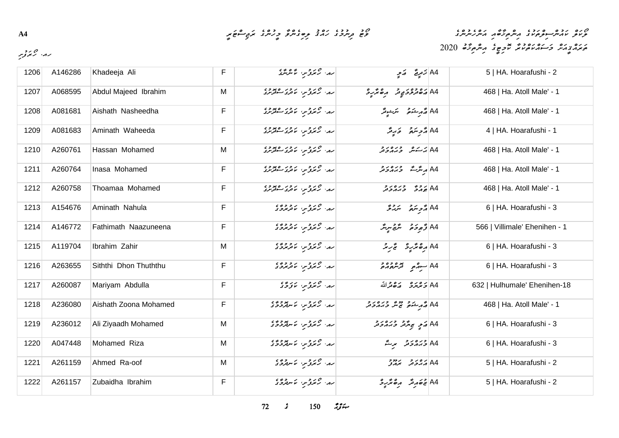*sCw7q7s5w7m< o<n9nOoAw7o< sCq;mAwBoEw7q<m; wBm;vB* م من المسجد المسجد المسجد المسجد المسجد العام 2020<br>مجم*د المسجد المسجد المستجد المسجد المسجد المسجد المسجد المسجد المسجد المسجد المسجد المسجد المسجد المسجد المسجد* 

| 1206 | A146286 | Khadeeja Ali          | F            | رە بەردىن ئامرىكرى                                     | A4  تزمریعً – م <i>زم</i> رٍ                            | 5   HA. Hoarafushi - 2        |
|------|---------|-----------------------|--------------|--------------------------------------------------------|---------------------------------------------------------|-------------------------------|
| 1207 | A068595 | Abdul Majeed Ibrahim  | M            | رە بەر دىرە بەر دەپرە»<br>رە بەرگەنگەنى بەلەر ئەسەلەرد | A4 مَ <i>ھوجو حي قر</i> مِن مَرَّرِ ح                   | 468   Ha. Atoll Male' - 1     |
| 1208 | A081681 | Aishath Nasheedha     | F            | رړ کريږي، رور ۲۶۷۵ وه.                                 | A4 مَدَمرِ حَدَمَر سَرَحْدِمَّدَ                        | 468   Ha. Atoll Male' - 1     |
| 1209 | A081683 | Aminath Waheeda       | F            | رړ کريږي، رور ۲۶۷۵ وه.                                 | A4 مَّ <i>جِ سَع</i> ْرٍ حَ بِرِ مَّد                   | 4   HA. Hoarafushi - 1        |
| 1210 | A260761 | Hassan Mohamed        | M            | رە بەردىن ئەترى- ەيدە ئ                                | A4 ئەسەمىر جەمھەر قىر                                   | 468   Ha. Atoll Male' - 1     |
| 1211 | A260764 | Inasa Mohamed         | $\mathsf F$  | رە بەر ئەرەپ بەر ئەرەپىرى                              | A4 مِسَّرَّتْہ تَحْدَمُ تَحَدَّ                         | 468   Ha. Atoll Male' - 1     |
| 1212 | A260758 | Thoamaa Mohamed       | F            | رە بەر دىر دەر دەرەت<br>رە بەر ئەترىس ئەترى-ئىرىرى     | A4 بورو ورەرور                                          | 468   Ha. Atoll Male' - 1     |
| 1213 | A154676 | Aminath Nahula        | $\mathsf{F}$ | رە بەردىن ئەۋرىدە                                      | A4 مَّ حِ سَمَّةَ مَسَمَّةٌ مِّ                         | 6   HA. Hoarafushi - 3        |
| 1214 | A146772 | Fathimath Naazuneena  | F            | رد. رود روده                                           | A4 ۇَج <sub>و</sub> حَرْجَ مَّتَى س <sub>ْ</sub> بِسَّر | 566   Villimale' Ehenihen - 1 |
| 1215 | A119704 | Ibrahim Zahir         | M            | رد. رموز روده                                          | A4 مەھەترىپى تەرىتى                                     | 6   HA. Hoarafushi - 3        |
| 1216 | A263655 | Siththi Dhon Thuththu | F            | رد. رموز روده                                          | A4 سوړ <sub>مو</sub> مورموړه                            | 6   HA. Hoarafushi - 3        |
| 1217 | A260087 | Mariyam Abdulla       | F            | رە بەردىن ئەزەئ                                        | A4 كريرير كرك كالله                                     | 632   Hulhumale' Ehenihen-18  |
| 1218 | A236080 | Aishath Zoona Mohamed | F            | رە بەرەپ ئەسلامدە                                      | A4 مەم شەم سى ئەرەر د                                   | 468   Ha. Atoll Male' - 1     |
| 1219 | A236012 | Ali Ziyaadh Mohamed   | M            | رە بەردىن ئەسلامدە                                     | A4 كەيچ بى مەرق ئەمدە ئەر                               | 6   HA. Hoarafushi - 3        |
| 1220 | A047448 | Mohamed Riza          | M            | رە بەرەس ئاسلامدە                                      | A4 <i>وَبَرُودَوْ</i> مِرْتُهُ                          | 6   HA. Hoarafushi - 3        |
| 1221 | A261159 | Ahmed Ra-oof          | M            | رە بەرەپ ئەسلامى                                       | A4 كەبروتىر بىردە ج                                     | 5   HA. Hoarafushi - 2        |
| 1222 | A261157 | Zubaidha Ibrahim      | F            | رە بەردىن ئەس دەر                                      | A4ع <i>ھەدىگە مەھەتگەي</i> ى                            | 5   HA. Hoarafushi - 2        |

*72 sC 150 nNw?mS*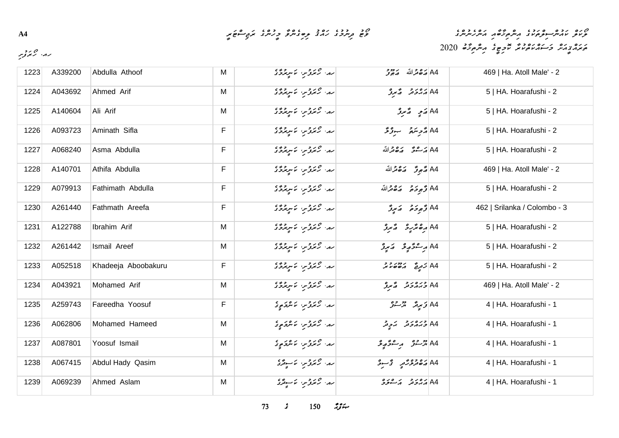*sCw7q7s5w7m< o<n9nOoAw7o< sCq;mAwBoEw7q<m; wBm;vB* م من المرة المرة المرة المرجع المرجع في المركبة 2020<br>مجم*د المريض المربوط المربع المرجع في المراجع المركبة* 

| 1223 | A339200 | Abdulla Athoof      | M         | رە ئەترۇس ئابىردە ئ   | A4 مَ <b>صْ</b> قَرَاللَّهُ مَعْ دَوْمَ         | 469   Ha. Atoll Male' - 2    |
|------|---------|---------------------|-----------|-----------------------|-------------------------------------------------|------------------------------|
| 1224 | A043692 | Ahmed Arif          | M         | رە بەلگەترىن ئەستەدە  | A4 كەش <sup>ى</sup> رى ھەمبەتى                  | 5   HA. Hoarafushi - 2       |
| 1225 | A140604 | Ali Arif            | M         | رە بەلگەن ئەبىرىدى    | A4 <i>ھَ جِه مُ</i> حَمِّدُ                     | 5   HA. Hoarafushi - 2       |
| 1226 | A093723 | Aminath Sifla       | F         | رە بەلگەنى، ئاستەردە  | A4 مَّحِسَمَةَ سِوْقَتْ                         | 5   HA. Hoarafushi - 2       |
| 1227 | A068240 | Asma Abdulla        | F         | رە، رىزۇپ ئابرىدۇ،    |                                                 | 5   HA. Hoarafushi - 2       |
| 1228 | A140701 | Athifa Abdulla      | F         | رە بەلگەن ئەبىرىدى    | A4 صَّعِرَ مَصَّدَاللَّهُ                       | 469   Ha. Atoll Male' - 2    |
| 1229 | A079913 | Fathimath Abdulla   | F         | رە بەلگەن ئاسلام دە   | A4 قَ <i>جِءَ حَمَّةَ حَمَّاهُ قَمَّ</i> اللَّه | 5   HA. Hoarafushi - 2       |
| 1230 | A261440 | Fathmath Areefa     | F         | رە بەلگەنى، ئاستەردە  |                                                 | 462   Srilanka / Colombo - 3 |
| 1231 | A122788 | Ibrahim Arif        | M         | رە بەردىن ئايېرىدى    | A4 مەھمگىرى ھەمرى                               | 5   HA. Hoarafushi - 2       |
| 1232 | A261442 | <b>Ismail Areef</b> | M         | رە ئەتروپ ئەيدىدە     | A4 مرےدو چی کھیرو<br>ا                          | 5   HA. Hoarafushi - 2       |
| 1233 | A052518 | Khadeeja Aboobakuru | F         | رە بەلگەن ئەبىرىدى    | A4 ترمرق مقصوم مر                               | 5   HA. Hoarafushi - 2       |
| 1234 | A043921 | Mohamed Arif        | M         | رە بەلگەنى، ئاستەردە  | A4 <i>2525 مُحبوق</i>                           | 469   Ha. Atoll Male' - 2    |
| 1235 | A259743 | Fareedha Yoosuf     | F         | رە بەتروپ ئەندوپرى    | A4 كۆمونىگە ئەر <u>خى</u> مى                    | 4   HA. Hoarafushi - 1       |
| 1236 | A062806 | Mohamed Hameed      | M         | رە، رىمزۇر، ئانگرىزى  | A4 دُبَرْدَدَ دَ بَرَدٍ ثَرَ                    | 4   HA. Hoarafushi - 1       |
| 1237 | A087801 | Yoosuf Ismail       | ${\sf M}$ | رە، رىمزۇر، ئانگەدە ئ | A4 تېر يىق مەسىر ئىچە يوغە                      | 4   HA. Hoarafushi - 1       |
| 1238 | A067415 | Abdul Hady Qasim    | M         | رە ، ئەترىس، ئاسەترى  | A4 رَ صَرُحْرَ مَبِي _ تَحْ سِوْرَ _            | 4   HA. Hoarafushi - 1       |
| 1239 | A069239 | Ahmed Aslam         | M         | رە بەردىن ئەسلامى     | A4 كەبروتىر كەسى <del>ر</del> و                 | 4   HA. Hoarafushi - 1       |

*73 s* 150 *i*<sub>s</sub> $\approx$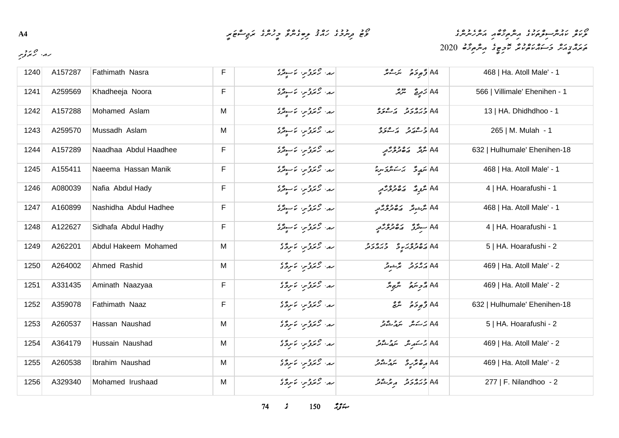*sCw7q7s5w7m< o<n9nOoAw7o< sCq;mAwBoEw7q<m; wBm;vB* م من المرة المرة المرة المرجع المرجع في المركبة 2020<br>مجم*د المريض المربوط المربع المرجع في المراجع المركبة* 

| 1240 | A157287 | Fathimath Nasra       | F            | رە بە ئەتروپ مەسبەدگەنج | A4 قَ جِرحَة حَمَد سَرَسْتَمَدَّ        | 468   Ha. Atoll Male' - 1     |
|------|---------|-----------------------|--------------|-------------------------|-----------------------------------------|-------------------------------|
| 1241 | A259569 | Khadheeja Noora       | F            | رە، رىمۇم، ئاسەترى      | A4 كَتَعْرِيجٌ مَمْ يَتْرَجَّدُ         | 566   Villimale' Ehenihen - 1 |
| 1242 | A157288 | Mohamed Aslam         | M            | رە ، ئەترىس، ئاسەترى    | A4 ديره در په شوده                      | 13   HA. Dhidhdhoo - 1        |
| 1243 | A259570 | Mussadh Aslam         | M            | رە، رىمۇم، ئاسەترى      | A4 ج مشهرة مستوفر                       | 265   M. Mulah - 1            |
| 1244 | A157289 | Naadhaa Abdul Haadhee | $\mathsf{F}$ | رە، رىمۇم، ئاسەترى      |                                         | 632   Hulhumale' Ehenihen-18  |
| 1245 | A155411 | Naeema Hassan Manik   | $\mathsf F$  | رە، رىمۇم، ئاسەترى      | A4 سَمِيعٌ بَرَ <i>سَ</i> مَدَّة سِرْءٌ | 468   Ha. Atoll Male' - 1     |
| 1246 | A080039 | Nafia Abdul Hady      | F            | رە ، ئەترىس، ئاسەترى    | A4 سُمْدِرَّ - رَە وَوَحْدَىرِ          | 4   HA. Hoarafushi - 1        |
| 1247 | A160899 | Nashidha Abdul Hadhee | F            | رە، رىمەترىپ ئەسەندى    | A4 سَّرْجُومَّر صَرْحَرْمَرِّمْ مِنْ 1  | 468   Ha. Atoll Male' - 1     |
| 1248 | A122627 | Sidhafa Abdul Hadhy   | F            | رە، رىمۇم، ئاسەترى      | A4 سوترتر مەھەر <i>بى تېر</i>           | 4   HA. Hoarafushi - 1        |
| 1249 | A262201 | Abdul Hakeem Mohamed  | M            | رە، ئەنزۇس ئابرۇقى      | A4 كەھىر ئەرەر دىرەر د                  | 5   HA. Hoarafushi - 2        |
| 1250 | A264002 | Ahmed Rashid          | M            | رە، رىمۇم، ئابروتى      | A4 كەبرى قرىنىدىتر                      | 469   Ha. Atoll Male' - 2     |
| 1251 | A331435 | Aminath Naazyaa       | F            | رە، ئەترۇس ئابرۇقى      | A4 مَّ حِ سَمَعَ مَّتَ جَمَّ            | 469   Ha. Atoll Male' - 2     |
| 1252 | A359078 | Fathimath Naaz        | $\mathsf{F}$ | رە، رىمۇتو، ئايرۇقى     | A4 تُرجوحي مُتَنَّج                     | 632   Hulhumale' Ehenihen-18  |
| 1253 | A260537 | Hassan Naushad        | M            | رە، رىمۇرىي، ئايرۇقى    | A4 بَرَسَ <i>مَّة مَدَّمَّة قر</i>      | 5   HA. Hoarafushi - 2        |
| 1254 | A364179 | Hussain Naushad       | M            | رە، ئەندۇس ئايرومى      | A4 يُرْسَمَّهِ مِنْ مَدَّشَقَّةِ        | 469   Ha. Atoll Male' - 2     |
| 1255 | A260538 | Ibrahim Naushad       | M            | رە، ئەترۇس ئايرۇقى      | A4 رەئزىر ئىقمىشىز                      | 469   Ha. Atoll Male' - 2     |
| 1256 | A329340 | Mohamed Irushaad      | M            | رە، رىمۇتر، ئابرۇقى     | A4 32,200 مرتم مقرق                     | 277   F. Nilandhoo - 2        |

 $74$  *s*  $150$   $23$   $\div$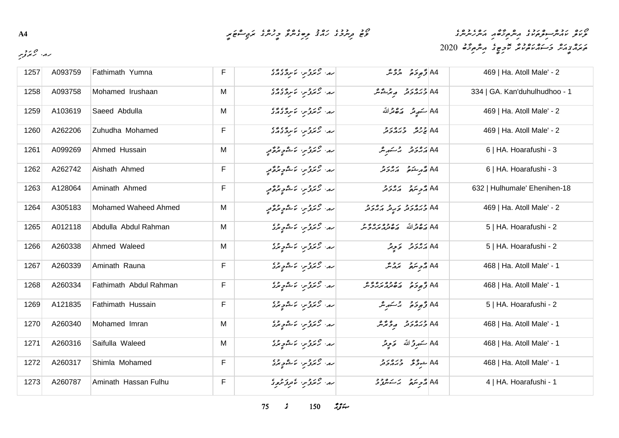*sCw7q7s5w7m< o<n9nOoAw7o< sCq;mAwBoEw7q<m; wBm;vB* م من المسجد المسجد المسجد المسجد المسجد العام 2020<br>مسجد المسجد المسجد المسجد المسجد المسجد المسجد المسجد المسجد ال

| 1257 | A093759 | Fathimath Yumna        | F           | رە بە ئەترۇس ئابرە ئەم       | A4 ژَجِرَة حَمْرَ مَرْدَتَرَ                | 469   Ha. Atoll Male' - 2     |
|------|---------|------------------------|-------------|------------------------------|---------------------------------------------|-------------------------------|
| 1258 | A093758 | Mohamed Irushaan       | M           | رە بەرەپ ئەبەدە دە           | A4 درەرو مەرشگىر                            | 334   GA. Kan'duhulhudhoo - 1 |
| 1259 | A103619 | Saeed Abdulla          | M           | رە بەرەپ ئەبەدە دە           | A4 كوري <i>ة مَنْ قَدْ</i> اللّه            | 469   Ha. Atoll Male' - 2     |
| 1260 | A262206 | Zuhudha Mohamed        | F           | رە بەردىن ئابرۇي دە          | A4 يحريحه حرم ديو                           | 469   Ha. Atoll Male' - 2     |
| 1261 | A099269 | Ahmed Hussain          | M           | رە ، ئەترۇس ، ئاھوچە ترەڭر   | A4 كەبرى قىلى بار سىمبرىش                   | 6   HA. Hoarafushi - 3        |
| 1262 | A262742 | Aishath Ahmed          | $\mathsf F$ | رە ، ئەترۇس ، ئاشۈچ ترەڭ بېر | A4 مەم ھەر مەركى مەركىتىلىر                 | 6   HA. Hoarafushi - 3        |
| 1263 | A128064 | Aminath Ahmed          | F           | رە، ئەترۇس ئاھەدىرە بور      | A4 مَّحِسَمَ مَ <sup>رو</sup> د             | 632   Hulhumale' Ehenihen-18  |
| 1264 | A305183 | Mohamed Waheed Ahmed   | M           | رە، ئەنزۇس ئاھەدىرە بور      | A4 وبرەر و پر تر مدومر                      | 469   Ha. Atoll Male' - 2     |
| 1265 | A012118 | Abdulla Abdul Rahman   | M           | رەر بەترىس، ئاھەم دە         | A4 كەھ قىراللە كەھ <i>قىرم تىر بىر قى</i> ر | 5   HA. Hoarafushi - 2        |
| 1266 | A260338 | Ahmed Waleed           | M           | رە ، رىمروس، ئاھوپرى         | A4 كەندى قىم توقر                           | 5   HA. Hoarafushi - 2        |
| 1267 | A260339 | Aminath Rauna          | $\mathsf F$ | رە بەللەر ئاسلام دە          | A4 مَّحِسَمَةً مَمَ <i>مَّةً م</i> َّ       | 468   Ha. Atoll Male' - 1     |
| 1268 | A260334 | Fathimath Abdul Rahman | F           | رە بە ئەترىس، ئەھمەتە ئە     | A4 تُرجوح مەھىرمىدى ھ                       | 468   Ha. Atoll Male' - 1     |
| 1269 | A121835 | Fathimath Hussain      | F           | رە بە ئەترىس، ئەھمەتە ئە     | A4 <i>وَّجوحَمْ بِرْسَمبِ</i> مَرْ          | 5   HA. Hoarafushi - 2        |
| 1270 | A260340 | Mohamed Imran          | M           | رە رىمزور، ئاھەم دە          | A4 درورد مقرش                               | 468   Ha. Atoll Male' - 1     |
| 1271 | A260316 | Saifulla Waleed        | M           | رە، رىروس ئاھەم دە           | A4 كمرتر الله كرمويتر                       | 468   Ha. Atoll Male' - 1     |
| 1272 | A260317 | Shimla Mohamed         | $\mathsf F$ | رە بە ئەترىس، ئەھمەتە ئە     | A4 جود <i>و چرو د</i> ر                     | 468   Ha. Atoll Male' - 1     |
| 1273 | A260787 | Aminath Hassan Fulhu   | F           | رە ، ئەترۇس ، ئىرۇترە ئ      | A4 مُحرِسَمَةٌ مَسَسْرَتْرَتْزَ             | 4   HA. Hoarafushi - 1        |

 $75$  *s*  $\qquad$  150  $25$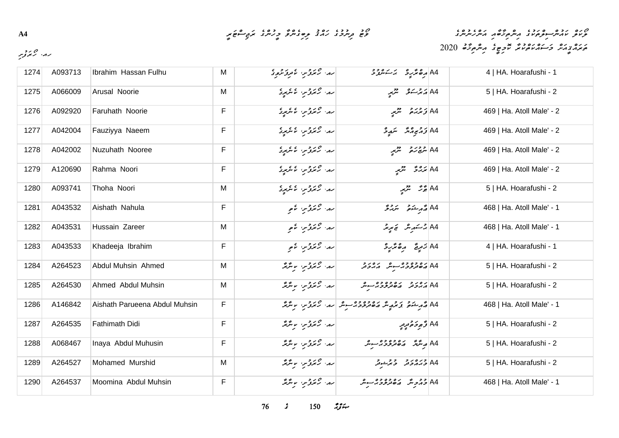*sCw7q7s5w7m< o<n9nOoAw7o< sCq;mAwBoEw7q<m; wBm;vB* م من المرة المرة المرة المرجع المرجع في المركبة 2020<br>مجم*د المريض المربوط المربع المرجع في المراجع المركبة* 

| 1274 | A093713 | Ibrahim Hassan Fulhu          | M           | رە. ئەنزۇس ئامرۇترەپمى    | A4 مەھەرىپ ئەسكىرى ئىس                              | 4   HA. Hoarafushi - 1    |
|------|---------|-------------------------------|-------------|---------------------------|-----------------------------------------------------|---------------------------|
| 1275 | A066009 | Arusal Noorie                 | M           | رە، ئەنزۇس ئانترىرى       | A4 كەبىر سىز قىزىر بىر                              | 5   HA. Hoarafushi - 2    |
| 1276 | A092920 | Faruhath Noorie               | F           | رە، رىمۇس ئانترىپرى       | A4 <i>وَ بَدْبَهُ وَ</i> مَرْسِ                     | 469   Ha. Atoll Male' - 2 |
| 1277 | A042004 | Fauziyya Naeem                | F           | رە، رىمۇس ئائىرىمۇ        | A4 زَمَّ مِمَّ مَ سَمِي <sup>و</sup>                | 469   Ha. Atoll Male' - 2 |
| 1278 | A042002 | Nuzuhath Nooree               | F           | رە، ئەترۇس ئانترىرى       | A4 سرچ کی جو سرمبر                                  | 469   Ha. Atoll Male' - 2 |
| 1279 | A120690 | Rahma Noori                   | F           | رە، رىمزۇر، ئائىرىرى      | A4 <i>بَرْدُدُ</i> مُرْمِرِ                         | 469   Ha. Atoll Male' - 2 |
| 1280 | A093741 | Thoha Noori                   | м           | رە، رىمۇمىز، ئانترىپرى    | A4 ۾َرَمَ گُٽرمبرِ                                  | 5   HA. Hoarafushi - 2    |
| 1281 | A043532 | Aishath Nahula                | F           | رە، رېمۇقرما ئام          | A4 مَ <i>ذہب خُموش سَرْحَرَّ</i>                    | 468   Ha. Atoll Male' - 1 |
| 1282 | A043531 | Hussain Zareer                | M           | رە، رىمۇقرىن ئام          | A4 بر <i>کے مربر کے مربر</i>                        | 468   Ha. Atoll Male' - 1 |
| 1283 | A043533 | Khadeeja Ibrahim              | F           | رە، رىمۇقرىن ئام          | A4 دَمِيعً مِنْ مُرْحِرَ                            | 4   HA. Hoarafushi - 1    |
| 1284 | A264523 | Abdul Muhsin Ahmed            | M           | رو، رنجوز کور، را مرتجد   | A4 رەپ دەپ ھەدىر<br>A4 رەپرىزى سىش كەردىر           | 5   HA. Hoarafushi - 2    |
| 1285 | A264530 | Ahmed Abdul Muhsin            | M           | رە، ئەندۇس بەيدىگە        | A4 رور د مەدەبەر بىر<br>A4 مەرىر مەھەر دەب          | 5   HA. Hoarafushi - 2    |
| 1286 | A146842 | Aishath Parueena Abdul Muhsin | $\mathsf F$ |                           | A4 مەم شىم بىر مەم ئام مەم ئىس مەم ئىس ئىس مەم ئىگە | 468   Ha. Atoll Male' - 1 |
| 1287 | A264535 | <b>Fathimath Didi</b>         | F           | رە، ئەترۇس بەندىگە        | A4 أَوَّجِ وَكَمُّ مَرِيدٍ                          | 5   HA. Hoarafushi - 2    |
| 1288 | A068467 | Inaya Abdul Muhusin           | F           | أسدا التائدة فرس بالترتيل | A4 مەشگە مەھەر <i>ۈدە بەش</i>                       | 5   HA. Hoarafushi - 2    |
| 1289 | A264527 | Mohamed Murshid               | M           | رە، ئەنزۇر، رىندىگە       | A4 وبرەر د و و دينوتر                               | 5   HA. Hoarafushi - 2    |
| 1290 | A264537 | Moomina Abdul Muhsin          | $\mathsf F$ | رە، ئەنزۇر، رىترىتر       | A4 دېږمبر پره ده ده سره                             | 468   Ha. Atoll Male' - 1 |

 $76$  *s*  $\qquad$  150  $23$   $\qquad$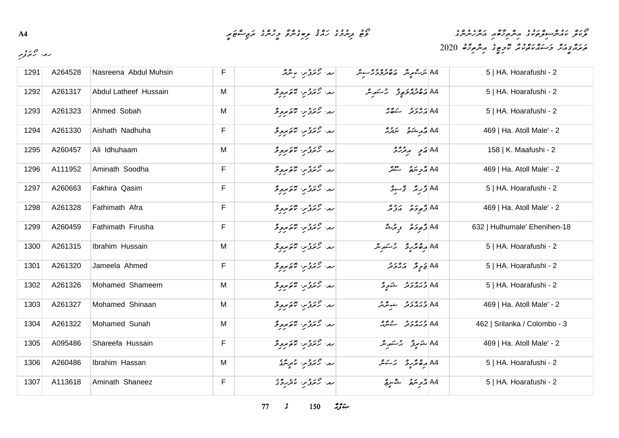*sCw7q7s5w7m< o<n9nOoAw7o< sCq;mAwBoEw7q<m; wBm;vB* م من المرة المرة المرة المرجع المرجع في المركبة 2020<br>مجم*د المريض المربوط المربع المرجع في المراجع المركبة* 

| 1291 | A264528 | Nasreena Abdul Muhsin | F           | رە، ئەنزۇس بەيترىتر     | A4 ىترىشمېرىنتر كەھ <i>قرىۋو بى</i> سىنتر     | 5   HA. Hoarafushi - 2       |
|------|---------|-----------------------|-------------|-------------------------|-----------------------------------------------|------------------------------|
| 1292 | A261317 | Abdul Latheef Hussain | M           | رە، ئىزۇس ئەزىرو ئ      | A4 مَ <i>ھوم دَجو دِ مَ</i> سَمب <sup>و</sup> | 5   HA. Hoarafushi - 2       |
| 1293 | A261323 | Ahmed Sobah           | M           | رە، رىمزۇر، ئائمىرو ئ   | A4 كەبروتر سى <i>ڭ 2</i>                      | 5   HA. Hoarafushi - 2       |
| 1294 | A261330 | Aishath Nadhuha       | $\mathsf F$ | رە، رىزۇر، ئائوبروڭ     | A4 مەم ھەم سىرىتىرىگە                         | 469   Ha. Atoll Male' - 2    |
| 1295 | A260457 | Ali Idhuhaam          | M           | رە، رىزۇس ئاھ برەڭ      | A4 <i>ھَ۔ مِعْرَدُّ</i> وْ                    | 158   K. Maafushi - 2        |
| 1296 | A111952 | Aminath Soodha        | F           | رەس ئىروس ئىم ئىرو بۇ   | A4 مُرْحِبِهُ مَعْتَمُّهُ مُسْتَمَرُّ         | 469   Ha. Atoll Male' - 2    |
| 1297 | A260663 | Fakhira Qasim         | F           | رە، ئەتزۇير، ئائويروڭ   | A4 وَُزِيَّر تَحْسِرْةَ                       | 5   HA. Hoarafushi - 2       |
| 1298 | A261328 | Fathimath Afra        | F           | رە، رىمزۇر، ئائمىرونۇ   | A4 وَّجِوحَمَّ مَوْمَمَّ                      | 469   Ha. Atoll Male' - 2    |
| 1299 | A260459 | Fathimath Firusha     | F           | رە، رىزۇس ئەھمروڭ       | A4 تژموځو په ترمشه                            | 632   Hulhumale' Ehenihen-18 |
| 1300 | A261315 | Ibrahim Hussain       | м           | رە، رىزۇس ئاھ برەڭ      | A4 مەھمگىر قەسىم ئىسكىرىش                     | 5   HA. Hoarafushi - 2       |
| 1301 | A261320 | Jameela Ahmed         | $\mathsf F$ | رە، رىمۇرىي ئىتمىرىدىگە | A4 ق ح ع ح م م مركز قر                        | 5   HA. Hoarafushi - 2       |
| 1302 | A261326 | Mohamed Shameem       | M           | رە، رىمزۇر، ئائومروڭ    |                                               | 5   HA. Hoarafushi - 2       |
| 1303 | A261327 | Mohamed Shinaan       | M           | رە، رىزۇر، ئائوبروڭ     | A4  <i>ۇبرو ئىقى</i> سىمىگەر                  | 469   Ha. Atoll Male' - 2    |
| 1304 | A261322 | Mohamed Sunah         | M           | رە، رىمزۇر، ئائمىرو ئ   | A4 دېم ده د مه شر                             | 462   Srilanka / Colombo - 3 |
| 1305 | A095486 | Shareefa Hussain      | F           | رە، ئەترۇس ئائوتبروڭ    | A4 ڪمپرو <i>گ جي ڪمب</i> ھر                   | 469   Ha. Atoll Male' - 2    |
| 1306 | A260486 | Ibrahim Hassan        | M           | رە، ئەتزۇر، ئامەيدى     | A4 مەھەرىپى ئەسەمىر                           | 5   HA. Hoarafushi - 2       |
| 1307 | A113618 | Aminath Shaneez       | F           | رە بەردىن ئەركەت        | A4 مُرْحِسَة مُسَّسِيَّة                      | 5   HA. Hoarafushi - 2       |

*77 sC 150 nNw?mS*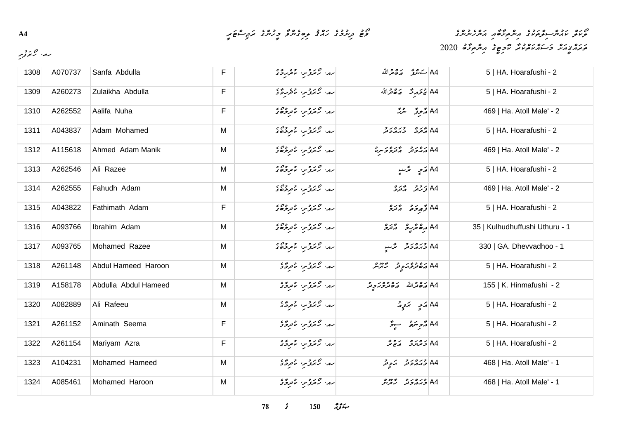*sCw7q7s5w7m< o<n9nOoAw7o< sCq;mAwBoEw7q<m; wBm;vB* م من المسجد المسجد المسجد المسجد المسجد العام 2020<br>مسجد المسجد المسجد المسجد المسجد المسجد المسجد المسجد المسجد ال

| 1308 | A070737 | Sanfa Abdulla        | F | رە. ئ <i>ىگ</i> ۇس مۇرى <i>م</i> ۇ | A4  سَمَعَةُ صَ <b>صَ</b> قَرَاللَّهُ          | 5   HA. Hoarafushi - 2         |
|------|---------|----------------------|---|------------------------------------|------------------------------------------------|--------------------------------|
| 1309 | A260273 | Zulaikha Abdulla     | F | رە بەلگە ئۇرگە ئەلگەرگە            | A4 يحترمرتش كده فكرالله                        | 5   HA. Hoarafushi - 2         |
| 1310 | A262552 | Aalifa Nuha          | F | رە بەلگەترىن ئاتېرىۋە ئ            | A4 مَرْحِ وَ سُرْبَّہُ                         | 469   Ha. Atoll Male' - 2      |
| 1311 | A043837 | Adam Mohamed         | M | رد. رمزور، رموده و                 | A4 څنره وره د و                                | 5   HA. Hoarafushi - 2         |
| 1312 | A115618 | Ahmed Adam Manik     | M | رد. رنزوس توروه                    | A4  كەبرو گەنگە ئەھەر ئىرىد                    | 469   Ha. Atoll Male' - 2      |
| 1313 | A262546 | Ali Razee            | M | رړ . رندوس کموره ده                | A4 <i>ڇَجِ پُڙَٺِ</i>                          | 5   HA. Hoarafushi - 2         |
| 1314 | A262555 | Fahudh Adam          | M | رە بەردىن ئەتەردە ،                | A4 وَرَتْرَ مَرْمَرَدْ                         | 469   Ha. Atoll Male' - 2      |
| 1315 | A043822 | Fathimath Adam       | F | رە بەلگەترىن ئاتېرىۋە ئ            | A4 وَّجِوحَمَّ مُرْمَرَّدُ                     | 5   HA. Hoarafushi - 2         |
| 1316 | A093766 | Ibrahim Adam         | M | رد. رنزوین اوروه                   | A4 مەھەمگەر قەرمەتەرى<br>A4                    | 35   Kulhudhuffushi Uthuru - 1 |
| 1317 | A093765 | Mohamed Razee        | M | رد. رمزوین الموره و                | A4 <i>وَبَرُوْدَوْ</i> کَرْسِهِ                | 330   GA. Dhevvadhoo - 1       |
| 1318 | A261148 | Abdul Hameed Haroon  | M | رە بەردىر، ئامەدە،                 | A4 مَ <i>مُعْرَفِرْ بِرِ مِنْ مُسِرِّسْ</i>    | 5   HA. Hoarafushi - 2         |
| 1319 | A158178 | Abdulla Abdul Hameed | M | رە بەر ئۇرگورى ئامرىدى             | A4 حَدَّهُ مَرْ اللّه مَ حَصْرُ حَرْ حَرِ مِرْ | 155   K. Hinmafushi - 2        |
| 1320 | A082889 | Ali Rafeeu           | M | رە، ئەندۇس ئاتېرىگى                | A4 <i>مَرْمٍ سَرَوِهُ</i>                      | 5   HA. Hoarafushi - 2         |
| 1321 | A261152 | Aminath Seema        | F | رە بەلگەترىن ئامرىگە               | A4 مُحِسَمَ سِرَّ                              | 5   HA. Hoarafushi - 2         |
| 1322 | A261154 | Mariyam Azra         | F | رە ئەتروپ ئەرمى                    | A4 <i>5 پروژه ويخ پر</i>                       | 5   HA. Hoarafushi - 2         |
| 1323 | A104231 | Mohamed Hameed       | M | رە، رىمزۇس ئامرىرى                 | A4 دُبَرْدْدَتْرَ بَرْدِتْرَ                   | 468   Ha. Atoll Male' - 1      |
| 1324 | A085461 | Mohamed Haroon       | M | رە بەردىر، ئەرلەي                  | A4 <i>32025 محمد من</i>                        | 468   Ha. Atoll Male' - 1      |

*78 sC 150 nNw?mS*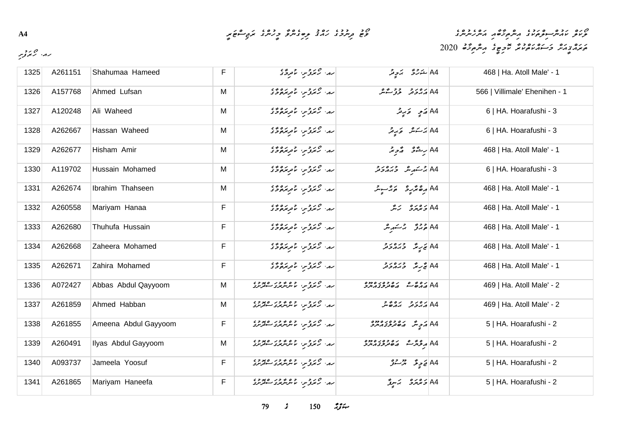*sCw7q7s5w7m< o<n9nOoAw7o< sCq;mAwBoEw7q<m; wBm;vB* م من المسجد المسجد المسجد المسجد المسجد العام 2020<br>مسجد المسجد المسجد المسجد المسجد المسجد المسجد المسجد المسجد ال

| 1325 | A261151 | Shahumaa Hameed      | F            | رە ئەترۇس ئامرۇقى                                                                                                                                                                                                                | A4  ڪرگڙ ڪوپٽر                             | 468   Ha. Atoll Male' - 1     |
|------|---------|----------------------|--------------|----------------------------------------------------------------------------------------------------------------------------------------------------------------------------------------------------------------------------------|--------------------------------------------|-------------------------------|
| 1326 | A157768 | Ahmed Lufsan         | M            | رد. رمزوس توپره وه                                                                                                                                                                                                               | A4 كەبرى قىر ئىقتىلىر                      | 566   Villimale' Ehenihen - 1 |
| 1327 | A120248 | Ali Waheed           | M            | رم محروس مورده ده                                                                                                                                                                                                                | A4  <i>ھَ جِه – قاب</i> ريم                | 6   HA. Hoarafushi - 3        |
| 1328 | A262667 | Hassan Waheed        | M            | رد. رمزوس تومده وه                                                                                                                                                                                                               | A4  برستەشر    خەبرىتىر                    | 6   HA. Hoarafushi - 3        |
| 1329 | A262677 | Hisham Amir          | M            | روم د و د المعر بره و د                                                                                                                                                                                                          | A4 پيشتر گ <sub>ە</sub> چەر                | 468   Ha. Atoll Male' - 1     |
| 1330 | A119702 | Hussain Mohamed      | M            | رد. رمزوس توبره ده                                                                                                                                                                                                               | A4 يُرْسَمبر شَرْ وَبَرَ وَحَدَّ قَرْ      | 6   HA. Hoarafushi - 3        |
| 1331 | A262674 | Ibrahim Thahseen     | M            | رو، رموتوس مور مده و د                                                                                                                                                                                                           | A4 مەھەرىپە ھەرىپ مىر                      | 468   Ha. Atoll Male' - 1     |
| 1332 | A260558 | Mariyam Hanaa        | $\mathsf F$  | رە بەردىن ئەترىرە دە                                                                                                                                                                                                             | A4 كەبھەر ئەنگە                            | 468   Ha. Atoll Male' - 1     |
| 1333 | A262680 | Thuhufa Hussain      | F            | رد. رمزور، روره در                                                                                                                                                                                                               | A4 <i>ويرق بر شهر مثر</i>                  | 468   Ha. Atoll Male' - 1     |
| 1334 | A262668 | Zaheera Mohamed      | $\mathsf{F}$ | رد. رمزوس تورده ده                                                                                                                                                                                                               | A4 ىم پەش ئەم ئەرەبىر                      | 468   Ha. Atoll Male' - 1     |
| 1335 | A262671 | Zahira Mohamed       | $\mathsf F$  | رد. رمزوس توبره وه                                                                                                                                                                                                               | A4 تج برنگر ت <i>ح تم</i> 25 تر            | 468   Ha. Atoll Male' - 1     |
| 1336 | A072427 | Abbas Abdul Qayyoom  | M            | ر در در در ده به در میرده<br>رد از نروین اما مرس ندی سوتربری                                                                                                                                                                     | A4 كەم كەن ئەھەر دەرە                      | 469   Ha. Atoll Male' - 2     |
| 1337 | A261859 | Ahmed Habban         | M            | در ده در در ۱۶۶۶ ور ۲۶۵۵<br>مدر کنجوی مشویزیوی مشویزیوی                                                                                                                                                                          | A4 كەبروتر بەر <i>ەھىر</i>                 | 469   Ha. Atoll Male' - 2     |
| 1338 | A261855 | Ameena Abdul Gayyoom | F            | در صروحها از ۱۶۴۵ ورود تا                                                                                                                                                                                                        | A4 <i>ה چ</i> ر شهر محمد محمد محمد محمد حر | 5   HA. Hoarafushi - 2        |
| 1339 | A260491 | Ilyas Abdul Gayyoom  | M            | الدر، المحروم، المحافظ المعروم المعدوم.<br> الدر، المحروم، المحافظ المعروم المعدوم المحدوم المحروم                                                                                                                               | A4 روژے مصرف دورہ                          | 5   HA. Hoarafushi - 2        |
| 1340 | A093737 | Jameela Yoosuf       | F            | در ده در در ده به در معدد و در در در در در در در در در در استاند در در استاند در در استاند در دارد در استاند د<br>در استاند در استاند در استاند در در استاند در دارد در استاند در دارد در استاند در دارد باشد در استاند در استان | A4 کے <sub>جو</sub> گر گرمشن               | 5   HA. Hoarafushi - 2        |
| 1341 | A261865 | Mariyam Haneefa      | F            | ہ در ہے جو دی ہے جو دے دی۔<br>مارک مرکز کو میں مشروع کے مقرموی                                                                                                                                                                   | A4 كەبرىزى كەس <sub>ى</sub> رىگە           | 5   HA. Hoarafushi - 2        |

*79 sC 150 nNw?mS*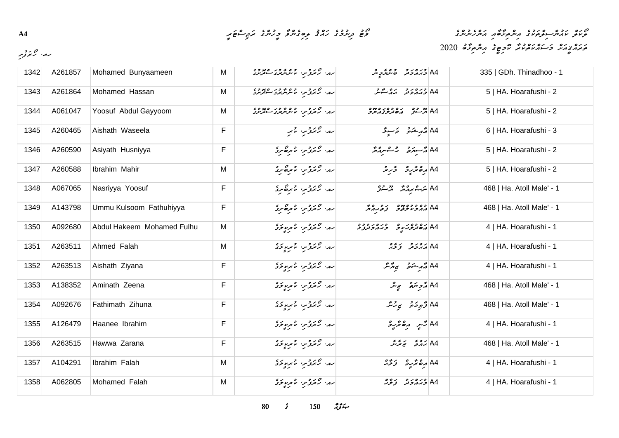*sCw7q7s5w7m< o<n9nOoAw7o< sCq;mAwBoEw7q<m; wBm;vB* م من المسجد المسجد المسجد المسجد المسجد العام 2020<br>مسجد المسجد المسجد المسجد المسجد المسجد المسجد المسجد المسجد ال

| 1342 | A261857 | Mohamed Bunyaameen         | M           | ر د. هم دوم در در مرد ده و د و د و د                                           | A4  <i>دینہ دو</i> مشروب                       | 335   GDh. Thinadhoo - 1  |
|------|---------|----------------------------|-------------|--------------------------------------------------------------------------------|------------------------------------------------|---------------------------|
| 1343 | A261864 | Mohamed Hassan             | M           |                                                                                | A4 <i>دېم ده به ش</i> ر                        | 5   HA. Hoarafushi - 2    |
| 1344 | A061047 | Yoosuf Abdul Gayyoom       | M           | ر در هروس از ده بود و د ده و د و د<br>ارد از مرکزامور از ما متوسط در استفراندی |                                                | 5   HA. Hoarafushi - 2    |
| 1345 | A260465 | Aishath Waseela            | $\mathsf F$ | رە، رىمۇقرىي ئامر                                                              | A4 مەم ھەسىم قىسىمىتىكى كىل                    | 6   HA. Hoarafushi - 3    |
| 1346 | A260590 | Asiyath Husniyya           | F           | رە، رىزۇس ئابرەترى                                                             | A4 م <sup>ح</sup> سورہ جے میں مگر              | 5   HA. Hoarafushi - 2    |
| 1347 | A260588 | Ibrahim Mahir              | M           | رە ئەتروپر، ئاترەترى                                                           | A4 مەھەرىرى ئەرىر                              | 5   HA. Hoarafushi - 2    |
| 1348 | A067065 | Nasriyya Yoosuf            | F           | رە . ئەترىس، ئاترەترى                                                          | A4 مَرْبَّسْمَ بِرْرْمَرَّ مَرْتَسُورُ         | 468   Ha. Atoll Male' - 1 |
| 1349 | A143798 | Ummu Kulsoom Fathuhiyya    | $\mathsf F$ | رە ، ئەترىس، ئاترەترى                                                          | AA REGERO CORRA                                | 468   Ha. Atoll Male' - 1 |
| 1350 | A092680 | Abdul Hakeem Mohamed Fulhu | M           | رە ئەترىپ ئايرىدى                                                              | A4 رەدەر بەرەردىرە<br>A4 مەھىرىرىرى مەمەمەرىرى | 4   HA. Hoarafushi - 1    |
| 1351 | A263511 | Ahmed Falah                | M           | رە، ئەترۇس ئاترىيەت ك                                                          | A4 كەبرى بىر ئەنزىر بىر                        | 4   HA. Hoarafushi - 1    |
| 1352 | A263513 | Aishath Ziyana             | $\mathsf F$ | رە ، ئەترۇس ئاتىرىدى ئ                                                         | A4 مَدْمِرْ مَسَوْمَ مَح مِرَّسَرَ             | 4   HA. Hoarafushi - 1    |
| 1353 | A138352 | Aminath Zeena              | F           | ىد. ئەندۇس مىمدىدى                                                             | A4 مَرْحِ سَمَعْ مَمْ سَمَّ                    | 468   Ha. Atoll Male' - 1 |
| 1354 | A092676 | Fathimath Zihuna           | F           | رە، رىمۇقىر، ئامرىدى ئ                                                         | A4 تَهِ <i>حَقَّ</i> بِمِ حَسَّرَ              | 468   Ha. Atoll Male' - 1 |
| 1355 | A126479 | Haanee Ibrahim             | F           | رە، ئەترۇس ئايرىدى                                                             | A4 ٿيپ م <i>ھنڙپ</i> و                         | 4   HA. Hoarafushi - 1    |
| 1356 | A263515 | Hawwa Zarana               | F           | رە، ئەترۇس ئايرىدى ئ                                                           | A4 بَهُ مِنْ سَمَّ سَمَّدَ سَمَّ               | 468   Ha. Atoll Male' - 1 |
| 1357 | A104291 | Ibrahim Falah              | M           | رە، رىمۇرىن ئامرىيەت كا                                                        | A4 <sub>مر</sub> ھ <i>مُدْرِدْ وَ وَدُّ</i>    | 4   HA. Hoarafushi - 1    |
| 1358 | A062805 | Mohamed Falah              | M           | رە، رىمۇمر، ئامرىيەنجى                                                         | A4  32025 ترىچە                                | 4   HA. Hoarafushi - 1    |

 $80$  *s*  $\cancel{0}$  **150** *n***<sub>s</sub>**  $\cancel{0}$  *n*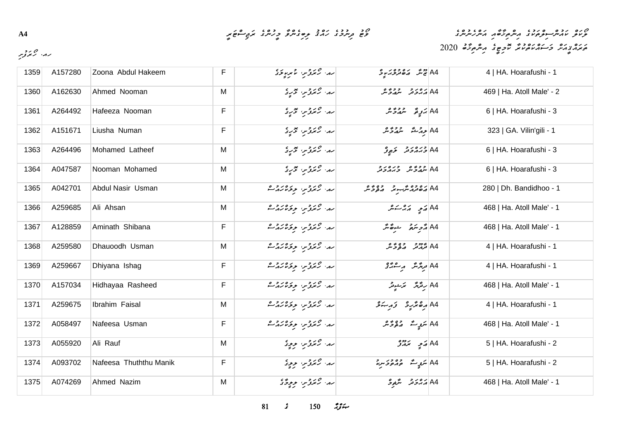*sCw7q7s5w7m< o<n9nOoAw7o< sCq;mAwBoEw7q<m; wBm;vB* م من المسجد المسجد المسجد المسجد المسجد العام 2020<br>مسجد المسجد المسجد المسجد المسجد المسجد المسجد المسجد المسجد ال

| 1359 | A157280 | Zoona Abdul Hakeem     | F           | رە، جىمۇم، مىمبەلخە     | A4 تيمگر <i>م م هو هر جر</i> ير و              | 4   HA. Hoarafushi - 1    |
|------|---------|------------------------|-------------|-------------------------|------------------------------------------------|---------------------------|
| 1360 | A162630 | Ahmed Nooman           | M           | رە، رىمۇقرىي غرىرى      | A4 <i>הכפיר ההכת</i>                           | 469   Ha. Atoll Male' - 2 |
| 1361 | A264492 | Hafeeza Nooman         | F           | رە، ئەنزۇس بورى         | A4 بَرَوٍ هُمْ سَمْهُ دَّسْ                    | 6   HA. Hoarafushi - 3    |
| 1362 | A151671 | Liusha Numan           | F           | رو، رحمزوين عربي        | A4 مِ <sub>م</sub> ْرِیْتُہ سُم <i>ِی</i> ڈَ ش | 323   GA. Vilin'gili - 1  |
| 1363 | A264496 | Mohamed Latheef        | M           | رو، رحمزوين عربي        | A4 دېمەد ئەرە                                  | 6   HA. Hoarafushi - 3    |
| 1364 | A047587 | Nooman Mohamed         | M           | رە، رىمۇقرىي غرىرى      | A4 شهرم من دره در د                            | 6   HA. Hoarafushi - 3    |
| 1365 | A042701 | Abdul Nasir Usman      | M           | رەر ئەترۇس بەزەردىق     | A4 مەھەرمەشبەتر مەمۇرىس                        | 280   Dh. Bandidhoo - 1   |
| 1366 | A259685 | Ali Ahsan              | M           | رە رىمزۇر، بەزەردە      | A4 <i>ھَ۔جِہ مَہُ</i> سَمَسَ                   | 468   Ha. Atoll Male' - 1 |
| 1367 | A128859 | Aminath Shibana        | F           | رەسكە ئەرەب بوغەر ئەمەت | A4 مَّ حِ سَعَةٍ مَسْتَ مَّتَ مَّتَ            | 468   Ha. Atoll Male' - 1 |
| 1368 | A259580 | Dhauoodh Usman         | M           | رە ئەترىپ بەلەردە       | A4 مرمرمر موضع م                               | 4   HA. Hoarafushi - 1    |
| 1369 | A259667 | Dhiyana Ishag          | $\mathsf F$ | رە ئەترىپ بەلەردە       | A4 مری <i>مگر مرتبر پ</i> ر                    | 4   HA. Hoarafushi - 1    |
| 1370 | A157034 | Hidhayaa Rasheed       | F           | رە ئەترىپ بەلەردە       | A4 بِقَرْمَرٌ   مَرَشِيقَر                     | 468   Ha. Atoll Male' - 1 |
| 1371 | A259675 | Ibrahim Faisal         | M           | رە ئەترىپ بەلەردە       | A4 مەھەرىپ قەم يىكى                            | 4   HA. Hoarafushi - 1    |
| 1372 | A058497 | Nafeesa Usman          | F           | رە ئىزۇس بەزەندى        | A4 سَمِرٍ شَہ مَہْ وَصَمَّر                    | 468   Ha. Atoll Male' - 1 |
| 1373 | A055920 | Ali Rauf               | M           | رو، رحموقرما ترتوی      | A4 ڪچ پر <i>م</i> وه                           | 5   HA. Hoarafushi - 2    |
| 1374 | A093702 | Nafeesa Thuththu Manik | F           | رو، رحموقرما المرمورة   |                                                | 5   HA. Hoarafushi - 2    |
| 1375 | A074269 | Ahmed Nazim            | M           | رە ئەترۇس مەمەمى        | A4 <i>مَدْدَوَنْتْ</i> سُمْعِ رَحْمَ           | 468   Ha. Atoll Male' - 1 |

 $81$  *s*  $150$  *n***<sub>y</sub>**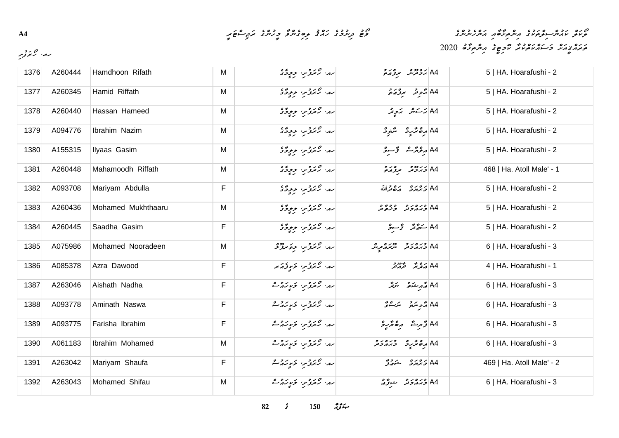*sCw7q7s5w7m< o<n9nOoAw7o< sCq;mAwBoEw7q<m; wBm;vB* م من المرة المرة المرة المرجع المرجع في المركبة 2020<br>مجم*د المريض المربوط المربع المرجع في المراجع المركبة* 

| 1376 | A260444 | Hamdhoon Rifath    | M            | رە. رىمۇرىن مەمەدى      | A4 كەۋدىمە مو <i>ۋەتم</i> ۇ                    | 5   HA. Hoarafushi - 2    |
|------|---------|--------------------|--------------|-------------------------|------------------------------------------------|---------------------------|
| 1377 | A260345 | Hamid Riffath      | M            | رړ. رموتر، ووژد         | A4 جُومِرٌ موث <i>وم</i> ُ حَم                 | 5   HA. Hoarafushi - 2    |
| 1378 | A260440 | Hassan Hameed      | M            | رە. رىمۇس مەمەم         | A4  پرستمبر   پر ټر                            | 5   HA. Hoarafushi - 2    |
| 1379 | A094776 | Ibrahim Nazim      | M            | رە. رىمۇس مەمەم         | A4 مەھەمگەر ئىس سى <i>مبو</i> گ                | 5   HA. Hoarafushi - 2    |
| 1380 | A155315 | Ilyaas Gasim       | M            | رە : 2 ئۇترىيە ، مويۇتى | A4 مرتزم تخرید تح                              | 5   HA. Hoarafushi - 2    |
| 1381 | A260448 | Mahamoodh Riffath  | M            | رړ. رموتر، ووژد         | A4 575 مرومو                                   | 468   Ha. Atoll Male' - 1 |
| 1382 | A093708 | Mariyam Abdulla    | $\mathsf F$  | رو، رحموقر، ووودٌ       | A4 <del>5 محرمرد</del> محرك مقدالله            | 5   HA. Hoarafushi - 2    |
| 1383 | A260436 | Mohamed Mukhthaaru | M            | رە. رىمۇس مەمەدى        | A4 32,023 ووفوعه                               | 5   HA. Hoarafushi - 2    |
| 1384 | A260445 | Saadha Gasim       | $\mathsf F$  | رر رنمز در دروه         | A4 كەنزىقر ئۇسى <i>رى</i>                      | 5   HA. Hoarafushi - 2    |
| 1385 | A075986 | Mohamed Nooradeen  | M            | رە بەردىن جەرودە        | A4 وبره دو دوبره موسر<br>A4 وبرمروس سربرمرموسر | 6   HA. Hoarafushi - 3    |
| 1386 | A085378 | Azra Dawood        | $\mathsf F$  | رە رىمۇس ئۇيۇتمە        | A4 كەنترىگە ئ <i>ۇددە</i>                      | 4   HA. Hoarafushi - 1    |
| 1387 | A263046 | Aishath Nadha      | $\mathsf{F}$ | رە ئەتروپ ئەرزەم        | A4 مُگرمشمو سَرتمُر                            | 6   HA. Hoarafushi - 3    |
| 1388 | A093778 | Aminath Naswa      | $\mathsf{F}$ | رە، رىزۇس كەردەت        | A4 مَّ حِ سَمَّعَ مَسَرَّحَتَ                  | 6   HA. Hoarafushi - 3    |
| 1389 | A093775 | Farisha Ibrahim    | F            | رە ، ئەتروس كەردىم ئە   | A4 ۇَمِرْتْ مِرْھَمَّرِ وَ                     | 6   HA. Hoarafushi - 3    |
| 1390 | A061183 | Ibrahim Mohamed    | M            | رە ، ئەتروپ ئۇرىردى     | A4 رەئزىرو ئەرەر ئ                             | 6   HA. Hoarafushi - 3    |
| 1391 | A263042 | Mariyam Shaufa     | F            | رە، رىزۇس كەردەت        | A4 كەبىر بىر ئەرەتى ئىسىمىتى ئى                | 469   Ha. Atoll Male' - 2 |
| 1392 | A263043 | Mohamed Shifau     | M            | رە رىرى ئورىدى          | A4 <i>\$ بەر جى ئەۋە</i>                       | 6   HA. Hoarafushi - 3    |

*82 sC 150 nNw?mS*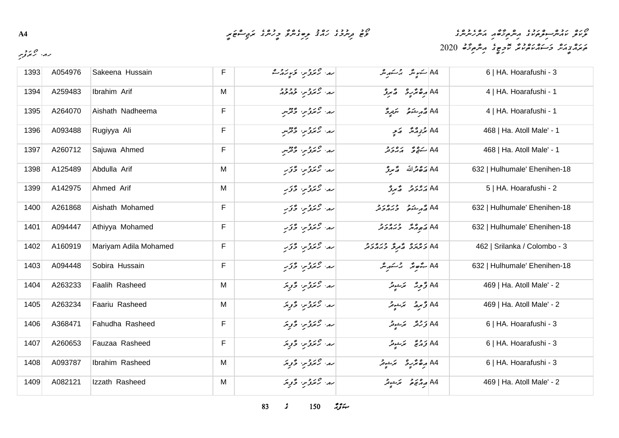*sCw7q7s5w7m< o<n9nOoAw7o< sCq;mAwBoEw7q<m; wBm;vB* م من المسجد المسجد المسجد المسجد المسجد العام 2020<br>مسجد المسجد المسجد المسجد المسجد المسجد المسجد المسجد المسجد ال

| 1393 | A054976 | Sakeena Hussain       | F            | رە بەلگە ئۇر ئىرىدە م      | A4  ستمبریٹر کے ش <i>ہر</i> یٹر        | 6   HA. Hoarafushi - 3       |
|------|---------|-----------------------|--------------|----------------------------|----------------------------------------|------------------------------|
| 1394 | A259483 | Ibrahim Arif          | M            | رە ئەتروپ ۋە دە            | A4 مەھەمگەر <i>5 مەم</i> رى            | 4   HA. Hoarafushi - 1       |
| 1395 | A264070 | Aishath Nadheema      | F            | رە ئەترۇپ دەر              | A4 مەم شىمى سىرىپى <del>د</del>        | 4   HA. Hoarafushi - 1       |
| 1396 | A093488 | Rugiyya Ali           | $\mathsf F$  | رە بار ئابرۇس كەنگەس       | A4 برتو <i>م</i> ه که مرکز که بر       | 468   Ha. Atoll Male' - 1    |
| 1397 | A260712 | Sajuwa Ahmed          | F            | بها رمحمد فرود المحفر المر | A4 كەنتى ھەم ئەركىتىلىر                | 468   Ha. Atoll Male' - 1    |
| 1398 | A125489 | Abdulla Arif          | M            | رە، رىمۇم، دۇر.            | A4 مَصْعَرْاللَّهُ مَ <i>حْمَوْ</i>    | 632   Hulhumale' Ehenihen-18 |
| 1399 | A142975 | Ahmed Arif            | M            | رە، رىمۇقرىن ئۇزىر         | A4 كەبرى قىر ئەسىرتى                   | 5   HA. Hoarafushi - 2       |
| 1400 | A261868 | Aishath Mohamed       | $\mathsf F$  | رە، رىمۇقرىن ئۇزىر         | A4 مەم شەھرە جەم <i>جەم</i> ج          | 632   Hulhumale' Ehenihen-18 |
| 1401 | A094447 | Athiyya Mohamed       | $\mathsf F$  | رە ، ئەندۇس دۇر.           | A4 <i>مَجِهْدٌ حَدَّمُ دَوَ</i>        | 632   Hulhumale' Ehenihen-18 |
| 1402 | A160919 | Mariyam Adila Mohamed | $\mathsf{F}$ | رە، رىمۇقر، ئۇزىر          | A4 كەنگەر 2 مەرق 270 دەر د             | 462   Srilanka / Colombo - 3 |
| 1403 | A094448 | Sobira Hussain        | $\mathsf F$  | رە، رىمۇقرا ئۇزىر          | A4 بەھ <i>پىرىگە بەستى</i> ر بىر       | 632   Hulhumale' Ehenihen-18 |
| 1404 | A263233 | Faalih Rasheed        | M            | رە، ئەنزۇس ئۇرىز           | A4 وَّحِرِيْ - مَرَشِ <sub>و</sub> مْر | 469   Ha. Atoll Male' - 2    |
| 1405 | A263234 | Faariu Rasheed        | M            | رە، رىمۇقر، دۇرىر          | A4 قُرِيرٍ مَرَ <sub>شُو</sub> مَرُ    | 469   Ha. Atoll Male' - 2    |
| 1406 | A368471 | Fahudha Rasheed       | F            | رړ. رنگور، وګورته          | A4 كَرْمَةٌ كَرَحْدٍ مِّرْ             | 6   HA. Hoarafushi - 3       |
| 1407 | A260653 | Fauzaa Rasheed        | $\mathsf{F}$ | رە، رىمۇر ئور              | A4 كَرَمْ مَخْ سَمَسْوِمْر             | 6   HA. Hoarafushi - 3       |
| 1408 | A093787 | Ibrahim Rasheed       | M            | رە ، ئەترۇس دۇرىز          | A4 م <i>وھ مگرچ</i> و محمشی محمد       | 6   HA. Hoarafushi - 3       |
| 1409 | A082121 | Izzath Rasheed        | M            | رە، رىمۇقرىن ئۇيغ          | A4 م <i>وهنج هي مرڪومر</i>             | 469   Ha. Atoll Male' - 2    |

**83** *s* **150** *n***<sub>s</sub>***n***<sub>s</sub>**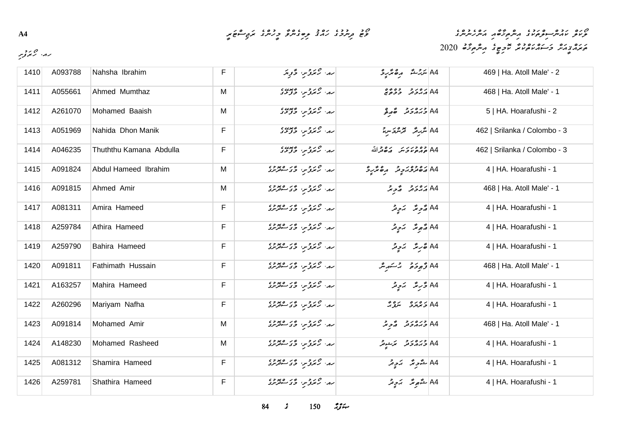*sCw7q7s5w7m< o<n9nOoAw7o< sCq;mAwBoEw7q<m; wBm;vB* م من المسجد المسجد المسجد المسجد المسجد العام 2020<br>مسجد المسجد المسجد المسجد المسجد المسجد المسجد المسجد المسجد ال

| 1410 | A093788 | Nahsha Ibrahim          | F            | رە بەلگەدىن ئۇرىگە                                | A4 سَرَكْتُمْ مِنْ مُحَرِكْ           | 469   Ha. Atoll Male' - 2    |
|------|---------|-------------------------|--------------|---------------------------------------------------|---------------------------------------|------------------------------|
| 1411 | A055661 | Ahmed Mumthaz           | M            | رە بەردىر، ئەيدە،                                 | A4 كەمەدە مەدە مەدە                   | 468   Ha. Atoll Male' - 1    |
| 1412 | A261070 | Mohamed Baaish          | M            | رړ ه روس وسي                                      | A4 <i>2522 حُمدة.</i>                 | 5   HA. Hoarafushi - 2       |
| 1413 | A051969 | Nahida Dhon Manik       | F            | رړ ه روس وسي                                      | A4 مَّرْرِقَدَ قَرْمَرْدَ مِرْمَ      | 462   Srilanka / Colombo - 3 |
| 1414 | A046235 | Thuththu Kamana Abdulla | $\mathsf F$  | رد. رورو ومعنا                                    | A4 ووجويز مركز وقرالله                | 462   Srilanka / Colombo - 3 |
| 1415 | A091824 | Abdul Hameed Ibrahim    | M            | رە بەرەپ بەر ەيدە ئ                               | A4 مَ <i>ھوجہ جو مَد م</i> ِ مَحْرِ ج | 4   HA. Hoarafushi - 1       |
| 1416 | A091815 | Ahmed Amir              | M            | رد. رکور در در درده                               | A4 كەبرى قىم ھەج ئىر                  | 468   Ha. Atoll Male' - 1    |
| 1417 | A081311 | Amira Hameed            | F            | رړ ور د در د ده.<br>رړ رمرون                      | A4 م <i>مَّحِ مَّہ ب</i> َحَقِّہُ م   | 4   HA. Hoarafushi - 1       |
| 1418 | A259784 | Athira Hameed           | F            | ہ دو ہے کا معاون<br>ماہ کیموں وی ستون             | A4 ۾َ جو سَمَ سَرِ جِمْر              | 4   HA. Hoarafushi - 1       |
| 1419 | A259790 | Bahira Hameed           | $\mathsf{F}$ | رە بەر دىرە بەر ەيدە ،                            | A4 جُرِيمٌ بَرَجٍ مُرْ                | 4   HA. Hoarafushi - 1       |
| 1420 | A091811 | Fathimath Hussain       | F            | رە بەر دەر بەر ەيدە دە<br>رە، كەندۇس كەرسەتىرىرى  | A4 <i>وَّجِوَدَةْ</i> بِرْسَهِرِيْتَر | 468   Ha. Atoll Male' - 1    |
| 1421 | A163257 | Mahira Hameed           | F            | رە بەر دەر بەر ەيدە دە<br>رەپ كەندۈس كەر سەندىرى  | A4 دُرِيمٌ پَر دِمْرُ                 | 4   HA. Hoarafushi - 1       |
| 1422 | A260296 | Mariyam Nafha           | $\mathsf F$  | رە بەر دەر بەر ەيدە دە<br>رە، كەندۈس؛ ئەي سەندىرى | A4 كەبىر بىر ئىستى ئىستىد             | 4   HA. Hoarafushi - 1       |
| 1423 | A091814 | Mohamed Amir            | M            | رد. رکوبر، نور ۱۶۵۵.<br>زد. رنگوبر، نوی-افزاری    | A4 <i>52825 مرَّح</i> مد              | 468   Ha. Atoll Male' - 1    |
| 1424 | A148230 | Mohamed Rasheed         | M            | رد. جرو و در میدوه                                | A4 <i>وُبَرُوْدَوْ</i> كَرَسُوِيْرُ   | 4   HA. Hoarafushi - 1       |
| 1425 | A081312 | Shamira Hameed          | F            | رو. محمومي، نوی سعوده                             | A4 ڪُم <i>و بَنَّہ بَہُ دِينَ</i>     | 4   HA. Hoarafushi - 1       |
| 1426 | A259781 | Shathira Hameed         | F            | رړ ور د در د ده.<br>رړ رمرون                      | A4 ڪُن <i>وبنگ برَج</i> ينگر          | 4   HA. Hoarafushi - 1       |

*84 sC 150 nNw?mS*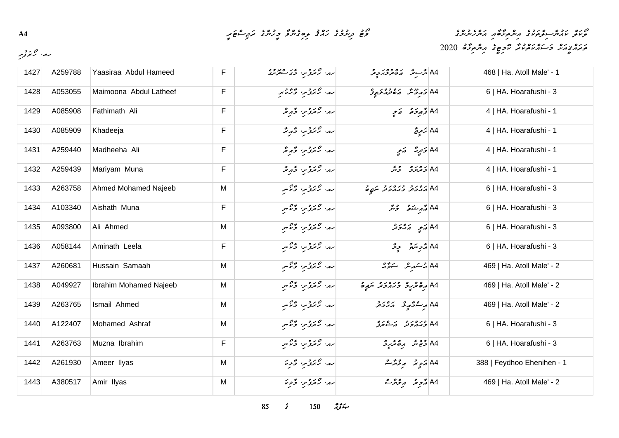*sCw7q7s5w7m< o<n9nOoAw7o< sCq;mAwBoEw7q<m; wBm;vB* م من المسجد المسجد المسجد المسجد المسجد العام 2020<br>مسجد المسجد المسجد المسجد المسجد المسجد المسجد المسجد المسجد ال

| 1427 | A259788 | Yaasiraa Abdul Hameed       | F           | رە ئەترۇس دىمىسىدە      | A4 تَرْسِعْهُ      مَ٥٤\$\$\$                     | 468   Ha. Atoll Male' - 1  |
|------|---------|-----------------------------|-------------|-------------------------|---------------------------------------------------|----------------------------|
| 1428 | A053055 | Maimoona Abdul Latheef      | $\mathsf F$ | به محدوثين ومحتفظ       | A4 <i>خم جمع ش</i> ه مص <i>حر محبو</i> ر محمد الم | 6   HA. Hoarafushi - 3     |
| 1429 | A085908 | Fathimath Ali               | F           | رە زىردىن ئەرىئە        | A4 وَّجِوحَةً صَعِ                                | 4   HA. Hoarafushi - 1     |
| 1430 | A085909 | Khadeeja                    | F           | رە، ئەتزۇر، دەپر        | A4 كرّموجٌ                                        | 4   HA. Hoarafushi - 1     |
| 1431 | A259440 | Madheeha Ali                | F           | رو، رنجوز پنجو پخور پخو | A4 ك <sup>ې</sup> پېرتگە قەمچ                     | 4   HA. Hoarafushi - 1     |
| 1432 | A259439 | Mariyam Muna                | $\mathsf F$ | رە، رىمۇم، ۋە بۇ        | A4 كەبىر <i>بىر ئىگى</i>                          | 4   HA. Hoarafushi - 1     |
| 1433 | A263758 | <b>Ahmed Mohamed Najeeb</b> | M           | رە بالتحدوين كەنگەنلەر  | A4 كەبەك قەمەم 2 مىلي ھ                           | 6   HA. Hoarafushi - 3     |
| 1434 | A103340 | Aishath Muna                | F           | رە ئەترۇپ دىمىر         | A4 مُجم <i>ى شَمَعْ</i> حَسَّرَ                   | 6   HA. Hoarafushi - 3     |
| 1435 | A093800 | Ali Ahmed                   | M           | رو، رحمزقرما الحرماس    | A4 كەبىر كەبر <i>ە دى</i> ر                       | 6   HA. Hoarafushi - 3     |
| 1436 | A058144 | Aminath Leela               | F           | رە، رىمۇم، دىم بىر      | A4 مُجِسَعُ مِعَ                                  | 6   HA. Hoarafushi - 3     |
| 1437 | A260681 | Hussain Samaah              | M           | رە ئەترۇپ دەمبر         | A4 پرستمبر محمد ستر <i>و</i> یر                   | 469   Ha. Atoll Male' - 2  |
| 1438 | A049927 | Ibrahim Mohamed Najeeb      | M           | رەسىسى ئۇرىسى ئەسىر     | A4 مەھگرى قەممىق ئىلگى ھ                          | 469   Ha. Atoll Male' - 2  |
| 1439 | A263765 | Ismail Ahmed                | M           | رە ئەترۇپ دەمبر         | A4 مەشۇم قىر مەردىر                               | 469   Ha. Atoll Male' - 2  |
| 1440 | A122407 | Mohamed Ashraf              | M           | رە، رىمۇمى ئەم          | A4 ويرورو كم شعر                                  | 6   HA. Hoarafushi - 3     |
| 1441 | A263763 | Muzna Ibrahim               | $\mathsf F$ | رە ، ئەترۇس دىماس       | A4 دُج پُر مِنھُ بَرِدْ                           | 6   HA. Hoarafushi - 3     |
| 1442 | A261930 | Ameer Ilyas                 | M           | رە، ئەنزىر، دىرىد       | A4 كەچ ئە مەمەر ئەشر                              | 388   Feydhoo Ehenihen - 1 |
| 1443 | A380517 | Amir Ilyas                  | M           | رە، رىمۇقىر، ئۇرغ       | A4 مُرْحِدٌ مِنْ مِمْ مُرْتَب                     | 469   Ha. Atoll Male' - 2  |

*85 sC 150 nNw?mS*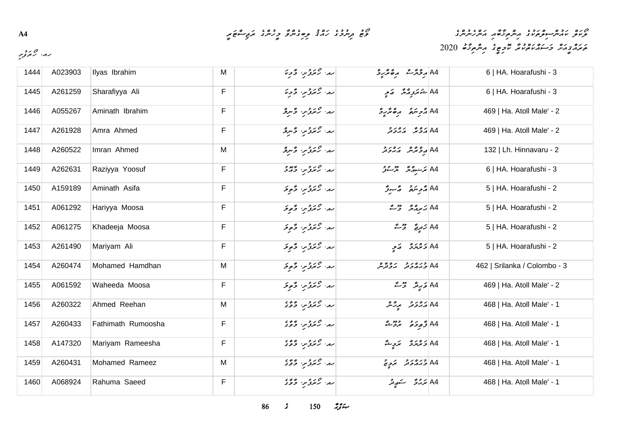*sCw7q7s5w7m< o<n9nOoAw7o< sCq;mAwBoEw7q<m; wBm;vB* م من المرة المرة المرة المرجع المرجع في المركبة 2020<br>مجم*د المريض المربوط المربع المرجع في المراجع المركبة* 

| 1444 | A023903 | Ilyas Ibrahim      | M            | رە، ئەندۇس دۇرىئا    | A4 مەقەرىقىسى مەھەرىپە                    | 6   HA. Hoarafushi - 3       |
|------|---------|--------------------|--------------|----------------------|-------------------------------------------|------------------------------|
| 1445 | A261259 | Sharafiyya Ali     | F            | رە، رىمزىر، ئورغ     | A4 ش <i>ەتزو ھ</i> و ھ                    | 6   HA. Hoarafushi - 3       |
| 1446 | A055267 | Aminath Ibrahim    | F            | رە، رىمۇرىن ئەيرقى   | A4 مَّحِسَمَ مِعْمَدٍ مِ                  | 469   Ha. Atoll Male' - 2    |
| 1447 | A261928 | Amra Ahmed         | $\mathsf{F}$ | رە ، ئەنزۇر، ئەبرى   | A4 پره پر پروتر                           | 469   Ha. Atoll Male' - 2    |
| 1448 | A260522 | Imran Ahmed        | M            | رە، ئەنزۇر، ئەربۇ    | A4 مەمەمەر مەمەدىر                        | 132   Lh. Hinnavaru - 2      |
| 1449 | A262631 | Raziyya Yoosuf     | F            | رو، رحمزوین وورد     | A4 بتر <i>شوهر پی می</i> شوی <sub>ر</sub> | 6   HA. Hoarafushi - 3       |
| 1450 | A159189 | Aminath Asifa      | F            | رە، ئەتزۇر، ئەمەنخ   | A4 مَّ حِ سَمَعَ مَّ سَبِعَرَ             | 5   HA. Hoarafushi - 2       |
| 1451 | A061292 | Hariyya Moosa      | $\mathsf{F}$ | رە، ئەتزۇر، دەپرى    | A4 بربر <i>و و ده</i>                     | 5   HA. Hoarafushi - 2       |
| 1452 | A061275 | Khadeeja Moosa     | F            | رە، ئەتزۇر، دەپرى    | A4 كَتَمَدِيحٌ مَحْرٌ — مُحْرُ            | 5   HA. Hoarafushi - 2       |
| 1453 | A261490 | Mariyam Ali        | $\mathsf F$  | رە، ئەنزۇس ئەمەت     | A4 كانترنى كەم                            | 5   HA. Hoarafushi - 2       |
| 1454 | A260474 | Mohamed Hamdhan    | M            | رە، رىمۇتر، ئەرىخ    | A4 دېره د د بره پوه                       | 462   Srilanka / Colombo - 3 |
| 1455 | A061592 | Waheeda Moosa      | $\mathsf{F}$ | رە، رىمۇقرىن ئۇمۇق   | A4 حَ بِيعَد صَنَّصَرَ مُ                 | 469   Ha. Atoll Male' - 2    |
| 1456 | A260322 | Ahmed Reehan       | M            | رە بەردىن دەپ        | A4 <i>مَہُدَوَنِہ پِرِنَ</i> ّسُ          | 468   Ha. Atoll Male' - 1    |
| 1457 | A260433 | Fathimath Rumoosha | $\mathsf F$  | رە بەردىن دەپ        | A4 تَ <i>جوحَمَّةَ مَحَمَّدٌ</i>          | 468   Ha. Atoll Male' - 1    |
| 1458 | A147320 | Mariyam Rameesha   | $\mathsf F$  | رە بەردىن دەپ        | A4 <i>5 بر مرک برد ب</i> گر               | 468   Ha. Atoll Male' - 1    |
| 1459 | A260431 | Mohamed Rameez     | M            | رو، اگريز کرو، اگروي | A4 <i>\$ بَدُوْ جَوْ بَرْدِ</i> يْ        | 468   Ha. Atoll Male' - 1    |
| 1460 | A068924 | Rahuma Saeed       | F            | رە ئەترىپ دە         | A4 <i>بَرَبْرْدُ</i> کوپیٹر               | 468   Ha. Atoll Male' - 1    |

 $86$  *s*  $\cancel{5}$  **150** *z***<sub>***s***</sub>** $\cancel{5}$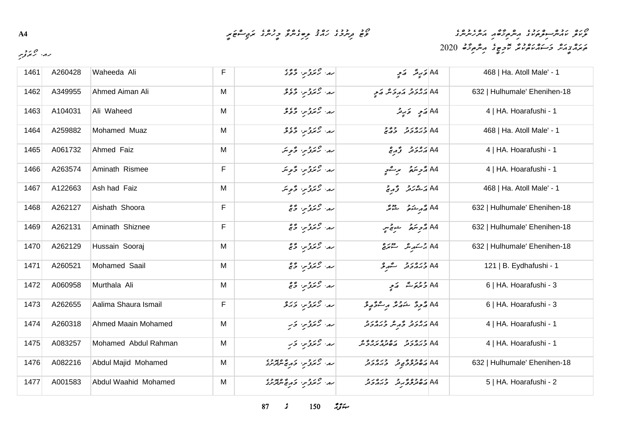*sCw7q7s5w7m< o<n9nOoAw7o< sCq;mAwBoEw7q<m; wBm;vB* م من المسجد المسجد المسجد المسجد المسجد العام 2020<br>مسجد المسجد المسجد المسجد المسجد المسجد المسجد المسجد المسجد ال

| 1461 | A260428 | Waheeda Ali          | F           | رە بە ئەترۇس جۇي         | A4 حَ پيمَد صَعِي                           | 468   Ha. Atoll Male' - 1    |
|------|---------|----------------------|-------------|--------------------------|---------------------------------------------|------------------------------|
| 1462 | A349955 | Ahmed Aiman Ali      | M           | رە زىرۇس ۋەۋ             | A4 كەبۇر <i>قىرى كەبىر كەب</i> ر            | 632   Hulhumale' Ehenihen-18 |
| 1463 | A104031 | Ali Waheed           | M           | رە بەردىن ئەدە           | A4 <i>ھَ جِه حَبي</i> قر                    | 4   HA. Hoarafushi - 1       |
| 1464 | A259882 | Mohamed Muaz         | M           | رە، رىمۇتر، دەۋ          | A4 323.23 وه ح                              | 468   Ha. Atoll Male' - 1    |
| 1465 | A061732 | Ahmed Faiz           | M           | رە، رىمزۇر، دۇرىتر       | A4 كەشكە قىرىقى ئىل                         | 4   HA. Hoarafushi - 1       |
| 1466 | A263574 | Aminath Rismee       | $\mathsf F$ | رە، رىمزۇر، دۇرىتر       | A4 مُرْحِ سَرَمْ مِنْ سُوحِ                 | 4   HA. Hoarafushi - 1       |
| 1467 | A122663 | Ash had Faiz         | м           | رە، رىمزۇر، دۇرىئە       | A4 كەشەرىق تۇرى <u>ق</u>                    | 468   Ha. Atoll Male' - 1    |
| 1468 | A262127 | Aishath Shoora       | F           | رە ، ئەيزۇر، ئ           | A4 مەم ئىشقى ھەتتىر                         | 632   Hulhumale' Ehenihen-18 |
| 1469 | A262131 | Aminath Shiznee      | F           | رە، رىمۇم، دى            | A4 مُرْحِ سَرَمَج مَ سِرِيمَ سِرِ           | 632   Hulhumale' Ehenihen-18 |
| 1470 | A262129 | Hussain Sooraj       | M           | رە بە ئەترىس ئەم         | A4 پر کے مربی مقصر ہے                       | 632   Hulhumale' Ehenihen-18 |
| 1471 | A260521 | Mohamed Saail        | M           | رە، رىمۇم، دىج           | A4  <i>وبروبرو</i> گهرو                     | 121   B. Eydhafushi - 1      |
| 1472 | A060958 | Murthala Ali         | M           | رە بەللەر ئەس ئەس        | A4 دىمەم ئە ھېمبر                           | 6   HA. Hoarafushi - 3       |
| 1473 | A262655 | Aalima Shaura Ismail | F           | رە رىمۇم، دېرو           | A4 مَرْمِرَدَّ حْمَدْ مِنْ مِرْمَدَّ مِرْمْ | 6   HA. Hoarafushi - 3       |
| 1474 | A260318 | Ahmed Maain Mohamed  | M           | رە، ئەندۇس ئ             | A4 בכביב יב היי כמבכים                      | 4   HA. Hoarafushi - 1       |
| 1475 | A083257 | Mohamed Abdul Rahman | M           | رە، رىمۇتىر، ئ           | A4 ورەرو رەۋەرەپەر                          | 4   HA. Hoarafushi - 1       |
| 1476 | A082216 | Abdul Majid Mohamed  | M           | رو، كريزوس كرومج مرتد ده | A4 رەمەرى بىر مەرمەر مەرمە                  | 632   Hulhumale' Ehenihen-18 |
| 1477 | A001583 | Abdul Waahid Mohamed | M           | رە، رىمۇم، ئەرقىقلىرد    | A4 رەمەر ئەرەر دىرەر د                      | 5   HA. Hoarafushi - 2       |

*87 sC 150 nNw?mS*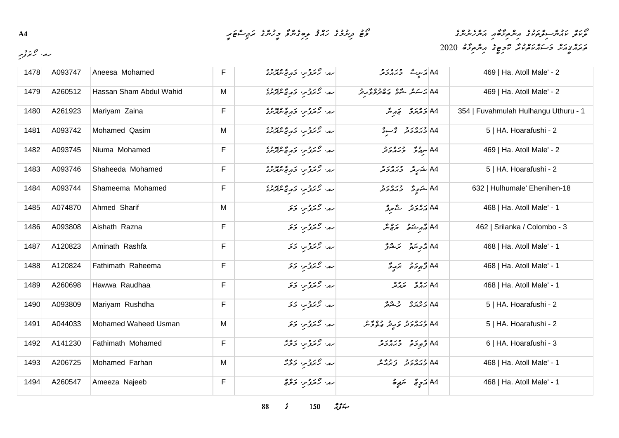*sCw7q7s5w7m< o<n9nOoAw7o< sCq;mAwBoEw7q<m; wBm;vB* م من المسجد المسجد المسجد المسجد المسجد العام 2020<br>مسجد المسجد المسجد المسجد المسجد المسجد المسجد المسجد المسجد ال

| 1478 | A093747 | Aneesa Mohamed          | F           | رە بە ئەترۇس ئەرىج مەدرى                                                                            | A4  كەسپەسىم ئەمەكەتىر                  | 469   Ha. Atoll Male' - 2            |
|------|---------|-------------------------|-------------|-----------------------------------------------------------------------------------------------------|-----------------------------------------|--------------------------------------|
| 1479 | A260512 | Hassan Sham Abdul Wahid | M           | رو، كريزوس كرو، محسور دوه                                                                           | A4 يَرْسَسْ حَدَّوْ مُهْ مُرْحَرَّ بِرْ | 469   Ha. Atoll Male' - 2            |
| 1480 | A261923 | Mariyam Zaina           | F           | روم المحروم المحروم و ده ده ده                                                                      | A4 كەمھەر ئىس ئىرىش                     | 354   Fuvahmulah Hulhangu Uthuru - 1 |
| 1481 | A093742 | Mohamed Qasim           | M           | رە ، ئەنزۇس خەرج ئىرىدىرى                                                                           | A4  <i>دېمم</i> وتر گ <sup>ې</sup> و    | 5   HA. Hoarafushi - 2               |
| 1482 | A093745 | Niuma Mohamed           | F           | روم المحروم المحرم المحرم والمحرم والمحرم والمحرم والمحرم والمحرم والمحرم والمحرم والمحرم والمحرم و | A4 سرچ و محمد المرحمد                   | 469   Ha. Atoll Male' - 2            |
| 1483 | A093746 | Shaheeda Mohamed        | $\mathsf F$ | رو، رحمومن ځورځ مرمرن                                                                               | A4 خَرِيرٌ وَبَرُووَتَرُ                | 5   HA. Hoarafushi - 2               |
| 1484 | A093744 | Shameema Mohamed        | F           | رە ، ئەندۇس خەرج ئىرىدىرى                                                                           | A4 خَوَرِ وَبَرُودَرَ                   | 632   Hulhumale' Ehenihen-18         |
| 1485 | A074870 | Ahmed Sharif            | M           | رە - 2ىزۇپ ئ                                                                                        | A4 كەش <sup>ى</sup> رىقى مەشمىرتى       | 468   Ha. Atoll Male' - 1            |
| 1486 | A093808 | Aishath Razna           | $\mathsf F$ | رە، رىمۇس ئ                                                                                         | A4 مەم ئىشقى ئىس ئىرىنى ئىگر            | 462   Srilanka / Colombo - 3         |
| 1487 | A120823 | Aminath Rashfa          | F           | رە، رىمزۇس ئەت                                                                                      | A4 مَّ حِسَمَعَ مَنْ مَشْرَقَّ          | 468   Ha. Atoll Male' - 1            |
| 1488 | A120824 | Fathimath Raheema       | $\mathsf F$ | رە - 2ىزۇپ ئ                                                                                        | A4 وَّجِوحَةٌ تَمَدِيَّةٌ               | 468   Ha. Atoll Male' - 1            |
| 1489 | A260698 | Hawwa Raudhaa           | F           | رە، رىمۇم، ئ                                                                                        | A4 بَهُمْ مَعْ مَدَمَّد                 | 468   Ha. Atoll Male' - 1            |
| 1490 | A093809 | Mariyam Rushdha         | F           | رە، رىمۇم، ئ                                                                                        | A4 ك <i>ر بروز بر ش</i> وتر             | 5   HA. Hoarafushi - 2               |
| 1491 | A044033 | Mohamed Waheed Usman    | M           | رو، رحمزمن ځځه                                                                                      | A4 <i>32,025 و وه وه و</i>              | 5   HA. Hoarafushi - 2               |
| 1492 | A141230 | Fathimath Mohamed       | $\mathsf F$ | رو، رحمزویں ڈوَرَّ                                                                                  | A4 تَهِ دَمَ حَمَدَ مَدَ مَرَ           | 6   HA. Hoarafushi - 3               |
| 1493 | A206725 | Mohamed Farhan          | M           | رو، رحمزتور، رَحِرْرٌ                                                                               | A4 دېرمار د دي.<br>A4 دېرمار و برېژنگر  | 468   Ha. Atoll Male' - 1            |
| 1494 | A260547 | Ameeza Najeeb           | F           | رە، رىمۇقر، ئەنۋە                                                                                   |                                         | 468   Ha. Atoll Male' - 1            |

*88 sC 150 nNw?mS*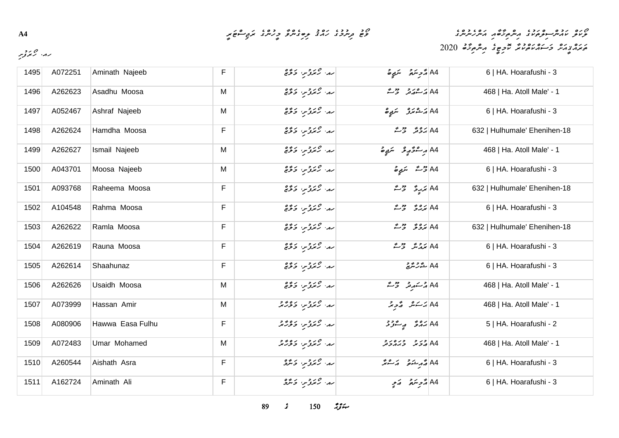*sCw7q7s5w7m< o<n9nOoAw7o< sCq;mAwBoEw7q<m; wBm;vB* م من المسجد المسجد المسجد المسجد المسجد العام 2020<br>مجم*د المسجد المسجد المستجد المسجد المسجد المسجد المسجد المسجد المسجد المسجد المسجد المسجد المسجد المسجد المسجد* 

| 1495 | A072251 | Aminath Najeeb   | F           | رە بە ئەبروس ئەنزى | A4  مُرْحِ سَوْءٍ مَسَمَّدٍ صَحْبِ | 6   HA. Hoarafushi - 3       |
|------|---------|------------------|-------------|--------------------|------------------------------------|------------------------------|
| 1496 | A262623 | Asadhu Moosa     | M           | رە، رىمۇقر، ئەقەمچ | A4 كەشھەر ج <sup>ەم</sup> ش        | 468   Ha. Atoll Male' - 1    |
| 1497 | A052467 | Ashraf Najeeb    | M           | رە ، ئەترۇپ كەلگە  | A4 كەشقە <i>تىرى ھەق ھەق</i>       | 6   HA. Hoarafushi - 3       |
| 1498 | A262624 | Hamdha Moosa     | F           | رە ، ئەترۇپ كەلگە  | A4 بَرَوْتَر بِیْتَ                | 632   Hulhumale' Ehenihen-18 |
| 1499 | A262627 | Ismail Najeeb    | M           | رە، رىمۇتر، ئەنۋى  | A4 مرڪو <i>ڏو پ</i> و سَمِيھَ      | 468   Ha. Atoll Male' - 1    |
| 1500 | A043701 | Moosa Najeeb     | M           | رە، رىمۇقر، ئەقەمچ | A4 فَرْسَّہُ سَمَ <i>بِي ھ</i> ُ   | 6   HA. Hoarafushi - 3       |
| 1501 | A093768 | Raheema Moosa    | $\mathsf F$ | رە، رىمۇتر، ئەنۋى  | A4 بَرَرٍ حٌ حٌ مُتَّ              | 632   Hulhumale' Ehenihen-18 |
| 1502 | A104548 | Rahma Moosa      | F           | رە، ئەتزۇر، ئەۋق   | $23$ $22$ $\approx$ A4             | 6   HA. Hoarafushi - 3       |
| 1503 | A262622 | Ramla Moosa      | $\mathsf F$ | رە بەردىن دەپ      | $23$ $22$ $22$ $-$ A4              | 632   Hulhumale' Ehenihen-18 |
| 1504 | A262619 | Rauna Moosa      | $\mathsf F$ | رە، رىمۇقر، ئەقرى  | A4 بَرَيْرَ مَنْ حَرْ مَشْر        | 6   HA. Hoarafushi - 3       |
| 1505 | A262614 | Shaahunaz        | $\mathsf F$ | رە ، ئەترۇپ كەلگە  | A4 شرح شرح                         | 6   HA. Hoarafushi - 3       |
| 1506 | A262626 | Usaidh Moosa     | M           | رە ، ئەترۇس كەلگە  | A4 پر مسر پر حق محمد شد            | 468   Ha. Atoll Male' - 1    |
| 1507 | A073999 | Hassan Amir      | M           | رە بەردىن ئەۋرىمە  | A4   پرستر م <i>ح</i> مح پر        | 468   Ha. Atoll Male' - 1    |
| 1508 | A080906 | Hawwa Easa Fulhu | $\mathsf F$ | رە بەردىن ئەۋرىم   | A4 بَرْدُیَّ پِرِ یَوْرُ           | 5   HA. Hoarafushi - 2       |
| 1509 | A072483 | Umar Mohamed     | M           | رە بەردىن ئەۋرىمە  | $32023$ $252$ $A4$                 | 468   Ha. Atoll Male' - 1    |
| 1510 | A260544 | Aishath Asra     | $\mathsf F$ | رە، ئەتزۇير، ئەنگە | A4 مەم ئەھقىر مەكتەتتىر            | 6   HA. Hoarafushi - 3       |
| 1511 | A162724 | Aminath Ali      | F           | رە بەردىن ئەنگە    | A4 مَرْحِبَ مَعْرَضِ مَسْتَجِبِ    | 6   HA. Hoarafushi - 3       |

*89 sC 150 nNw?mS*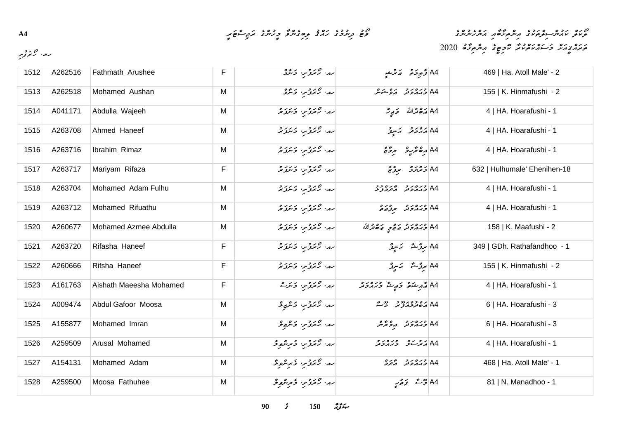*sCw7q7s5w7m< o<n9nOoAw7o< sCq;mAwBoEw7q<m; wBm;vB* م من المسجد المسجد المسجد المسجد المسجد العام 2020<br>مجم*د المسجد المسجد المستجد المسجد المسجد المسجد المسجد المسجد المسجد المسجد المسجد المسجد المسجد المسجد المسجد* 

| 1512 | A262516 | Fathmath Arushee        | F           | رە بەردىن ئەنگە        | A4  <i>وُّهِ دَهُمْ - مُ</i> كْرَسِمِ                                                                                                                                                                                          | 469   Ha. Atoll Male' - 2    |
|------|---------|-------------------------|-------------|------------------------|--------------------------------------------------------------------------------------------------------------------------------------------------------------------------------------------------------------------------------|------------------------------|
| 1513 | A262518 | Mohamed Aushan          | M           | رەپ رىمۇقرىي ئەشرى     | A4 <i>وبەم</i> رى مۇخىر                                                                                                                                                                                                        | 155   K. Hinmafushi - 2      |
| 1514 | A041171 | Abdulla Wajeeh          | м           | رە، رىزۇپ كەندى        | A4 رَصْحْرَاللّه     رَمِي رُ                                                                                                                                                                                                  | 4   HA. Hoarafushi - 1       |
| 1515 | A263708 | Ahmed Haneef            | M           | رە، رىزۇر، ئەتتلەر     | A4 كەندى كى بەر ئىس كىلىن ئىس بىر ئىس بىر ئىس بىر ئىس بىر ئىس بىر ئىس بىر ئىس بىر ئىس بىر ئىس بىر ئىس بىر ئىس<br>مەنبە ئىس بىر ئىس بىر ئىس بىر ئىس بىر ئىس بىر ئىس بىر ئىس بىر ئىس بىر ئىس بىر ئىس بىر ئىس بىر ئىس بىر ئىس بىر | 4   HA. Hoarafushi - 1       |
| 1516 | A263716 | Ibrahim Rimaz           | M           | رە، رىزۇس كەندىر       | A4 مەھمىرى مەدىج                                                                                                                                                                                                               | 4   HA. Hoarafushi - 1       |
| 1517 | A263717 | Mariyam Rifaza          | $\mathsf F$ | رە، رىزۇر، ئەتتلەر     | A4 <i>5 بر برگ</i> تمبرگر تم                                                                                                                                                                                                   | 632   Hulhumale' Ehenihen-18 |
| 1518 | A263704 | Mohamed Adam Fulhu      | M           | رە ئەترىپ كەندىر       | A4 دېره در په ده وو                                                                                                                                                                                                            | 4   HA. Hoarafushi - 1       |
| 1519 | A263712 | Mohamed Rifuathu        | M           | رە، رىزۇپ كەنگەنل      | A4 <i>3232 بروم</i> تو                                                                                                                                                                                                         | 4   HA. Hoarafushi - 1       |
| 1520 | A260677 | Mohamed Azmee Abdulla   | M           | رە، رىمۇم، ئەسىمە      | A4 32025 و ده چ و گوهرالله                                                                                                                                                                                                     | 158   K. Maafushi - 2        |
| 1521 | A263720 | Rifasha Haneef          | F           | رە، رىزۇپ كەندى        | A4 مرتزئے کے سرپر<br>م                                                                                                                                                                                                         | 349   GDh. Rathafandhoo - 1  |
| 1522 | A260666 | Rifsha Haneef           | F           | رە ئەترىپ كەندىر       | A4 بروث تەس <i>ب</i> ۇ                                                                                                                                                                                                         | 155   K. Hinmafushi - 2      |
| 1523 | A161763 | Aishath Maeesha Mohamed | F           | رەر ئەندۇس ئەندىسە     | A4 مُهرِشَمَو وَمِرِشَرَ وَبَرَمُ وَمَ                                                                                                                                                                                         | 4   HA. Hoarafushi - 1       |
| 1524 | A009474 | Abdul Gafoor Moosa      | M           | رە، ئەترۇس كەنگەنى     | A4 رەپور دوم دوم                                                                                                                                                                                                               | 6   HA. Hoarafushi - 3       |
| 1525 | A155877 | Mohamed Imran           | M           | رە ، ئەترۇس كەنگەىچ    | A4 دبره د د بروتر مر                                                                                                                                                                                                           | 6   HA. Hoarafushi - 3       |
| 1526 | A259509 | Arusal Mohamed          | M           | رە، ئەترۇس كەيدىگەنگە  | A4 كەيرىكى ئەمەر ئىس                                                                                                                                                                                                           | 4   HA. Hoarafushi - 1       |
| 1527 | A154131 | Mohamed Adam            | M           | رە، رىمزىر، ئامرىكرونخ | A4 <i>32023 وره</i>                                                                                                                                                                                                            | 468   Ha. Atoll Male' - 1    |
| 1528 | A259500 | Moosa Fathuhee          | M           | رە رىمزور، ئابرىكروگ   | A4 تۇشقە ئۇچ <sub>ە</sub> پە                                                                                                                                                                                                   | 81   N. Manadhoo - 1         |

*90 sC 150 nNw?mS*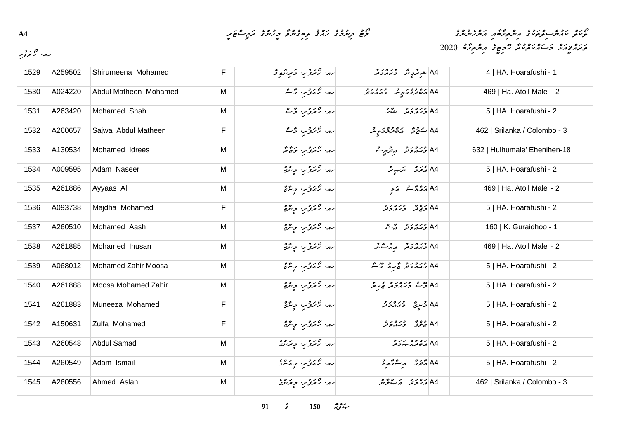*sCw7q7s5w7m< o<n9nOoAw7o< sCq;mAwBoEw7q<m; wBm;vB* م من المرة المرة المرة المرجع المرجع في المركبة 2020<br>مجم*د المريض المربوط المربع المرجع في المراجع المركبة* 

| 1529 | A259502 | Shirumeena Mohamed    | F           | رە بالمحمد ترىپ ئاس ئور شرىغ ئى | A4   خونمركو مركز قرير 25 كر                                   | 4   HA. Hoarafushi - 1       |
|------|---------|-----------------------|-------------|---------------------------------|----------------------------------------------------------------|------------------------------|
| 1530 | A024220 | Abdul Matheen Mohamed | M           | رە، ئەترۇپ ۋى                   | A4 مەھەر <i>250 - 2015ى</i> ر<br>A4 م <i>ەھەر 25 - 2015ى</i> ر | 469   Ha. Atoll Male' - 2    |
| 1531 | A263420 | Mohamed Shah          | M           | رە، رىمۇتور، ئۇ ھ               | A4 \$ يرو 5 مئے مئے تر                                         | 5   HA. Hoarafushi - 2       |
| 1532 | A260657 | Sajwa Abdul Matheen   | $\mathsf F$ | رە، ئەترۇر، ۋى                  | A4 كەن ئەھەر <i>ۋە ئەرە</i> ھە                                 | 462   Srilanka / Colombo - 3 |
| 1533 | A130534 | Mohamed Idrees        | м           | رە ئەترۇپ دەتر                  | A4 <i>وُټرونو و</i> تربر م                                     | 632   Hulhumale' Ehenihen-18 |
| 1534 | A009595 | Adam Naseer           | M           | رو، رنجوز و پر و پر چ           |                                                                | 5   HA. Hoarafushi - 2       |
| 1535 | A261886 | Ayyaas Ali            | M           | رە، ئەندۇس جەندى                | A4 كەبۇرىشقى كەي <u>ج</u>                                      | 469   Ha. Atoll Male' - 2    |
| 1536 | A093738 | Majdha Mohamed        | F           | رە ئەترۇس جەنتى                 | A4 زَنْ ثُمَّ دَبَرُ دُورَ                                     | 5   HA. Hoarafushi - 2       |
| 1537 | A260510 | Mohamed Aash          | M           | رو، رنجمۇقر، جەنتى              | A4 <i>22028 م</i> حمد ش                                        | 160   K. Guraidhoo - 1       |
| 1538 | A261885 | Mohamed Ihusan        | M           | رە، ئەنزۇس جەنتى                | A4 دېرورو مره شم                                               | 469   Ha. Atoll Male' - 2    |
| 1539 | A068012 | Mohamed Zahir Moosa   | M           | رەپ رىمۇقرىيە بەيدىنى           | A4 در در د پر بر در م                                          | 5   HA. Hoarafushi - 2       |
| 1540 | A261888 | Moosa Mohamed Zahir   | M           | رە، ئەنزۇر، جەنئ                | A4 دحمقہ محمد برحمد محمد برحمد                                 | 5   HA. Hoarafushi - 2       |
| 1541 | A261883 | Muneeza Mohamed       | F           | رە، ئەتزۇير، جەنتى              | A4 دَسِيمٌ دَبَرَ دَرَد                                        | 5   HA. Hoarafushi - 2       |
| 1542 | A150631 | Zulfa Mohamed         | F           | رە، ئەتزۇر، جەنتى               | A4 ج و محمد محمد حمد حمد                                       | 5   HA. Hoarafushi - 2       |
| 1543 | A260548 | Abdul Samad           | M           | رە بەردىن چەتلى                 | A4 پرە دە بەر د                                                | 5   HA. Hoarafushi - 2       |
| 1544 | A260549 | Adam Ismail           | M           | رە بەردىن چەتلى                 | A4 مُترَد مِ مُسْرَّمَةٍ مُحَ                                  | 5   HA. Hoarafushi - 2       |
| 1545 | A260556 | Ahmed Aslan           | M           | رە بەردىن جەرمە                 | A4 كەبرى قىر كەسىر ئىسىر                                       | 462   Srilanka / Colombo - 3 |

 $91$  *s*  $150$  *z***<sub>3</sub>** *z***<sub>3</sub>** *i*<sub>3</sub>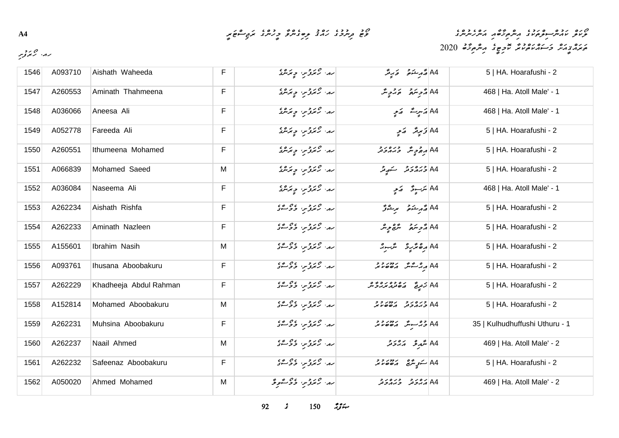*sCw7q7s5w7m< o<n9nOoAw7o< sCq;mAwBoEw7q<m; wBm;vB* م من المسجد المسجد المسجد المسجد المسجد العام 2020<br>مجم*د المسجد المسجد المستجد المسجد المسجد المسجد المسجد المسجد المسجد المسجد المسجد المسجد المسجد المسجد المسجد* 

| 1546 | A093710 | Aishath Waheeda        | F            | رە ئەترۇس جەئىندى       | A4 مَگْرِسْتَوْ کَرَبِرْدَ                | 5   HA. Hoarafushi - 2         |
|------|---------|------------------------|--------------|-------------------------|-------------------------------------------|--------------------------------|
| 1547 | A260553 | Aminath Thahmeena      | $\mathsf F$  | رړ. رمروس چندره         | A4 مَّ <i>حِ سَع</i> ْوَ مَحْ مِحْ مِسَّر | 468   Ha. Atoll Male' - 1      |
| 1548 | A036066 | Aneesa Ali             | $\mathsf F$  | رە بەردىن چەتلى         | A4  پَسِرِیَّتَہ کَہُ جِ                  | 468   Ha. Atoll Male' - 1      |
| 1549 | A052778 | Fareeda Ali            | $\mathsf F$  | رە بەردىن چەرمە         | A4 ق مریم کا مرکز پر                      | 5   HA. Hoarafushi - 2         |
| 1550 | A260551 | Ithumeena Mohamed      | $\mathsf F$  | رە بەردىن چەتلى         | A4 مِهْجٍجِسَّ وَبَرْمُرْحَمْر            | 5   HA. Hoarafushi - 2         |
| 1551 | A066839 | Mohamed Saeed          | M            | رە بەردىن چەتلى         | A4  352,3 \$ سَمَ يَسْمَدِيثَر            | 5   HA. Hoarafushi - 2         |
| 1552 | A036084 | Naseema Ali            | F            | رە بەردىن چەتلى         | A4 سَرَسِوتَر صَعِي                       | 468   Ha. Atoll Male' - 1      |
| 1553 | A262234 | Aishath Rishfa         | F            | رە بەردىرە ئەم ئەم      | A4 مَدْمِرْ شَمَعْ مَمْرِ شَمَرَّ كَمَ    | 5   HA. Hoarafushi - 2         |
| 1554 | A262233 | Aminath Nazleen        | $\mathsf F$  | رە بەردىن ۋە مە         | A4 مَّحِسَمَة مَسَّمَّعِيش                | 5   HA. Hoarafushi - 2         |
| 1555 | A155601 | Ibrahim Nasih          | M            | رە بەر دەر بەم ئەم      | A4 مەھم <i>گىرى مىگەم</i>                 | 5   HA. Hoarafushi - 2         |
| 1556 | A093761 | Ihusana Aboobakuru     | $\mathsf F$  | رړ ورور وه ده           | A4 مركز شور مقصوم مر                      | 5   HA. Hoarafushi - 2         |
| 1557 | A262229 | Khadheeja Abdul Rahman | $\mathsf{F}$ | رو، كريموس، وكالمحوي    | A4 زَمَرِمَ مُصَمَّر مُسَرَّر مُرَّسَ     | 5   HA. Hoarafushi - 2         |
| 1558 | A152814 | Mohamed Aboobakuru     | M            | رد. رود و وه وه         | A4 Croce reces                            | 5   HA. Hoarafushi - 2         |
| 1559 | A262231 | Muhsina Aboobakuru     | F            | رور المرور المعجم وي    | $22222$ $227$ $228$                       | 35   Kulhudhuffushi Uthuru - 1 |
| 1560 | A262237 | Naail Ahmed            | M            | رە بەردىن كەم كەم       | A4 سَمَدِ حَدَّ مَدَّدَ مَدْ              | 469   Ha. Atoll Male' - 2      |
| 1561 | A262232 | Safeenaz Aboobakuru    | $\mathsf F$  | رور المرور المنجم ولاية | A4 كوپەترى مەھەمدىر                       | 5   HA. Hoarafushi - 2         |
| 1562 | A050020 | Ahmed Mohamed          | M            | رە . ئەترىس، ئەق شوڭر   | A4 ג׳כנת כמהכנת                           | 469   Ha. Atoll Male' - 2      |

*92 sC 150 nNw?mS*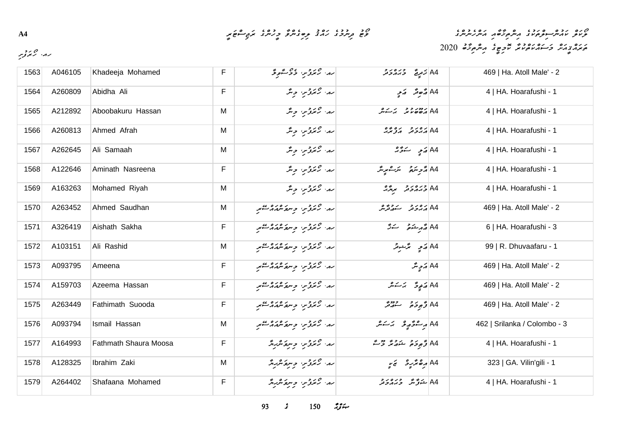*sCw7q7s5w7m< o<n9nOoAw7o< sCq;mAwBoEw7q<m; wBm;vB* م من المرة المرة المرة المرجع المرجع في المركبة 2020<br>مجم*د المريض المربوط المربع المرجع في المراجع المركبة* 

| 1563 | A046105 | Khadeeja Mohamed      | F | رە بەترىرىن كەن شەرىخ      | A4  دَمرِيحٌ      3 دَرُ دُورً قر         | 469   Ha. Atoll Male' - 2    |
|------|---------|-----------------------|---|----------------------------|-------------------------------------------|------------------------------|
| 1564 | A260809 | Abidha Ali            | F | رە، رىمۇترىن جەنگە         | A4 مُحصقہ م <i>ہو</i>                     | 4   HA. Hoarafushi - 1       |
| 1565 | A212892 | Aboobakuru Hassan     | M | رە، رىمۇتو، جەنگە          | $22222$ $-27222$ $-14$                    | 4   HA. Hoarafushi - 1       |
| 1566 | A260813 | Ahmed Afrah           | M | رە، رىمۇتو، جەنگە          |                                           | 4   HA. Hoarafushi - 1       |
| 1567 | A262645 | Ali Samaah            | M | رە، رىمۇترىن جەنگە         | A4 <i>ړنو</i> شو <i>گ</i> ر               | 4   HA. Hoarafushi - 1       |
| 1568 | A122646 | Aminath Nasreena      | F | رە، رىمۇترىن جەنگە         | A4 مَّ حِ سَرَمْ سَرَ سَمْ سِرْ مَشْ      | 4   HA. Hoarafushi - 1       |
| 1569 | A163263 | Mohamed Riyah         | M | رە، رىمۇتو، جەنگە          | A4 <i>32923 بروگر</i>                     | 4   HA. Hoarafushi - 1       |
| 1570 | A263452 | Ahmed Saudhan         | M | رد. رمزویر، وسط شماره به   | A4 كەبرى قىرىش سىكە ئەتكەنگرىس            | 469   Ha. Atoll Male' - 2    |
| 1571 | A326419 | Aishath Sakha         | F |                            | A4 مەم ھەقىسى كەنگە                       | 6   HA. Hoarafushi - 3       |
| 1572 | A103151 | Ali Rashid            | M | رد. رمزویر، وسط سمدر ک     | A4 <i>ھَ۔ جِ</i> مُحْسِنِہُ               | 99   R. Dhuvaafaru - 1       |
| 1573 | A093795 | Ameena                | F | מגי המציעי ביישימה אישיי   | A4 أرّم بيتر                              | 469   Ha. Atoll Male' - 2    |
| 1574 | A159703 | Azeema Hassan         | F | رد. رمزویر، وسط شماره به   | A4 كەنب <sub>و</sub> گ ئەس <i>ەنل</i>     | 469   Ha. Atoll Male' - 2    |
| 1575 | A263449 | Fathimath Suooda      | F | תו היוציתי ביישיתו ארישיות | A4 توجوحر معصور                           | 469   Ha. Atoll Male' - 2    |
| 1576 | A093794 | Ismail Hassan         | M | رد. رمزویر، وسط سمدر ک     | A4 مرحىم تحرم مى مىكتىسى<br> -            | 462   Srilanka / Colombo - 3 |
| 1577 | A164993 | Fathmath Shaura Moosa | F | رر المحروس وسقاسه          | A4 ژَجِ <i>دَهُ جَمْ دَمَّةَ وَ</i> سُمَّ | 4   HA. Hoarafushi - 1       |
| 1578 | A128325 | Ibrahim Zaki          | M | رە ئەتروپ دىيرەكرىد        | A4 مەھم <i>گىي</i> ى تىم يى               | 323   GA. Vilin'gili - 1     |
| 1579 | A264402 | Shafaana Mohamed      | F | رە ئەترۇس جامەھ شرىر       | A4 خۇترىگر ئ <i>ەندە دى</i> ر             | 4   HA. Hoarafushi - 1       |

*93 sC 150 nNw?mS*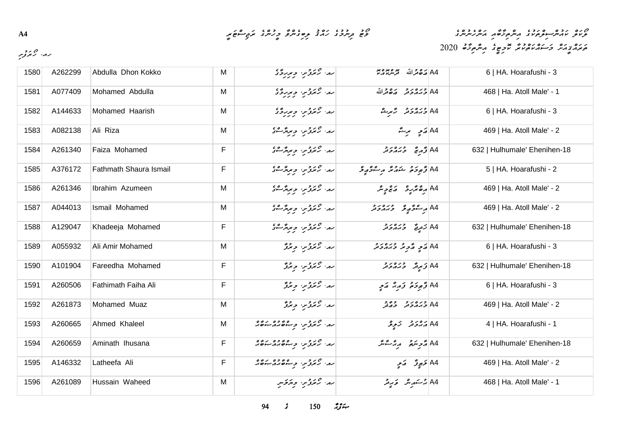*sCw7q7s5w7m< o<n9nOoAw7o< sCq;mAwBoEw7q<m; wBm;vB* م من المرة المرة المرة المرجع المرجع في المركبة 2020<br>مجم*د المريض المربوط المربع المرجع في المراجع المركبة* 

| 1580 | A262299 | Abdulla Dhon Kokko     | M | رە بەتكەر بەيدىدە ئ     | A4  پردوترالله محرم معرف                       | 6   HA. Hoarafushi - 3       |
|------|---------|------------------------|---|-------------------------|------------------------------------------------|------------------------------|
| 1581 | A077409 | Mohamed Abdulla        | M | رد. رنموتر، وبرروی      | A4 ويرويو حك وكمالله                           | 468   Ha. Atoll Male' - 1    |
| 1582 | A144633 | Mohamed Haarish        | M | رر مرور وبرروء          | A4 <i>وُبَرُوْدَوْ</i> گَمِر <sup>ِيْد</sup> ُ | 6   HA. Hoarafushi - 3       |
| 1583 | A082138 | Ali Riza               | M | رە . 2 تۈرى . جەيزىسى   | A4 کرم مرت                                     | 469   Ha. Atoll Male' - 2    |
| 1584 | A261340 | Faiza Mohamed          | F | رد. رندوس وبرور         | A4 وَمِعَ حَدَمُ حَد                           | 632   Hulhumale' Ehenihen-18 |
| 1585 | A376172 | Fathmath Shaura Ismail | F | رو. رموتوس و برو ۲۵     | A4 زَّەپرَ تَمْ شَمَّ تَمْ مِ سُتَرَّمْ بِرَ   | 5   HA. Hoarafushi - 2       |
| 1586 | A261346 | Ibrahim Azumeen        | M | رو با رکور و برو ده     | A4 مەھم <i>گىي</i> ھەھم ئەسىم ئە               | 469   Ha. Atoll Male' - 2    |
| 1587 | A044013 | Ismail Mohamed         | M | رد. رنجوی و برو ده      | A4 مِـــْمَرَّمِهِ عَـ مِرَهْ مَرَّ            | 469   Ha. Atoll Male' - 2    |
| 1588 | A129047 | Khadeeja Mohamed       | F | رد. رمزور، وبرومن       | A4 كَتَوِيعٌ - وَيَرَوْدُونَرُ                 | 632   Hulhumale' Ehenihen-18 |
| 1589 | A055932 | Ali Amir Mohamed       | M | أبدأ كالكوش ولمركز      | A4 בَرِ وَ وَرَوْ وَبَرَ وَمَرَ                | 6   HA. Hoarafushi - 3       |
| 1590 | A101904 | Fareedha Mohamed       | F | رە، رىمۇقرىي جايزۇ      | A4 ترىيى <i>گە ئەبەدە</i> تر                   | 632   Hulhumale' Ehenihen-18 |
| 1591 | A260506 | Fathimath Faiha Ali    | F | ره رموس ویژگی           | A4 وَّجِوَدَةَ وَمِثَّ صَعٍ                    | 6   HA. Hoarafushi - 3       |
| 1592 | A261873 | Mohamed Muaz           | M | رە، ئەتزۇر، جەتز        | A4 <i>32923 وه.و</i>                           | 469   Ha. Atoll Male' - 2    |
| 1593 | A260665 | Ahmed Khaleel          | M | מי למציעי בהיסמורים מים |                                                | 4   HA. Hoarafushi - 1       |
| 1594 | A260659 | Aminath Ihusana        | F | מגי המציקי בהיסמגים     | A4 مُتَّحِسَمُهُ مِيْكَسَّرَ                   | 632   Hulhumale' Ehenihen-18 |
| 1595 | A146332 | Latheefa Ali           | F | מגי המציקי בהיסמו השם   | A4 كَي <sub>ج</sub> وگر صَمِحِ                 | 469   Ha. Atoll Male' - 2    |
| 1596 | A261089 | Hussain Waheed         | M | أبدا المتروس واركرس     | A4 برسے پر عظم کے ہیں تھر<br>م                 | 468   Ha. Atoll Male' - 1    |

*94 sC 150 nNw?mS*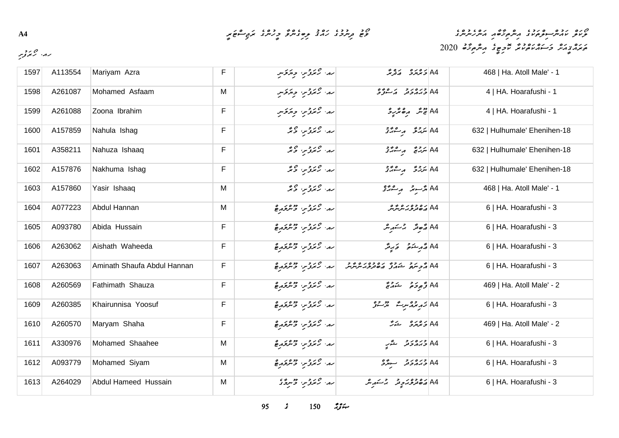*sCw7q7s5w7m< o<n9nOoAw7o< sCq;mAwBoEw7q<m; wBm;vB* م من المرة المرة المرة المرجع المرجع في المركبة 2020<br>مجم*د المريض المربوط المربع المرجع في المراجع المركبة* 

| 1597 | A113554 | Mariyam Azra                | F           | رە ئەتزۇر، جەڭگىيە   | A4 كەبىر <i>بىر كە</i> نگەنگە                     | 468   Ha. Atoll Male' - 1    |
|------|---------|-----------------------------|-------------|----------------------|---------------------------------------------------|------------------------------|
| 1598 | A261087 | Mohamed Asfaam              | M           | أبدا رحمزقن واركرس   | A4 ويرەپو كەنبەھ                                  | 4   HA. Hoarafushi - 1       |
| 1599 | A261088 | Zoona Ibrahim               | F           | رر المحروش والكراس   | A4 تج بىر مەھ ئىر بى                              | 4   HA. Hoarafushi - 1       |
| 1600 | A157859 | Nahula Ishag                | F           | رە - ئەنزىر، ئەنز    | A4 ىترىمى مەرھىتى ئىچ                             | 632   Hulhumale' Ehenihen-18 |
| 1601 | A358211 | Nahuza Ishaaq               | F           | أبدر المحذور المحتمر | A4 ىترىرىتى بېرىشتى چ                             | 632   Hulhumale' Ehenihen-18 |
| 1602 | A157876 | Nakhuma Ishag               | $\mathsf F$ | رو، رحمزوین و محمد   | A4 ىترنى <sup>ج</sup> مەسىرتى                     | 632   Hulhumale' Ehenihen-18 |
| 1603 | A157860 | Yasir Ishaaq                | M           | رو، "د تروين" و تر   | A4 مرّسوبر مرحور و                                | 468   Ha. Atoll Male' - 1    |
| 1604 | A077223 | Abdul Hannan                | M           | رمن ريزور، ومردم و   | A4 پەھەرىر بەر ئەر ئەر                            | 6   HA. Hoarafushi - 3       |
| 1605 | A093780 | Abida Hussain               | F           | رمن ريزور، ووه ده    | A4 م <i>مَّاهِ مَّذْ</i> بِرَسَمَ <i>رِ م</i> َّر | 6   HA. Hoarafushi - 3       |
| 1606 | A263062 | Aishath Waheeda             | F           | رماس وروس ودوره      | A4 مەم ئىقىم ئىق كىلىد                            | 6   HA. Hoarafushi - 3       |
| 1607 | A263063 | Aminath Shaufa Abdul Hannan | $\mathsf F$ |                      |                                                   | 6   HA. Hoarafushi - 3       |
| 1608 | A260569 | Fathimath Shauza            | $\mathsf F$ | رماس وروس ودوره      | A4 تُرجوحَ حَقَّ شَ <i>مَرَة</i> َ                | 469   Ha. Atoll Male' - 2    |
| 1609 | A260385 | Khairunnisa Yoosuf          | $\mathsf F$ | روم دوم دوه دوم      | A4 ئەمەمەمىرىسى ھەمبۇ                             | 6   HA. Hoarafushi - 3       |
| 1610 | A260570 | Maryam Shaha                | F           | رمن ريزور، وموجدة    | A4 كا <i>ترور و مشرگ</i>                          | 469   Ha. Atoll Male' - 2    |
| 1611 | A330976 | Mohamed Shaahee             | M           | رمن ريزور، وموجدة    | A4 <i>وبروبرو م</i> تمر                           | 6   HA. Hoarafushi - 3       |
| 1612 | A093779 | Mohamed Siyam               | M           | رد. ريزور، دور و     | A4 دېم دي مور د                                   | 6   HA. Hoarafushi - 3       |
| 1613 | A264029 | Abdul Hameed Hussain        | M           | رو، رحمونو، ومبروء   | A4 مەھىرى بەر بەر بەر بىر بىر                     | 6   HA. Hoarafushi - 3       |

*95 sC 150 nNw?mS*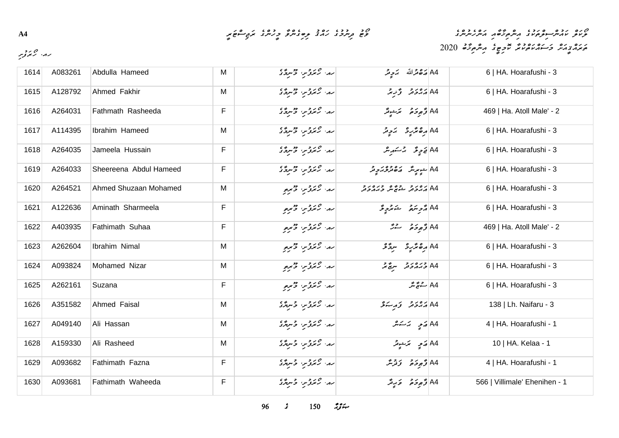*sCw7q7s5w7m< o<n9nOoAw7o< sCq;mAwBoEw7q<m; wBm;vB* م من المرة المرة المرة المرجع المرجع في المركبة 2020<br>مجم*د المريض المربوط المربع المرجع في المراجع المركبة* 

| 1614 | A083261 | Abdulla Hameed         | M           | رە بە ئەتروپر، دىسرومى | A4 مَەھمَّدَاللَّهُ بَرَحِ مَّر           | 6   HA. Hoarafushi - 3        |
|------|---------|------------------------|-------------|------------------------|-------------------------------------------|-------------------------------|
| 1615 | A128792 | Ahmed Fakhir           | M           | رە بەردىن دەيدە ئ      | A4 <i>مَدْدَوَنْتْ</i> كَرْبِيْتْ         | 6   HA. Hoarafushi - 3        |
| 1616 | A264031 | Fathmath Rasheeda      | F           | رە بەللەر «ئىروكى      | A4 رَّجِ دَمَرَ - مَرَسْوِمَّرَ           | 469   Ha. Atoll Male' - 2     |
| 1617 | A114395 | Ibrahim Hameed         | M           | رە بەردىن ۋىردە        | A4 مەھەرىپى سىرىتى                        | 6   HA. Hoarafushi - 3        |
| 1618 | A264035 | Jameela Hussain        | F           | رە بەردىن ۋىردە        | A4 ق ح محمد محمد شر مثر A4                | 6   HA. Hoarafushi - 3        |
| 1619 | A264033 | Sheereena Abdul Hameed | $\mathsf F$ | رو، رکتروین و مردمی    | A4 خومړنگر اره ووړکو چر                   | 6   HA. Hoarafushi - 3        |
| 1620 | A264521 | Ahmed Shuzaan Mohamed  | M           | رو، رحمزو من وحميده    | A4  مدرور مقبوع مرکب ورور و               | 6   HA. Hoarafushi - 3        |
| 1621 | A122636 | Aminath Sharmeela      | $\mathsf F$ | رە بەردىن دەرە         | A4 مَّ حِسَمَةٌ شَمَّ مِرْحِ مََّ         | 6   HA. Hoarafushi - 3        |
| 1622 | A403935 | Fathimath Suhaa        | F           | ره، رحمزوین وحمده      | A4 تَهِ <i>حق</i> سُنَّ                   | 469   Ha. Atoll Male' - 2     |
| 1623 | A262604 | Ibrahim Nimal          | M           | ره، رمحزوین و مره      | A4 مەھ <i>ئۇي</i> ئ <sup>و</sup> سرىگە ئى | 6   HA. Hoarafushi - 3        |
| 1624 | A093824 | Mohamed Nizar          | M           | بدر محدوثين وحمده      | A4 <i>وُبَهُ دُوَ مَدٍ</i> مِنْ مِنَ      | 6   HA. Hoarafushi - 3        |
| 1625 | A262161 | Suzana                 | $\mathsf F$ | رە، ئەترۇس قامرە       | A4 ستونچ میٹر                             | 6   HA. Hoarafushi - 3        |
| 1626 | A351582 | Ahmed Faisal           | M           | رە بەلگە ئورگە ئەسلىكى | A4 <i>مَدْوَدْ وَمِ</i> سَوْ              | 138   Lh. Naifaru - 3         |
| 1627 | A049140 | Ali Hassan             | M           | رە بەلگە ئور ئەسلىكى   | A4  كەبىي كەسكەنلى                        | 4   HA. Hoarafushi - 1        |
| 1628 | A159330 | Ali Rasheed            | M           | رە، ئەترۇس كەسلەنج     | A4 <i>ھَ۔ پرَجو</i> گر                    | 10   HA. Kelaa - 1            |
| 1629 | A093682 | Fathimath Fazna        | $\mathsf F$ | رە بەللەر ئەسلىكى      | A4 تَ <i>جِ حَجَّةَ تَوَمَّرْ مَدَّ</i>   | 4   HA. Hoarafushi - 1        |
| 1630 | A093681 | Fathimath Waheeda      | F           | رە . ئەترۇس كەسرىگە    | A4 وَّجِوحَة وَ وَسِقَّہ                  | 566   Villimale' Ehenihen - 1 |

 $96$  *s*  $150$  *z*  $\frac{2}{3}$  *k*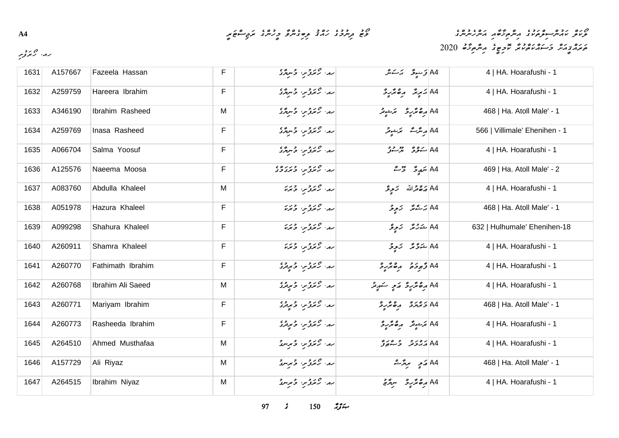*sCw7q7s5w7m< o<n9nOoAw7o< sCq;mAwBoEw7q<m; wBm;vB* م من المرة المرة المرة المرجع المرجع في المركبة 2020<br>مجم*د المريض المربوط المربع المرجع في المراجع المركبة* 

| 1631 | A157667 | Fazeela Hassan    | $\mathsf F$  | رە . ئەنزۇس ئەسرىگە  | A4 كَرْسِيعٌ = بَرْسَتْسْر                          | 4   HA. Hoarafushi - 1        |
|------|---------|-------------------|--------------|----------------------|-----------------------------------------------------|-------------------------------|
| 1632 | A259759 | Hareera Ibrahim   | $\mathsf{F}$ | رە بەلگە ئور ئەسلىكى | A4 بَر <sub>ْمِ</sub> بَرَّ م <i>ِ هُ بَرْرٍ دُ</i> | 4   HA. Hoarafushi - 1        |
| 1633 | A346190 | Ibrahim Rasheed   | M            | رە ئەتروس كەسرىرى    | A4 م <i>ەھتىر بى</i> تىزىدىتى                       | 468   Ha. Atoll Male' - 1     |
| 1634 | A259769 | Inasa Rasheed     | $\mathsf F$  | رە، رىزۇس ئەسرى      | A4 مرمگرتے کر خوفر                                  | 566   Villimale' Ehenihen - 1 |
| 1635 | A066704 | Salma Yoosuf      | $\mathsf F$  | رر مرور و سروء       | A4 كەنزى بىر <i>دى</i>                              | 4   HA. Hoarafushi - 1        |
| 1636 | A125576 | Naeema Moosa      | $\mathsf F$  | رد. رموز و برده      | A4 سَمِيرَ حَرَّثَتَ                                | 469   Ha. Atoll Male' - 2     |
| 1637 | A083760 | Abdulla Khaleel   | M            | رە ئەترۇس دىرر       | A4 رَصْحْرَاللّه    نَرْمِوْ حْرْ                   | 4   HA. Hoarafushi - 1        |
| 1638 | A051978 | Hazura Khaleel    | F            | رە، رىمۇقرا دىمە     | A4 پَرِ مِیمَدِ کَمَعِی تَحْرِ                      | 468   Ha. Atoll Male' - 1     |
| 1639 | A099298 | Shahura Khaleel   | F            | ره، رمحدوس ومرد      | A4 خەرچە تەم <u>و</u> بى                            | 632   Hulhumale' Ehenihen-18  |
| 1640 | A260911 | Shamra Khaleel    | F            | رە، رىمۇقرا دىمە     | A4 خەرىمە   زىرى                                    | 4   HA. Hoarafushi - 1        |
| 1641 | A260770 | Fathimath Ibrahim | $\mathsf F$  | رړ. رموتر، ومرمره    | A4 تَهِ رَحْمَ مِنْ مَحْرِ دِ                       | 4   HA. Hoarafushi - 1        |
| 1642 | A260768 | Ibrahim Ali Saeed | M            | رە ، ئەترۇس كەتبەردى | A4 مەھەرى كەم سەمەتر                                | 4   HA. Hoarafushi - 1        |
| 1643 | A260771 | Mariyam Ibrahim   | $\mathsf F$  | رە ئەتروس دىروە      | A4  موہر موسمہ مقدم ہے<br> 4  موہر موسمہ مقدم ہے    | 468   Ha. Atoll Male' - 1     |
| 1644 | A260773 | Rasheeda Ibrahim  | $\mathsf F$  | رر رمزور و دوه       | A4 بَرَسْبِعَرَ م <i>ِ مِ</i> بَرْرِ دِ             | 4   HA. Hoarafushi - 1        |
| 1645 | A264510 | Ahmed Musthafaa   | M            | رە ، ئەترۇس كەيرىندى | A4 كەبرى تەرەپە تەرەپە                              | 4   HA. Hoarafushi - 1        |
| 1646 | A157729 | Ali Riyaz         | M            | رە، رىمزۇس كەيرىن    | A4 ڪچ مرڪ <sup>م</sup> ش                            | 468   Ha. Atoll Male' - 1     |
| 1647 | A264515 | Ibrahim Niyaz     | M            | رە، رىمۇتو، ئەبرىدى  | A4 رەئزىر ۋە سرى <i>گى</i> ج                        | 4   HA. Hoarafushi - 1        |

*97 sC 150 nNw?mS*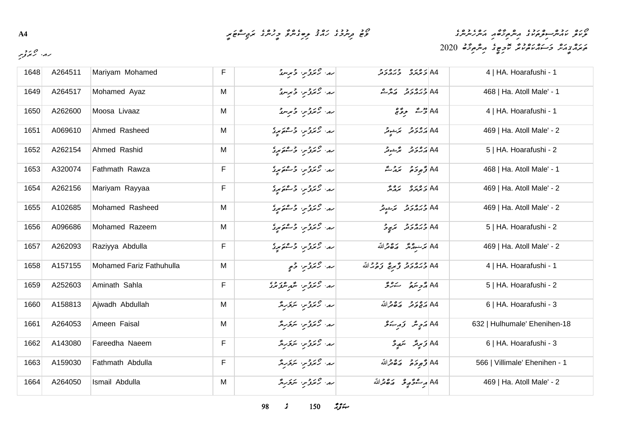*sCw7q7s5w7m< o<n9nOoAw7o< sCq;mAwBoEw7q<m; wBm;vB* م من المسجد المسجد المسجد المسجد المسجد العام 2020<br>مجم*د المسجد المسجد المستجد المسجد المسجد المسجد المسجد المسجد المسجد المسجد المسجد المسجد المسجد المسجد المسجد* 

| 1648 | A264511 | Mariyam Mohamed          | F            | رە ئەترۇس كەرسۇ     | A4 كەنگەر <i>25.25 كە</i>                    | 4   HA. Hoarafushi - 1        |
|------|---------|--------------------------|--------------|---------------------|----------------------------------------------|-------------------------------|
| 1649 | A264517 | Mohamed Ayaz             | M            | رە، ئەترۇس قايرىنى  | A4 <i>جەمەدىرى مەرگى</i> شى                  | 468   Ha. Atoll Male' - 1     |
| 1650 | A262600 | Moosa Livaaz             | M            | رە، ئەترۇس كەبرىدى  | A4 فخرع محرمة حج                             | 4   HA. Hoarafushi - 1        |
| 1651 | A069610 | Ahmed Rasheed            | M            | رد. ريزو و و در و   | A4 كەبرى قىم ئىمىشى <i>يەت</i> ر             | 469   Ha. Atoll Male' - 2     |
| 1652 | A262154 | Ahmed Rashid             | M            | رە بەترى ئەسەم بر   | A4 كەشكەتتى گەنىش <sub>ى</sub> قتى           | 5   HA. Hoarafushi - 2        |
| 1653 | A320074 | Fathmath Rawza           | $\mathsf F$  | رە بەلگەن ئەس ئە    | A4 تَ <i>جوحَمْ بَدَمْ</i> تُمْ              | 468   Ha. Atoll Male' - 1     |
| 1654 | A262156 | Mariyam Rayyaa           | $\mathsf F$  | رە بەترىر بەر ئەس ئ | A4 كوجرجو محمد بر                            | 469   Ha. Atoll Male' - 2     |
| 1655 | A102685 | Mohamed Rasheed          | M            | رە، رىروس ۋەر ،     | A4 <i>وُبَرُوْدَوْ بَرَحْبِيْرِ</i>          | 469   Ha. Atoll Male' - 2     |
| 1656 | A096686 | Mohamed Razeem           | M            | رو. رمزور، وقسم مرد | A4 <i>\$ پر و دي سرپ</i> وتر                 | 5   HA. Hoarafushi - 2        |
| 1657 | A262093 | Raziyya Abdulla          | F            | رە، رىروس ۋەر ،     | A4 <del>مَرْ مِهْرَّة مَرَّة مِ</del> اللَّه | 469   Ha. Atoll Male' - 2     |
| 1658 | A157155 | Mohamed Fariz Fathuhulla | M            | رە، رىمۇمىز، خېمج   | A4 <i>وبروبرو وبربع</i> وترتدالله            | 4   HA. Hoarafushi - 1        |
| 1659 | A252603 | Aminath Sahla            | $\mathsf{F}$ | رە زىروپ شەھرىرە    | A4 مَّ حِسَمَةٌ سَمَّرْتَزُ                  | 5   HA. Hoarafushi - 2        |
| 1660 | A158813 | Ajwadh Abdullah          | M            | رە، ئەندۇس ئىرىمەر  | A4 مَقوم مَد مَصْمَرِ اللّه                  | 6   HA. Hoarafushi - 3        |
| 1661 | A264053 | Ameen Faisal             | M            | رە، ئەندۇر، ئىزىرلە | A4 كەچ بىر     ق.م.سكىمى                     | 632   Hulhumale' Ehenihen-18  |
| 1662 | A143080 | Fareedha Naeem           | $\mathsf F$  | رە، ئەترۇس ئىرىگە   | A4 وَمِرِمَّر سَمِرٍ وَ                      | 6   HA. Hoarafushi - 3        |
| 1663 | A159030 | Fathmath Abdulla         | $\mathsf F$  | رە، ئەندۇس ئىزىرىد  | A4 وَجِوَدَة صَنْ صَدَاللّه                  | 566   Villimale' Ehenihen - 1 |
| 1664 | A264050 | Ismail Abdulla           | M            | رە، ئەنزۇس ئىزىرىد  | A4 م <i>ر حوذ موقر الله</i>                  | 469   Ha. Atoll Male' - 2     |

*98 sC 150 nNw?mS*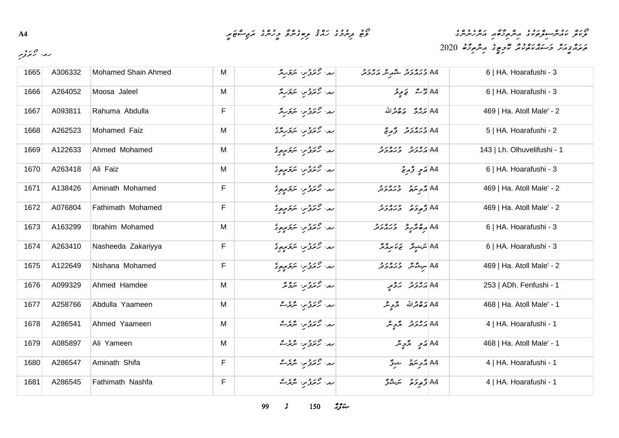*sCw7q7s5w7m< o<n9nOoAw7o< sCq;mAwBoEw7q<m; wBm;vB* م من المرة المرة المرة المرجع المرجع في المركبة 2020<br>مجم*د المريض المربوط المربع المرجع في المراجع المركبة* 

| 1665 | A306332 | <b>Mohamed Shain Ahmed</b> | M           | رە بە ئەترۇس، ئىرى ئەرە   | A4  <i>وبروونز</i> ڪ <i>مب</i> ھ <i>הب</i> حق | 6   HA. Hoarafushi - 3      |
|------|---------|----------------------------|-------------|---------------------------|-----------------------------------------------|-----------------------------|
| 1666 | A264052 | Moosa Jaleel               | M           | رە، ئەتزۇر، ئىزىرىد       | A4 فخرقت ت <sub>ح</sub> وقر                   | 6   HA. Hoarafushi - 3      |
| 1667 | A093811 | Rahuma Abdulla             | F           | رە، ئەنزۇر، ئىزىرىد       | A4 <i>تَدَبَّرَةُ مَنْ هُ</i> قْرَاللَّهُ     | 469   Ha. Atoll Male' - 2   |
| 1668 | A262523 | Mohamed Faiz               | M           | رە ، ئەندۇس ئىرى ئەنج     | A4 <i>جەمگە جى ئەرىج</i>                      | 5   HA. Hoarafushi - 2      |
| 1669 | A122633 | Ahmed Mohamed              | M           | رەر ئەتروپى، ئىرى ئېرموتى | A4 كەبرو بورەرو                               | 143   Lh. Olhuvelifushi - 1 |
| 1670 | A263418 | Ali Faiz                   | M           | رە، ئەندۇس ئىرىمبىرى      | A4 <i>ڇَجِ وُب</i> ي                          | 6   HA. Hoarafushi - 3      |
| 1671 | A138426 | Aminath Mohamed            | F           | رە، ئەترۇس ئىرى بول       | A4 مُتَّحِسَمُ وَبَرْمُرْدَّرَ                | 469   Ha. Atoll Male' - 2   |
| 1672 | A076804 | Fathimath Mohamed          | F           | رە، رىمۇس ئىرىمبروتى      | A4 تُرجوحَ حَ مَرْ مَرْ مَرْ                  | 469   Ha. Atoll Male' - 2   |
| 1673 | A163299 | Ibrahim Mohamed            | M           | رە، ئەنزۇس ئىزىمبەغ       | A4 مەھمگىرى ئەممەدىر                          | 6   HA. Hoarafushi - 3      |
| 1674 | A263410 | Nasheeda Zakariyya         | F           | رە، ئەنزۇس ئىزىمبەغ       | A4 مَرْسُوِمَّر بِحَ <i>مَ مَ</i> رْدُمَّرَ   | 6   HA. Hoarafushi - 3      |
| 1675 | A122649 | Nishana Mohamed            | $\mathsf F$ | رە، ئەترۇس ئىرىمبرى       | A4 سرینگانگر ا <i>و چرو</i> کرد               | 469   Ha. Atoll Male' - 2   |
| 1676 | A099329 | Ahmed Hamdee               | M           | رە ئەترۇس ئىرەم           | A4   <i>م بر\$قر بر\$م</i> رٍ                 | 253   ADh. Fenfushi - 1     |
| 1677 | A258766 | Abdulla Yaameen            | M           | رە، ئەندۇس ئىرگە          | A4 كەھەراللە م <i>ۇرچى</i> گ                  | 468   Ha. Atoll Male' - 1   |
| 1678 | A286541 | Ahmed Yaameen              | M           | رە، ئەندۇس ئىرگە          | A4 كەبرى قىر ئارىپ ئىلگەن بىر ئايلار بىل      | 4   HA. Hoarafushi - 1      |
| 1679 | A085897 | Ali Yameen                 | M           | رە، ئەنزۇس ئىرگە          | A4 <i>ڇَجِ پڙجِينگ</i>                        | 468   Ha. Atoll Male' - 1   |
| 1680 | A286547 | Aminath Shifa              | F           | رە، ئەندۇس ئىرگە          | A4 مُرْحِ سَعْوَ مُسْوَرٌ                     | 4   HA. Hoarafushi - 1      |
| 1681 | A286545 | Fathimath Nashfa           | F           | رە، ئەنزۇس ئىرگە          | A4 وَج <i>وحَمْ سَ</i> نِشْوَ                 | 4   HA. Hoarafushi - 1      |

*99 sC 150 nNw?mS*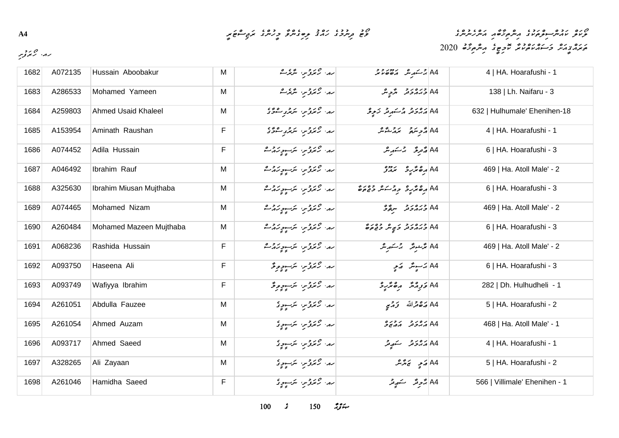*sCw7q7s5w7m< o<n9nOoAw7o< sCq;mAwBoEw7q<m; wBm;vB* م من المسجد المسجد المسجد المسجد المسجد العام 2020<br>مجم*د المسجد المسجد المستجد المسجد المسجد المسجد المسجد المسجد المسجد المسجد المسجد المسجد المسجد المسجد المسجد* 

| 1682 | A072135 | Hussain Aboobakur          | M           | رە، ئەنزۇر، مەنزىك       | A4 بر مورش م <i>ن موس</i> ح                                                                          | 4   HA. Hoarafushi - 1        |
|------|---------|----------------------------|-------------|--------------------------|------------------------------------------------------------------------------------------------------|-------------------------------|
| 1683 | A286533 | Mohamed Yameen             | M           | رە، ئەنزۇس ئىرگە         | A4 <i>\$ بَهُ ج</i> و مُحْ الْمَرْحِ مِسْ                                                            | 138   Lh. Naifaru - 3         |
| 1684 | A259803 | <b>Ahmed Usaid Khaleel</b> | M           | رە رىمروس ئىرى مەدە      | A4 كەندى كەر كەر قىر ئەرىپى كەر بۇ ئاپرىي ئاپرىي ئاپرىي ئاپرىي ئاپرىي ئاپرىي ئاپرىي ئاپرىي ئاپرىي ئا | 632   Hulhumale' Ehenihen-18  |
| 1685 | A153954 | Aminath Raushan            | $\mathsf F$ | رە ئەتروپ ئىرى ئەدە      | A4 مَّ <i>حِ سَمَّةَ مَدَمَّ</i> شَمَّسَ                                                             | 4   HA. Hoarafushi - 1        |
| 1686 | A074452 | Adila Hussain              | $\mathsf F$ | رە، رىمۇم، سەسىۋىدى      | A4 م <i>ۇمرىگە</i> ج <i>ىستىمب</i> ىر                                                                | 6   HA. Hoarafushi - 3        |
| 1687 | A046492 | Ibrahim Rauf               | M           | رە، رىمۇم، سەسورەرق      | A4 مەھەمگەبە ئەمەم مەمەم                                                                             | 469   Ha. Atoll Male' - 2     |
| 1688 | A325630 | Ibrahim Miusan Mujthaba    | M           | رە، ئەترۇس ئىرسوپەرەك    | A4 رەئزىرو بەر ئىش بەلەر بەل                                                                         | 6   HA. Hoarafushi - 3        |
| 1689 | A074465 | Mohamed Nizam              | M           | رە، رىمۇم، ئىرسوپەرەك    | A4 د برو د سرگاه                                                                                     | 469   Ha. Atoll Male' - 2     |
| 1690 | A260484 | Mohamed Mazeen Mujthaba    | M           | رو، رمحوقر موسوپروگرفت   | A4 כגמכת כ <sub>ב</sub> ת כנסי                                                                       | 6   HA. Hoarafushi - 3        |
| 1691 | A068236 | Rashida Hussain            | $\mathsf F$ | رو، رحمزوین مترسوچ پروژے | A4 بَرْھوتَر گرگوپٹر                                                                                 | 469   Ha. Atoll Male' - 2     |
| 1692 | A093750 | Haseena Ali                | $\mathsf F$ | رە، رىمۇقىر، سەسوھەتى    | A4 ئەسەپىر كەمچە                                                                                     | 6   HA. Hoarafushi - 3        |
| 1693 | A093749 | Wafiyya Ibrahim            | $\mathsf F$ | رە، رىزۇس سەسەم بۇ       | A4  <i>قروم می میگر</i> و                                                                            | 282   Dh. Hulhudheli - 1      |
| 1694 | A261051 | Abdulla Fauzee             | M           | رە، رىزۇس ئىرلىدى        | A4 كەھ قىراللە     توك <sup>رىم</sup> چ                                                              | 5   HA. Hoarafushi - 2        |
| 1695 | A261054 | Ahmed Auzam                | M           | رە، ئەندۇس ئىرسوپى       | $2222$ $222$ $24$                                                                                    | 468   Ha. Atoll Male' - 1     |
| 1696 | A093717 | Ahmed Saeed                | M           | رە، ئەترىق ئىر بىر بەيدە | A4 , پروتر کو سکو پار                                                                                | 4   HA. Hoarafushi - 1        |
| 1697 | A328265 | Ali Zayaan                 | M           | رە ، ئەترىس، سەسورى      | A4 <i>ھَ۔ ج</i> پھر شر                                                                               | 5   HA. Hoarafushi - 2        |
| 1698 | A261046 | Hamidha Saeed              | F           | رە رىزۇس ئىرسورى         | A4 بَرْحِ مَدْ سَمَدٍ مِرْ                                                                           | 566   Villimale' Ehenihen - 1 |

*100 sC 150 nNw?mS*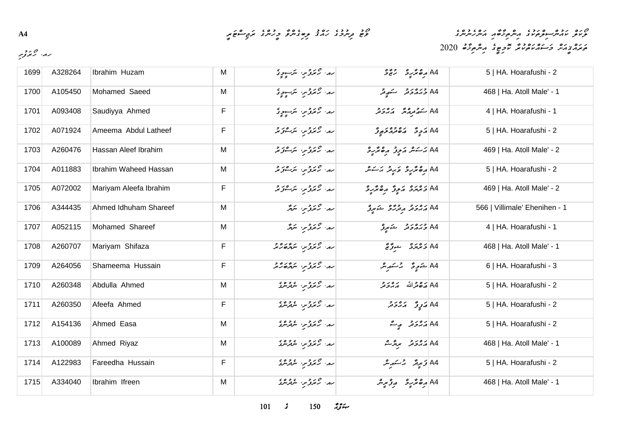*sCw7q7s5w7m< o<n9nOoAw7o< sCq;mAwBoEw7q<m; wBm;vB* م من المرة المرة المرة المرجع المرجع في المركبة 2020<br>مجم*د المريض المربوط المربع المرجع في المراجع المركبة* 

| 1699 | A328264 | Ibrahim Huzam          | M           | رە. ئەنزۇس ئىرسوچە ئ   | A4  مەھەر بەر ئەمەنىچە تەرىپا تەرىپا تەرەپ ئ | 5   HA. Hoarafushi - 2        |
|------|---------|------------------------|-------------|------------------------|----------------------------------------------|-------------------------------|
| 1700 | A105450 | Mohamed Saeed          | M           | رە، رىمۇم، سەسىرە      | A4 <i>\$ پر\$ وقر</i> سك <i>م پ</i> ور       | 468   Ha. Atoll Male' - 1     |
| 1701 | A093408 | Saudiyya Ahmed         | $\mathsf F$ | رە ، ئەترىس، ئىزلىرو ئ | A4 كەم بەر بەر ئەر ئەر ئا                    | 4   HA. Hoarafushi - 1        |
| 1702 | A071924 | Ameema Abdul Latheef   | $\mathsf F$ | رە، رىزۇس ئىر قارۇ     | A4 كەچ قەھەم <i>ھەقىدى ئە</i> ي              | 5   HA. Hoarafushi - 2        |
| 1703 | A260476 | Hassan Aleef Ibrahim   | M           | رە، رىزۇس ئىر قارۇ     | A4 بَرَ ـَنَ سَرْ وَقَرْ مِرْهُ مَّرْرِدْ    | 469   Ha. Atoll Male' - 2     |
| 1704 | A011883 | Ibrahim Waheed Hassan  | M           | رەر بەردىر، ئىزگىزىد   | A4 مەھەر ئەرەتقى ئەسەمىر                     | 5   HA. Hoarafushi - 2        |
| 1705 | A072002 | Mariyam Aleefa Ibrahim | F           | رەپ رىمروس، ئىرسىز ئىر | A4 <i>5 پروگ مربور م</i> ھ <i>پڑ</i> ے       | 469   Ha. Atoll Male' - 2     |
| 1706 | A344435 | Ahmed Idhuham Shareef  | M           | رە، رىمزۇس شەھ         | A4 كەشكە قىر مەمرىرى ھەمرى                   | 566   Villimale' Ehenihen - 1 |
| 1707 | A052115 | Mohamed Shareef        | M           | رە، ئەنزۇر، ئىگ        | A4 <i>3223 شمېرو</i>                         | 4   HA. Hoarafushi - 1        |
| 1708 | A260707 | Mariyam Shifaza        | $\mathsf F$ | رە بەلگەن ئىگەن ئەر    | A4 <i>5 برور و</i> سو <i>رٌ جُ</i>           | 468   Ha. Atoll Male' - 1     |
| 1709 | A264056 | Shameema Hussain       | $\mathsf F$ | رە بەلار ئەرەبەر       | A4 ڪوچ گرڪو مگر                              | 6   HA. Hoarafushi - 3        |
| 1710 | A260348 | Abdulla Ahmed          | M           | رە بەردىن ئەدە ئ       | A4 مَـُهْ مِّدْاللّه مَـْدَوْمَر             | 5   HA. Hoarafushi - 2        |
| 1711 | A260350 | Afeefa Ahmed           | F           | رە، ئەيزۇر، ئەدەر،     | A4 <i>ھَ پِی ڈی م</i> حمد                    | 5   HA. Hoarafushi - 2        |
| 1712 | A154136 | Ahmed Easa             | M           | رە ئەترۇس ئىروم        | A4 كەندى ھەتتە                               | 5   HA. Hoarafushi - 2        |
| 1713 | A100089 | Ahmed Riyaz            | M           | رە بەردىن ئەدە ئ       | A4 كەبرى كىمى سىرتكىشى بىر                   | 468   Ha. Atoll Male' - 1     |
| 1714 | A122983 | Fareedha Hussain       | $\mathsf F$ | رە بەردىن ئەدە ئ       | A4 ترىرى <i>گە بەستەم</i> ەش                 | 5   HA. Hoarafushi - 2        |
| 1715 | A334040 | Ibrahim Ifreen         | M           | رە بەردىن ئەدە ،       | A4 مەھەرىرى مەۋىيەتكە                        | 468   Ha. Atoll Male' - 1     |

*101 sC 150 nNw?mS*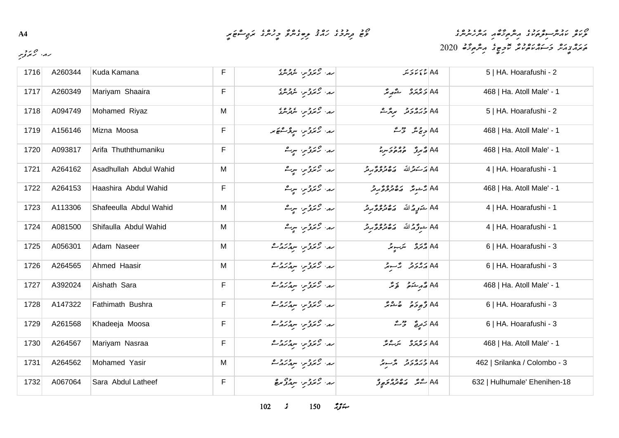*sCw7q7s5w7m< o<n9nOoAw7o< sCq;mAwBoEw7q<m; wBm;vB* م من المرة المرة المرة المرجع المرجع في المركبة 2020<br>مجم*د المريض المربوط المربع المرجع في المراجع المركبة* 

| 1716 | A260344 | Kuda Kamana            | F | رە بەردىن ئارومى       | A4 تەنبە ئەسىر                                   | 5   HA. Hoarafushi - 2       |
|------|---------|------------------------|---|------------------------|--------------------------------------------------|------------------------------|
| 1717 | A260349 | Mariyam Shaaira        | F | رە، ئەيزۇر، ئەدەر،     | A4  <i>5 بروز</i> و ش <i>ەمبەت</i> ر             | 468   Ha. Atoll Male' - 1    |
| 1718 | A094749 | Mohamed Riyaz          | M | رە بەردىي ئەدە ،       | A4 دېمەد ئەرگەنگە                                | 5   HA. Hoarafushi - 2       |
| 1719 | A156146 | Mizna Moosa            | F | رە بەتروپر، سروپ ھەر   | A4 حِ پِج مَدَّ حَرْ مَشَرَ                      | 468   Ha. Atoll Male' - 1    |
| 1720 | A093817 | Arifa Thuththumaniku   | F | رە، ئەتزۇر، ئېرىش      | A4 جُمِرتَرَ مُحمد محرَّسِرة                     | 468   Ha. Atoll Male' - 1    |
| 1721 | A264162 | Asadhullah Abdul Wahid | M | رو، رحمزتور، سرگ       | A4 مَرْ مَعْرَاللَّهُ مَصْ صَوْرَ حَرَّمَتِ مِنْ | 4   HA. Hoarafushi - 1       |
| 1722 | A264153 | Haashira Abdul Wahid   | F | رو، رحمزتور، سرگ       | A4 بَرْجُوبَرُ مَرْکَ وَهُ وَمَرْكَبَرَ مِرْ     | 468   Ha. Atoll Male' - 1    |
| 1723 | A113306 | Shafeeulla Abdul Wahid | M | رە، ئەتزۇس سەھ         |                                                  | 4   HA. Hoarafushi - 1       |
| 1724 | A081500 | Shifaulla Abdul Wahid  | M | رە، ئەتزۇر، ئېرىش      | A4 خوق م الله م مصر محدد مر مر                   | 4   HA. Hoarafushi - 1       |
| 1725 | A056301 | Adam Naseer            | M | مدر محتوين سد محمد الم | A4 مُرْتَرِدْ سَرَسِوِيْر                        | 6   HA. Hoarafushi - 3       |
| 1726 | A264565 | Ahmed Haasir           | M | رە ئەترىس سەزرە ھ      | A4 كەبرى قىلى بەر بىر ئىسلىر                     | 6   HA. Hoarafushi - 3       |
| 1727 | A392024 | Aishath Sara           | F | رە ئەترىس سەزىر ق      |                                                  | 468   Ha. Atoll Male' - 1    |
| 1728 | A147322 | Fathimath Bushra       | F | بدر محدوس سد محمد الم  | A4 تَ <i>وجوح</i> صَشْعَرَ                       | 6   HA. Hoarafushi - 3       |
| 1729 | A261568 | Khadeeja Moosa         | F | رە ئەتدۇرى سەزرە ئ     | A4 كَتَمَدِيحٌ مُتَرْسَةٌ.                       | 6   HA. Hoarafushi - 3       |
| 1730 | A264567 | Mariyam Nasraa         | F | بدر محدوس سد محمد الم  | A4  <i>5 برود \$</i> سَرَ-مُرَ بَمَر             | 468   Ha. Atoll Male' - 1    |
| 1731 | A264562 | Mohamed Yasir          | M | رە، ئەتزۇر، سەز ئەھ    | A4 <i>وُبَهُ وَبَدْ</i> مَرْسِيمُ                | 462   Srilanka / Colombo - 3 |
| 1732 | A067064 | Sara Abdul Latheef     | F | מה "הזבתי יימר בים     | A4 جُعَّر مَصْرَمْ <i>حَبورْ</i>                 | 632   Hulhumale' Ehenihen-18 |

*102 s 150 <i>n*<sub>2</sub> *n*<sub>2</sub> *n*<sub>2</sub> *n*<sub>2</sub> *n*<sub>2</sub> *n*<sub>2</sub> *n*<sub>2</sub> *n*<sub>2</sub> *n*<sub>2</sub> *n*<sub>2</sub> *n*<sub>2</sub> *n*<sub>2</sub> *n*<sub>2</sub> *n*<sub>2</sub> *n*<sub>2</sub> *n*<sub>2</sub> *n*<sub>2</sub> *n*<sub>2</sub> *n*<sub>2</sub> *n*<sub>2</sub> *n*<sub>2</sub> *n*<sub>2</sub> *n*<sub>2</sub> *n*<sub>2</sub> *n*<sub>2</sub> *n*<sub>2</sub> *n*<sub>2</sub> *n*<sub>2</sub> *n*<sub>2</sub>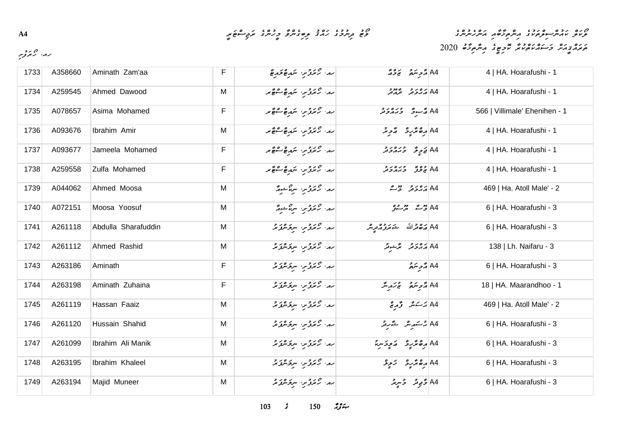*sCw7q7s5w7m< o<n9nOoAw7o< sCq;mAwBoEw7q<m; wBm;vB* م من المسجد المسجد المسجد المسجد المسجد العام 2020<br>مجم*د المسجد المسجد المستجد المسجد المسجد المسجد المسجد المسجد المسجد المسجد المسجد المسجد المسجد المسجد المسجد* 

| 1733 | A358660 | Aminath Zam'aa      | F           | رم كىمروس سەھ ئەرە      | A4 مُحرِسَعُ بِحَرْمُهُ                                           | 4   HA. Hoarafushi - 1        |
|------|---------|---------------------|-------------|-------------------------|-------------------------------------------------------------------|-------------------------------|
| 1734 | A259545 | Ahmed Dawood        | M           | رو. ركور سكر عن عظيم    | A4 كەرجەر ئەدەر<br>A4 كەبرى قىرىر قىر                             | 4   HA. Hoarafushi - 1        |
| 1735 | A078657 | Asima Mohamed       | F           | رە، ئەترۇس سەھ شقىر     | A4 جُسِعَ حَمَدَ دَو                                              | 566   Villimale' Ehenihen - 1 |
| 1736 | A093676 | Ibrahim Amir        | M           | رە، ئەتزۇر، سەھ شقەر    | A4 مەھەرىپى ھەرىر                                                 | 4   HA. Hoarafushi - 1        |
| 1737 | A093677 | Jameela Mohamed     | F           | رو، رحمز من سره عن عظيم | A4 ق ح ع ح م م ح م ح م ح مر<br>بالم ع ح ح م ح م ح م ح م ح مر ح مر | 4   HA. Hoarafushi - 1        |
| 1738 | A259558 | Zulfa Mohamed       | $\mathsf F$ | رە، ئەتزۇر، سەھ شقەر    | A4  ج و ژ م د د د د د                                             | 4   HA. Hoarafushi - 1        |
| 1739 | A044062 | Ahmed Moosa         | M           | رو. ريزو بن سره شور     | A4 كەبروتىر بوسىمبر                                               | 469   Ha. Atoll Male' - 2     |
| 1740 | A072151 | Moosa Yoosuf        | M           | رە، ئەترۇس سرىكىشەد     | A4 جي جي جو ج                                                     | 6   HA. Hoarafushi - 3        |
| 1741 | A261118 | Abdulla Sharafuddin | M           | رە، ئەيزۇر، سرۇشلەر     | A4 مَەھْتَراللە خەمز <i>ۇ م</i> ۇيتر                              | 6   HA. Hoarafushi - 3        |
| 1742 | A261112 | Ahmed Rashid        | M           | رەپ رىمۇس سىزىتلاش      | A4 كەبرى قىر مۇسىمىتى كىشىمىتىكى بىر                              | 138   Lh. Naifaru - 3         |
| 1743 | A263186 | Aminath             | $\mathsf F$ | رە، رىمۇس سەئىرىم       | A4 مَرْحِ سَرَة ِ                                                 | 6   HA. Hoarafushi - 3        |
| 1744 | A263198 | Aminath Zuhaina     | $\mathsf F$ | رە ئەتروپ سەكسىدىم      | A4 مَرْحِ سَمَعَ سَمْ سَمَر سَمَّر                                | 18   HA. Maarandhoo - 1       |
| 1745 | A261119 | Hassan Faaiz        | M           | رە، رىزۇس سۆسى بە       | A4 ئەسەنىش ئۇم <i>بى</i> ج                                        | 469   Ha. Atoll Male' - 2     |
| 1746 | A261120 | Hussain Shahid      | M           | رە، ئەيزۇر، سرۇشلەر     | A4 بڑے پہ شہ مستقریب                                              | 6   HA. Hoarafushi - 3        |
| 1747 | A261099 | Ibrahim Ali Manik   | M           | رە ، ئەترۇس سەنگەنلەش   | A4 مەھمەر 2 مەمەر مەردىس                                          | 6   HA. Hoarafushi - 3        |
| 1748 | A263195 | Ibrahim Khaleel     | M           | رە، رىزۇس سۆسۈنز        | A4 <sub>مر</sub> ھ <i>مُدْرِ</i> وْ کَ مَرِوْ                     | 6   HA. Hoarafushi - 3        |
| 1749 | A263194 | Majid Muneer        | M           | رە، رىمۇس سەئىرىم       | A4 قَەمِتْر قَسِيْتْر                                             | 6   HA. Hoarafushi - 3        |

*103 sC 150 nNw?mS*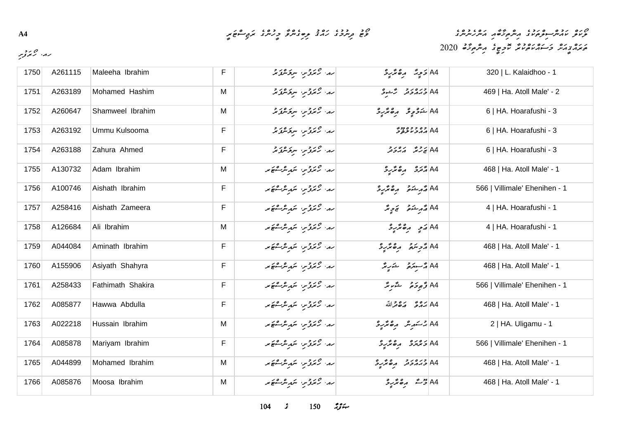*sCw7q7s5w7m< o<n9nOoAw7o< sCq;mAwBoEw7q<m; wBm;vB* م من المسجد المسجد المسجد المسجد المسجد العام 2020<br>مجم*د المسجد المسجد المستجد المسجد المسجد المسجد المسجد المسجد المسجد المسجد المسجد المسجد المسجد المسجد المسجد* 

| 1750 | A261115 | Maleeha Ibrahim   | F           | رە بىر ئىكەن <i>تىر سى</i> تىلگەنگە | A4  دَ جِهٌ مِنْ مِرْجِرْ                                                                           | 320   L. Kalaidhoo - 1        |
|------|---------|-------------------|-------------|-------------------------------------|-----------------------------------------------------------------------------------------------------|-------------------------------|
| 1751 | A263189 | Mohamed Hashim    | M           | رە رىمۇس سۆسۈم                      | A4 <i>3223 رَّ</i> سُورَ                                                                            | 469   Ha. Atoll Male' - 2     |
| 1752 | A260647 | Shamweel Ibrahim  | M           | رە رىمۇس سۆسۈم                      | A4 خۇم بۇ مەمگەر 2                                                                                  | 6   HA. Hoarafushi - 3        |
| 1753 | A263192 | Ummu Kulsooma     | $\mathsf F$ | رد. ریزوین سروکروند                 | A4 دەرەرە دەپرى<br>A4 مەمرى موقوم                                                                   | 6   HA. Hoarafushi - 3        |
| 1754 | A263188 | Zahura Ahmed      | $\mathsf F$ | رە ئەتروپ سىزىترو تە                | A4 يَحرَ يَمَّرُ دَيَرَ وَرَ                                                                        | 6   HA. Hoarafushi - 3        |
| 1755 | A130732 | Adam Ibrahim      | M           | رە، ئەنزۇس سەر شەھىر                | A4 م <i>ُ</i> مَرَدَ مِنْ مُرْرِدَ                                                                  | 468   Ha. Atoll Male' - 1     |
| 1756 | A100746 | Aishath Ibrahim   | $\mathsf F$ | رە، ئەنزۇس سەر شەھەر                | A4 مُەرشەق مەھەردى<br>A4                                                                            | 566   Villimale' Ehenihen - 1 |
| 1757 | A258416 | Aishath Zameera   | F           | رە، ئەترۇس سەرش-ھەر                 | A4 مەم ئىشقىق ئىم <i>چەم</i> گە                                                                     | 4   HA. Hoarafushi - 1        |
| 1758 | A126684 | Ali Ibrahim       | M           | رە، ئەترۇس سەر شەھەتد               | A4 <i>مَجِ م</i> ِ صَمَّرِ د                                                                        | 4   HA. Hoarafushi - 1        |
| 1759 | A044084 | Aminath Ibrahim   | F           | رە، ئەنزۇس سەر شەھىر                |                                                                                                     | 468   Ha. Atoll Male' - 1     |
| 1760 | A155906 | Asiyath Shahyra   | $\mathsf F$ | رە، ئەنزۇس سەر شەھىر                | A4 م <i>ەسىبىرىتى</i> ھەرپىتىر                                                                      | 468   Ha. Atoll Male' - 1     |
| 1761 | A258433 | Fathimath Shakira | $\mathsf F$ | رە، ئەترۇس سەرش-ھەر                 | A4 ۇ <sub>جو</sub> رَمْ شَمْرِيْر                                                                   | 566   Villimale' Ehenihen - 1 |
| 1762 | A085877 | Hawwa Abdulla     | $\mathsf F$ | رە، ئەنزۇس سەر شەھىر                | A4 بَرْدَةَ بِرَصْدَاللّه                                                                           | 468   Ha. Atoll Male' - 1     |
| 1763 | A022218 | Hussain Ibrahim   | M           | رە، ئەترۇس سەرسىس ج                 |                                                                                                     | 2   HA. Uligamu - 1           |
| 1764 | A085878 | Mariyam Ibrahim   | $\mathsf F$ | رە، ئەنزۇس سەر شەھىر                | A4 كالمرير من من من المريد المريد المريد المريد المريد المريد المريد المريد المريد المريد المريد ال | 566   Villimale' Ehenihen - 1 |
| 1765 | A044899 | Mohamed Ibrahim   | M           | رە، ئەترۇس سەر شەھەر                | A4 دېم ده د هغرب                                                                                    | 468   Ha. Atoll Male' - 1     |
| 1766 | A085876 | Moosa Ibrahim     | M           | رە، ئەترۇس سەرش-ھەر                 | A4 جي شه مه محمد پيځا                                                                               | 468   Ha. Atoll Male' - 1     |

*n*<sub>104</sub> *s* 150 *i*<sub>s</sub> $\rightarrow$  150 *i*<sub>s</sub> $\rightarrow$  150 *i*<sub>s</sub> $\rightarrow$  150 *i*<sub>s</sub> $\rightarrow$  150 *i*<sub>s</sub> $\rightarrow$  150 *i*<sub>s</sub> $\rightarrow$  150 *i*<sub>s</sub> $\rightarrow$  150 *i*<sub>s</sub> $\rightarrow$  150 *i*<sub>s</sub> $\rightarrow$  150 *i*<sub>s</sub> $\rightarrow$  150 *i*<sub>s</sub> $\rightarrow$  150 *i*<sub>s</sub> $\rightarrow$  150 *i*<sub>s</sub> $\rightarrow$  150 *i*<sub>s</sub> $\rightarrow$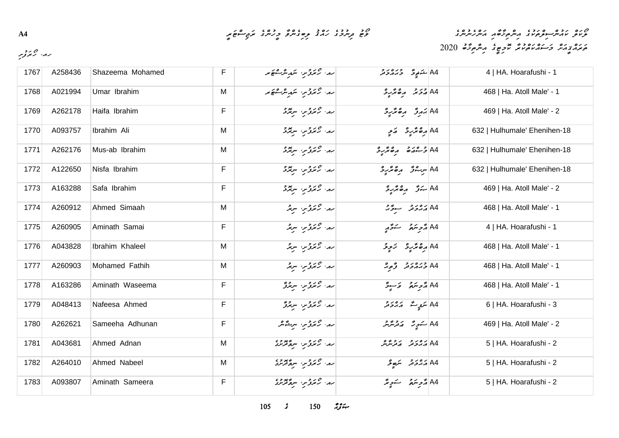*sCw7q7s5w7m< o<n9nOoAw7o< sCq;mAwBoEw7q<m; wBm;vB* م من المرة المرة المرة المرجع المرجع في المركبة 2020<br>مجم*د المريض المربوط المربع المرجع في المراجع المركبة* 

| 1767 | A258436 | Shazeema Mohamed | $\mathsf F$ | رە، ئەترۇس سەرسى ھەس               | A4 ڪَن <sub>جِ ح</sub> َرَ جي حرب    | 4   HA. Hoarafushi - 1       |
|------|---------|------------------|-------------|------------------------------------|--------------------------------------|------------------------------|
| 1768 | A021994 | Umar Ibrahim     | M           | رە، رىمزۇر، سەرسى ھەم              | A4 مۇترىم مەھرىپى                    | 468   Ha. Atoll Male' - 1    |
| 1769 | A262178 | Haifa Ibrahim    | $\mathsf F$ | رە، ئەنزۇس سەنزۇ                   | A4 بَرْمِرْدٌ مِنْ مُحْرِبِيْتِهِ    | 469   Ha. Atoll Male' - 2    |
| 1770 | A093757 | Ibrahim Ali      | M           | رو، رحموقرس سرچری                  | A4 مەھمىچە ھەمچ                      | 632   Hulhumale' Ehenihen-18 |
| 1771 | A262176 | Mus-ab Ibrahim   | M           | رو، رحموقرما البرجرى               | A4 د محمدة مقتربة                    | 632   Hulhumale' Ehenihen-18 |
| 1772 | A122650 | Nisfa Ibrahim    | F           | رو، رحموقرمو، سرچری                | A4 سرجوس مقديرة                      | 632   Hulhumale' Ehenihen-18 |
| 1773 | A163288 | Safa Ibrahim     | F           | رە، ئەنزۇس سەنزۇ                   | A4 جَوَزٌ مِنْ صَمَّرِ فِر           | 469   Ha. Atoll Male' - 2    |
| 1774 | A260912 | Ahmed Simaah     | M           | رە، ئەترۇس سەل                     | A4 <i>م برو دقت</i> سو <i>ڈ ب</i>    | 468   Ha. Atoll Male' - 1    |
| 1775 | A260905 | Aminath Samai    | $\mathsf F$ | رو، رحمزوین سرچ                    | A4 مَّحِسَمَّةٌ سَخَّمٍّ             | 4   HA. Hoarafushi - 1       |
| 1776 | A043828 | Ibrahim Khaleel  | M           | بها رحموقورا ليرمز                 | A4 <sub>م</sub> ەنگەر ئىچى           | 468   Ha. Atoll Male' - 1    |
| 1777 | A260903 | Mohamed Fathih   | M           | رە، ئەنزۇس سەتر                    | A4 دېرو دي.<br>A4 دېرونر ترم         | 468   Ha. Atoll Male' - 1    |
| 1778 | A163286 | Aminath Waseema  | $\mathsf F$ | رە، ئەنزۇس سىزدۇ                   | A4 مُتَّحِسَمَةً وَسَوَّدَّ          | 468   Ha. Atoll Male' - 1    |
| 1779 | A048413 | Nafeesa Ahmed    | F           | رو، رکندو مور سرچرو                | A4 سَمِرٍ — مَدْحَمْد                | 6   HA. Hoarafushi - 3       |
| 1780 | A262621 | Sameeha Adhunan  | F           | رو، رئيزوس، سرڪھ                   | A4 سَوِيَّة - مَقَدَّسَّرْتَدَ       | 469   Ha. Atoll Male' - 2    |
| 1781 | A043681 | Ahmed Adnan      | M           | رد. رمزوس سره موره                 | A4 <i>مَدْوَنْھِ مَقْرَمَّرْمَرْ</i> | 5   HA. Hoarafushi - 2       |
| 1782 | A264010 | Ahmed Nabeel     | M           | رە بەر دىر.<br>رە بەيرۇس سرەتىرىرى | A4 كەبرى قىر سى <i>مبو</i> گە        | 5   HA. Hoarafushi - 2       |
| 1783 | A093807 | Aminath Sameera  | F           | رە بەيروس سەۋىرە ت                 | A4 مَرْحِبَتَهُمْ مَسَوِيَّتَهُ      | 5   HA. Hoarafushi - 2       |

*o6q?m8v5 .<5*

 $105$  *s*  $150$  *n***<sub>s</sub>** $\frac{2}{5}$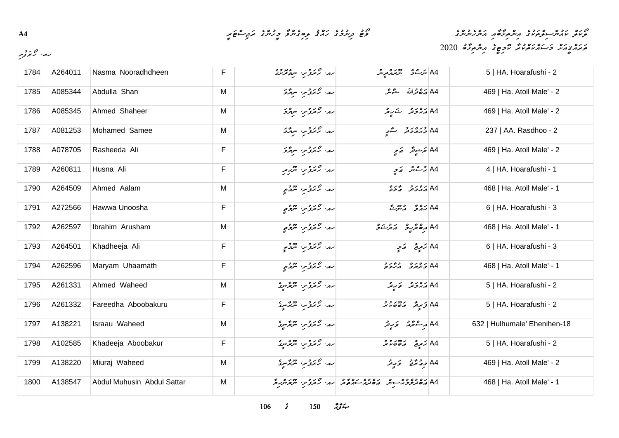*sCw7q7s5w7m< o<n9nOoAw7o< sCq;mAwBoEw7q<m; wBm;vB* م من المرة المرة المرة المرجع المرجع في المركبة 2020<br>مجم*د المريض المربوط المربع المرجع في المراجع المركبة* 

| 1784 | A264011 | Nasma Nooradhdheen         | F           | رو به رو د سره مود ده | A4 ىترىشى قەرىم ھەمرىتر                | 5   HA. Hoarafushi - 2       |
|------|---------|----------------------------|-------------|-----------------------|----------------------------------------|------------------------------|
| 1785 | A085344 | Abdulla Shan               | M           | رە ، ئەنزىر، سەرى     | A4 مَرْحَدِّرْاللَّهُ شَدَّسْ          | 469   Ha. Atoll Male' - 2    |
| 1786 | A085345 | Ahmed Shaheer              | M           | رو، رحمزویں سرگرد     | A4 <i>م بر\$قر</i> شمريتر              | 469   Ha. Atoll Male' - 2    |
| 1787 | A081253 | Mohamed Samee              | M           | رو، رحمزون سرگرد      | A4 <i>و برو دو م</i> گو <sub>چ</sub>   | 237   AA. Rasdhoo - 2        |
| 1788 | A078705 | Rasheeda Ali               | F           | رە، ئەتزۇر، سەزى      | A4 بَرَحْدِثَرَ     رَوِ               | 469   Ha. Atoll Male' - 2    |
| 1789 | A260811 | Husna Ali                  | F           | رە، ئەنزۇس ئۆرىر      | A4 پر شعر پر پر                        | 4   HA. Hoarafushi - 1       |
| 1790 | A264509 | Ahmed Aalam                | M           | رە ئەتروپى تورە       | A4 كەنزىقە كەنزى                       | 468   Ha. Atoll Male' - 1    |
| 1791 | A272566 | Hawwa Unoosha              | F           | رو، رنجو ترور العروج  | A4 بَرْدِعٌ مَرْسَرْتُ                 | 6   HA. Hoarafushi - 3       |
| 1792 | A262597 | Ibrahim Arusham            | M           | بدر محمد وسيد المعرضي | A4 رەئزىر مەرشىۋ                       | 468   Ha. Atoll Male' - 1    |
| 1793 | A264501 | Khadheeja Ali              | F           | بدر محدوثين متردمج    | A4 كَتَمِيعٌ – صَحٍ                    | 6   HA. Hoarafushi - 3       |
| 1794 | A262596 | Maryam Uhaamath            | F           | رە بەردىن ھەم         | A4 ويربرو ومردو                        | 468   Ha. Atoll Male' - 1    |
| 1795 | A261331 | Ahmed Waheed               | M           | رەپ كەنزۇس ئىرمەسىمى  | A4 كەندى قىر قىر قىلىرىنى كىل          | 5   HA. Hoarafushi - 2       |
| 1796 | A261332 | Fareedha Aboobakuru        | $\mathsf F$ | رەر ئەنزۇر، ئۇنجەسىدى | A4 توسیقر مقصومتر                      | 5   HA. Hoarafushi - 2       |
| 1797 | A138221 | <b>Israau Waheed</b>       | M           | رەپ كەنزۇس ئىرمەسىمى  | A4 م <i>ېرىشتىق قەي</i> رقىر           | 632   Hulhumale' Ehenihen-18 |
| 1798 | A102585 | Khadeeja Aboobakur         | F           | رەپ كەنزۈس ئىرگە ئىرى |                                        | 5   HA. Hoarafushi - 2       |
| 1799 | A138220 | Miuraj Waheed              | M           | رە، ئەنزۇر، ئىزگە يوڭ | A4 <i>وه مَدَّة</i> وَرِسْ             | 469   Ha. Atoll Male' - 2    |
| 1800 | A138547 | Abdul Muhusin Abdul Sattar | M           |                       | A4 رەدەبور مىش رەدە رەم دەر ئىرۇس سىرس | 468   Ha. Atoll Male' - 1    |

 $106$  *s*  $150$  *n***<sub>3</sub>** *n*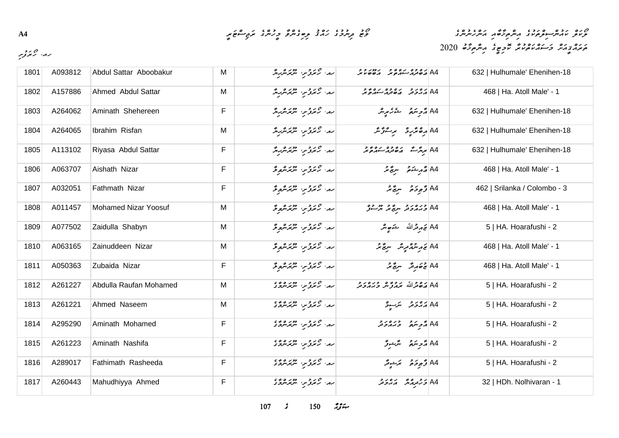*sCw7q7s5w7m< o<n9nOoAw7o< sCq;mAwBoEw7q<m; wBm;vB* م من المرة المرة المرة المرجع المرجع في المركبة 2020<br>مجم*د المريض المربوط المربع المرجع في المراجع المركبة* 

| 1801 | A093812 | Abdul Sattar Aboobakur      | M | رە بە ئەروپ ھەر ھەر     | AA COCO COCO COOM                         | 632   Hulhumale' Ehenihen-18 |
|------|---------|-----------------------------|---|-------------------------|-------------------------------------------|------------------------------|
| 1802 | A157886 | Ahmed Abdul Sattar          | M | رە ئەتروپ ھەترىرىدىگر   | A4 رەر د مەدەب مەدەب                      | 468   Ha. Atoll Male' - 1    |
| 1803 | A264062 | Aminath Shehereen           | F | رە بەلگەن ھەر ھەر       | A4 مَرْحِ سَمَعْ مُشْرَسِرِ سَمْرِ مِسْرِ | 632   Hulhumale' Ehenihen-18 |
| 1804 | A264065 | Ibrahim Risfan              | M | رە بەلگەن ھەر ھەر       | A4 مەھەرىپ ھەرسىمى ئىس                    | 632   Hulhumale' Ehenihen-18 |
| 1805 | A113102 | Riyasa Abdul Sattar         | F | رە بە ئەتدىرىيە ھەمەھەر | A4 بروز می مره ده بره بود                 | 632   Hulhumale' Ehenihen-18 |
| 1806 | A063707 | Aishath Nizar               | F | رە بەلگەن ھەرھەنچە      | A4 مَرْمِرْ مُشَمَّرٍ مَسْرِيَجْ مَرْ     | 468   Ha. Atoll Male' - 1    |
| 1807 | A032051 | Fathmath Nizar              | F | ىد. ئىغۇس شەھرى         | A4 تَ <i>جِ حَجَّ</i> سِيِّ سَ            | 462   Srilanka / Colombo - 3 |
| 1808 | A011457 | <b>Mohamed Nizar Yoosuf</b> | M | رە بەترىرى شەرھىدى      | A4 دېرو دو سرچ پر مرسو                    | 468   Ha. Atoll Male' - 1    |
| 1809 | A077502 | Zaidulla Shabyn             | M | رە، ئەتروپ ئىرتكىرىموگە | A4 کے مرتمّراللہ شَمَصِصْر                | 5   HA. Hoarafushi - 2       |
| 1810 | A063165 | Zainuddeen Nizar            | м | رە بەلگەن ھەرھەنچە      | A4 نج م <i>ر مثم</i> دور مرگ مرگز مرگز مر | 468   Ha. Atoll Male' - 1    |
| 1811 | A050363 | Zubaida Nizar               | F | رە، ئەترىس ئىرتىر ھوڭ   | A4 تج ھَەر قَمَّ سِرىتَج تَمَ             | 468   Ha. Atoll Male' - 1    |
| 1812 | A261227 | Abdulla Raufan Mohamed      | M | رد. رمزوین مرمز ۱۵۵۵    |                                           | 5   HA. Hoarafushi - 2       |
| 1813 | A261221 | Ahmed Naseem                | M | رد. رمزوجه انتصره وه و  | A4 كەبرى تىر سىر سىر بىر ئىس              | 5   HA. Hoarafushi - 2       |
| 1814 | A295290 | Aminath Mohamed             | F | رد. رمزوین مربر ۱۶۵۵    | A4 مُتَّحِسَمُ حَمَدَ مَرَّدَ مَرَّ       | 5   HA. Hoarafushi - 2       |
| 1815 | A261223 | Aminath Nashifa             | F | رد. رمزوجه انتهز مرده   | A4 مَرْحِ سَرَحْمَ مَسَّرْسُوتَرَ         | 5   HA. Hoarafushi - 2       |
| 1816 | A289017 | Fathimath Rasheeda          | F | رد. رمزوین شهرسوی       | A4 <i>وَّجوحَ</i> مَمَ مَسْوِمَّرَ        | 5   HA. Hoarafushi - 2       |
| 1817 | A260443 | Mahudhiyya Ahmed            | F | رد. رود و دوره وه       | A4 5 شوره محمد حرم در د                   | 32   HDh. Nolhivaran - 1     |

*107 sC 150 nNw?mS*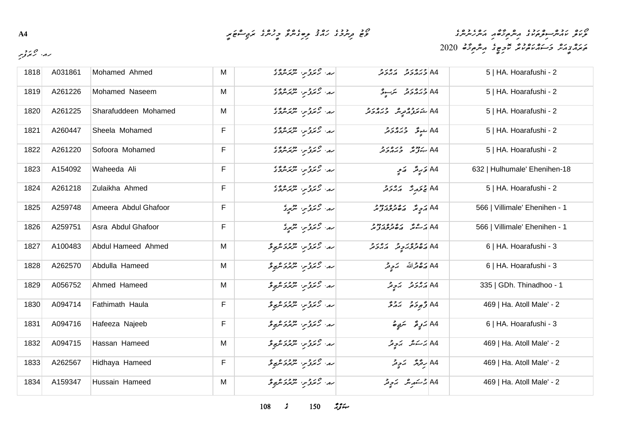*sCw7q7s5w7m< o<n9nOoAw7o< sCq;mAwBoEw7q<m; wBm;vB* م من المسجد المسجد المسجد المسجد المسجد العام 2020<br>مجم*د المسجد المسجد المستجد المسجد المسجد المسجد المسجد المسجد المسجد المسجد المسجد المسجد المسجد المسجد المسجد* 

| 1818 | A031861 | Mohamed Ahmed        | M           | رە ئەترۇپ ئىرگەم ئ      | A4 32,25 كەردىر                                   | 5   HA. Hoarafushi - 2        |
|------|---------|----------------------|-------------|-------------------------|---------------------------------------------------|-------------------------------|
| 1819 | A261226 | Mohamed Naseem       | M           | رد. رمزوین شهر موره     | A4 <i>\$ بَرْدْ دَوْ</i> سَرَسِي <sup>و</sup> ُ   | 5   HA. Hoarafushi - 2        |
| 1820 | A261225 | Sharafuddeen Mohamed | M           | رد. رمزوین شرکتر ده د   | A4 ش <i>ەترومۇمىر مەتەمەد</i>                     | 5   HA. Hoarafushi - 2        |
| 1821 | A260447 | Sheela Mohamed       | F           | رد. رمزوین میگرمزده     | A4 خوتى ق <i>ەتدە 5 دى</i> ر                      | 5   HA. Hoarafushi - 2        |
| 1822 | A261220 | Sofoora Mohamed      | F           | رد. رمزوین میگرمزده     | A4 ينهو مصدر در د                                 | 5   HA. Hoarafushi - 2        |
| 1823 | A154092 | Waheeda Ali          | $\mathsf F$ | رد. رمزور، مردره و و    | A4 حَ پيمَد صَمِحِ                                | 632   Hulhumale' Ehenihen-18  |
| 1824 | A261218 | Zulaikha Ahmed       | F           |                         | A4 يحترم بحر بركر ديمبر<br>A4                     | 5   HA. Hoarafushi - 2        |
| 1825 | A259748 | Ameera Abdul Ghafoor | F           | رە بەردىن ئىرىدە        | A4 <i>مَحِرَّدٌ مَ</i> صَعْرَفَ <i>مَرَّدَ مِ</i> | 566   Villimale' Ehenihen - 1 |
| 1826 | A259751 | Asra Abdul Ghafoor   | F           | ىد. رىمۇمىز، ئىزىدە     | A4 كەشقە بەھ <i>دەھ دە</i>                        | 566   Villimale' Ehenihen - 1 |
| 1827 | A100483 | Abdul Hameed Ahmed   | M           | رە ئەتروپ ھەدىمى ئ      | A4 בֿיפּיניבּיבּי גליכינ                          | 6   HA. Hoarafushi - 3        |
| 1828 | A262570 | Abdulla Hameed       | M           | رە ، ئەترىپ، شەنزىق ئو  | A4 مَەھىراللە كەرىم                               | 6   HA. Hoarafushi - 3        |
| 1829 | A056752 | Ahmed Hameed         | M           | رە، رىروس سىرەشبەۋ      | A4 كەبرى بىر سىر بىر ئىس                          | 335   GDh. Thinadhoo - 1      |
| 1830 | A094714 | Fathimath Haula      | F           | رە ، ئەترىس ھەدرە ھې ئە | A4 وَّجِ حَقَّ بِمَكْرَمَّةً                      | 469   Ha. Atoll Male' - 2     |
| 1831 | A094716 | Hafeeza Najeeb       | F           | رە. ئەنزۈپ شەرەش ۋ      |                                                   | 6   HA. Hoarafushi - 3        |
| 1832 | A094715 | Hassan Hameed        | M           | رە ئەتروپ ھەدىمى ئو     | A4   پرسەنلار   پروتر                             | 469   Ha. Atoll Male' - 2     |
| 1833 | A262567 | Hidhaya Hameed       | F           | رە. رىزۇس شەدر ھەج      | A4 بِتَرْتَزَ   بَرْدِيْرَ       ب                | 469   Ha. Atoll Male' - 2     |
| 1834 | A159347 | Hussain Hameed       | M           | رە. ئەنزۇس شەرەش ۋ      | A4 بڑے پر بڑ بر برچ محمد                          | 469   Ha. Atoll Male' - 2     |

*108 sC 150 nNw?mS*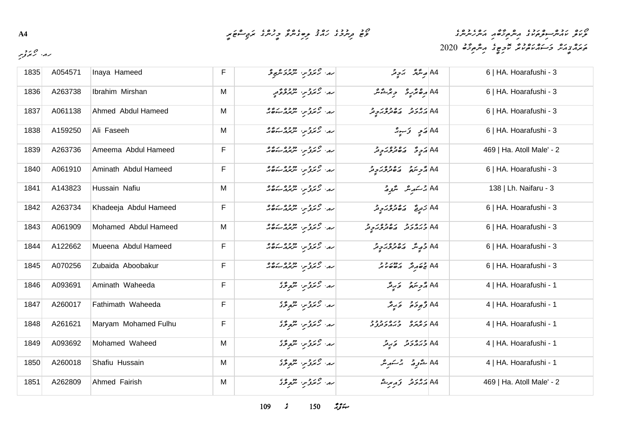*sCw7q7s5w7m< o<n9nOoAw7o< sCq;mAwBoEw7q<m; wBm;vB* م من المرة المرة المرة المرجع المرجع في المركبة 2020<br>مجم*د المريض المربوط المربع المرجع في المراجع المركبة* 

| 1835 | A054571 | Inaya Hameed          | F           | رە. ئەنزۇس ئىرىزدىكرى بۇ                    | A4  مِیشَمَّد بَرْحِیْد           | 6   HA. Hoarafushi - 3    |
|------|---------|-----------------------|-------------|---------------------------------------------|-----------------------------------|---------------------------|
| 1836 | A263738 | Ibrahim Mirshan       | M           | رە بەيروپە ھەدە ئېر                         | A4 مەھەرىرى بىر ئەشەر             | 6   HA. Hoarafushi - 3    |
| 1837 | A061138 | Ahmed Abdul Hameed    | M           | رد. رکروس مرده روه                          | A4 ג׳ د ده ده ده د د د            | 6   HA. Hoarafushi - 3    |
| 1838 | A159250 | Ali Faseeh            | M           | תגי התנתי יישובם גם                         | A4 ر <sub>َمَ</sub> حٍ تَرْسِيرٌ  | 6   HA. Hoarafushi - 3    |
| 1839 | A263736 | Ameema Abdul Hameed   | F           | رو. رکروس سرمار دوه در ده                   | A4 , مَرِدَّ , مَصْعَرْ مَرْدِيرَ | 469   Ha. Atoll Male' - 2 |
| 1840 | A061910 | Aminath Abdul Hameed  | $\mathsf F$ | מגי ליגב יי חברם השם.                       | A4 مُجرِسَعِ مُصْرَحْدَجِ مَرْ    | 6   HA. Hoarafushi - 3    |
| 1841 | A143823 | Hussain Nafiu         | M           | מגי המציעי יחמד השם                         | A4 پر <i>کے مربٹر سگور</i> تم     | 138   Lh. Naifaru - 3     |
| 1842 | A263734 | Khadeeja Abdul Hameed | F           | תגי התנתי יישובים הפס                       |                                   | 6   HA. Hoarafushi - 3    |
| 1843 | A061909 | Mohamed Abdul Hameed  | M           | מגי ליגבתי ובכם גםם                         | A4 32025 رەمورى دەر               | 6   HA. Hoarafushi - 3    |
| 1844 | A122662 | Mueena Abdul Hameed   | F           | رد. رکروس مرده روه                          | A4 <i>ڈویٹر مقصر میڈیو</i> یٹر    | 6   HA. Hoarafushi - 3    |
| 1845 | A070256 | Zubaida Aboobakur     | $\mathsf F$ | ית יי היו הכם מים.<br>מה היות יי ייתוח היים | $2222$ $292$ $292$ $84$           | 6   HA. Hoarafushi - 3    |
| 1846 | A093691 | Aminath Waheeda       | F           | رە، ئەنزۇس شھوڭۇ                            |                                   | 4   HA. Hoarafushi - 1    |
| 1847 | A260017 | Fathimath Waheeda     | $\mathsf F$ | رە، رىزۇس شەمۇر                             | A4 وَج <i>وحَمْ وَبِ</i> قَرَ     | 4   HA. Hoarafushi - 1    |
| 1848 | A261621 | Maryam Mohamed Fulhu  | F           | رە، ئەندۇس شھوڭۇ                            | A4 كەبەرە مەدەرەدىرى              | 4   HA. Hoarafushi - 1    |
| 1849 | A093692 | Mohamed Waheed        | M           | رە، ئەترۇس شىرمۇقى                          | A4 <i>3223 كەب</i> ىر             | 4   HA. Hoarafushi - 1    |
| 1850 | A260018 | Shafiu Hussain        | M           | رە، ئەندۇس شھوڭۇ                            | A4 ش <i>ۇرقى بى</i> سەرىش         | 4   HA. Hoarafushi - 1    |
| 1851 | A262809 | Ahmed Fairish         | M           | رە، ئەنزۇس شروغۇ                            | A4 كەشكە قىلى تەرىپە شە           | 469   Ha. Atoll Male' - 2 |

*109 sC 150 nNw?mS*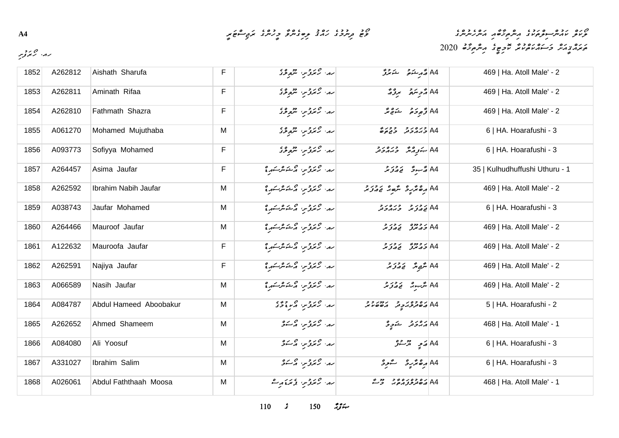*sCw7q7s5w7m< o<n9nOoAw7o< sCq;mAwBoEw7q<m; wBm;vB* م من المسجد المسجد المسجد المسجد المسجد العام 2020<br>مسجد المسجد المسجد المسجد المسجد المسجد المسجد المسجد المسجد ال

| 1852 | A262812 | Aishath Sharufa        | F | رە بەر ئەتروپى، مە <i>ترە ۋ</i> ې | A4 مُرْمِ مُشَمَّرٌ مُشَمَّرٌ                  | 469   Ha. Atoll Male' - 2      |
|------|---------|------------------------|---|-----------------------------------|------------------------------------------------|--------------------------------|
| 1853 | A262811 | Aminath Rifaa          | F | رە، ئەنزۇس شەھ دە                 | A4 مُجِسَعَ بِروْمُ                            | 469   Ha. Atoll Male' - 2      |
| 1854 | A262810 | Fathmath Shazra        | F | رە، ئەنزۇس شەھرى                  | A4 تَرْجِع <sup>ِ</sup> حَرَمَ صَنَّةَ تَمَّرَ | 469   Ha. Atoll Male' - 2      |
| 1855 | A061270 | Mohamed Mujuthaba      | M | رە، ئەنزۇس شەھرى                  | A4 ورەرو دورو                                  | 6   HA. Hoarafushi - 3         |
| 1856 | A093773 | Sofiyya Mohamed        | F | رە، ئەنزۇس شەھرى                  | A4 بەروش ئەيرە دىر                             | 6   HA. Hoarafushi - 3         |
| 1857 | A264457 | Asima Jaufar           | F | رە، ئەترۇس كەنتەنگىرى             | A4 م <sup>ح</sup> سوءً تح <i>مق تم</i>         | 35   Kulhudhuffushi Uthuru - 1 |
| 1858 | A262592 | Ibrahim Nabih Jaufar   | M | رە - ئەنزىر، كەشكەر ئىمە ؟        | A4 مەھەر يەر ئىق ئەمەر بر                      | 469   Ha. Atoll Male' - 2      |
| 1859 | A038743 | Jaufar Mohamed         | M | رە، كەنزۇس كەشكەر ئىكرە           | A4 يَهْرُمْرَ بِهِ دِرَهِ دِرَ                 | 6   HA. Hoarafushi - 3         |
| 1860 | A264466 | Mauroof Jaufar         | M | رە، ئەنزۇر، ەھكەر ئىرە            | A4 <i>خەمىرى خەرى</i> ر                        | 469   Ha. Atoll Male' - 2      |
| 1861 | A122632 | Mauroofa Jaufar        | F | رە، ئەنزۇر، ەھقەشرىقىدە           | A4 كەھىرى ئەھەر بەر ج                          | 469   Ha. Atoll Male' - 2      |
| 1862 | A262591 | Najiya Jaufar          | F | رە، ئەنزۇس كەشكەر ئەمدە           | A4 سَمَّعِ مَرَّ مَحَمَّدٌ مَحَمَّدٌ مِنْ      | 469   Ha. Atoll Male' - 2      |
| 1863 | A066589 | Nasih Jaufar           | M | رە، ئەنزۇر، ئەھكەرسكەنج           | A4 س <i>گرېدو</i> ته <i>ورکن</i> گر            | 469   Ha. Atoll Male' - 2      |
| 1864 | A084787 | Abdul Hameed Aboobakur | M |                                   | A4 בטיביבי המסטיב                              | 5   HA. Hoarafushi - 2         |
| 1865 | A262652 | Ahmed Shameem          | M | رە، ئەترۇپ ەسىۋ                   | A4 <i>2525 شوي</i> ۇ                           | 468   Ha. Atoll Male' - 1      |
| 1866 | A084080 | Ali Yoosuf             | M | رە بەردىن ەسكى                    | A4 <i>جَ</i> حِي مَرْحَمَوْ                    | 6   HA. Hoarafushi - 3         |
| 1867 | A331027 | Ibrahim Salim          | M | رە بەردىن ەسكى                    | A4 مەھمەر ئەر ئىمرو                            | 6   HA. Hoarafushi - 3         |
| 1868 | A026061 | Abdul Faththaah Moosa  | M | بها رموزين وتمام م                | A4 رەدەرەرە « ھ                                | 468   Ha. Atoll Male' - 1      |

*110 sC 150 nNw?mS*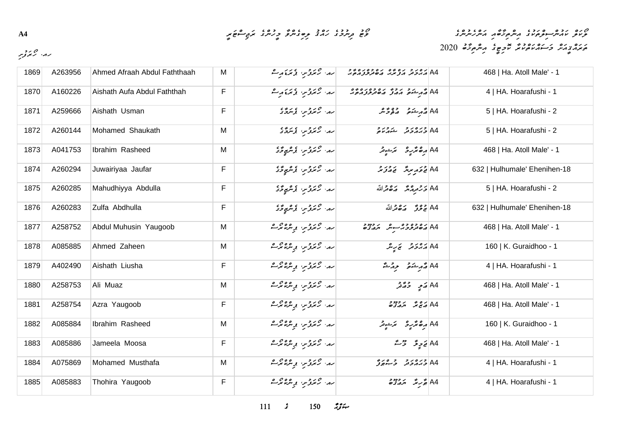*sCw7q7s5w7m< o<n9nOoAw7o< sCq;mAwBoEw7q<m; wBm;vB* م من المسجد المسجد المسجد المسجد المسجد العام 2020<br>مسجد المسجد المسجد المسجد المسجد المسجد المسجد المسجد المسجد ال

| 1869 | A263956 | Ahmed Afraah Abdul Faththaah | M           | رە بە ئەندۇس بۇ ئىز ئەرگ  |                                                                                                                         | 468   Ha. Atoll Male' - 1    |
|------|---------|------------------------------|-------------|---------------------------|-------------------------------------------------------------------------------------------------------------------------|------------------------------|
| 1870 | A160226 | Aishath Aufa Abdul Faththah  | $\mathsf F$ | سەر ئەتتروپر، بۇ ئىزۇر م  | A4 گەرىشكى مەدىر مەھەردە بەرە                                                                                           | 4   HA. Hoarafushi - 1       |
| 1871 | A259666 | Aishath Usman                | F           | رو، المحدوس، والمروء،     | A4 مەم شەھ مەھمۇشر                                                                                                      | 5   HA. Hoarafushi - 2       |
| 1872 | A260144 | Mohamed Shaukath             | M           | رو، رحمزوين بوسرچي        | A4 ويرەرو خىمدىم                                                                                                        | 5   HA. Hoarafushi - 2       |
| 1873 | A041753 | Ibrahim Rasheed              | М           | رە، ئەترۇس ۋىرىم ۋى       | A4 مەھەرىپ كىيەمىسى ئىستىمىسى ئىستىمىسى بىر                                                                             | 468   Ha. Atoll Male' - 1    |
| 1874 | A260294 | Juwairiyaa Jaufar            | $\mathsf F$ | رە، ئەترىق ئۇيغى ئەمى     | A4 في <i>قم مرمر بحمد و تر</i>                                                                                          | 632   Hulhumale' Ehenihen-18 |
| 1875 | A260285 | Mahudhiyya Abdulla           | $\mathsf F$ | رە، ئەترۇس ۋىرىم ۋى       | A4 5 <i>توجه 5 م 5 م</i> رالله                                                                                          | 5   HA. Hoarafushi - 2       |
| 1876 | A260283 | Zulfa Abdhulla               | $\mathsf F$ | رە بە ئەردىن بۇشجۇڭمۇ     | A4 ج و و محمد الله                                                                                                      | 632   Hulhumale' Ehenihen-18 |
| 1877 | A258752 | Abdul Muhusin Yaugoob        | M           | رەپ رىمرىس، بولىرىما تىرگ | A4 גەدە دەر دەر بەدە دەرد                                                                                               | 468   Ha. Atoll Male' - 1    |
| 1878 | A085885 | Ahmed Zaheen                 | M           | ىد. ئىغۇس بولىرىدىن       | A4 <i>مَدْدَوَنْتَ</i> تَمَرِيْتَر                                                                                      | 160   K. Guraidhoo - 1       |
| 1879 | A402490 | Aishath Liusha               | F           | بدر محروس ويقطعت          | A4 مُرمِشَمُو مِرْمَشَ                                                                                                  | 4   HA. Hoarafushi - 1       |
| 1880 | A258753 | Ali Muaz                     | M           | رە ئەترۇس بولىرىدىك       | A4 <i>ڇَجِ حَهُ</i> نْدَ                                                                                                | 468   Ha. Atoll Male' - 1    |
| 1881 | A258754 | Azra Yaugoob                 | F           | رە، ئەتزۇير، بويىرىمىڭ    | A4 كەنتى كەردور                                                                                                         | 468   Ha. Atoll Male' - 1    |
| 1882 | A085884 | Ibrahim Rasheed              | M           | رەپ ئەتروس بولىرىدىن ھەم  | A4 مەھەر ئەر ئىزىدىنى ئىككى بىر ئىككى بىر ئىككى بىر ئىككى بىر ئىككى بىر ئىككى بىر ئىككى بىر ئىككى بىر ئىككى بى<br>مەنبە | 160   K. Guraidhoo - 1       |
| 1883 | A085886 | Jameela Moosa                | $\mathsf F$ | رەپ رىمرىس بولىرىدىك      | A4 تح وِ قَ تَحْ شَرَّ مُتَحَ                                                                                           | 468   Ha. Atoll Male' - 1    |
| 1884 | A075869 | Mohamed Musthafa             | M           | رەپ ئەتروس بولىرىدىن ھەم  | A4 ديره د د د ورو                                                                                                       | 4   HA. Hoarafushi - 1       |
| 1885 | A085883 | Thohira Yaugoob              | F           | رە ئەترۇس بولىرىمىگ       | A4 جَرِيمٌ مَ <i>دَوْدُه</i> ُ                                                                                          | 4   HA. Hoarafushi - 1       |

*111 sC 150 nNw?mS*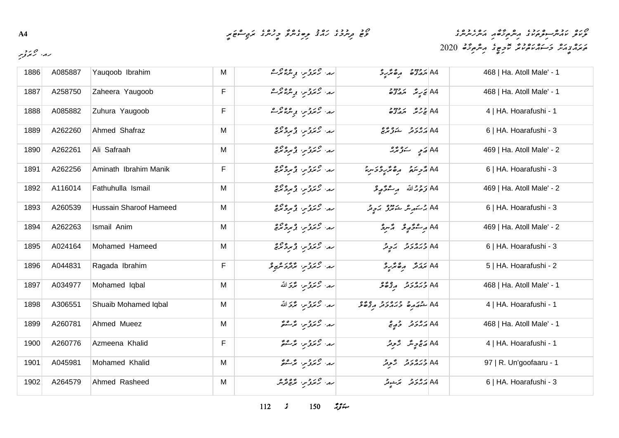*sCw7q7s5w7m< o<n9nOoAw7o< sCq;mAwBoEw7q<m; wBm;vB* م من المسجد المسجد المسجد المسجد المسجد العام 2020<br>مسجد المسجد المسجد المسجد المسجد المسجد المسجد المسجد المسجد ال

| 1886 | A085887 | Yauqoob Ibrahim               | M | بىد. ئۇنجۇقرىب بولىرىما تېرگ | A4 ا <i>نگەنىھەم مەھگرى</i> گە       | 468   Ha. Atoll Male' - 1 |
|------|---------|-------------------------------|---|------------------------------|--------------------------------------|---------------------------|
| 1887 | A258750 | Zaheera Yaugoob               | F | ىد. ئەنزۇس بوللاندىق         | A4 تج په تخه <i>محمد ق</i> حق        | 468   Ha. Atoll Male' - 1 |
| 1888 | A085882 | Zuhura Yaugoob                | F | بدر محمومين بونترندمث        | A4 یحریز مردور دو                    | 4   HA. Hoarafushi - 1    |
| 1889 | A262260 | Ahmed Shafraz                 | M | رە رىزور، ۋىروىرى            | A4 كەبرى ھەر ئىسىمى ئىسىمى A4        | 6   HA. Hoarafushi - 3    |
| 1890 | A262261 | Ali Safraah                   | M | روم رحمزوین بو مرحمدی        | A4 ڪپو سنو پڙھ                       | 469   Ha. Atoll Male' - 2 |
| 1891 | A262256 | Aminath Ibrahim Manik         | F | رماس محروس ومردمي            | A4 مُجِسَعَة مِنْ مُجَرِّدْ دَسِرَة  | 6   HA. Hoarafushi - 3    |
| 1892 | A116014 | Fathuhulla Ismail             | M | رو. رحمزوین بو مرد مربع      | A4 وَتَوَجَّ اللّه مِ سُؤْتِهِ فِرْ  | 469   Ha. Atoll Male' - 2 |
| 1893 | A260539 | <b>Hussain Sharoof Hameed</b> | M | رە ئەتروپ ۋىروترچ            | A4 پر کے مربعہ مش <i>مرو بر</i> ح قر | 6   HA. Hoarafushi - 3    |
| 1894 | A262263 | Ismail Anim                   | M | رە ئەتروپ ۋىروترچ            | A4 م <i>رے ڈمی</i> محسن میں مح       | 469   Ha. Atoll Male' - 2 |
| 1895 | A024164 | Mohamed Hameed                | M | رماس محروس ومردما            | A4  3 <i>2 2 3 2 3 2 3 2 3</i>       | 6   HA. Hoarafushi - 3    |
| 1896 | A044831 | Ragada Ibrahim                | F | رە. رىزۇس ئۇقرىر ھەم         | A4 <i>بَرْدَ مَّة م</i> ُرْرِدُ      | 5   HA. Hoarafushi - 2    |
| 1897 | A034977 | Mohamed Iqbal                 | M | رم حروب ممرًى الله           | A4 <i>وُبَهُ وَبَرْ وَقَوْ</i>       | 468   Ha. Atoll Male' - 1 |
| 1898 | A306551 | Shuaib Mohamed Iqbal          | M | رر صروب ممكر الله            | $A4$ $A5000$ $B600$ $A720$ $A4$      | 4   HA. Hoarafushi - 1    |
| 1899 | A260781 | Ahmed Mueez                   | M | رە بەردىر، ئەسىم             | A4 كەندى قىرىقى ئى                   | 468   Ha. Atoll Male' - 1 |
| 1900 | A260776 | Azmeena Khalid                | F | رە، رىمزۇس مەسىم             | A4 كەيج چە ئىگە بۇ ئىگە ئىل          | 4   HA. Hoarafushi - 1    |
| 1901 | A045981 | Mohamed Khalid                | M | رە، ئەندۇس ئۇرەپچ            | A4  352,25 رَّحِيمٌ                  | 97   R. Un'goofaaru - 1   |
| 1902 | A264579 | Ahmed Rasheed                 | M | رە، رىزۇس ئۇچ قرىش           | A4 كەبرى كىم كىم ئىسىم كىرىدى كىل    | 6   HA. Hoarafushi - 3    |

*112 sC 150 nNw?mS*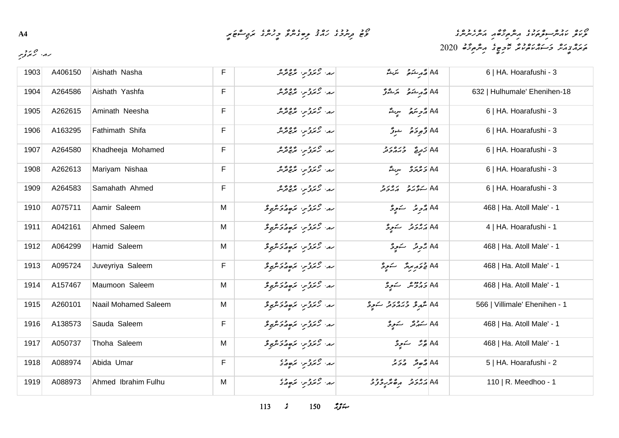*sCw7q7s5w7m< o<n9nOoAw7o< sCq;mAwBoEw7q<m; wBm;vB* م من المسجد المسجد المسجد المسجد المسجد العام 2020<br>مسجد المسجد المسجد المسجد المسجد المسجد المسجد المسجد المسجد ال

| 1903 | A406150 | Aishath Nasha        | F            | رە. ئ <i>ىگۇ</i> تىر، ئۇچۇمىگە | A4 مُجم <i>دِ حَدَّمَ</i> سَرَحَّۃً | 6   HA. Hoarafushi - 3        |
|------|---------|----------------------|--------------|--------------------------------|-------------------------------------|-------------------------------|
| 1904 | A264586 | Aishath Yashfa       | F            | رە، رىزۇس ئۇچ قرىش             | A4 مَدْمِ شَمَعْ مَرْشُوَرَّ        | 632   Hulhumale' Ehenihen-18  |
| 1905 | A262615 | Aminath Neesha       | F            | رە بەردىر، ئۇي ئەر             | A4 مُرْحِ سَمَعُ سَمِيثُمُ          | 6   HA. Hoarafushi - 3        |
| 1906 | A163295 | Fathimath Shifa      | F            | رە، ئەيروپ، ئۇچ ئەنگە          | A4 وَجِعِدَةٍ سُبوَّرٌ              | 6   HA. Hoarafushi - 3        |
| 1907 | A264580 | Khadheeja Mohamed    | $\mathsf{F}$ | رە، ئەندۇس ئۇۋلۇش              | A4 زَمَرِيحَ     وَبَرَ وَرَ وَرَ   | 6   HA. Hoarafushi - 3        |
| 1908 | A262613 | Mariyam Nishaa       | $\mathsf F$  | رە، ئەندۇس ئۇۋلۇش              | A4 ك <i>ر چرېز ئې سرېنتگ</i> ر      | 6   HA. Hoarafushi - 3        |
| 1909 | A264583 | Samahath Ahmed       | $\mathsf F$  | رە، رىزۇس ئۇچ قرىش             | A4 كەنزىرى مەردىر                   | 6   HA. Hoarafushi - 3        |
| 1910 | A075711 | Aamir Saleem         | M            | رە، ئەترۇس تۆھەر ئىرىم ئ       | A4 مُرْحِدٌ سَوَدِرٌ                | 468   Ha. Atoll Male' - 1     |
| 1911 | A042161 | Ahmed Saleem         | M            | رە، ئەترىپ تەھەر ئىرچى         | A4 <i>2525 سكو</i> د                | 4   HA. Hoarafushi - 1        |
| 1912 | A064299 | Hamid Saleem         | M            | رە، ئەتزۇر، تزەھكۈشى ئ         | A4 بَرُوتَر سَوِدْ                  | 468   Ha. Atoll Male' - 1     |
| 1913 | A095724 | Juveyriya Saleem     | F            | رە، ئەتروپر، تەھەر ئەسىر ئ     | A4 فے <i>قہر بر</i> مز کے موق       | 468   Ha. Atoll Male' - 1     |
| 1914 | A157467 | Maumoon Saleem       | M            | رە، ئىتروپر، ئەھەدىگەنج        | A4  ى <i>زدەيمە</i> سەرە            | 468   Ha. Atoll Male' - 1     |
| 1915 | A260101 | Naail Mohamed Saleem | M            | رە، ئەترۇپ تەھەر ئىرچى         | A4 سَمَدِ وَ يَرْدَدَ مَدْ سَوِدْ   | 566   Villimale' Ehenihen - 1 |
| 1916 | A138573 | Sauda Saleem         | F            | رە، ئەترۇس ترەم دىگى ئ         | A4 ڪهرش ڪوچر                        | 468   Ha. Atoll Male' - 1     |
| 1917 | A050737 | Thoha Saleem         | M            | رە، ئەترۇس تۆھەر ئىرىم ئ       | A4 پڑڑ <sub>سکو</sub> ی             | 468   Ha. Atoll Male' - 1     |
| 1918 | A088974 | Abida Umar           | F            | رە بەللەر ئەرەپ                | A4 جُەمَدْ ج <sup>2</sup> جد        | 5   HA. Hoarafushi - 2        |
| 1919 | A088973 | Ahmed Ibrahim Fulhu  | M            | رە بەللەر ئەرەپ                | A4 كەبروتىر ب <i>ەھەترى</i> دوت     | 110   R. Meedhoo - 1          |

 $113$  *s*  $150$  *if*  $\frac{2}{3}$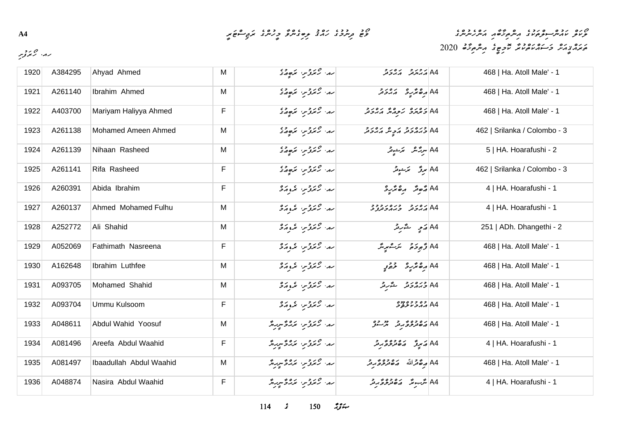*sCw7q7s5w7m< o<n9nOoAw7o< sCq;mAwBoEw7q<m; wBm;vB* م من المسجد المسجد المسجد المسجد المسجد العام 2020<br>مسجد المسجد المسجد المسجد المسجد المسجد المسجد المسجد المسجد ال

| 1920 | A384295 | Ahyad Ahmed               | M | رە ئەترۇس ترەھ ئ          | A4 בהמת ההכת                                           | 468   Ha. Atoll Male' - 1    |
|------|---------|---------------------------|---|---------------------------|--------------------------------------------------------|------------------------------|
| 1921 | A261140 | Ibrahim Ahmed             | M | رە ئەترىپ ترەھ            | A4 مەھەرىرى مەمەدىر                                    | 468   Ha. Atoll Male' - 1    |
| 1922 | A403700 | Mariyam Haliyya Ahmed     | F | رە بەردىر، ئەھەدى         | A4 כי היה בי היה היה בי ה                              | 468   Ha. Atoll Male' - 1    |
| 1923 | A261138 | Mohamed Ameen Ahmed       | M | رە بەردىن ئەھەدى          | A4 در ورو بر د پروتر                                   | 462   Srilanka / Colombo - 3 |
| 1924 | A261139 | Nihaan Rasheed            | M | رد. رمزور، مرحدی          | A4 سریم شر سمکھیے تھا۔<br>مسلم                         | 5   HA. Hoarafushi - 2       |
| 1925 | A261141 | Rifa Rasheed              | F | رە بەللەر ئەھەدى          | A4 مرتز کم میشونڈ                                      | 462   Srilanka / Colombo - 3 |
| 1926 | A260391 | Abida Ibrahim             | F | رە، ئەتروس ئوروگە         | A4 مَّەمَّر مەھمَّرٍ \$                                | 4   HA. Hoarafushi - 1       |
| 1927 | A260137 | Ahmed Mohamed Fulhu       | M | رە، ئەتزۇر، ئۇدەرد        |                                                        | 4   HA. Hoarafushi - 1       |
| 1928 | A252772 | Ali Shahid                | M | بدر حيوتر عمدادة          | A4 <i>ھَ جِ</i> مُشْرِمْرُ                             | 251   ADh. Dhangethi - 2     |
| 1929 | A052069 | Fathimath Nasreena        | F | رە، ئەترۇس ئوروگە         | A4 ۇ <sub>جو</sub> رَ ئ <sub>و</sub> ر سَرَسْمَ پِسَّر | 468   Ha. Atoll Male' - 1    |
| 1930 | A162648 | Ibrahim Luthfee           | M | رە، ئەترۇس ئرومدى         | A4 مەھەرىپ ئىقمى ئىچ                                   | 468   Ha. Atoll Male' - 1    |
| 1931 | A093705 | Mohamed Shahid            | M | رە، ئەتزۇر، ئۇدەكە        | A4 <i>وُبَهُ وَبَوْ</i> حَقَّ مِعْ                     | 468   Ha. Atoll Male' - 1    |
| 1932 | A093704 | <b>Ummu Kulsoom</b>       | F | رە، ئەترۇس ئۇدەك          | A4 دەرورە دەھ                                          | 468   Ha. Atoll Male' - 1    |
| 1933 | A048611 | <b>Abdul Wahid Yoosuf</b> | M | رە ئىروس ئۇرۇسرىدۇ        | A4 كەھەر <i>جەمبەتى بىر سۆ</i> ر                       | 468   Ha. Atoll Male' - 1    |
| 1934 | A081496 | Areefa Abdul Waahid       | F | رە ئىزۇس ئۇرۇسرىدە        | A4 كەسرى مەھەر دەم بەتر                                | 4   HA. Hoarafushi - 1       |
| 1935 | A081497 | Ibaadullah Abdul Waahid   | M | رە ئىزۇس ئۇرۇسرىدە        | A4 مِنْ قَدْاللَّهُ مَنْ مَعْرَفَرَةً بِقَرْ           | 468   Ha. Atoll Male' - 1    |
| 1936 | A048874 | Nasira Abdul Waahid       | F | رە - 2 ئىروس - ئەركەس ئەر | A4 مُتَرْجِعَة مُتَصْغَرْحَرَّمَ بِعْر                 | 4   HA. Hoarafushi - 1       |

*114 sC 150 nNw?mS*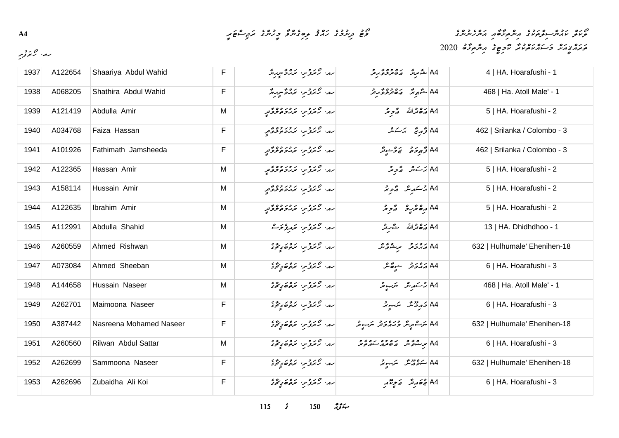*sCw7q7s5w7m< o<n9nOoAw7o< sCq;mAwBoEw7q<m; wBm;vB* م من المرة المرة المرة المرجع المرجع في المركبة 2020<br>مجم*د المريض المربوط المربع المرجع في المراجع المركبة* 

| 1937 | A122654 | Shaariya Abdul Wahid    | F | رە ئىكرۇس ئۇرگەس بە          | A4 ڪُمبر <i>۾ گھورو گ</i> يو گر            | 4   HA. Hoarafushi - 1       |
|------|---------|-------------------------|---|------------------------------|--------------------------------------------|------------------------------|
| 1938 | A068205 | Shathira Abdul Wahid    | F | رە ، ئەترىس، ئەندە ئىرىدە ئە | A4 شَهِرِ مَدَّ مَصْرُومَ بِهِ             | 468   Ha. Atoll Male' - 1    |
| 1939 | A121419 | Abdulla Amir            | M | رە ئەترىپ ترەرەە ئېر         | A4 كەھىراللە گەج <i>ى</i> ر                | 5   HA. Hoarafushi - 2       |
| 1940 | A034768 | Faiza Hassan            | F | رە ئەترىپ تەرەپە دەھر        | A4 قَ <i>وْمِ تَ</i> جَ سَسَسَر            | 462   Srilanka / Colombo - 3 |
| 1941 | A101926 | Fathimath Jamsheeda     | F | رە ئەترىپ تەرەپە دەھر        | A4 وَّجِوحَةً ﴾ وَحْسِرَةً                 | 462   Srilanka / Colombo - 3 |
| 1942 | A122365 | Hassan Amir             | M | رە بەرەپ روروە ئور           | A4   پرستریش م <i>رک</i> و جمہ             | 5   HA. Hoarafushi - 2       |
| 1943 | A158114 | Hussain Amir            | M | رە ئەترۇس ترەرەە ئور         | A4 پر کے مربعہ محمد حریفہ                  | 5   HA. Hoarafushi - 2       |
| 1944 | A122635 | Ibrahim Amir            | M | رە ، ئەنزىر، ئەزرەە بور      | A4 مەھەرىپى مەمەر                          | 5   HA. Hoarafushi - 2       |
| 1945 | A112991 | Abdulla Shahid          | M | رە ئەترۇپ ترە ۋىت            | A4 مَەھمَراللە مەمَرىتر                    | 13   HA. Dhidhdhoo - 1       |
| 1946 | A260559 | Ahmed Rishwan           | M | رو. ريروس برەھ پەتمى         | A4 كەبروتىر بىرىشو <i>مۇنى</i> ر           | 632   Hulhumale' Ehenihen-18 |
| 1947 | A073084 | Ahmed Sheeban           | M | رو. رکور ده بره ده در د      | A4 كەبرى ئىرگەشى ئىش                       | 6   HA. Hoarafushi - 3       |
| 1948 | A144658 | Hussain Naseer          | M | رە ، ئىتروپ برەھ بەلجى       | A4 پُرڪمرينگ سَرَسِوِيْرُ                  | 468   Ha. Atoll Male' - 1    |
| 1949 | A262701 | Maimoona Naseer         | F | رو. رکور ده بره ده ده        | A4 كەرىخ مىڭ سىر يىتىر                     | 6   HA. Hoarafushi - 3       |
| 1950 | A387442 | Nasreena Mohamed Naseer | F | رو، ريمونوس، مره قاي گان     | A4 ىركىمېدىگە <i>3،25% ىركىبوم</i> گ       | 632   Hulhumale' Ehenihen-18 |
| 1951 | A260560 | Rilwan Abdul Sattar     | M | رو، رحمزوین، مرده صوبه گوی   | A4 برشو <i>ة شهر محمد محمد المحمد ال</i> م | 6   HA. Hoarafushi - 3       |
| 1952 | A262699 | Sammoona Naseer         | F | ره بالمروس بره در ده         | A4 كەدەم تەربىرىمە                         | 632   Hulhumale' Ehenihen-18 |
| 1953 | A262696 | Zubaidha Ali Koi        | F | رە ، ئىتروپ برەھ بەلجى       | A4 بج <i>ھونڈ مکم پی</i> ٹور               | 6   HA. Hoarafushi - 3       |

*o6q?m8v5 .<5*

 $115$  *s*  $150$  *if*<sub>i</sub>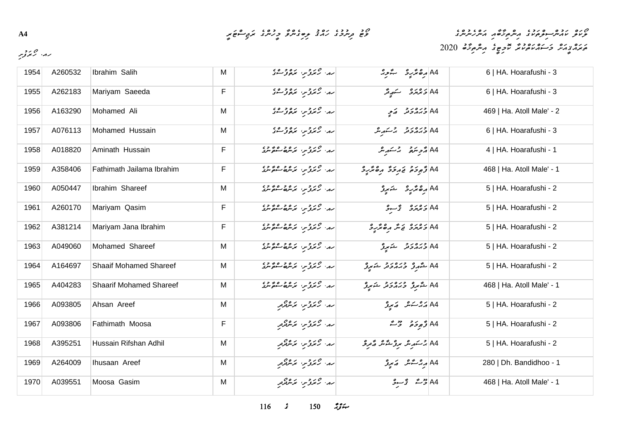*sCw7q7s5w7m< o<n9nOoAw7o< sCq;mAwBoEw7q<m; wBm;vB* م من المسجد المسجد المسجد المسجد المسجد العام 2020<br>مسجد المسجد المسجد المسجد المسجد المسجد المسجد المسجد المسجد ال

| 1954 | A260532 | Ibrahim Salih                  | M           | رە. ئەنزۇس ئرەۋىسى          | A4 مەھەر بۇ سەمبۇر                            | 6   HA. Hoarafushi - 3    |
|------|---------|--------------------------------|-------------|-----------------------------|-----------------------------------------------|---------------------------|
| 1955 | A262183 | Mariyam Saeeda                 | $\mathsf F$ | رە بەيروپ برە دە ە          | A4 د بر پرو سکھیے تھ                          | 6   HA. Hoarafushi - 3    |
| 1956 | A163290 | Mohamed Ali                    | M           | رە بەر دەرە دەرە            | A4 ديزەرىز كەمبە                              | 469   Ha. Atoll Male' - 2 |
| 1957 | A076113 | Mohamed Hussain                | M           | رە بەر دىرە بەرە دە ئ       | A4 دېم د د سره پر شمېر شر                     | 6   HA. Hoarafushi - 3    |
| 1958 | A018820 | Aminath Hussain                | $\mathsf F$ | رو. رحوفر، برمره سروره      | A4 أَمَّ حِسَمَةٌ مَرْسَمَ مِسْر              | 4   HA. Hoarafushi - 1    |
| 1959 | A358406 | Fathimath Jailama Ibrahim      | $\mathsf F$ | رو. رومور د ده و ۲۵ وه      | A4 زَّجِ دَمَ قَلَمَ دَمَّ تَمْ مِنْ مَرْدِدْ | 468   Ha. Atoll Male' - 1 |
| 1960 | A050447 | Ibrahim Shareef                | M           | رړ کروس نوره ده ده.         | A4 مەھەر ئەر ئىكەنبەتر A4                     | 5   HA. Hoarafushi - 2    |
| 1961 | A260170 | Mariyam Qasim                  | F           | رړ . د بروس بره د ه و د د د | A4 <i>خ</i> م پره گ <sup>و</sup> بره          | 5   HA. Hoarafushi - 2    |
| 1962 | A381214 | Mariyam Jana Ibrahim           | $\mathsf F$ | رو. رومور. بر ده و ۵۶۰ و ،  | A4 كەنگەر قايم مەھەر كە                       | 5   HA. Hoarafushi - 2    |
| 1963 | A049060 | Mohamed Shareef                | M           | رو. رود بر برده و ۲۵ ور     | A4 <i>وُبَرُوْدَ وَ</i> شَمِيوْ               | 5   HA. Hoarafushi - 2    |
| 1964 | A164697 | <b>Shaaif Mohamed Shareef</b>  | M           | رو. رحوفر، برمره سروره      | A4 شەرى 32025 خەمرى                           | 5   HA. Hoarafushi - 2    |
| 1965 | A404283 | <b>Shaarif Mohamed Shareef</b> | M           | رو. رو د و د و د و و و و و  | A4 څخه د مخمر شمېر و                          | 468   Ha. Atoll Male' - 1 |
| 1966 | A093805 | Ahsan Areef                    | M           | رە بەردىر، ئەنگەن           | A4 كەشرىقىش كەيدۇ                             | 5   HA. Hoarafushi - 2    |
| 1967 | A093806 | Fathimath Moosa                | F           | رە، رىمزۇر، مەمەرىر         | A4 وَّجِوحَةٌ وَمَسَّمَّ                      | 5   HA. Hoarafushi - 2    |
| 1968 | A395251 | Hussain Rifshan Adhil          | M           | رە، رىزۇپ ئەھەر             | A4 پر کے مربع ہو گھر محمد کر کھیلے کی ایک ک   | 5   HA. Hoarafushi - 2    |
| 1969 | A264009 | Ihusaan Areef                  | M           | رە بەللەت ئەھەر             | A4 مەشكە ھىمبى <sup>3</sup>                   | 280   Dh. Bandidhoo - 1   |
| 1970 | A039551 | Moosa Gasim                    | M           | رە بەللەت ئەھەر             | $3 - 3$ $2$ $3$ $A4$                          | 468   Ha. Atoll Male' - 1 |

*116 sC 150 nNw?mS*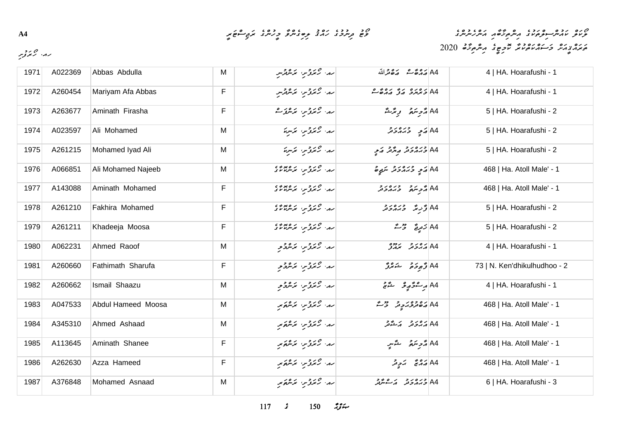*sCw7q7s5w7m< o<n9nOoAw7o< sCq;mAwBoEw7q<m; wBm;vB* م من المسجد المسجد المسجد المسجد المسجد العام 2020<br>مسجد المسجد المسجد المسجد المسجد المسجد المسجد المسجد المسجد ال

| 1971 | A022369 | Abbas Abdulla      | M           | رە، ئۇنجۇقرىي ئىر تېرىترىتر | A4 <i>مَہُدُهُ ہِ مُہُ مِ</i> رْاللّٰه   | 4   HA. Hoarafushi - 1       |
|------|---------|--------------------|-------------|-----------------------------|------------------------------------------|------------------------------|
| 1972 | A260454 | Mariyam Afa Abbas  | F           | رە، ئەنزۇس ئەھەرس           | $2801312028$ A4                          | 4   HA. Hoarafushi - 1       |
| 1973 | A263677 | Aminath Firasha    | F           | رە، ئەترۇس ئەشدىك           | A4 مَّ <i>حِ مَنْعَمْ وِ مَدَّ</i> سَّةَ | 5   HA. Hoarafushi - 2       |
| 1974 | A023597 | Ali Mohamed        | M           | رە، ئەنزۇس ئەبىرىد          | A4 كەبىر بەردە ئەر                       | 5   HA. Hoarafushi - 2       |
| 1975 | A261215 | Mohamed Iyad Ali   | M           | رە، ئەنزۇس ئەسرىكە          | A4 وُبرودو مِتَرَ مَعٍ                   | 5   HA. Hoarafushi - 2       |
| 1976 | A066851 | Ali Mohamed Najeeb | M           | رە بەردىن ئەھمەم            | A4 كەبچە ئە <i>مەكەتى سىپى</i>           | 468   Ha. Atoll Male' - 1    |
| 1977 | A143088 | Aminath Mohamed    | $\mathsf F$ | رە بەردىن ئەھمەم            | A4 مُجِسَعَ حَمَد مَعَ                   | 468   Ha. Atoll Male' - 1    |
| 1978 | A261210 | Fakhira Mohamed    | F           | رە بەردىن ئەھمەم            | A4 ۇَرِيْرَ كَ <sup>2</sup> ەكتەر        | 5   HA. Hoarafushi - 2       |
| 1979 | A261211 | Khadeeja Moosa     | F           | رە بەرەپ ئەھلاھ             | A4 كَتَعْرِيجٌ مُتَحْتَ مُتَحَمَّدً      | 5   HA. Hoarafushi - 2       |
| 1980 | A062231 | Ahmed Raoof        | M           | رە، ئەندۇس ئەھمەمۇ          | A4 كەن ئەھمەتەر بەدە بەر                 | 4   HA. Hoarafushi - 1       |
| 1981 | A260660 | Fathimath Sharufa  | F           | رە، رىمزىر، ئەنگەم          | A4 تَرْجِوحَة حَسَنَة مِتْرَ             | 73   N. Ken'dhikulhudhoo - 2 |
| 1982 | A260662 | Ismail Shaazu      | M           | رە، رىزۇر، ئەھەم            | A4 م <i>ېشۇمۇ ئىشى</i> م                 | 4   HA. Hoarafushi - 1       |
| 1983 | A047533 | Abdul Hameed Moosa | M           | رە، ئەندۇس ئەھەم            | A4 رَصْرُوْبَرِ وَ مِنْ مَحْرَ مُسَمَّ   | 468   Ha. Atoll Male' - 1    |
| 1984 | A345310 | Ahmed Ashaad       | M           | رە، ئەترىپ، ئەھەم           | A4 كەبرى قرىشى كەرگە ئىشكىتى بىر         | 468   Ha. Atoll Male' - 1    |
| 1985 | A113645 | Aminath Shanee     | F           | رە، ئەندۇس ئەھەم            | A4 مُرْحِ سَوْمِ حَسَّسِ                 | 468   Ha. Atoll Male' - 1    |
| 1986 | A262630 | Azza Hameed        | F           | رە، ئەندۇس ئەھەم            | A4 <i>ھَ.ھُ.عَ بَرْجِ</i> مَرْ           | 468   Ha. Atoll Male' - 1    |
| 1987 | A376848 | Mohamed Asnaad     | M           | رە، رىزۇس ئەسھىر            | A4 دېرمار د کام د پر                     | 6   HA. Hoarafushi - 3       |

*117 sC 150 nNw?mS*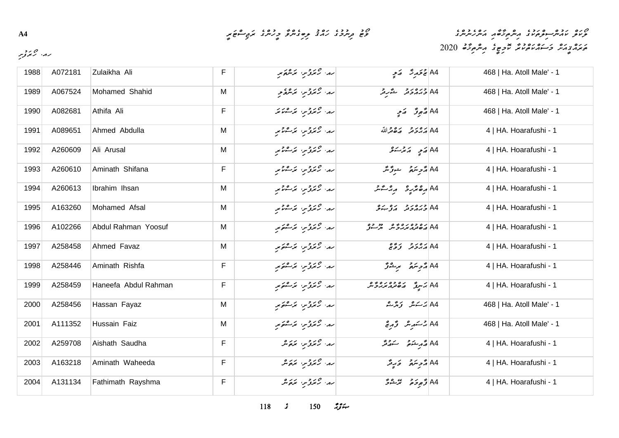*sCw7q7s5w7m< o<n9nOoAw7o< sCq;mAwBoEw7q<m; wBm;vB* م من المسجد المسجد المسجد المسجد المسجد العام 2020<br>مسجد المسجد المسجد المسجد المسجد المسجد المسجد المسجد المسجد ال

| 1988 | A072181 | Zulaikha Ali         | F            | رە، ئەنزۇس ئەسھەبر       | A4 كىخور تەمچە                         | 468   Ha. Atoll Male' - 1 |
|------|---------|----------------------|--------------|--------------------------|----------------------------------------|---------------------------|
| 1989 | A067524 | Mohamed Shahid       | M            | رە، ئەنزۇر، ئەنگەم       | A4 <i>\$ بَرْدْ \$ بِ</i> سُنَّمِ بِرْ | 468   Ha. Atoll Male' - 1 |
| 1990 | A082681 | Athifa Ali           | F            | رە، رىمۇرىن مۇسىملاش     | A4 مَع <i>وِقَ مَ</i> حٍ               | 468   Ha. Atoll Male' - 1 |
| 1991 | A089651 | Ahmed Abdulla        | M            | رە، رىزۇس ئەسەمبر        | A4 مَ <sup>رو</sup> د مَصْعَراللّه     | 4   HA. Hoarafushi - 1    |
| 1992 | A260609 | Ali Arusal           | M            | رە، رىزۇس ئەسەمبر        | A4 كەير كەيمەسكەنتى                    | 4   HA. Hoarafushi - 1    |
| 1993 | A260610 | Aminath Shifana      | F            | رە، رىمۇرىن مەسىملىر     | A4 مَرْحِ سَرَمَّة مُصَرِّرَتَّمَّر    | 4   HA. Hoarafushi - 1    |
| 1994 | A260613 | Ibrahim Ihsan        | M            | رە، رىمۇمىر، مەسىماس     | A4 مەھمگەيىۋە مەر مىگەنگە              | 4   HA. Hoarafushi - 1    |
| 1995 | A163260 | Mohamed Afsal        | M            | رەر ئەترىس، ئەسەملاتىر   | A4 دېمەد تەرىپ كەنگە ئىسكىمىتى ئىش     | 4   HA. Hoarafushi - 1    |
| 1996 | A102266 | Abdul Rahman Yoosuf  | M            | رد. ریزوین برگشویم       | A4 גפרס גם צם הריכם                    | 4   HA. Hoarafushi - 1    |
| 1997 | A258458 | Ahmed Favaz          | M            | رە، رىزۇس ئەسىمىر        | A4 كەبرىق ئەم ئ                        | 4   HA. Hoarafushi - 1    |
| 1998 | A258446 | Aminath Rishfa       | $\mathsf F$  | رە، ئەترۇس ترىشىم بر     | A4 مُرْحِ سَرَمْ مَنْ سِشْرَقَّ        | 4   HA. Hoarafushi - 1    |
| 1999 | A258459 | Haneefa Abdul Rahman | $\mathsf{F}$ | رەر، كەنترىس، ئەستىم ئىب | A4 ټمبر پره ده د ده وه د               | 4   HA. Hoarafushi - 1    |
| 2000 | A258456 | Hassan Fayaz         | M            | رە، ئەترۇپ تەسىھىر       | A4 ئەسەنل <i>ىر</i> ئەنگرىشە           | 468   Ha. Atoll Male' - 1 |
| 2001 | A111352 | Hussain Faiz         | M            | رە، ئەترۇس ترىشىم بر     | A4 بر سَمبر شرح محمد مع                | 468   Ha. Atoll Male' - 1 |
| 2002 | A259708 | Aishath Saudha       | F            | رە بەردىن ئەرە           | A4 مەم ئىشقى سىمەتىر                   | 4   HA. Hoarafushi - 1    |
| 2003 | A163218 | Aminath Waheeda      | $\mathsf F$  | رە بەردىن ئەرە           |                                        | 4   HA. Hoarafushi - 1    |
| 2004 | A131134 | Fathimath Rayshma    | F            | رە بەردىن ئەرە           | A4 تَ <i>وجوح</i> تَرْشُرَحَّ          | 4   HA. Hoarafushi - 1    |

*118 sC 150 nNw?mS*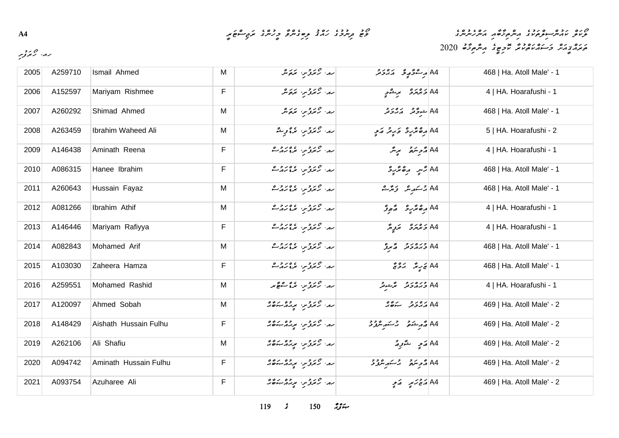*sCw7q7s5w7m< o<n9nOoAw7o< sCq;mAwBoEw7q<m; wBm;vB* م من المرة المرة المرة المرجع المرجع في المركبة 2020<br>مجم*د المريض المربوط المربع المرجع في المراجع المركبة* 

| 2005 | A259710 | Ismail Ahmed              | M            | رە، ئەنزۇ <sub>س</sub> ، ئەركىگە | A4 م <i>وس<sup>و</sup>د کوچر مذک</i> ور | 468   Ha. Atoll Male' - 1 |
|------|---------|---------------------------|--------------|----------------------------------|-----------------------------------------|---------------------------|
| 2006 | A152597 | Mariyam Rishmee           | F            | رە، ئەنزۇر، ئرەش                 | A4 <i>5 بروگر مر</i> شو <sub>ح</sub>    | 4   HA. Hoarafushi - 1    |
| 2007 | A260292 | Shimad Ahmed              | M            | رە ، ئەنزۈپ ئەرە                 | A4 خودم محمد در در محمد الس             | 468   Ha. Atoll Male' - 1 |
| 2008 | A263459 | <b>Ibrahim Waheed Ali</b> | M            | رە، ئەنزۇس ئۇقۇرىش               | A4 مەھ ئۇرى ئەرىتر مەم <u>ر</u>         | 5   HA. Hoarafushi - 2    |
| 2009 | A146438 | Aminath Reena             | F            | ىد. ئەيزۇر، ئودىمەت              | A4 مُرْحِ سَمَعُ مَ سِنَّر              | 4   HA. Hoarafushi - 1    |
| 2010 | A086315 | Hanee Ibrahim             | $\mathsf F$  | رە بە ئەترىس ئىرە ئەرم           | A4 ٿيپ م <i>ھنگي</i> و                  | 468   Ha. Atoll Male' - 1 |
| 2011 | A260643 | Hussain Fayaz             | M            | رە بە ئەترىس ئىرە ئەرم           | A4 يُرْسَمبر مَثَر وَتَرَّتْبُهُ ۖ      | 468   Ha. Atoll Male' - 1 |
| 2012 | A081266 | Ibrahim Athif             | M            | رە بەترىپ ئەرەر ق                | A4 مەھمىر ئىم مەھمى                     | 4   HA. Hoarafushi - 1    |
| 2013 | A146446 | Mariyam Rafiyya           | $\mathsf F$  | رە بەر دىرە ئەەر دە              | A4 كەبىر كىمى كىرىگە                    | 4   HA. Hoarafushi - 1    |
| 2014 | A082843 | Mohamed Arif              | M            | رە بەر دىرە ئەەر دە              | A4 <i>5525 ق. م. م.</i>                 | 468   Ha. Atoll Male' - 1 |
| 2015 | A103030 | Zaheera Hamza             | $\mathsf F$  | رە، ئەترىس ترەردە                | A4 ئىرىتر بر <sub>ۇ</sub> مج            | 468   Ha. Atoll Male' - 1 |
| 2016 | A259551 | Mohamed Rashid            | M            | رە، ئەترۇس ترەن ھەر              | A4 <i>وُبَرُوْدَ تَوَ</i> سُرْجُونَرُ   | 4   HA. Hoarafushi - 1    |
| 2017 | A120097 | Ahmed Sobah               | M            | رە بەردىن بورە بەرە              | A4 كەبروتر سى <i>ڭ 2</i>                | 469   Ha. Atoll Male' - 2 |
| 2018 | A148429 | Aishath Hussain Fulhu     | F            | رە - 2 ئۇقرىر ، ئەيدە 20 ئە      | A4 مەم شىم بىر ئىسكىرىلىرىدى ئى         | 469   Ha. Atoll Male' - 2 |
| 2019 | A262106 | Ali Shafiu                | M            | رە رىمروس بررە رەر               | A4 كەمچە ھەركە                          | 469   Ha. Atoll Male' - 2 |
| 2020 | A094742 | Aminath Hussain Fulhu     | $\mathsf{F}$ | رە - 2 ئەرىس بىر ئەھرىيەت        | A4 مُرْحِسَمَةٌ بِرْسَمَ سِرْبِرْ مِنْ  | 469   Ha. Atoll Male' - 2 |
| 2021 | A093754 | Azuharee Ali              | F            | رە مىزور، بررە بەھ               | A4 پر جي په چي                          | 469   Ha. Atoll Male' - 2 |

*119 sC 150 nNw?mS*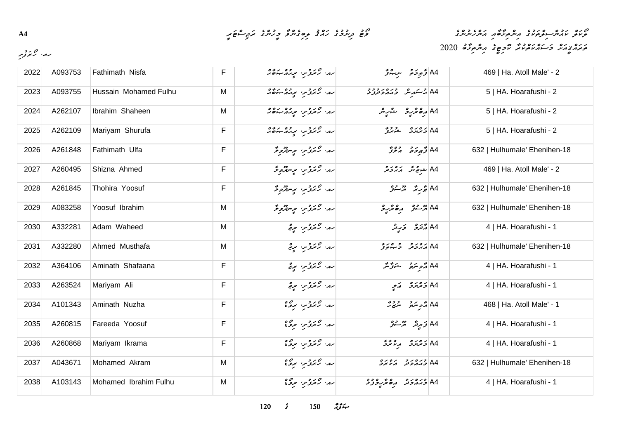*sCw7q7s5w7m< o<n9nOoAw7o< sCq;mAwBoEw7q<m; wBm;vB* م من المسجد المسجد المسجد المسجد المسجد العام 2020<br>مسجد المسجد المسجد المسجد المسجد المسجد المسجد المسجد المسجد ال

| 2022 | A093753 | Fathimath Nisfa       | F           | رە ئەتزۇس برىمە يەھ | A4 رَّجِ دَمَّ مِّ سِبْءَرَّ                                                                                                                                                                                                    | 469   Ha. Atoll Male' - 2    |
|------|---------|-----------------------|-------------|---------------------|---------------------------------------------------------------------------------------------------------------------------------------------------------------------------------------------------------------------------------|------------------------------|
| 2023 | A093755 | Hussain Mohamed Fulhu | M           | رە ئەترىپ برىدە بەھ | A4 پر کے مرکز دیے اس کے اس کا اس کا اس کے اس کا اس کا اس کا اس کا اس کا اس کا اس کا اس کا اس کا اس کا اس کا ا<br>مسائلہ کا اس کا اس کا اس کا اس کا اس کا اس کا اس کا اس کا اس کا اس کا اس کا اس کا اس کا اس کا اس کا اس کا اس ک | 5   HA. Hoarafushi - 2       |
| 2024 | A262107 | Ibrahim Shaheen       | M           | رە ئىروس بردە بەدە  | A4 مەھەرىرى ھەرىئى                                                                                                                                                                                                              | 5   HA. Hoarafushi - 2       |
| 2025 | A262109 | Mariyam Shurufa       | F           | رە بەردىن بررە بەرە | A4 كەنگەر ئەرەپىيەتى ئىستىرتى                                                                                                                                                                                                   | 5   HA. Hoarafushi - 2       |
| 2026 | A261848 | Fathimath Ulfa        | F           | رە ئەترۇس برسرچرى   | A4 وَّجِ حَمَّ مَحْرَّ                                                                                                                                                                                                          | 632   Hulhumale' Ehenihen-18 |
| 2027 | A260495 | Shizna Ahmed          | $\mathsf F$ | رە، ئەترۇس بېستروگ  | A4 شویځ مگر کړې <i>دی</i> و                                                                                                                                                                                                     | 469   Ha. Atoll Male' - 2    |
| 2028 | A261845 | Thohira Yoosuf        | $\mathsf F$ | رە ئەترۇس برسرچرى   | A4 ۾َرِيمَ هُرَ - وَ                                                                                                                                                                                                            | 632   Hulhumale' Ehenihen-18 |
| 2029 | A083258 | Yoosuf Ibrahim        | M           | رە، رىزۇس بېستروگ   | A4 تېر قىق مەھمگەپەد                                                                                                                                                                                                            | 632   Hulhumale' Ehenihen-18 |
| 2030 | A332281 | Adam Waheed           | M           | رە، رىمۇقرىن بىرى   |                                                                                                                                                                                                                                 | 4   HA. Hoarafushi - 1       |
| 2031 | A332280 | Ahmed Musthafa        | M           | رە، رىمۇقرىر، بېرى  | A4 كەبرى قەسىمى كە                                                                                                                                                                                                              | 632   Hulhumale' Ehenihen-18 |
| 2032 | A364106 | Aminath Shafaana      | $\mathsf F$ | رە، رىمۇقرىي برچ    | A4 مَرْحِ سَرَقَ سَنَوَتَ سَرَ                                                                                                                                                                                                  | 4   HA. Hoarafushi - 1       |
| 2033 | A263524 | Mariyam Ali           | $\mathsf F$ | بدر رحمزویں میں     | A4 <i>5 پر پڑو م</i> ی پر                                                                                                                                                                                                       | 4   HA. Hoarafushi - 1       |
| 2034 | A101343 | Aminath Nuzha         | $\mathsf F$ | رە، ئەتزۇر، برە؟    | A4 مُتَّحِسَمُ مِنْ مِنْ مُتَّ                                                                                                                                                                                                  | 468   Ha. Atoll Male' - 1    |
| 2035 | A260815 | Fareeda Yoosuf        | $\mathsf F$ | ره رمحزمز بره؟      | A4 كَرْمِيعَرُ مَرْسَوْرُ                                                                                                                                                                                                       | 4   HA. Hoarafushi - 1       |
| 2036 | A260868 | Mariyam Ikrama        | F           | رە. ئەنزۇس برە د    | A4 <i>و برمرو مرتمر</i> و                                                                                                                                                                                                       | 4   HA. Hoarafushi - 1       |
| 2037 | A043671 | Mohamed Akram         | M           | به رموز بروه        | A4 ويرەرو برەيرە                                                                                                                                                                                                                | 632   Hulhumale' Ehenihen-18 |
| 2038 | A103143 | Mohamed Ibrahim Fulhu | M           | رە، ئەتزۇر، برە؟    | A4 دېممرد مۇمگرىدى.                                                                                                                                                                                                             | 4   HA. Hoarafushi - 1       |

*120 s 150 <i>n*<sub>2</sub> *n*<sub>2</sub>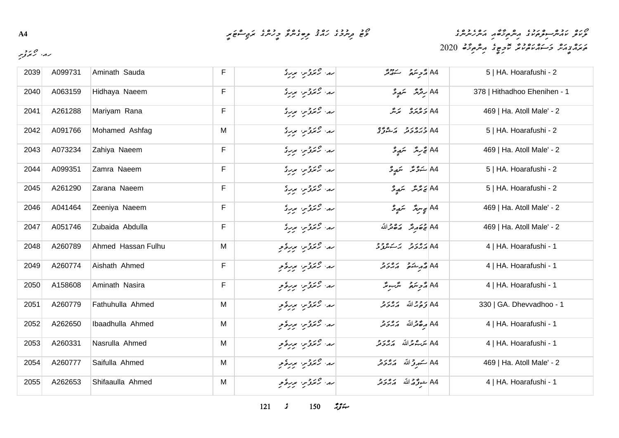*sCw7q7s5w7m< o<n9nOoAw7o< sCq;mAwBoEw7q<m; wBm;vB* م من المسجد المسجد المسجد المسجد المسجد العام 2020<br>مسجد المسجد المسجد المسجد المسجد المسجد المسجد المسجد المسجد ال

| 2039 | A099731 | Aminath Sauda      | F | رە بىسى ئىكى ئىلى ئىلىدى ئىل | A4 مُجْرِسَهُ مَسْتَمَمَّتُر                                                                                  | 5   HA. Hoarafushi - 2       |
|------|---------|--------------------|---|------------------------------|---------------------------------------------------------------------------------------------------------------|------------------------------|
| 2040 | A063159 | Hidhaya Naeem      | F | رە ئەنگە ئورى                | A4 رِمَّرْمَّر سَمِر <sup>و</sup>                                                                             | 378   Hithadhoo Ehenihen - 1 |
| 2041 | A261288 | Mariyam Rana       | F | رە، ئەترۇس بررى              | A4 كەبھە <i>رە</i> بەيگە                                                                                      | 469   Ha. Atoll Male' - 2    |
| 2042 | A091766 | Mohamed Ashfag     | M | رە ، رىمۇتۇر، ئېرىدى         | A4 دېره د ته په ده پوځ                                                                                        | 5   HA. Hoarafushi - 2       |
| 2043 | A073234 | Zahiya Naeem       | F | رە، رىمۇمى بررى              | A4 تج بەر ئىس تىر ئىچە ئىچە ئىچە ئىچە ئ                                                                       | 469   Ha. Atoll Male' - 2    |
| 2044 | A099351 | Zamra Naeem        | F | رە، ئەندۇس بررى              | A4 خۇمۇ س <i>َم</i> وگ                                                                                        | 5   HA. Hoarafushi - 2       |
| 2045 | A261290 | Zarana Naeem       | F | رە، رىمۇقرە بررى             | A4 ىخ ئۇنىگە سى <i>م</i> و 3                                                                                  | 5   HA. Hoarafushi - 2       |
| 2046 | A041464 | Zeeniya Naeem      | F | رە، ئەنزۇس بررى              | A4 <sub>مج</sub> سرته سَمِي <sup>و</sup>                                                                      | 469   Ha. Atoll Male' - 2    |
| 2047 | A051746 | Zubaida Abdulla    | F | رو، ريمونو، بررو             | A4 يح <i>ھوم</i> تر كەھەراللە                                                                                 | 469   Ha. Atoll Male' - 2    |
| 2048 | A260789 | Ahmed Hassan Fulhu | M | رە، رىمۇنىر، ئەرەبىر         | A4 كەبرى كىرى ئەسىرى كىيەت كىيەت كىيەت كىيەت كىيەت كىيەت كىيەت كىيەت كىيەت كىيەت كىيەت كىيەت كىيەت كىيەت كىيا | 4   HA. Hoarafushi - 1       |
| 2049 | A260774 | Aishath Ahmed      | F | رە، ئەتمۇر، بررۇپر           | A4 مەم شەھ مەردىمە                                                                                            | 4   HA. Hoarafushi - 1       |
| 2050 | A158608 | Aminath Nasira     | F | بدر محدوثين بررة و           | A4 مُرْحِ سَرَ <sub>ّة م</sub> ُرْسِوسُرَّ                                                                    | 4   HA. Hoarafushi - 1       |
| 2051 | A260779 | Fathuhulla Ahmed   | M | بدر محتوفر برنده             | A4 وَحْدِيْرَ اللَّهُ مَدَيْدَ مَّرْ                                                                          | 330   GA. Dhevvadhoo - 1     |
| 2052 | A262650 | Ibaadhulla Ahmed   | M | رر رموس برروم                | A4 مِرَّةَ مِّرَاللَّهُ مَرَّبَّ حَرَّمَتَ                                                                    | 4   HA. Hoarafushi - 1       |
| 2053 | A260331 | Nasrulla Ahmed     | M | بدر محترقين بربرة و          | A4 سَرَبِ مِمْراللَّهُ مَرْبَرْ قَبْر                                                                         | 4   HA. Hoarafushi - 1       |
| 2054 | A260777 | Saifulla Ahmed     | M | بدر محترقين بربرة و          | A4 كموتر الله كم يرتزقر                                                                                       | 469   Ha. Atoll Male' - 2    |
| 2055 | A262653 | Shifaaulla Ahmed   | M | رە، ئەنزۇر، ئېرىۋىر          | A4 خوترة الله     قربر قر                                                                                     | 4   HA. Hoarafushi - 1       |

*121 sC 150 nNw?mS*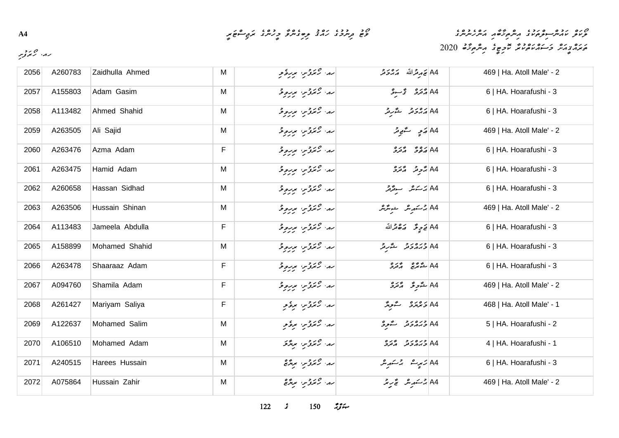*sCw7q7s5w7m< o<n9nOoAw7o< sCq;mAwBoEw7q<m; wBm;vB* م من المرة المرة المرة المرجع المرجع في المركبة 2020<br>مجم*د المريض المربوط المربع المرجع في المراجع المركبة* 

| 2056 | A260783 | Zaidhulla Ahmed | M           | رە، ئەنزۇس ئەرەكىر   | A4 تج مر فرالله     ترکر تر           | 469   Ha. Atoll Male' - 2 |
|------|---------|-----------------|-------------|----------------------|---------------------------------------|---------------------------|
| 2057 | A155803 | Adam Gasim      | M           | رە ، ئەندۇس ئېرىرونۇ | A4 مُرْمَرْدَ تَحْسِبْرَتْ            | 6   HA. Hoarafushi - 3    |
| 2058 | A113482 | Ahmed Shahid    | M           | رە بەردۇس مەرەپى     | A4 كەبرى قىر مىش <i>ەر بىر</i>        | 6   HA. Hoarafushi - 3    |
| 2059 | A263505 | Ali Sajid       | M           | رەر ئەتروپى ئېرىرونى | A4 ڪپو گھيونٽر                        | 469   Ha. Atoll Male' - 2 |
| 2060 | A263476 | Azma Adam       | F           | بدر رموس برروفر      | A4 كەنجۇ گەنى <i>رە</i>               | 6   HA. Hoarafushi - 3    |
| 2061 | A263475 | Hamid Adam      | M           | رو، رحموقرما الرروفر | A4 جَّحِيمٌ مُحَمَّدٌ                 | 6   HA. Hoarafushi - 3    |
| 2062 | A260658 | Hassan Sidhad   | M           | رو، رحموقر، مرروفر   | A4 بَرَسَۃ مَثَر مِعْرَ مَعَر         | 6   HA. Hoarafushi - 3    |
| 2063 | A263506 | Hussain Shinan  | M           | رە بەردۇس مەرەپى     | A4 يُرْسَمْ مِيْنَ سُوسَّرْيْتَر      | 469   Ha. Atoll Male' - 2 |
| 2064 | A113483 | Jameela Abdulla | $\mathsf F$ | أبدأ لتعرفون مربوق   | A4 قوحٍ <i>قل مَدَّ هُ</i> تَرَاللَّه | 6   HA. Hoarafushi - 3    |
| 2065 | A158899 | Mohamed Shahid  | м           | رر محکوم برروژ       | A4 <i>\$ بَرْدْ \$ بِ</i> مُدَّرِيْر  | 6   HA. Hoarafushi - 3    |
| 2066 | A263478 | Shaaraaz Adam   | $\mathsf F$ | رە، رىمۇمى ئېرىدۇ    | A4 ڪُنگيج گھر <i>و</i>                | 6   HA. Hoarafushi - 3    |
| 2067 | A094760 | Shamila Adam    | F           | رە، رىمۇمىز، بىرىدۇ  | A4 شَمَّوِمَّة مُرْمَرَّة مُ          | 469   Ha. Atoll Male' - 2 |
| 2068 | A261427 | Mariyam Saliya  | $\mathsf F$ | به محموم بره د       | A4 دَيْرْتَرْدْ مُسْتَمِرْتَرْ        | 468   Ha. Atoll Male' - 1 |
| 2069 | A122637 | Mohamed Salim   | M           | رر رمحز من برغ د     | A4  352,3 مـ محمود                    | 5   HA. Hoarafushi - 2    |
| 2070 | A106510 | Mohamed Adam    | M           | رە ، ئەندۇس ئېرەڭگە  | A4 32923 محمده                        | 4   HA. Hoarafushi - 1    |
| 2071 | A240515 | Harees Hussain  | M           | رو، رحمزو من مرورمی  | A4  تەبەب - ج. شەبەبلار               | 6   HA. Hoarafushi - 3    |
| 2072 | A075864 | Hussain Zahir   | M           | رە، ئەتزۇر، برومى    | A4 بر سے ہر سے سر پر                  | 469   Ha. Atoll Male' - 2 |

*122 s* **150** *<i>n*<sub>3</sub> *s*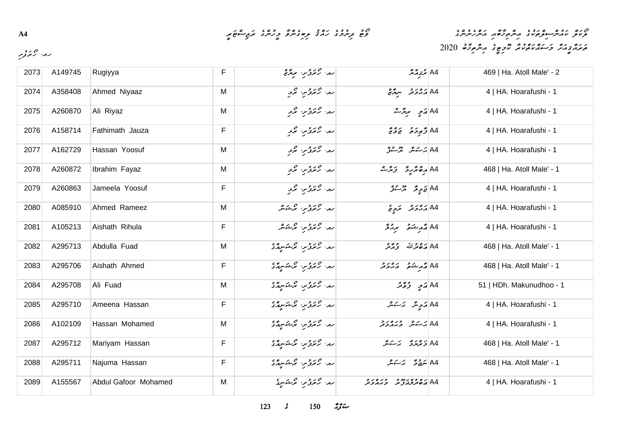*sCw7q7s5w7m< o<n9nOoAw7o< sCq;mAwBoEw7q<m; wBm;vB* م من المرة المرة المرة المرجع المرجع في المركبة 2020<br>مجم*د المريض المربوط المربع المرجع في المراجع المركبة* 

| 2073 | A149745 | Rugiyya              | F            | رە، ئەنزۇس بىرەمچ       | A4 برتو پر مگر                     | 469   Ha. Atoll Male' - 2 |
|------|---------|----------------------|--------------|-------------------------|------------------------------------|---------------------------|
| 2074 | A358408 | Ahmed Niyaaz         | M            | رە، رىمۇقىر، ئۇي        | A4 كەبرى كىرىدىنى بىر ئىن ئى       | 4   HA. Hoarafushi - 1    |
| 2075 | A260870 | Ali Riyaz            | M            | رە، رىمۇقرىن ئۇي        | A4 ڪپو پرهڙڪ                       | 4   HA. Hoarafushi - 1    |
| 2076 | A158714 | Fathimath Jauza      | F            | رە، رىمۇقرىي مۇي        | A4 تَ <i>جِ جَ</i> حَمَّ ہے هُ تَح | 4   HA. Hoarafushi - 1    |
| 2077 | A162729 | Hassan Yoosuf        | M            | رە، رىمۇقرىي ئۇي        | A4 پرسەمبر مې <del>رى</del> مۇ     | 4   HA. Hoarafushi - 1    |
| 2078 | A260872 | Ibrahim Fayaz        | ${\sf M}$    | رە، رىمۇقرىي ئۇي        | A4 مەھەرىرى ئەمەت                  | 468   Ha. Atoll Male' - 1 |
| 2079 | A260863 | Jameela Yoosuf       | F            | رە، رىمۇقرىي ئۇي        | A4 کے <i>ج</i> ونخت گر مشتر کی     | 4   HA. Hoarafushi - 1    |
| 2080 | A085910 | Ahmed Rameez         | M            | رە، ئەيزۇر، ئۇينىڭ      | A4 كەش <b>ەت ئىرى</b> مى           | 4   HA. Hoarafushi - 1    |
| 2081 | A105213 | Aishath Rihula       | F            | رە، ئەنزۇس ئۇيىتەش      | A4 مەم ھەم مور <sup>3</sup> ئۇ     | 4   HA. Hoarafushi - 1    |
| 2082 | A295713 | Abdulla Fuad         | M            | رە، رىزۇس ئرىشىرىدى     | A4 مَرْهُ مِّرَاللَّهُ وَمُرْمَّرٌ | 468   Ha. Atoll Male' - 1 |
| 2083 | A295706 | Aishath Ahmed        | $\mathsf F$  | رە، ئەترۇس ئۇيغەسدى     | A4 مەمرىشىمى مەمەدىر               | 468   Ha. Atoll Male' - 1 |
| 2084 | A295708 | Ali Fuad             | M            | رو. رمزور، برخوسرو،     | A4 <i>ڇَجِ وُحَ</i> مَّد           | 51   HDh. Makunudhoo - 1  |
| 2085 | A295710 | Ameena Hassan        | $\mathsf{F}$ | رە ، ئەترۇس ترىشكىردۇ ، | A4 كەچ ئىگە سىكەنلىر               | 4   HA. Hoarafushi - 1    |
| 2086 | A102109 | Hassan Mohamed       | M            | رە ، ئەترۇس ترىشىرىدى   | A4 ئەسەھرە جەم <i>جەم ج</i> ىر     | 4   HA. Hoarafushi - 1    |
| 2087 | A295712 | Mariyam Hassan       | $\mathsf{F}$ | رە ، ئەترۇس ترىشىرىدى   | A4 كەندىرى كەسكەنلە                | 468   Ha. Atoll Male' - 1 |
| 2088 | A295711 | Najuma Hassan        | $\mathsf F$  | رە، ئەترۇس ئۇيغەسدى     | A4 سَهَجَّ بَرَسَسَ                | 468   Ha. Atoll Male' - 1 |
| 2089 | A155567 | Abdul Gafoor Mohamed | M            | رە، ئەترۇس ترىشىرى      | A4 ره وه دود و و ده د و د          | 4   HA. Hoarafushi - 1    |

*123 sC 150 nNw?mS*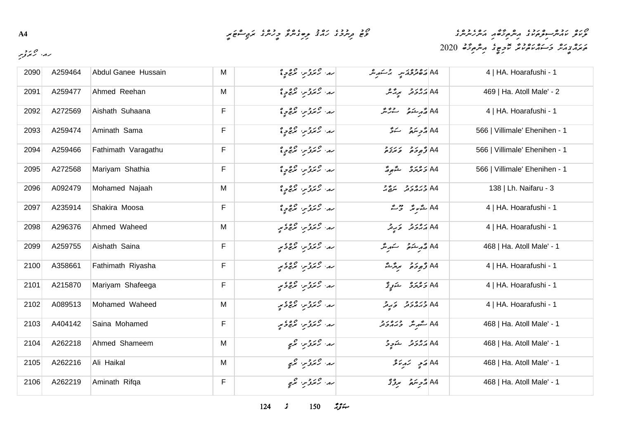*sCw7q7s5w7m< o<n9nOoAw7o< sCq;mAwBoEw7q<m; wBm;vB* م من المسجد المسجد المسجد المسجد المسجد العام 2020<br>مسجد المسجد المسجد المسجد المسجد المسجد المسجد المسجد المسجد ال

| 2090 | A259464 | Abdul Ganee Hussain | M | ره به محموقرمو، محرج وج | A4 בَ څَنځو تَرَ جَر سَر مَر مَر           | 4   HA. Hoarafushi - 1        |
|------|---------|---------------------|---|-------------------------|--------------------------------------------|-------------------------------|
| 2091 | A259477 | Ahmed Reehan        | M | رە، ئەندۇس ئۇچ دە       | A4 <i>مَدْوَنْتْهِ بِرِيدُ</i> نْثَر       | 469   Ha. Atoll Male' - 2     |
| 2092 | A272569 | Aishath Suhaana     | F | رە، ئەترۇس ترج ج        | A4 <i>مەم ھەم ھەم ئەرگەنگە</i>             | 4   HA. Hoarafushi - 1        |
| 2093 | A259474 | Aminath Sama        | F | رە، ئەندۇس ئوچ دە       | A4 مُعِ سَعَةً حَسَنَةً                    | 566   Villimale' Ehenihen - 1 |
| 2094 | A259466 | Fathimath Varagathu | F | به محموم، محمود         | A4 تَ <i>وْجِدَة وَسَرَدَة</i>             | 566   Villimale' Ehenihen - 1 |
| 2095 | A272568 | Mariyam Shathia     | F | رە بەردىن ئۇچ دە        | A4 <i>5 برورو</i> گھجو <i>م</i> گ          | 566   Villimale' Ehenihen - 1 |
| 2096 | A092479 | Mohamed Najaah      | M | رە، ئەندۇس ئۇچ دە       | A4  3223 مَرَبَّعٌ بَرَّ                   | 138   Lh. Naifaru - 3         |
| 2097 | A235914 | Shakira Moosa       | F | رە، ئەنزۇر، ئۇچ ج       | A4 يند مريحه حق                            | 4   HA. Hoarafushi - 1        |
| 2098 | A296376 | Ahmed Waheed        | M | رە بەردىن ئۇي ئ         | A4 <i>مَدْدَوْتَر كَەيد</i> َر             | 4   HA. Hoarafushi - 1        |
| 2099 | A259755 | Aishath Saina       | F | رە بەردىن ئۇي ئ         | A4 مەمرىشىق <sub>ە</sub> سىمبەتتىر         | 468   Ha. Atoll Male' - 1     |
| 2100 | A358661 | Fathimath Riyasha   | F | رە بەردىر، ئۇچ ئەير     | A4 تَرْجِرْحَةَ مِرْمَرْحَةَ               | 4   HA. Hoarafushi - 1        |
| 2101 | A215870 | Mariyam Shafeega    | F | رە بەردىن ئۇيجەمبە      | A4 ك <i>و چرېزى ھۆم</i> و ئ <sup>ى</sup> چ | 4   HA. Hoarafushi - 1        |
| 2102 | A089513 | Mohamed Waheed      | M | رە بەردىر، ئۇچ ئەير     | A4 <i>وبرو دي وب</i> يتر                   | 4   HA. Hoarafushi - 1        |
| 2103 | A404142 | Saina Mohamed       | F | به مستحدوس محتاج مي     | A4 گەرىگە ئەمەمەتە                         | 468   Ha. Atoll Male' - 1     |
| 2104 | A262218 | Ahmed Shameem       | M | رە، رىمۇقرىن ئۇي        | A4 كەندى ئىس ئىش <i>ەم ي</i>               | 468   Ha. Atoll Male' - 1     |
| 2105 | A262216 | Ali Haikal          | M | رە، رىمۇقرىن ئۇي        | A4  رَمِي - رَم <i>رِ مَا تَرْ</i>         | 468   Ha. Atoll Male' - 1     |
| 2106 | A262219 | Aminath Rifqa       | F | رە، رېمرۇس ئۇي          | A4 مُوسَعْ مِرْدْتَى                       | 468   Ha. Atoll Male' - 1     |

*n24 s 150 <i>n*<sub>3</sub> *s*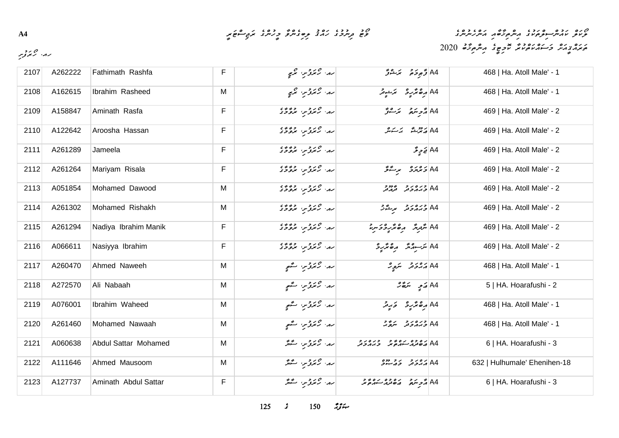*sCw7q7s5w7m< o<n9nOoAw7o< sCq;mAwBoEw7q<m; wBm;vB* م من المسجد المسجد المسجد المسجد المسجد العام 2020<br>مسجد المسجد المسجد المسجد المسجد المسجد المسجد المسجد المسجد ال

| 2107 | A262222 | Fathimath Rashfa     | F           | رە بىلىمىتى ئىكى ئىكىنى ئىكىنى ئىكىنى ئىكىن ئىكىن ئىكىن ئىكىن ئىكىن ئىكىن ئىكىن ئىكىن ئىكىن ئىكىن ئى<br>مەنبەر ئىكىن ئىكىن ئىكىن ئىكىن ئىكىن ئىكىن ئىكىن ئىكىن ئىكىن ئىكىن ئىكىن ئىكىن ئىكىن ئىكىن ئىكىن ئىكىن ئىكىن ئ | A4  <i>وَّجوحَ</i> هُمَ سَمَــَـقَوَّرَ                                                                                 | 468   Ha. Atoll Male' - 1    |
|------|---------|----------------------|-------------|------------------------------------------------------------------------------------------------------------------------------------------------------------------------------------------------------------------------|-------------------------------------------------------------------------------------------------------------------------|------------------------------|
| 2108 | A162615 | Ibrahim Rasheed      | M           | رە، ئەترۇپ ئۇي                                                                                                                                                                                                         | A4 مەھەر بۇ سىم ئىسىم ئىككى بىر ئىسىمبىر ئىسىمبىر ئىسىمبىر ئىسىمبىر ئىسىمبىر كىيەن ئىسىمبىر ئىستىدىكى ئىستىدىن<br>مەنبە | 468   Ha. Atoll Male' - 1    |
| 2109 | A158847 | Aminath Rasfa        | F           | رو، رحمزوین مرود ده                                                                                                                                                                                                    | A4 مَّ <i>حِ سَمَّةَ مَدَّ—دُوَّ</i>                                                                                    | 469   Ha. Atoll Male' - 2    |
| 2110 | A122642 | Aroosha Hassan       | F           | رد. رورو دود،                                                                                                                                                                                                          | A4 كەتترىش ئەسكەنلە                                                                                                     | 469   Ha. Atoll Male' - 2    |
| 2111 | A261289 | Jameela              | F           | رد. ريزوس بروور                                                                                                                                                                                                        | A4 انچ <i>چ</i> گ                                                                                                       | 469   Ha. Atoll Male' - 2    |
| 2112 | A261264 | Mariyam Risala       | $\mathsf F$ | رە بەردىن جەھ                                                                                                                                                                                                          | A4 <i>5 برجرد برسگر</i> مح                                                                                              | 469   Ha. Atoll Male' - 2    |
| 2113 | A051854 | Mohamed Dawood       | M           | رە بەردىن جەھ                                                                                                                                                                                                          | A4 وبرەبرو مەدور                                                                                                        | 469   Ha. Atoll Male' - 2    |
| 2114 | A261302 | Mohamed Rishakh      | M           | رە بەردىن جەھ                                                                                                                                                                                                          | A4 <i>وُبَہُ وَمَرْ مِ</i> سَمَّدَ                                                                                      | 469   Ha. Atoll Male' - 2    |
| 2115 | A261294 | Nadiya Ibrahim Manik | $\mathsf F$ | رد. رودو.<br>رد. رنگوش نمودی                                                                                                                                                                                           | A4 سَّتِيرة مُصَّرِّرْ دَسِرة A4                                                                                        | 469   Ha. Atoll Male' - 2    |
| 2116 | A066611 | Nasiyya Ibrahim      | F           | رە بەردىن جەھ                                                                                                                                                                                                          | A4 سَرَ <i>- م<sup>ِنْ</sup> مِنْ مُ</i> حَرِّرَةُ                                                                      | 469   Ha. Atoll Male' - 2    |
| 2117 | A260470 | Ahmed Naweeh         | M           | رە، رىمزۇير، شەي                                                                                                                                                                                                       | A4 كەبرى تىر سىر ئىكتى ئىشتىر ئىستان ئىشتار ئىستان ئىشتار ئىستان ئىستان ئىستان ئىستان ئىستان ئىستان ئىستان ئى           | 468   Ha. Atoll Male' - 1    |
| 2118 | A272570 | Ali Nabaah           | M           | رە، ئەتزۇس سەھ                                                                                                                                                                                                         | A4 كەمچە سى <i>نىڭ</i> ر                                                                                                | 5   HA. Hoarafushi - 2       |
| 2119 | A076001 | Ibrahim Waheed       | M           | رو، رحمزتر من سگھي                                                                                                                                                                                                     | A4 مەھەرىپى ئەرىر                                                                                                       | 468   Ha. Atoll Male' - 1    |
| 2120 | A261460 | Mohamed Nawaah       | M           | رو، رحمزویں گے۔                                                                                                                                                                                                        | A4 <i>32823 سَرَةً</i> ج                                                                                                | 468   Ha. Atoll Male' - 1    |
| 2121 | A060638 | Abdul Sattar Mohamed | M           | رو، رحمزویں مستقر                                                                                                                                                                                                      | A4 رەدە رەپر درەرد<br>A4 مەمەر سەمى دىمەدىر                                                                             | 6   HA. Hoarafushi - 3       |
| 2122 | A111646 | Ahmed Mausoom        | M           | رەس ئەتتىرىس مەستىر                                                                                                                                                                                                    | A4 كەبرو بول دەپلىدى                                                                                                    | 632   Hulhumale' Ehenihen-18 |
| 2123 | A127737 | Aminath Abdul Sattar | F           | رە، رىمۇقرىي سەھ                                                                                                                                                                                                       | A4 څخه شوه موه سوه پره پو                                                                                               | 6   HA. Hoarafushi - 3       |

*125 sC 150 nNw?mS*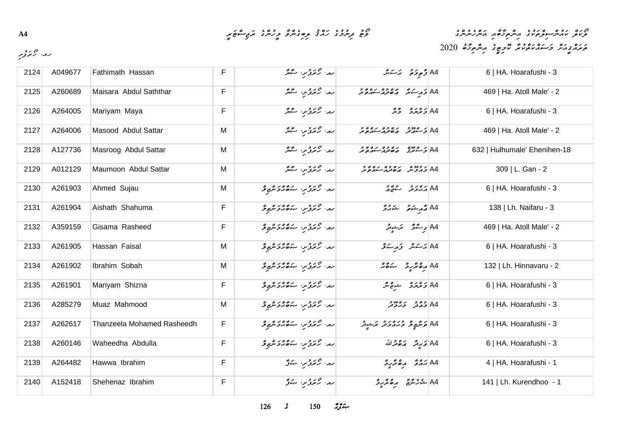*sCw7q7s5w7m< o<n9nOoAw7o< sCq;mAwBoEw7q<m; wBm;vB* م من المسجد المسجد المسجد المسجد المسجد العام 2020<br>مسجد المسجد المسجد المسجد المسجد المسجد المسجد المسجد المسجد ال

| 2124 | A049677 | Fathimath Hassan           | F           | رە بە ئەترۇس سەھ       | A4 ژ <sub>نجو</sub> ځنز برخش                                                                                   | 6   HA. Hoarafushi - 3       |
|------|---------|----------------------------|-------------|------------------------|----------------------------------------------------------------------------------------------------------------|------------------------------|
| 2125 | A260689 | Maisara Abdul Saththar     | F           | رو، رحمزویں مستقر      |                                                                                                                | 469   Ha. Atoll Male' - 2    |
| 2126 | A264005 | Mariyam Maya               | F           | رە، ئەترىس، شەھ        | A4 كەبىر بەر ئەرگە                                                                                             | 6   HA. Hoarafushi - 3       |
| 2127 | A264006 | Masood Abdul Sattar        | M           | رو، رحمزویں مستقر      | A4 - معدد مصور مصر مصرف                                                                                        | 469   Ha. Atoll Male' - 2    |
| 2128 | A127736 | Masroog Abdul Sattar       | M           | رە، ئەترۇس سەگە        | A4 كر محمد ته مره مره بو د                                                                                     | 632   Hulhumale' Ehenihen-18 |
| 2129 | A012129 | Maumoon Abdul Sattar       | M           | رەس ئەتتىرىس مەستىر    | A4 دروده ده ده ده در د                                                                                         | 309   L. Gan - 2             |
| 2130 | A261903 | Ahmed Sujau                | M           | رە ئىروس سەھدەشرىر     | A4 كەبرى بىر يەم بىر يەر بىر ئا                                                                                | 6   HA. Hoarafushi - 3       |
| 2131 | A261904 | Aishath Shahuma            | F           | رە. رىمزۇر، سەھەدەشبىر | A4 مَمْ مِسْتَمَعْ شَمَّدْتَرَّ                                                                                | 138   Lh. Naifaru - 3        |
| 2132 | A359159 | Gisama Rasheed             | $\mathsf F$ | رە، ئىزۇر، جەھەدەممى ئ | A4 بِ سُمَّرَّ - مَرَسُوِيْر                                                                                   | 469   Ha. Atoll Male' - 2    |
| 2133 | A261905 | Hassan Faisal              | M           | رە ئەروپ سەھەدە ئىرى   | A4   يَرْسَسْ وَمِرْسَوْر                                                                                      | 6   HA. Hoarafushi - 3       |
| 2134 | A261902 | Ibrahim Sobah              | M           | رە، رىمرۇس سەھدەمەم ۋ  | A4 مەمگىر ئەسىمە                                                                                               | 132   Lh. Hinnavaru - 2      |
| 2135 | A261901 | Mariyam Shizna             | F           | رە ئىزۇر، جەمەدەمدى    | A4 كەنگەر ئىش ئىشى ئىش                                                                                         | 6   HA. Hoarafushi - 3       |
| 2136 | A285279 | Muaz Mahmood               | M           | رە، رىمرۇس سەھدەمەم ۋ  | A4 وحدو ره دور                                                                                                 | 6   HA. Hoarafushi - 3       |
| 2137 | A262617 | Thanzeela Mohamed Rasheedh | F           | رە ئىزۇس سەھدەممىرى    | A4 كۆشپى ئىس ئەركە ئىم ئىشى ئىشلىرى ئىشلىرى ئىستان ئىشلار ئىستان ئىشلار ئىستان ئىشلار ئىستان ئىستان ئىشلار ئىش | 6   HA. Hoarafushi - 3       |
| 2138 | A260146 | Waheedha Abdulla           | $\mathsf F$ | رە، ئىزۇس سەھەدەشبىر   | A4 <i>قەبىق مەھىم</i> ەللە                                                                                     | 6   HA. Hoarafushi - 3       |
| 2139 | A264482 | Hawwa Ibrahim              | F           | رە، رىمۇمى، جۇ         | A4 بَرْدَةُ مِنْ مُحَمَّدِةِ                                                                                   | 4   HA. Hoarafushi - 1       |
| 2140 | A152418 | Shehenaz Ibrahim           | F           | رە، رىمۇمى، جۇ         | A4 شەرىترى مەھەر د                                                                                             | 141   Lh. Kurendhoo - 1      |

*126 sC 150 nNw?mS*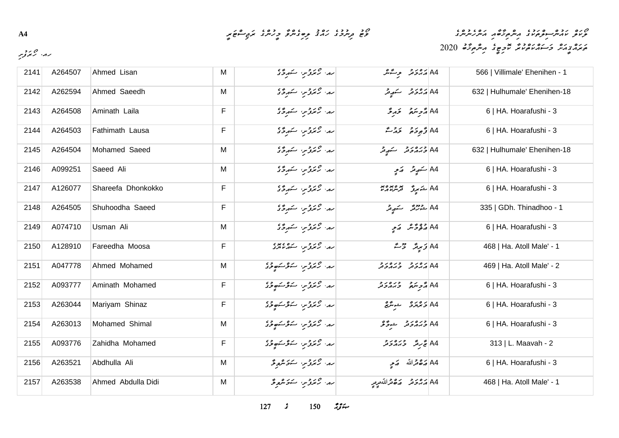*sCw7q7s5w7m< o<n9nOoAw7o< sCq;mAwBoEw7q<m; wBm;vB* م من المرة المرة المرة المرجع المرجع في المركبة 2020<br>مجم*د المريض المربوط المربع المرجع في المراجع المركبة* 

| 2141 | A264507 | Ahmed Lisan        | M            | رە بە ئەتروپ سىردى  | A4 ړ <i>و دو</i> به شر                  | 566   Villimale' Ehenihen - 1 |
|------|---------|--------------------|--------------|---------------------|-----------------------------------------|-------------------------------|
| 2142 | A262594 | Ahmed Saeedh       | M            | رە بەترىپ سەردى     | A4 كەبرى قىر سىكە يىتىر                 | 632   Hulhumale' Ehenihen-18  |
| 2143 | A264508 | Aminath Laila      | F            | رە بەترىپ سەرەئى    | A4 مَّ حِ مَتَّقَدِ حَمَدِ مَحَ         | 6   HA. Hoarafushi - 3        |
| 2144 | A264503 | Fathimath Lausa    | F            | رە، رىزۇس سەردى     | A4 تَ <i>جوحَمَّة خَمَّ</i> تُّ         | 6   HA. Hoarafushi - 3        |
| 2145 | A264504 | Mohamed Saeed      | M            | رە ئەترىپ سەردى     | A4 <i>\$ بَرْدْ جَ</i> مَدْ سَنَ مِيسْر | 632   Hulhumale' Ehenihen-18  |
| 2146 | A099251 | Saeed Ali          | M            | رە بەترىپ سەرەئى    | A4 ڪ <sub>ھي</sub> قر <i>ھ</i> َ جِ     | 6   HA. Hoarafushi - 3        |
| 2147 | A126077 | Shareefa Dhonkokko | $\mathsf{F}$ | رە رىمزىر، سەردى    | A4 شەمرىژ تىر <i>مىزە بى</i> ر          | 6   HA. Hoarafushi - 3        |
| 2148 | A264505 | Shuhoodha Saeed    | $\mathsf F$  | رە، رىزۇس سەردى     | A4 شور محمد ستم <i>و</i> متر            | 335   GDh. Thinadhoo - 1      |
| 2149 | A074710 | Usman Ali          | M            | رە، رىزۇس سەردى     | A4 ۾ پُوءُ بھ سَمَ ج                    | 6   HA. Hoarafushi - 3        |
| 2150 | A128910 | Fareedha Moosa     | F            | رە بەر دەر رە ، دە  | A4 كَرَمِيتَر بِّ حَمْتُ                | 468   Ha. Atoll Male' - 1     |
| 2151 | A047778 | Ahmed Mohamed      | M            | رە. رىزۇس سەۋسەھ دە | A4 , جوړو د دره د ور                    | 469   Ha. Atoll Male' - 2     |
| 2152 | A093777 | Aminath Mohamed    | F            | رە، رىزۇس سەۋسەھ دە | A4 مُتَّحِسَمُ حَمَدَ مَرَّةٌ           | 6   HA. Hoarafushi - 3        |
| 2153 | A263044 | Mariyam Shinaz     | $\mathsf F$  | رە ئىروس سۇسىھ دە   | A4 ك <i>ر جرهر كل مصريح</i>             | 6   HA. Hoarafushi - 3        |
| 2154 | A263013 | Mohamed Shimal     | M            | رە، رىزۇس سەۋسەھ دە | A4 <i>وُبَہُ وَمَرْ</i> مُسِوَّرُ و     | 6   HA. Hoarafushi - 3        |
| 2155 | A093776 | Zahidha Mohamed    | $\mathsf F$  | رە، رىزۇس سەۋسەھ دە | A4 تج برقر - 3 بروتر 2                  | 313   L. Maavah - 2           |
| 2156 | A263521 | Abdhulla Ali       | M            | رە، رىزۇپ سەر سەھ   | A4 مَەھمَّدَاللە   مَرَمِّ              | 6   HA. Hoarafushi - 3        |
| 2157 | A263538 | Ahmed Abdulla Didi | M            | رە زىرۇس سەر شەھر   | A4 كەبەئە <i>كەن كەنھى</i> ئاللەمپەير   | 468   Ha. Atoll Male' - 1     |

*n27 s 150 <i>n*<sub>3</sub> *s*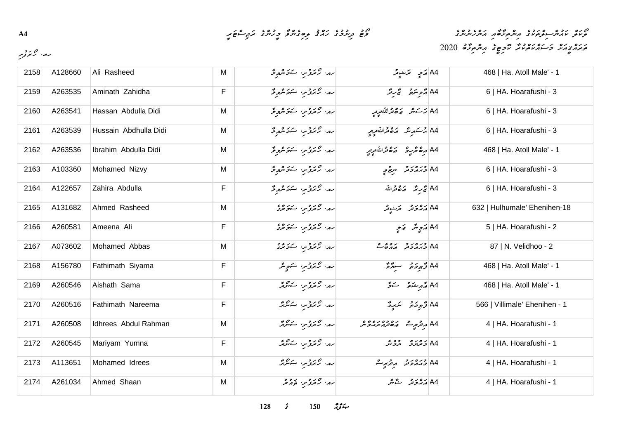*sCw7q7s5w7m< o<n9nOoAw7o< sCq;mAwBoEw7q<m; wBm;vB* م من المرة المرة المرة المرجع المرجع في المركبة 2020<br>مجم*د المريض المربوط المربع المرجع في المراجع المركبة* 

| 2158 | A128660 | Ali Rasheed           | M           | رە. ئەنزۇس سەر ئىرو بۇ | A4 <i>مَرْمٍ بَرَحْ</i> مِثْر                                                     | 468   Ha. Atoll Male' - 1     |
|------|---------|-----------------------|-------------|------------------------|-----------------------------------------------------------------------------------|-------------------------------|
| 2159 | A263535 | Aminath Zahidha       | F           | رە، ئەترۇس سەئەشھەق    | A4 مَّ حِ سَمَعَ تَجْ سِعَّدُ                                                     | 6   HA. Hoarafushi - 3        |
| 2160 | A263541 | Hassan Abdulla Didi   | M           | رە، ئەتزۇير، سەر شەھ ئ | A4 كەسكەش كەھ قىراللەمرىر                                                         | 6   HA. Hoarafushi - 3        |
| 2161 | A263539 | Hussain Abdhulla Didi | M           | رە، ئەتزۇير، سەر شەھ ئ | A4 بُرْسَمَّر مِنْ مَنْ مِنْ اللَّهُ مِرِمِرِ                                     | 6   HA. Hoarafushi - 3        |
| 2162 | A263536 | Ibrahim Abdulla Didi  | M           | رە، ئىغۇر، سۇئىھوڭ     | A4 مەھەرى ھەھەراللەمپەير                                                          | 468   Ha. Atoll Male' - 1     |
| 2163 | A103360 | Mohamed Nizvy         | M           | رە، ئەترۇس سەئەشھەق    | A4 <i>52,25 مربح م</i>                                                            | 6   HA. Hoarafushi - 3        |
| 2164 | A122657 | Zahira Abdulla        | F           | رە، ئەترۇس سەئەشھەق    | A4 بَحَربِتَمَد   مَرَصْحَرْاللّه                                                 | 6   HA. Hoarafushi - 3        |
| 2165 | A131682 | Ahmed Rasheed         | M           | رە، رىزۇپ سەر دە،      | A4 كەبرى قىم ئىم ئىسىمىتىس كىشىمىتىك                                              | 632   Hulhumale' Ehenihen-18  |
| 2166 | A260581 | Ameena Ali            | $\mathsf F$ | رە، رىزۇس سەر دە،      | A4 <sub>م</sub> َجِسَّر مَعِ                                                      | 5   HA. Hoarafushi - 2        |
| 2167 | A073602 | Mohamed Abbas         | M           | رە، رىزۇپ سەر دە،      | 2822228A4                                                                         | 87   N. Velidhoo - 2          |
| 2168 | A156780 | Fathimath Siyama      | F           | رە، ئەترۇس سۇچىگە      | A4 زَّەپرىق سىن <i>گ</i> ۇ                                                        | 468   Ha. Atoll Male' - 1     |
| 2169 | A260546 | Aishath Sama          | F           | رە، ئەترۇس سەھەمچە     | A4 مەم ئىسقى مەڭ                                                                  | 468   Ha. Atoll Male' - 1     |
| 2170 | A260516 | Fathimath Nareema     | F           | رە، رىزۇس سەھەنتە      | A4 وَّجِرْدَةٌ سَمِرَةٌ                                                           | 566   Villimale' Ehenihen - 1 |
| 2171 | A260508 | Idhrees Abdul Rahman  | M           | رە، رىمۇم، سەھەم       | A4 مرتر موسیق مقدم مقدم محمد محمد است.<br>محمد محمد محمد محمد محمد محمد محمد است. | 4   HA. Hoarafushi - 1        |
| 2172 | A260545 | Mariyam Yumna         | F           | رە، ئەنزۇس سەندىگە     | A4 5 يوهرو مروش                                                                   | 4   HA. Hoarafushi - 1        |
| 2173 | A113651 | Mohamed Idrees        | M           | رە، ئەنزۇس سەندىگە     | A4  <i>وُټروونو مونزم</i> ېرگ                                                     | 4   HA. Hoarafushi - 1        |
| 2174 | A261034 | Ahmed Shaan           | M           | رە ، ئەنزۇس ئەدەر      | A4 كەبرى قىر ئىشكىر                                                               | 4   HA. Hoarafushi - 1        |

*128 s* **150** *n***<sub>s</sub>**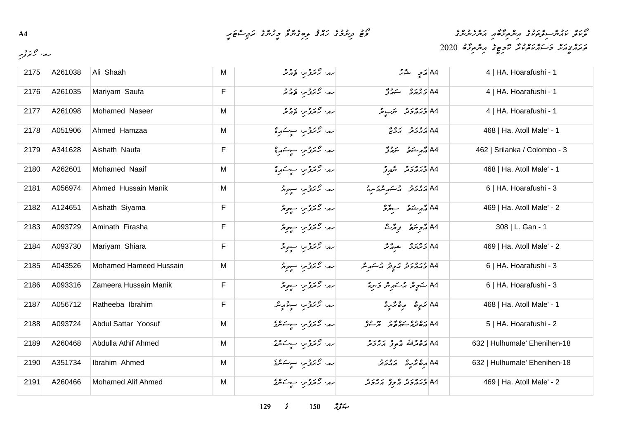*sCw7q7s5w7m< o<n9nOoAw7o< sCq;mAwBoEw7q<m; wBm;vB* م من المسجد المسجد المسجد المسجد المسجد العام 2020<br>مسجد المسجد المسجد المسجد المسجد المسجد المسجد المسجد المسجد ال

| 2175 | A261038 | Ali Shaah                 | M           | رە بەستىر ئۇرىتقى ئە | A4  رَمِ گُرُتُ                          | 4   HA. Hoarafushi - 1       |
|------|---------|---------------------------|-------------|----------------------|------------------------------------------|------------------------------|
| 2176 | A261035 | Mariyam Saufa             | $\mathsf F$ | رە، ئەترۇس كەمدىر    | A4 كەبەر بەر ئەرتى                       | 4   HA. Hoarafushi - 1       |
| 2177 | A261098 | Mohamed Naseer            | M           | رو، رحيحه عن الأورجه | A4 <i>وُبَرُوْدَ تَرَجَّرُ</i>           | 4   HA. Hoarafushi - 1       |
| 2178 | A051906 | Ahmed Hamzaa              | M           | رە، رىزۇس سوسۇر؟     | A4 كەبرو برونج                           | 468   Ha. Atoll Male' - 1    |
| 2179 | A341628 | Aishath Naufa             | F           | رە، ئەترۇس سوسۇر؟    | A4 مەم ئىقىم ئىس ئىر                     | 462   Srilanka / Colombo - 3 |
| 2180 | A262601 | Mohamed Naaif             | M           | رو، رىمۇتور، سوسكورە | A4 <i>5 بەھ 5 مىگە ق</i>                 | 468   Ha. Atoll Male' - 1    |
| 2181 | A056974 | Ahmed Hussain Manik       | M           | رو، رحموقرما سوورم   | A4 <i>ג' جد</i> جو جر مرکز میریم         | 6   HA. Hoarafushi - 3       |
| 2182 | A124651 | Aishath Siyama            | F           | رو، رحموقس سوور      | A4 مُرمِسْدَمُو سِيَرْدَّ                | 469   Ha. Atoll Male' - 2    |
| 2183 | A093729 | Aminath Firasha           | $\mathsf F$ | رە بەللەر سوەر       | A4 مَرْحِ سَمَعَ و مِرَّحْهُ             | 308   L. Gan - 1             |
| 2184 | A093730 | Mariyam Shiara            | F           | رو، رموتور، سوور     | A4 ك <i>و چرېزى ھەمگەنگە</i>             | 469   Ha. Atoll Male' - 2    |
| 2185 | A043526 | Mohamed Hameed Hussain    | M           | رو، رحمزویں سوور     | A4 <i>وبروبرو بروبر برسکو</i> بر         | 6   HA. Hoarafushi - 3       |
| 2186 | A093316 | Zameera Hussain Manik     | F           | رو، رحمزوس سوور      | A4  سَوِيرٌ برْسَنهرِ شَرْرٌ وَسِرَةٌ    | 6   HA. Hoarafushi - 3       |
| 2187 | A056712 | Ratheeba Ibrahim          | $\mathsf F$ | ىد. ئىغۇس سىتمەھ     | A4 بَرَمٍرةً مُتَصَمَّرَةً               | 468   Ha. Atoll Male' - 1    |
| 2188 | A093724 | Abdul Sattar Yoosuf       | M           | رە، رىزۇس سەسكىرى    | A4 גפינת הפייד מ- כפ                     | 5   HA. Hoarafushi - 2       |
| 2189 | A260468 | Abdulla Athif Ahmed       | M           | بدر حرور سوسکره می   | A4 رَصْعَرْاللّه رَجْوِرْ   رَبْرْدَتْرْ | 632   Hulhumale' Ehenihen-18 |
| 2190 | A351734 | Ibrahim Ahmed             | M           | رەر ئەترۇس سوسكىنىڭ  | A4 مەھەرىرى مەمەدىر                      | 632   Hulhumale' Ehenihen-18 |
| 2191 | A260466 | <b>Mohamed Alif Ahmed</b> | M           | رە، رىزۇس سوسىسمى    | A4 ويرەرو محموق كەبرولىر                 | 469   Ha. Atoll Male' - 2    |

*n29 s 150 <i>n*<sub>3</sub> *s*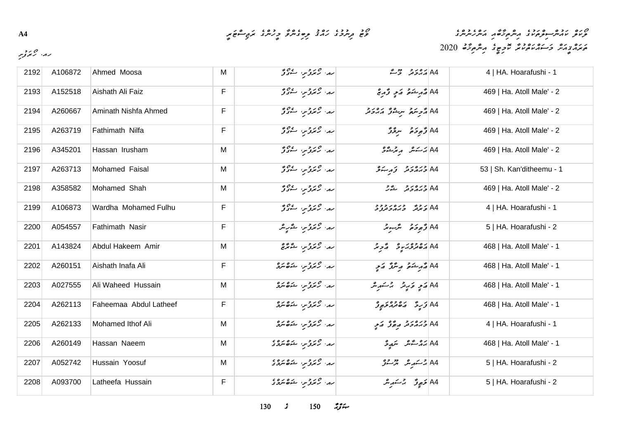*sCw7q7s5w7m< o<n9nOoAw7o< sCq;mAwBoEw7q<m; wBm;vB* م من المرة المرة المرة المرجع المرجع في المركبة 2020<br>مجم*د المريض المربوط المربع المرجع في المراجع المركبة* 

| 2192 | A106872 | Ahmed Moosa            | M           | رە ئەتروپ سىزۇ        | A4 كەبرى بىر تەسىر                                                                                             | 4   HA. Hoarafushi - 1    |
|------|---------|------------------------|-------------|-----------------------|----------------------------------------------------------------------------------------------------------------|---------------------------|
| 2193 | A152518 | Aishath Ali Faiz       | F           | رو، رحمزویں ہے جو د   | A4 مُەمەشكە مەم ۋەرىج                                                                                          | 469   Ha. Atoll Male' - 2 |
| 2194 | A260667 | Aminath Nishfa Ahmed   | F           | رە بەردىي سەھ بىر     | A4 مُتَّحِسَمَةَ سِتْعَزَّ مَتَدَوَّتْرَ                                                                       | 469   Ha. Atoll Male' - 2 |
| 2195 | A263719 | Fathimath Nilfa        | F           | رە بەردىيە سەھ بىر    | A4 رَّج <i>و دَمَ</i> سِرْدَرَّ                                                                                | 469   Ha. Atoll Male' - 2 |
| 2196 | A345201 | Hassan Irusham         | M           | رە ئەتروپ سىزۇ        | A4 ئەسەمىر ب <sub>ىرمىش</sub> تەن                                                                              | 469   Ha. Atoll Male' - 2 |
| 2197 | A263713 | Mohamed Faisal         | M           | رە ئەتروپ سىزۇ        | A4 <i>وُبَهُ وَوَبِّ</i> وَمِبَعُو                                                                             | 53   Sh. Kan'ditheemu - 1 |
| 2198 | A358582 | Mohamed Shah           | м           | رە ئەتروپ سىزۇ        | A4 \$ يرو 5 مئے مئے تر                                                                                         | 469   Ha. Atoll Male' - 2 |
| 2199 | A106873 | Wardha Mohamed Fulhu   | F           | رە بەردىيە سەھ بىر    | A4 وَ بَرْتَرٌ وَبَرُ مُروَمَّوَمَ                                                                             | 4   HA. Hoarafushi - 1    |
| 2200 | A054557 | Fathimath Nasir        | F           | رە، ئەندۇس ھەر بىر    | A4 رَّج <i>وحَةْ مَدَّبة بَرْ</i>                                                                              | 5   HA. Hoarafushi - 2    |
| 2201 | A143824 | Abdul Hakeem Amir      | M           | رە. ئەترىس، ھەترى     | A4 كەھىر <i>ئىرىق مۇج</i> تر                                                                                   | 468   Ha. Atoll Male' - 1 |
| 2202 | A260151 | Aishath Inafa Ali      | $\mathsf F$ | رد. رسور، شخص شر      | A4 مەم ئىسكى قىم ئىس كىلىپ كىلىپ كىلىپ كىلىپ كىلىپ كىلىپ كىلىپ كىلىپ كىلىپ كىلىپ كىلىپ كىلىپ كىلىپ كىلىپ كىلىپ | 468   Ha. Atoll Male' - 1 |
| 2203 | A027555 | Ali Waheed Hussain     | M           | رە رىمرى ئەھلىر       | A4 كەي قەرىق - جەسكەرىتى                                                                                       | 468   Ha. Atoll Male' - 1 |
| 2204 | A262113 | Faheemaa Abdul Latheef | F           | رە بەللەردىن سىكەنلەر | A4 زَرِدَّ صَ <sup>ووم</sup> دَوْرِوْ                                                                          | 468   Ha. Atoll Male' - 1 |
| 2205 | A262133 | Mohamed Ithof Ali      | M           | رە بەللەر ئىككەنگە    | A4 <i>وُبَهُ وَبَعْ وَجُوْ مَ</i> حِ                                                                           | 4   HA. Hoarafushi - 1    |
| 2206 | A260149 | Hassan Naeem           | M           | رد. رکروس، ڪوھنروي    | A4 كەرمەسىسى سىمبەتى                                                                                           | 468   Ha. Atoll Male' - 1 |
| 2207 | A052742 | Hussain Yoosuf         | M           | رد. رکروس، ڪوھنروي    | A4 پر سے مدد میں مقرر مقر                                                                                      | 5   HA. Hoarafushi - 2    |
| 2208 | A093700 | Latheefa Hussain       | F           | رە بەرەپ خەھ ئىرو ،   | A4 كرَبِ <sub>و</sub> ِرَّ بُرْسَهرِسْ                                                                         | 5   HA. Hoarafushi - 2    |

*130 s 150 <i>n*<sub>2</sub> *n*<sub>2</sub> *n*<sub>2</sub> *n*<sub>2</sub> *n*<sub>2</sub> *n*<sub>2</sub> *n*<sub>2</sub> *n*<sub>2</sub> *n*<sub>2</sub> *n*<sub>2</sub> *n*<sub>2</sub> *n*<sub>2</sub> *n*<sub>2</sub> *n*<sub>2</sub> *n*<sub>2</sub> *n*<sub>2</sub> *n*<sub>2</sub> *n*<sub>2</sub> *n*<sub>2</sub> *n*<sub>2</sub> *n*<sub>2</sub> *n*<sub>2</sub> *n*<sub>2</sub> *n*<sub>2</sub> *n*<sub>2</sub> *n*<sub>2</sub> *n*<sub>2</sub> *n*<sub>2</sub> *n*<sub>2</sub>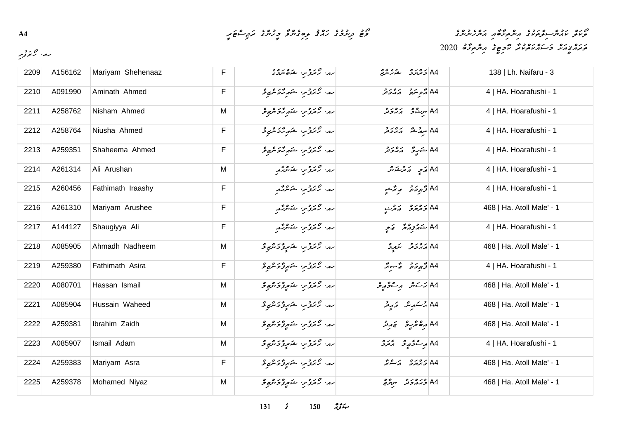*sCw7q7s5w7m< o<n9nOoAw7o< sCq;mAwBoEw7q<m; wBm;vB* م من المسجد المسجد المسجد المسجد المسجد العام 2020<br>مسجد المسجد المسجد المسجد المسجد المسجد المسجد المسجد المسجد ال

| 2209 | A156162 | Mariyam Shehenaaz | F           | رە ئەترۇس خەھ ئىرو ئ        | A4 كەنگەنگە ھەر ئىگەنگە          | 138   Lh. Naifaru - 3     |
|------|---------|-------------------|-------------|-----------------------------|----------------------------------|---------------------------|
| 2210 | A091990 | Aminath Ahmed     | F           | رە، ئەترۇس خەر ئەكەش ئ      | A4 مُجِسَعَة مَ يَدْوَمَتْر      | 4   HA. Hoarafushi - 1    |
| 2211 | A258762 | Nisham Ahmed      | M           | رە، ئەتزۇر، خەرئەدىمى ئ     | A4 سرشگر <i>ی مرد در</i>         | 4   HA. Hoarafushi - 1    |
| 2212 | A258764 | Niusha Ahmed      | F           | رە، ئەترۇس خەر ئەكەش ئ      | A4 سرقمشہ ترکی ترک               | 4   HA. Hoarafushi - 1    |
| 2213 | A259351 | Shaheema Ahmed    | F           | رە. ئەترىس خەرئەكمىي ئ      | A4 ش <i>ەربۇ مەم</i> ەم          | 4   HA. Hoarafushi - 1    |
| 2214 | A261314 | Ali Arushan       | M           | رە، ئەترۇس ھەشرىم           | A4 كەمچە كەمگرىشكەنلىر           | 4   HA. Hoarafushi - 1    |
| 2215 | A260456 | Fathimath Iraashy | F           | رە، ئەترۇس خەمرگە           | A4 وَجوحَة مِ مِرَّسِهِ          | 4   HA. Hoarafushi - 1    |
| 2216 | A261310 | Mariyam Arushee   | $\mathsf F$ | رە، ئەتزۇر، ھەشرگە          | A4 <i>و برورو مرکز ش</i> ی       | 468   Ha. Atoll Male' - 1 |
| 2217 | A144127 | Shaugiyya Ali     | F           | رە ئەتروپر، ئەرەمەر         | A4 شەرىخ <i>مەڭ ھەج</i>          | 4   HA. Hoarafushi - 1    |
| 2218 | A085905 | Ahmadh Nadheem    | M           | رە. ئەترۇس خەيرۇكلىرى       | A4 كەندى كىر سىر سىر ئىر بىر ئى  | 468   Ha. Atoll Male' - 1 |
| 2219 | A259380 | Fathimath Asira   | F           | رە، ئەترۇس خەيرۇكەش ئ       | A4 تَ <i>جوحَ</i> هُمَ سَبِعَّهُ | 4   HA. Hoarafushi - 1    |
| 2220 | A080701 | Hassan Ismail     | M           | رە. ئەترۇس خىمرۇكىلىمى      | A4 ئەسەش ب <sub>ە</sub> سەدۇرپى  | 468   Ha. Atoll Male' - 1 |
| 2221 | A085904 | Hussain Waheed    | M           | رە، ئەترۇس خەيرۇكەللىرى     | A4 بر <i>کے مربٹر کا می</i> تر   | 468   Ha. Atoll Male' - 1 |
| 2222 | A259381 | Ibrahim Zaidh     | M           | رە، ئەترۇس خەيرۇۋىلى ۋ      | A4 مەھەرىپ كىم بىر مىز           | 468   Ha. Atoll Male' - 1 |
| 2223 | A085907 | Ismail Adam       | M           | رە. ئەترۇس خەيرۇكلىرى       | A4 <sub>مر</sub> هوم و محمده     | 4   HA. Hoarafushi - 1    |
| 2224 | A259383 | Mariyam Asra      | F           | رە، ئەترۇس خەيرۇكەش ئ       | A4 كەبھە <i>دى كە</i> سىمگە      | 468   Ha. Atoll Male' - 1 |
| 2225 | A259378 | Mohamed Niyaz     | M           | رە. رىمۇقرىي خەمرۇكەللىمى ئ | A4 دېم <i>ډېر د سرمر</i> چ       | 468   Ha. Atoll Male' - 1 |

*131 sC 150 nNw?mS*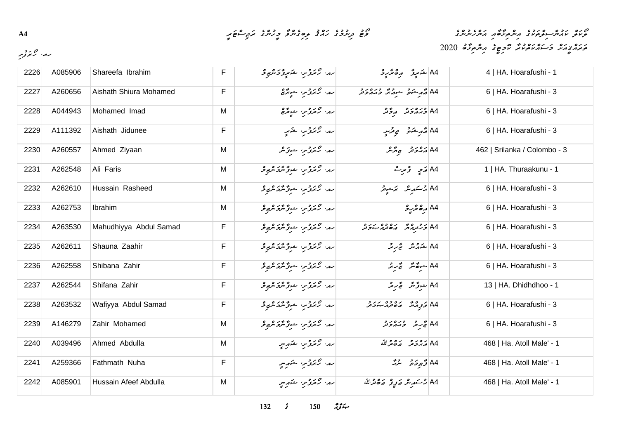*sCw7q7s5w7m< o<n9nOoAw7o< sCq;mAwBoEw7q<m; wBm;vB* م من المسجد المسجد المسجد المسجد المسجد العام 2020<br>مجم*د المسجد المسجد المستجد المسجد المسجد المسجد المسجد المسجد المسجد المسجد المسجد المسجد المسجد المسجد المسجد* 

| 2226 | A085906 | Shareefa Ibrahim       | F           | رە. رىمۇرىر، ھەبرۇكەش ئ  | A4 څنېږ <i>وَ م</i> وځرېږی                | 4   HA. Hoarafushi - 1       |
|------|---------|------------------------|-------------|--------------------------|-------------------------------------------|------------------------------|
| 2227 | A260656 | Aishath Shiura Mohamed | F           | رە، ئەترۇس ھەترىج        | A4 مەم شەھ سىمەت 270 دو                   | 6   HA. Hoarafushi - 3       |
| 2228 | A044943 | Mohamed Imad           | M           | رو، رنجويزي سوچرچ        | A4 <i>5525 م</i> ورَّ م                   | 6   HA. Hoarafushi - 3       |
| 2229 | A111392 | Aishath Jidunee        | $\mathsf F$ | رە، ئەترۇس ھەير          | A4 م <i>مَّ مِ</i> شَوَمَ مِ مَرْسِ       | 6   HA. Hoarafushi - 3       |
| 2230 | A260557 | Ahmed Ziyaan           | M           | رە، ئەنزۇس ھۆر ھ         | A4 كەبرى ئىر سى ئەرگىرىس                  | 462   Srilanka / Colombo - 3 |
| 2231 | A262548 | Ali Faris              | M           | رە، ئەنزۇر، ھوزىترى تىرى | A4 <i>ھَ۔ وَسِ</i> ع                      | 1   HA. Thuraakunu - 1       |
| 2232 | A262610 | Hussain Rasheed        | M           | رە، ئەترۇس جوڭ ئۇچەر     | A4 پُرڪوپر گرڪوپر                         | 6   HA. Hoarafushi - 3       |
| 2233 | A262753 | Ibrahim                | M           | رە. ئەنزۇر، ھوۋىترى تىرى | A4 <sub>مر</sub> ھ بڑر بڑ                 | 6   HA. Hoarafushi - 3       |
| 2234 | A263530 | Mahudhiyya Abdul Samad | $\mathsf F$ | رە، ئەنمۇس ھور ئىگەنگەنج | A4 زروه پر ده در د                        | 6   HA. Hoarafushi - 3       |
| 2235 | A262611 | Shauna Zaahir          | F           | رە، ئەنزۇر، سۆزگەگەنگەنج | A4 ڪندم شمس سمج س <i>ر م</i> ثر           | 6   HA. Hoarafushi - 3       |
| 2236 | A262558 | Shibana Zahir          | $\mathsf F$ | رە. ئەنزۇس ھوۋىترى تىرى  | A4 سُو <i>ھُ</i> مَّتَہ گُر سَمَّ         | 6   HA. Hoarafushi - 3       |
| 2237 | A262544 | Shifana Zahir          | F           | رە ، ئەنزۇس ھوۋىترى شھو  | A4 حورٌ مَّر گچ پ                         | 13   HA. Dhidhdhoo - 1       |
| 2238 | A263532 | Wafiyya Abdul Samad    | $\mathsf F$ | رە، ئەنمۇس ھوۋىترى تىرى  | A4 څو مه مه ده ده بر د د                  | 6   HA. Hoarafushi - 3       |
| 2239 | A146279 | Zahir Mohamed          | М           | رە ، ئەنزۇس ھوۋىترى شھو  | A4 تجرير وبرورو                           | 6   HA. Hoarafushi - 3       |
| 2240 | A039496 | Ahmed Abdulla          | M           | رە، ئەترۇس ھەرس          | A4 مَ بِرَوْمٌ مَرْهُ مِّدَاللَّه         | 468   Ha. Atoll Male' - 1    |
| 2241 | A259366 | Fathmath Nuha          | F           | رە، رىمۇقىر، ئىقەس       | A4 <i>وَّجِ دَمَّة</i> مَرْبَّهُ          | 468   Ha. Atoll Male' - 1    |
| 2242 | A085901 | Hussain Afeef Abdulla  | M           | رە، ئەتتۇر، ئەربىر       | A4 بُرْسَمَهِ بِعْدِ وَ مُحَدَّدَ اللَّهُ | 468   Ha. Atoll Male' - 1    |

*o6q?m8v5 .<5*

*132 s 150 <i>n*<sub>2</sub> *n*<sub>2</sub> *n*<sub>2</sub> *n*<sub>2</sub> *n*<sub>2</sub> *n*<sub>2</sub> *n*<sub>2</sub> *n*<sub>2</sub> *n*<sub>2</sub> *n*<sub>2</sub> *n*<sub>2</sub> *n*<sub>2</sub> *n*<sub>2</sub> *n*<sub>2</sub> *n*<sub>2</sub> *n*<sub>2</sub> *n*<sub>2</sub> *n*<sub>2</sub> *n*<sub>2</sub> *n*<sub>2</sub> *n*<sub>2</sub> *n*<sub>2</sub> *n*<sub>2</sub> *n*<sub>2</sub> *n*<sub>2</sub> *n*<sub>2</sub> *n*<sub>2</sub> *n*<sub>2</sub> *n*<sub>2</sub>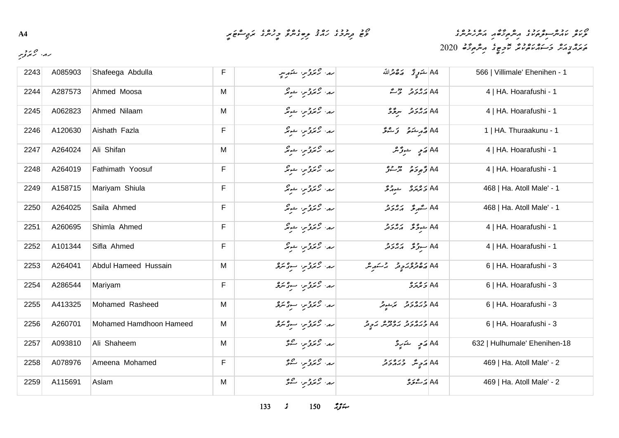*sCw7q7s5w7m< o<n9nOoAw7o< sCq;mAwBoEw7q<m; wBm;vB* م من المرة المرة المرة المرجع المرجع في المركبة 2020<br>مجم*د المريض المربوط المربع المرجع في المراجع المركبة* 

| 2243 | A085903 | Shafeega Abdulla        | F | رە، ئەنزۇس خەرسە    | A4 ڪ <i>وپرتگ ض</i> گھو <i>گر</i> الله                           | 566   Villimale' Ehenihen - 1 |
|------|---------|-------------------------|---|---------------------|------------------------------------------------------------------|-------------------------------|
| 2244 | A287573 | Ahmed Moosa             | M | رە، ئەترۇس ھەتر     | A4 كەبرى بىر تەرىپتە                                             | 4   HA. Hoarafushi - 1        |
| 2245 | A062823 | Ahmed Nilaam            | M | رە، ئەندۇس ھەتكە    | A4 كەندى كىمى سىرتىگە ئىس                                        | 4   HA. Hoarafushi - 1        |
| 2246 | A120630 | Aishath Fazla           | F | رە، رىمۇقرما ھەتكە  | A4 مەم ھەقىمە كۆشىد <del>گ</del> ە                               | 1   HA. Thuraakunu - 1        |
| 2247 | A264024 | Ali Shifan              | M | رو، گەنگەتوس ھونگە  | A4 <i>ھَ۔</i> مُصِرَّتْ مَر                                      | 4   HA. Hoarafushi - 1        |
| 2248 | A264019 | Fathimath Yoosuf        | F | رو، رحموقرس ڪريمر   | A4 ژ <sub>نجو</sub> خه مرسو                                      | 4   HA. Hoarafushi - 1        |
| 2249 | A158715 | Mariyam Shiula          | F | رە، ئەندۇس ھەتكە    | A4 كا <i>نترندگر</i> شور <i>گر</i> گر                            | 468   Ha. Atoll Male' - 1     |
| 2250 | A264025 | Saila Ahmed             | F | رە، ئەترۇس ھەتر     | A4 گەرىخ كەممەدىر                                                | 468   Ha. Atoll Male' - 1     |
| 2251 | A260695 | Shimla Ahmed            | F | رو، رحموقرس ڪرچي    | A4 خوڅر <i>\$3.5 م</i>                                           | 4   HA. Hoarafushi - 1        |
| 2252 | A101344 | Sifla Ahmed             | F | رو، که تروین جویز   | A4 سوقر محمد ديمبر محمد الم                                      | 4   HA. Hoarafushi - 1        |
| 2253 | A264041 | Abdul Hameed Hussain    | M | رەر رىمرىس سوئ ئىرى | A4 مەھىر ئەجرىر مىر ئەسكىرىش                                     | 6   HA. Hoarafushi - 3        |
| 2254 | A286544 | Mariyam                 | F | رە، رىمزۇس سوەتترى  | A4 كەبىر بىر بىر ئ                                               | 6   HA. Hoarafushi - 3        |
| 2255 | A413325 | Mohamed Rasheed         | M | رە، ئەترۇس سوڭ ئىرق | A4 <i>وُبَرُهُ وَ تَرَ</i> حْدِهُ مُسَلِّدِهُ الْمَرْجَعَةِ مِنْ | 6   HA. Hoarafushi - 3        |
| 2256 | A260701 | Mohamed Hamdhoon Hameed | M | رە، رىزۇس سوەلرە    | A4 כממכת מפנים מפת                                               | 6   HA. Hoarafushi - 3        |
| 2257 | A093810 | Ali Shaheem             | M | رە، ئەترۇس سۇمج     | A4  كەمچە سى <i>مەر بى</i>                                       | 632   Hulhumale' Ehenihen-18  |
| 2258 | A078976 | Ameena Mohamed          | F | رە، رىمەدىر، ھەمچ   | A4  مَرِيسٌ دَبَرُ مِرْدَ مَرْ                                   | 469   Ha. Atoll Male' - 2     |
| 2259 | A115691 | Aslam                   | M | رە، ئەتزۇر، سۇ      | A4 كەش <b>ىر</b> 3                                               | 469   Ha. Atoll Male' - 2     |

*133 sC 150 nNw?mS*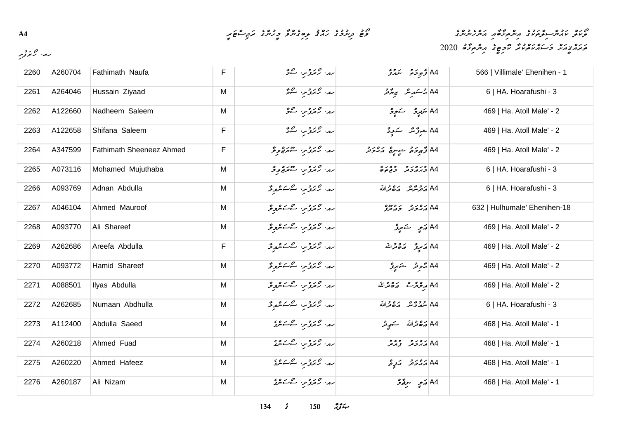*sCw7q7s5w7m< o<n9nOoAw7o< sCq;mAwBoEw7q<m; wBm;vB* م من المرة المرة المرة المرجع المرجع في المركبة 2020<br>مجم*د المريض المربوط المربع المرجع في المراجع المركبة* 

| 2260 | A260704 | Fathimath Naufa                 | $\mathsf{F}$ | رە، ئەندۇس سۇمج          | A4 <i>وَّجِ دَمْ</i> مَس <i>دُوَّ</i> | 566   Villimale' Ehenihen - 1 |
|------|---------|---------------------------------|--------------|--------------------------|---------------------------------------|-------------------------------|
| 2261 | A264046 | Hussain Ziyaad                  | M            | رە. ئەترىس ھۇ            | A4 بر سے مریشہ سمبر پر مر             | 6   HA. Hoarafushi - 3        |
| 2262 | A122660 | Nadheem Saleem                  | M            | رە، ئەترۇس سۇمج          | A4 سَمِرِدَ   سَمِرِدَ                | 469   Ha. Atoll Male' - 2     |
| 2263 | A122658 | Shifana Saleem                  | F            | رو، رحمزویں مشرق         | A4 خوتر شر سکوچر                      | 469   Ha. Atoll Male' - 2     |
| 2264 | A347599 | <b>Fathimath Sheeneez Ahmed</b> | F            | رە، رىزۇس سىزدە بەلگە    | A4 زُودَة شِيسٍ رَوْرٍ و              | 469   Ha. Atoll Male' - 2     |
| 2265 | A073116 | Mohamed Mujuthaba               | M            | رە، ئەترىس، ئەترەم بۇ    | A4 وبره د و وه ده                     | 6   HA. Hoarafushi - 3        |
| 2266 | A093769 | Adnan Abdulla                   | M            | رە، ئەنزۇر، سەسەھرىد     | A4 كەقرىترىش كەھ قىراللە              | 6   HA. Hoarafushi - 3        |
| 2267 | A046104 | Ahmed Mauroof                   | M            | رە، ئەنزۇس سەسەھرەتخە    | A4 كەبرو بەدە 35                      | 632   Hulhumale' Ehenihen-18  |
| 2268 | A093770 | Ali Shareef                     | M            | رە، ئەنزۇر، سەسەملىرى ئ  | A4 <i>۾َ جِ</i> شَمَيِرُ              | 469   Ha. Atoll Male' - 2     |
| 2269 | A262686 | Areefa Abdulla                  | F            | ىد. ئەنزۇر، سەسئىر مۇرمۇ | A4 <i>مَبِيونَ مَ</i> صْغَراللّه      | 469   Ha. Atoll Male' - 2     |
| 2270 | A093772 | Hamid Shareef                   | M            | رە، ئەترۇس سەسەھرىمى     | A4 بَرُوِتْر شَ <sub>مَ</sub> بِرُوْ  | 469   Ha. Atoll Male' - 2     |
| 2271 | A088501 | Ilyas Abdulla                   | M            | رە، ئەترۇس سەسەھرىمى     | A4 مرتزم محدث الله                    | 469   Ha. Atoll Male' - 2     |
| 2272 | A262685 | Numaan Abdhulla                 | M            | رە، ئەنزۇس سەسەھرەتخە    | A4 شەرىج شەھقەللە                     | 6   HA. Hoarafushi - 3        |
| 2273 | A112400 | Abdulla Saeed                   | M            | رە، ئەترۇپ سى ئەھ        | A4 مَەھتراللە س <i>ەم</i> ەتتر        | 468   Ha. Atoll Male' - 1     |
| 2274 | A260218 | Ahmed Fuad                      | M            | رە، رىمۇس سەسىھ          | A4 كەبرى قر ئەر ئورگىتىلىر            | 468   Ha. Atoll Male' - 1     |
| 2275 | A260220 | Ahmed Hafeez                    | M            | رە، رىمۇم، سىستىرە،      | A4 كەش <sup>ى</sup> كەر بەر بەر بەر   | 468   Ha. Atoll Male' - 1     |
| 2276 | A260187 | Ali Nizam                       | M            | رە، رىرۇس سەسەھدى        | A4 رَمِ سِنْدَدْ                      | 468   Ha. Atoll Male' - 1     |

*o6q?m8v5 .<5*

*n34 s 150 <i>n*<sub>2</sub> *n*<sub>2</sub>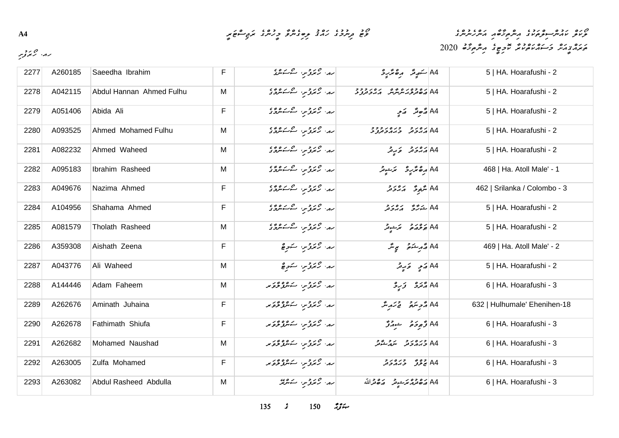*sCw7q7s5w7m< o<n9nOoAw7o< sCq;mAwBoEw7q<m; wBm;vB* م من المسجد المسجد المسجد المسجد المسجد العام 2020<br>مجم*د المسجد المسجد المستجد المسجد المسجد المسجد المسجد المسجد المسجد المسجد المسجد المسجد المسجد المسجد المسجد* 

| 2277 | A260185 | Saeedha Ibrahim          | F           | رە، ئەنزۇر، سىمئىشد     | A4 ڪَھپيرَ مِنھُ مَريدِ هِ                                      | 5   HA. Hoarafushi - 2       |
|------|---------|--------------------------|-------------|-------------------------|-----------------------------------------------------------------|------------------------------|
| 2278 | A042115 | Abdul Hannan Ahmed Fulhu | M           | بد. ريزوس کے مستوری     | A4 رەدەر مەيدە بەرددە<br>A4 رەمىرىر سرس بەردىرى                 | 5   HA. Hoarafushi - 2       |
| 2279 | A051406 | Abida Ali                | F           | رە، ئەترىپ، سەسەھەي     | A4 مُحصِّدٌ      مَدمِّرٍ                                       | 5   HA. Hoarafushi - 2       |
| 2280 | A093525 | Ahmed Mohamed Fulhu      | M           | ىد. ئۇنزۇس شەئىرەم      |                                                                 | 5   HA. Hoarafushi - 2       |
| 2281 | A082232 | Ahmed Waheed             | M           | روم ريخوفرين سوسكسرچرى  | A4 كەندى قىر قىر قىلىپ قىل                                      | 5   HA. Hoarafushi - 2       |
| 2282 | A095183 | Ibrahim Rasheed          | M           | ىد. ئەنزۇس سەسىردى      | A4 مەھەر ئەر ئىم ئىسىم ئىس                                      | 468   Ha. Atoll Male' - 1    |
| 2283 | A049676 | Nazima Ahmed             | $\mathsf F$ | ىد. ئەيزۇر، شەئىردە     | A4 سَّنمِ وَ 1957 مَدَّ 25 مَد                                  | 462   Srilanka / Colombo - 3 |
| 2284 | A104956 | Shahama Ahmed            | F           | رە، رىمزىر، سىر شەھرى   | A4 خەرمى بەرە بەر ئىلگەن بىر                                    | 5   HA. Hoarafushi - 2       |
| 2285 | A081579 | Tholath Rasheed          | M           | رەبە ئەستەرەپ كە ئەسىرى | A4 ب <i>وگومر بم مرش</i> ومر                                    | 5   HA. Hoarafushi - 2       |
| 2286 | A359308 | Aishath Zeena            | $\mathsf F$ | رە، ئەتدۇر، سەرھ        | A4 مەرىسىم ھ <sub>ىم</sub> ئىگر                                 | 469   Ha. Atoll Male' - 2    |
| 2287 | A043776 | Ali Waheed               | M           | رە. رىمزۇس سەدە         | A4 ڪَتِ تَحصِيصَ                                                | 5   HA. Hoarafushi - 2       |
| 2288 | A144446 | Adam Faheem              | M           | رە، ئەنزۇس سەملەۋە بر   | A4  پژنر <i>ی ۆر</i> ی                                          | 6   HA. Hoarafushi - 3       |
| 2289 | A262676 | Aminath Juhaina          | $\mathsf F$ | رە. رىزۇس سەھەم ئەرە    | A4 مَرْحِ سَمَعَ قَمْ سَمْرِ سَمَّر                             | 632   Hulhumale' Ehenihen-18 |
| 2290 | A262678 | Fathimath Shiufa         | $\mathsf F$ | رە، ئەنزۇس سەملەۋەند    | A4 وَجِعَةٍ مُسْتَمَرَّزَ                                       | 6   HA. Hoarafushi - 3       |
| 2291 | A262682 | Mohamed Naushad          | M           | رە، رىزۇس سەھەتمۇتمەر   | A4 دېرو تر سر شور                                               | 6   HA. Hoarafushi - 3       |
| 2292 | A263005 | Zulfa Mohamed            | $\mathsf F$ | رە، ئەنزىر، سەئدىۋە بر  | A4  ج و ژ وره د و                                               | 6   HA. Hoarafushi - 3       |
| 2293 | A263082 | Abdul Rasheed Abdulla    | M           | رە، رىزۇس سەھەر         | A4 مَ <i>ـُ هُ مَّرْ مُرَّ</i> شِوْمَرْ مَـُ مُرَّ مِّرْ اللَّه | 6   HA. Hoarafushi - 3       |

*135 sC 150 nNw?mS*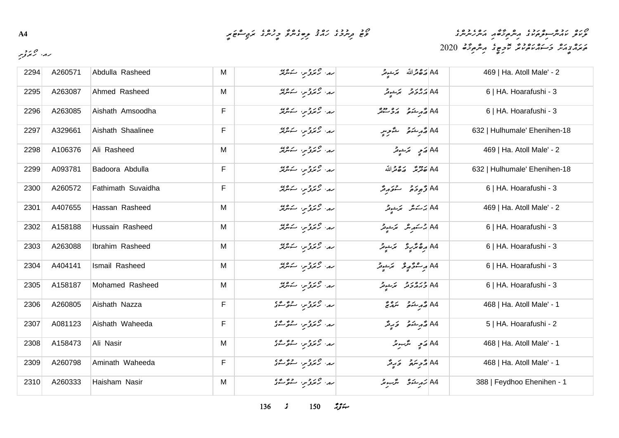*sCw7q7s5w7m< o<n9nOoAw7o< sCq;mAwBoEw7q<m; wBm;vB* م من المسجد المسجد المسجد المسجد المسجد العام 2020<br>مجم*د المسجد المسجد المستجد المسجد المسجد المسجد المسجد المسجد المسجد المسجد المسجد المسجد المسجد المسجد المسجد* 

| 2294 | A260571 | Abdulla Rasheed    | M           | رە، ئۇنجەزىر، سەھەبىخە | A4 كَمَى مَّمْرَاللَّهُ ۚ مَمَرْسُومَّر                | 469   Ha. Atoll Male' - 2    |
|------|---------|--------------------|-------------|------------------------|--------------------------------------------------------|------------------------------|
| 2295 | A263087 | Ahmed Rasheed      | M           | رە، رىزۇس سەھەر        | A4 كەبرى كىل سىرىنىيە تىر                              | 6   HA. Hoarafushi - 3       |
| 2296 | A263085 | Aishath Amsoodha   | F           | رە، رىزۇس سەھەر        | A4 مەم ئىسكە مەم ئەرگەردە ئىسىمەتىر                    | 6   HA. Hoarafushi - 3       |
| 2297 | A329661 | Aishath Shaalinee  | $\mathsf F$ | رە، رىزۇس سەھەتە       | A4 صَّمَرِ مُشَمَّدٍ مُشَعِّدِ سِرِ                    | 632   Hulhumale' Ehenihen-18 |
| 2298 | A106376 | Ali Rasheed        | M           | رە، رىزۇس سەھەتە       | A4 كەمچە كىمەش <sub>ى</sub> رتەر                       | 469   Ha. Atoll Male' - 2    |
| 2299 | A093781 | Badoora Abdulla    | F           | رە، رىزۇس سەھەتە       | A4 ڪقريمه ڪرڪوٽرالله                                   | 632   Hulhumale' Ehenihen-18 |
| 2300 | A260572 | Fathimath Suvaidha | F           | رە، رىزۇس سەھەر        | A4 وَجوِحَ <sup>ج</sup> شَعَ مِقَّر                    | 6   HA. Hoarafushi - 3       |
| 2301 | A407655 | Hassan Rasheed     | M           | رە، رىزۇس سەھەتە       | A4 بَرَسَة مَثَّرَ مَرْسُومَرُ                         | 469   Ha. Atoll Male' - 2    |
| 2302 | A158188 | Hussain Rasheed    | M           | رە، رىزۇس سەھەتە       | A4 پر <i>کے <sub>م</sub>ر بھی محرش</i> ومز             | 6   HA. Hoarafushi - 3       |
| 2303 | A263088 | Ibrahim Rasheed    | M           | رە، ئەترۇس سەھەتە      | A4 مەھەرىپ كى ئىرىشى <i>م</i> ىز                       | 6   HA. Hoarafushi - 3       |
| 2304 | A404141 | Ismail Rasheed     | M           | رە، رىزۇس سەھەتە       | A4 م <i>ې</i> شو <i>گەي</i> ۇ - مَرْش <sub>و</sub> مْر | 6   HA. Hoarafushi - 3       |
| 2305 | A158187 | Mohamed Rasheed    | M           | رە، رىزۇس سەھەر        | A4 <i>وُبَرُوْدَوْ بَرَحْبِيْرِ</i>                    | 6   HA. Hoarafushi - 3       |
| 2306 | A260805 | Aishath Nazza      | $\mathsf F$ | رە، رىروپ ھەم دە       | A4 مەم ئىقتىم ئىكرىمىتى<br>A4                          | 468   Ha. Atoll Male' - 1    |
| 2307 | A081123 | Aishath Waheeda    | F           | رە، رىمزۇس سەھ شى      | A4 م <i>ەم ھەم قى</i> رى <i>م</i> ە                    | 5   HA. Hoarafushi - 2       |
| 2308 | A158473 | Ali Nasir          | M           | رە، رىزۇس سۇھەم        | A4 کھ پو سگرسومگر                                      | 468   Ha. Atoll Male' - 1    |
| 2309 | A260798 | Aminath Waheeda    | $\mathsf F$ | رە، رىمزۇس سەھ شى      | A4 مَّ <i>حِ سَع</i> ْرِ حَ <sub>مَي</sub> قَر         | 468   Ha. Atoll Male' - 1    |
| 2310 | A260333 | Haisham Nasir      | M           | رە، رىمۇم، سۇمەسىر     | A4 كەرىشكى گەسىرىمى                                    | 388   Feydhoo Ehenihen - 1   |

*136 s 150 <i>n*<sub>2</sub> *n*<sub>2</sub> *n*<sub>2</sub> *n*<sub>2</sub> *n*<sub>2</sub> *n*<sub>2</sub> *n*<sub>2</sub> *n*<sub>2</sub> *n*<sub>2</sub> *n*<sub>2</sub> *n*<sub>2</sub> *n*<sub>2</sub> *n*<sub>2</sub> *n*<sub>2</sub> *n*<sub>2</sub> *n*<sub>2</sub> *n*<sub>2</sub> *n*<sub>2</sub> *n*<sub>2</sub> *n*<sub>2</sub> *n*<sub>2</sub> *n*<sub>2</sub> *n*<sub>2</sub> *n*<sub>2</sub> *n*<sub>2</sub> *n*<sub>2</sub> *n*<sub>2</sub> *n*<sub>2</sub> *n*<sub>2</sub>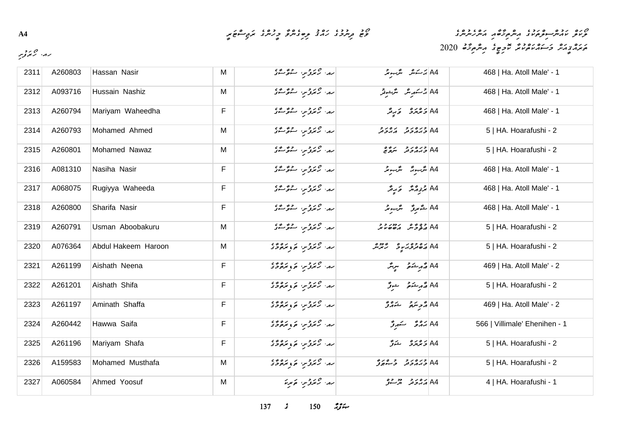*sCw7q7s5w7m< o<n9nOoAw7o< sCq;mAwBoEw7q<m; wBm;vB* م من المسجد المسجد المسجد المسجد المسجد العام 2020<br>مجم*د المسجد المسجد المستجد المسجد المسجد المسجد المسجد المسجد المسجد المسجد المسجد المسجد المسجد المسجد المسجد* 

| 2311 | A260803 | Hassan Nasir        | M           | رە. ئەنزۇير، سۇرگەمچ       | A4 ئەسەمىر گەسىمىر                                   | 468   Ha. Atoll Male' - 1     |
|------|---------|---------------------|-------------|----------------------------|------------------------------------------------------|-------------------------------|
| 2312 | A093716 | Hussain Nashiz      | M           | رە، رىزۇس سۇرىيى           | A4 پُرکوپر سگرشونٹر                                  | 468   Ha. Atoll Male' - 1     |
| 2313 | A260794 | Mariyam Waheedha    | F           | رە، رىزۇس سۇرىيى           | A4 ك <i>و چرىرى كى ب</i> وتگر                        | 468   Ha. Atoll Male' - 1     |
| 2314 | A260793 | Mohamed Ahmed       | M           | رە، رىروپ ھۇسى             | A4 ديره د د بره د د                                  | 5   HA. Hoarafushi - 2        |
| 2315 | A260801 | Mohamed Nawaz       | M           | رە، رىرور، سۇھەم           | A4 <i>32023 مروم</i>                                 | 5   HA. Hoarafushi - 2        |
| 2316 | A081310 | Nasiha Nasir        | $\mathsf F$ | رە، رىزۇس سۇھەم            | A4 مگرسوبڈ مگرسوبٹر                                  | 468   Ha. Atoll Male' - 1     |
| 2317 | A068075 | Rugiyya Waheeda     | $\mathsf F$ | رە، رىزۇس سەۋسىر           | A4 ىر <i>ت<sub>ۇ</sub>م</i> ىگە قەب <sub>و</sub> نگە | 468   Ha. Atoll Male' - 1     |
| 2318 | A260800 | Sharifa Nasir       | F           | رە، رىزۇس سۇرىيى           | A4 شَمَعِرَزٌ مُدَّسِمِيْر                           | 468   Ha. Atoll Male' - 1     |
| 2319 | A260791 | Usman Aboobakuru    | M           | رە، رىزۇس سەھ مەي          | $22222$ $2627$ $A4$                                  | 5   HA. Hoarafushi - 2        |
| 2320 | A076364 | Abdul Hakeem Haroon | M           | ره به مروس نوع مره وه      | A4 رَەممەر بو ئەرەمەر                                | 5   HA. Hoarafushi - 2        |
| 2321 | A261199 | Aishath Neena       | $\mathsf F$ | ره کروبرا نمود بره وه      | A4 مُذہب شَوْمُو مَسِيْئَر                           | 469   Ha. Atoll Male' - 2     |
| 2322 | A261201 | Aishath Shifa       | $\mathsf F$ | رە بەللەر بول ئوغ ئىرە ئەل | A4 مُحصر مُحق مُحورٌ                                 | 5   HA. Hoarafushi - 2        |
| 2323 | A261197 | Aminath Shaffa      | $\mathsf F$ | رد. رکروس کرد بره وی       | A4 مُرْحِ سَمَعَ مُسْتَمَرُّزٌ                       | 469   Ha. Atoll Male' - 2     |
| 2324 | A260442 | Hawwa Saifa         | F           | رو. رمزور، نوع مره وه      | A4 بَرْدَةً سَمَ <i>مِ</i> وَ                        | 566   Villimale' Ehenihen - 1 |
| 2325 | A261196 | Mariyam Shafa       | F           | ره کروبرا نمود بره وه      | A4 ك <i>ر برگرگر</i> شكرگر                           | 5   HA. Hoarafushi - 2        |
| 2326 | A159583 | Mohamed Musthafa    | M           | رد. رکروس کرد بره وی       | A4 ديره د د د ورو                                    | 5   HA. Hoarafushi - 2        |
| 2327 | A060584 | Ahmed Yoosuf        | M           | رە، رىمۇقرىي ئەيرىد        | A4  پروتو وی دی                                      | 4   HA. Hoarafushi - 1        |

*137 sC 150 nNw?mS*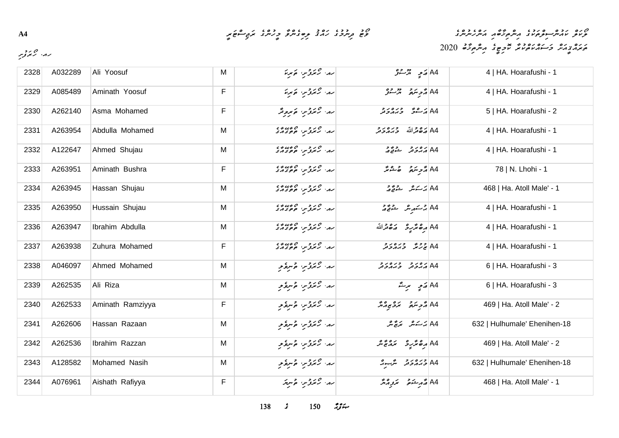*sCw7q7s5w7m< o<n9nOoAw7o< sCq;mAwBoEw7q<m; wBm;vB* م من المسجد المسجد المسجد المسجد المسجد العام 2020<br>مجم*د المسجد المسجد المستجد المسجد المسجد المسجد المسجد المسجد المسجد المسجد المسجد المسجد المسجد المسجد المسجد* 

| 2328 | A032289 | Ali Yoosuf       | M           | رە، ئەنزۇس ئۇبرىد                                                                                                                                                             | A4 ڪپر هر شوگر                           | 4   HA. Hoarafushi - 1       |
|------|---------|------------------|-------------|-------------------------------------------------------------------------------------------------------------------------------------------------------------------------------|------------------------------------------|------------------------------|
| 2329 | A085489 | Aminath Yoosuf   | F           | ره رمحزمز و برر                                                                                                                                                               | A4 مُرْحِ مَرَمْ مِنْ مَشْرَقَ           | 4   HA. Hoarafushi - 1       |
| 2330 | A262140 | Asma Mohamed     | F           | رە، ئەترۇس ئويروند                                                                                                                                                            | A4 كەشق قەيمەدىر                         | 5   HA. Hoarafushi - 2       |
| 2331 | A263954 | Abdulla Mohamed  | M           | $\begin{array}{cc} \mathcal{C}\neq\mathcal{C}\neq\mathcal{C} & \mathcal{C}\neq\mathcal{C}\ \mathcal{C}\neq\mathcal{C}\neq\mathcal{C} & \mathcal{C}\neq\mathcal{C}\end{array}$ | A4 حَدَّهْ قَدْاللَّهُ حَدَّ جَدَوَ قَدْ | 4   HA. Hoarafushi - 1       |
| 2332 | A122647 | Ahmed Shujau     | M           |                                                                                                                                                                               | A4 كەبرو ئىش مەدەبىر بىر                 | 4   HA. Hoarafushi - 1       |
| 2333 | A263951 | Aminath Bushra   | F           | مدر صدور صحیح دی.<br>مدر مسترس حود در                                                                                                                                         | A4 مُتَجِسَعَةٍ صَشْعَتُهِ               | 78   N. Lhohi - 1            |
| 2334 | A263945 | Hassan Shujau    | M           | $\frac{1}{2}$                                                                                                                                                                 | A4  يَرْسَمْشْ شَقْعَ مِيْرًا            | 468   Ha. Atoll Male' - 1    |
| 2335 | A263950 | Hussain Shujau   | M           | رد. رسود ه همده و .<br>رد. رسود بر ه هموند                                                                                                                                    | A4 بر سَمبر سَمَّد مُقَدِّرَةٍ مِنْ      | 4   HA. Hoarafushi - 1       |
| 2336 | A263947 | Ibrahim Abdulla  | M           |                                                                                                                                                                               | A4 م <i>وڭ مگرى</i> ھەممەللە             | 4   HA. Hoarafushi - 1       |
| 2337 | A263938 | Zuhura Mohamed   | F           | مدر صدور صحیح دی.<br>مدر مسترس حود در                                                                                                                                         | A4  ج ح مجمد حرب ح مركز حس               | 4   HA. Hoarafushi - 1       |
| 2338 | A046097 | Ahmed Mohamed    | M           | رە، ئەترۇس قەسقەم                                                                                                                                                             | A4 كەبروتر بورە دىر                      | 6   HA. Hoarafushi - 3       |
| 2339 | A262535 | Ali Riza         | M           | رە، ئەنزۇس قەسقەم                                                                                                                                                             | A4 کی موت                                | 6   HA. Hoarafushi - 3       |
| 2340 | A262533 | Aminath Ramziyya | $\mathsf F$ | رە، ئەترۇس قەسقەم                                                                                                                                                             | A4 أَمَّ حِسَمَةٌ مَحْرَمَةٍ مَّ         | 469   Ha. Atoll Male' - 2    |
| 2341 | A262606 | Hassan Razaan    | M           | بدر محمد فرس فرسوم                                                                                                                                                            | A4 بَرَسَة شَرَ مَرَبَّة شَر             | 632   Hulhumale' Ehenihen-18 |
| 2342 | A262536 | Ibrahim Razzan   | M           | بها رحمزوين وسرعمو                                                                                                                                                            | A4 رەئزىر ئىمەتمىر                       | 469   Ha. Atoll Male' - 2    |
| 2343 | A128582 | Mohamed Nasih    | M           | بهه رموزين ويروم                                                                                                                                                              | A4 <i>وُبروونو سُرْجو</i> رُ             | 632   Hulhumale' Ehenihen-18 |
| 2344 | A076961 | Aishath Rafiyya  | F           | رە بەردىن ئەسلە                                                                                                                                                               | A4 مەم ھەم ئىر مەم                       | 468   Ha. Atoll Male' - 1    |

*138 sC 150 nNw?mS*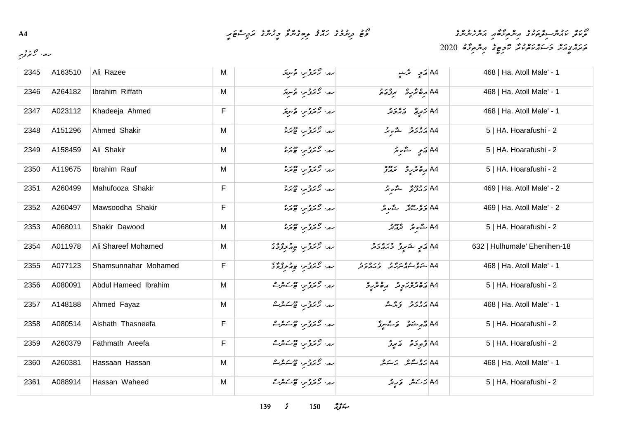*sCw7q7s5w7m< o<n9nOoAw7o< sCq;mAwBoEw7q<m; wBm;vB* م من المرة المرة المرة المرجع المرجع في المركبة 2020<br>مجم*د المريض المربوط المربع المرجع في المراجع المركبة* 

| 2345 | A163510 | Ali Razee            | M           | رە، ئەنزۇر، قەبىد        | A4  رَمٍ - مُرْسٍ                          | 468   Ha. Atoll Male' - 1    |
|------|---------|----------------------|-------------|--------------------------|--------------------------------------------|------------------------------|
| 2346 | A264182 | Ibrahim Riffath      | M           | ره، رهمزوین موسیر        | A4 مەھمىر بىر مەد مە                       | 468   Ha. Atoll Male' - 1    |
| 2347 | A023112 | Khadeeja Ahmed       | F           | رە، ئەترۇس ھەسىد         | A4 كَتِرِيعٌ      دَيْرَوَتْرُ             | 468   Ha. Atoll Male' - 1    |
| 2348 | A151296 | Ahmed Shakir         | M           | ره محموقين ودرد          | A4 كەبرى قىرىمىسى ئىس بىر                  | 5   HA. Hoarafushi - 2       |
| 2349 | A158459 | Ali Shakir           | M           | ره محموقين ودرد          | A4 ڪپو ڪيوبٽر                              | 5   HA. Hoarafushi - 2       |
| 2350 | A119675 | Ibrahim Rauf         | M           | ره محموقين ودرد          | A4 مەھمىر ئەدەرە                           | 5   HA. Hoarafushi - 2       |
| 2351 | A260499 | Mahufooza Shakir     | F           | תו לתצעי פיני            | A4 كەبرىق شەرىخە                           | 469   Ha. Atoll Male' - 2    |
| 2352 | A260497 | Mawsoodha Shakir     | F           | תו לתצעי פיני            | A4 50 جونتر څېړنر                          | 469   Ha. Atoll Male' - 2    |
| 2353 | A068011 | Shakir Dawood        | M           | תו המציעי פימי           | A4 گەرىم ئ <i>وروز</i>                     | 5   HA. Hoarafushi - 2       |
| 2354 | A011978 | Ali Shareef Mohamed  | M           | رم رمزور جمروروم         | A4 كەي شەيرى ئەسەدىر                       | 632   Hulhumale' Ehenihen-18 |
| 2355 | A077123 | Shamsunnahar Mohamed | $\mathsf F$ | رو با رو در ۱۵ و ۲۵ و ۲۵ | A4 خىۋىسە <i>ھ بىر جەم</i> رىيە ھەر        | 468   Ha. Atoll Male' - 1    |
| 2356 | A080091 | Abdul Hameed Ibrahim | M           | رە، رىرۇس ھەسەر ھ        | A4 בֿיפּיבּיבְיבֿ גַפּיבֿיב <sup>ָ</sup> כ | 5   HA. Hoarafushi - 2       |
| 2357 | A148188 | Ahmed Fayaz          | M           | رە، ئەترىق ھەسەھ         | A4 كەبروتىر كەنگەشتە                       | 468   Ha. Atoll Male' - 1    |
| 2358 | A080514 | Aishath Thasneefa    | F           | بدر مرد و من مدار        | A4 مَەمەشىقى مۇس <sup>ى</sup> رىدىر        | 5   HA. Hoarafushi - 2       |
| 2359 | A260379 | Fathmath Areefa      | $\mathsf F$ | رە، رىروس ھەسەر ق        | A4 تَ <i>جوحَمَۃ مَبِرِتَ</i> ّ            | 5   HA. Hoarafushi - 2       |
| 2360 | A260381 | Hassaan Hassan       | M           | رە، ئەيرۇس ھەسەھەم       | A4 ئەۋشەش ئەسەمىر                          | 468   Ha. Atoll Male' - 1    |
| 2361 | A088914 | Hassan Waheed        | M           | رە بەردىر، ھەسەھەم       | A4  پرسترسر    ق <sub>امی</sub> وژ         | 5   HA. Hoarafushi - 2       |

*o6q?m8v5 .<5*

*139 sC 150 nNw?mS*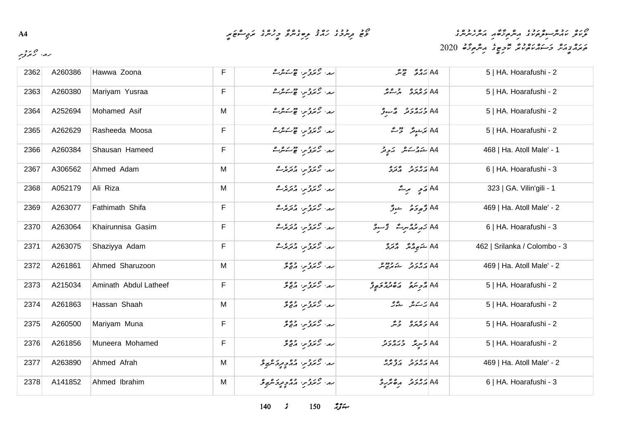*sCw7q7s5w7m< o<n9nOoAw7o< sCq;mAwBoEw7q<m; wBm;vB* م من المرة المرة المرة المرجع المرجع في المركبة 2020<br>مجم*د المريض المربوط المربع المرجع في المراجع المركبة* 

| 2362 | A260386 | Hawwa Zoona           | F           | رە. ئەنزۇس ھەسەملەت                 | A4 بَرْدُوَّ حَيْثَر                  | 5   HA. Hoarafushi - 2       |
|------|---------|-----------------------|-------------|-------------------------------------|---------------------------------------|------------------------------|
| 2363 | A260380 | Mariyam Yusraa        | F           | رە، رىزۇس ھەسەر ھ                   | A4 5 يوهرو مرضوعة                     | 5   HA. Hoarafushi - 2       |
| 2364 | A252694 | Mohamed Asif          | M           | رە، رىروس ھەسەر ھ                   | A4 <i>5 جەمەدىتە</i> ھەسب <i>ە</i> ر  | 5   HA. Hoarafushi - 2       |
| 2365 | A262629 | Rasheeda Moosa        | F           | رە، رىروس ھەسەر ھ                   | A4 بَرَشوِتَر        2° گ             | 5   HA. Hoarafushi - 2       |
| 2366 | A260384 | Shausan Hameed        | F           | رور المرور المعنى من المرور المراسة | A4 شەرجەشىر بر <sub>ىچە</sub> ش       | 468   Ha. Atoll Male' - 1    |
| 2367 | A306562 | Ahmed Adam            | M           | رە ، ئەترىس، ەقرىرى                 | A4 كەبروتىر مەتىر <i>ە</i>            | 6   HA. Hoarafushi - 3       |
| 2368 | A052179 | Ali Riza              | M           | رە بەردىن ەترىرى                    | A4 ضَعٍ مَرِسَّہ                      | 323   GA. Vilin'gili - 1     |
| 2369 | A263077 | Fathimath Shifa       | F           | رە بە ئەترىس، ە ئەترىكەت            | A4 وَجِعِدَةٍ سُبوَّرٌ                | 469   Ha. Atoll Male' - 2    |
| 2370 | A263064 | Khairunnisa Gasim     | F           | رە بەردىر، مەر بە                   | A4 كەرىر تەرەب ئۇسور                  | 6   HA. Hoarafushi - 3       |
| 2371 | A263075 | Shaziyya Adam         | F           | رە بەردىن ەدرە ھ                    | A4 شَي پر مَمَّ مَحْمَدَةِ مَسْتَمَرِ | 462   Srilanka / Colombo - 3 |
| 2372 | A261861 | Ahmed Sharuzoon       | M           | رە، رىمۇترىن مەنج ئى                | A4 كەبرور ھەمدىن مىر                  | 469   Ha. Atoll Male' - 2    |
| 2373 | A215034 | Aminath Abdul Latheef | F           | رە، رىزۇس مەنج                      | A4 مُجرِسَعِ مُصْرَمَ مَعِيوْ         | 5   HA. Hoarafushi - 2       |
| 2374 | A261863 | Hassan Shaah          | M           | رە، رىزۇس مەنج                      | A4   پرستريس حق <sup>م</sup> ش        | 5   HA. Hoarafushi - 2       |
| 2375 | A260500 | Mariyam Muna          | $\mathsf F$ | رە ئەترۇس مەنج                      | A4 كەبەد ئەمگە                        | 5   HA. Hoarafushi - 2       |
| 2376 | A261856 | Muneera Mohamed       | $\mathsf F$ | رە - رىمزۇس مەنج ئى                 | A4 دُسِرِيَّر دُبَرْدَدَرْ            | 5   HA. Hoarafushi - 2       |
| 2377 | A263890 | Ahmed Afrah           | M           | رړ. رمزور، روو پروتره پو            | A4 كەبرى بىر كەن ئەرە                 | 469   Ha. Atoll Male' - 2    |
| 2378 | A141852 | Ahmed Ibrahim         | M           | رړ. رمزونر، چوه پروکرمونو           | A4 <i>ב ج</i> و در معتزیہ محمد اللہ ا | 6   HA. Hoarafushi - 3       |

*140 s 150 <i>n*<sub>2</sub> *n*<sub>2</sub>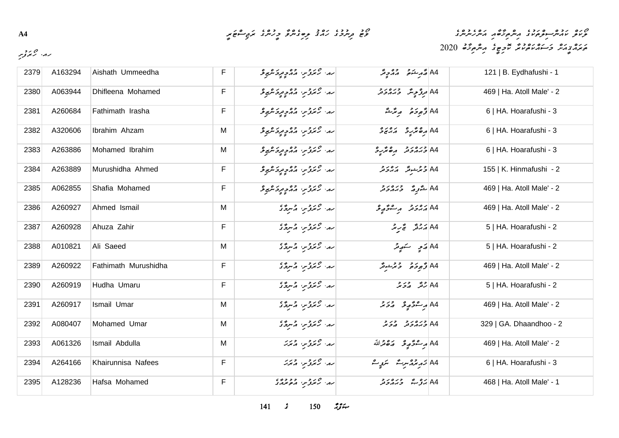*sCw7q7s5w7m< o<n9nOoAw7o< sCq;mAwBoEw7q<m; wBm;vB* م من المسجد المسجد المسجد المسجد المسجد العام 2020<br>مجم*د المسجد المسجد المستجد المسجد المسجد المسجد المسجد المسجد المسجد المسجد المسجد المسجد المسجد المسجد المسجد* 

| A163294 | Aishath Ummeedha     | F           | رم رحمزين ممرو برد شهو                    |                                         | 121   B. Eydhafushi - 1                                                                                                                                                                                                                                                                                                                                                                                                                                                                                          |
|---------|----------------------|-------------|-------------------------------------------|-----------------------------------------|------------------------------------------------------------------------------------------------------------------------------------------------------------------------------------------------------------------------------------------------------------------------------------------------------------------------------------------------------------------------------------------------------------------------------------------------------------------------------------------------------------------|
| A063944 | Dhifleena Mohamed    | F           | رە ، ئەترۇس ، مەھ بېرەكىي ئ               |                                         | 469   Ha. Atoll Male' - 2                                                                                                                                                                                                                                                                                                                                                                                                                                                                                        |
| A260684 | Fathimath Irasha     | F           | رو. رنجرتر ورو و و و در شرح ی             |                                         | 6   HA. Hoarafushi - 3                                                                                                                                                                                                                                                                                                                                                                                                                                                                                           |
| A320606 | Ibrahim Ahzam        | M           | رو. رنمروس وو و و در کرد کرد              |                                         | 6   HA. Hoarafushi - 3                                                                                                                                                                                                                                                                                                                                                                                                                                                                                           |
| A263886 | Mohamed Ibrahim      | M           | رە ، ئىكرىپ مەدەپرەكرىمى ئ                |                                         | 6   HA. Hoarafushi - 3                                                                                                                                                                                                                                                                                                                                                                                                                                                                                           |
| A263889 | Murushidha Ahmed     | $\mathsf F$ | رە ، ئىكرۇس چەھ بېرىكىي ئى                |                                         | 155   K. Hinmafushi - 2                                                                                                                                                                                                                                                                                                                                                                                                                                                                                          |
| A062855 | Shafia Mohamed       | F           | رە ، ئەترۇس ، مەھ بېرەكىي ئ               |                                         | 469   Ha. Atoll Male' - 2                                                                                                                                                                                                                                                                                                                                                                                                                                                                                        |
| A260927 | Ahmed Ismail         | M           | رە، ئەتزۇير، ەئىبدۇ ئ                     |                                         | 469   Ha. Atoll Male' - 2                                                                                                                                                                                                                                                                                                                                                                                                                                                                                        |
| A260928 | Ahuza Zahir          | $\mathsf F$ |                                           |                                         | 5   HA. Hoarafushi - 2                                                                                                                                                                                                                                                                                                                                                                                                                                                                                           |
| A010821 | Ali Saeed            | M           | رە، ئەترۇس ماسىۋى                         |                                         | 5   HA. Hoarafushi - 2                                                                                                                                                                                                                                                                                                                                                                                                                                                                                           |
| A260922 | Fathimath Murushidha | $\mathsf F$ | رە ئەتروپى ئەسرىمى                        |                                         | 469   Ha. Atoll Male' - 2                                                                                                                                                                                                                                                                                                                                                                                                                                                                                        |
| A260919 | Hudha Umaru          | F           | رە ئەتروپى مەسرىمى                        |                                         | 5   HA. Hoarafushi - 2                                                                                                                                                                                                                                                                                                                                                                                                                                                                                           |
| A260917 | Ismail Umar          | M           | رە، ئەترۇس مەسرىمى                        |                                         | 469   Ha. Atoll Male' - 2                                                                                                                                                                                                                                                                                                                                                                                                                                                                                        |
| A080407 | Mohamed Umar         | M           | رە، ئەترۇس مەسرىمى                        |                                         | 329   GA. Dhaandhoo - 2                                                                                                                                                                                                                                                                                                                                                                                                                                                                                          |
| A061326 | Ismail Abdulla       | M           |                                           |                                         | 469   Ha. Atoll Male' - 2                                                                                                                                                                                                                                                                                                                                                                                                                                                                                        |
| A264166 | Khairunnisa Nafees   | $\mathsf F$ | رو، رنجويزيو، ويحرك                       |                                         | 6   HA. Hoarafushi - 3                                                                                                                                                                                                                                                                                                                                                                                                                                                                                           |
| A128236 | Hafsa Mohamed        | F           | מגי המנציקי בכבבים<br>מגי המנציקי הפימה ב |                                         | 468   Ha. Atoll Male' - 1                                                                                                                                                                                                                                                                                                                                                                                                                                                                                        |
|         |                      |             |                                           | رە، ئەترۇس مەسرىمى<br>رە، ئەنزۈس مەنزىر | A4 مَدْمِ حَنَّقَ مَدْمُ حِدَّرَ<br>A4 مروحٍ عبد حجمہ حمد حمد<br>A4 تَرْجِوحَة مِسَمَّتْهُ<br>A4 مەھم <i>گىرى مەممى</i><br>A4 دُبَرْدَدَ دِهْتَرِدْ<br>A4 ۇيرىشىق كەبرى ئىر<br>A4 څوړ <i>ه څخه دو</i><br>A4 كەبرى قىر مەش <i>ۇم</i> بۇ<br>A4 كەنىڭر ئىچ سىرىتىر<br>A4 ڪيو سڪ <i>ي پي</i> ڙ<br>A4 تَ <i>جِ حَمَّةَ</i> حَمَّدْ مِنْهِ مَّدَّ<br>A4 رُمَّز مَرْحَبَّرَ<br>A4 مر شو <i>ڈ م</i> و محمد<br>A4 <i>3232 م</i> حكم<br>A4 م <i>وسفوڤهير فرەھ م</i> رالله<br>A4 كەمگە مەسرىسى سىرىپ<br>A4 ئەۋىبە مەيرە دىر |

*141 s 150 <i>n*<sub>2</sub> *n*<sub>2</sub>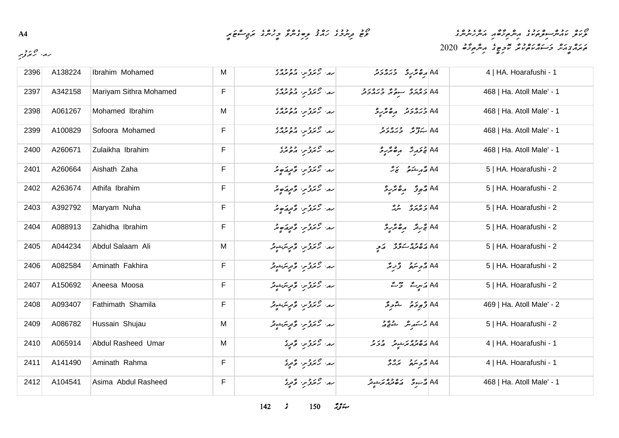*sCw7q7s5w7m< o<n9nOoAw7o< sCq;mAwBoEw7q<m; wBm;vB* م من المسجد المسجد المسجد المسجد المسجد العام 2020<br>مجم*د المسجد المسجد المستجد المسجد المسجد المسجد المسجد المسجد المسجد المسجد المسجد المسجد المسجد المسجد المسجد* 

| 2396 | A138224 | Ibrahim Mohamed           | M           | رړ کرونو ده ده ده          | A4 مەھەرىپ <sup>ى مەم</sup> ەر قىر               | 4   HA. Hoarafushi - 1    |
|------|---------|---------------------------|-------------|----------------------------|--------------------------------------------------|---------------------------|
| 2397 | A342158 | Mariyam Sithra Mohamed    | $\mathsf F$ | روم دوم دوم، دوم           | A4 ويمهرو سيديمر وبرورو                          | 468   Ha. Atoll Male' - 1 |
| 2398 | A061267 | Mohamed Ibrahim           | M           | رد. رکوبر دوده             | A4 دُبَرْدَدَ دِهْتَرِدْ                         | 468   Ha. Atoll Male' - 1 |
| 2399 | A100829 | Sofoora Mohamed           | F           | رد. رورو وووده             | A4 بهودی وره در                                  | 468   Ha. Atoll Male' - 1 |
| 2400 | A260671 | Zulaikha Ibrahim          | F           | رور المحروم، المحوض        | A4  ج َحَمدِ تَرَّمَ مِنْ حَمَدِ حَ              | 468   Ha. Atoll Male' - 1 |
| 2401 | A260664 | Aishath Zaha              | $\mathsf F$ | رو. رموز در قرم قرق مر     | A4 مەم شىم ئىم                                   | 5   HA. Hoarafushi - 2    |
| 2402 | A263674 | Athifa Ibrahim            | $\mathsf F$ | رە، ئىتروپ ئويدە ئ         | A4 مَّبُوتَرَ مِنْ مَّرْبِ                       | 5   HA. Hoarafushi - 2    |
| 2403 | A392792 | Maryam Nuha               | $\mathsf F$ | رە . ئىروس گېرەك بۇ        | A4 كەبەر ئەرمىگە ئىس                             | 5   HA. Hoarafushi - 2    |
| 2404 | A088913 | Zahidha Ibrahim           | $\mathsf F$ | رماس مروس كورمائية         | A4 تج برقر مر <i>ھ ترب</i> د                     | 5   HA. Hoarafushi - 2    |
| 2405 | A044234 | Abdul Salaam Ali          | M           | رو، رموقرس كوريتر شوقر     | A4 ەڭ ھىرم شۇڭ ھەمبە                             | 5   HA. Hoarafushi - 2    |
| 2406 | A082584 | Aminath Fakhira           | $\mathsf F$ | رە ئەترۇس گەرىكىشەتر       | A4 مَّ حِ سَمَعَ _ تَرْبِ مَّرَ                  | 5   HA. Hoarafushi - 2    |
| 2407 | A150692 | Aneesa Moosa              | $\mathsf F$ | رە ، ئەترۇپ ، ئەيرىكرىشەتر | A4 كەسرىگە     قزمىگ                             | 5   HA. Hoarafushi - 2    |
| 2408 | A093407 | Fathimath Shamila         | F           | رە ، ئەترۇپ ، ئۇيەترىشەتر  | A4 تَ <i>وْجِ</i> وَحَمَّ شَمَّحِرَّتَر          | 469   Ha. Atoll Male' - 2 |
| 2409 | A086782 | Hussain Shujau            | M           | رە بەترۇس ئۇرىترىشوش       | A4 بر سَمبر مَرَّ مَشْعَ <i>مَّةً بِ</i>         | 5   HA. Hoarafushi - 2    |
| 2410 | A065914 | <b>Abdul Rasheed Umar</b> | M           | رە، ئەتزۇس قەيرى           | A4 مەھەممەسىسى ھەر ھەر ج                         | 4   HA. Hoarafushi - 1    |
| 2411 | A141490 | Aminath Rahma             | $\mathsf F$ | رو، رحمزترس قرمری          | A4 مَّ حِ سَمَّعَ مَسَرَّحَتَ                    | 4   HA. Hoarafushi - 1    |
| 2412 | A104541 | Asima Abdul Rasheed       | F           | رە، ئەتزۇس قەيرى           | A4 م <sup>ح</sup> سوڭر مەھە <i>تەر م</i> ىزىيەتر | 468   Ha. Atoll Male' - 1 |

*n*<sup>2</sup> *f*<sub>*s*</sub> *s 150 <i>n*<sub>3</sub> *s*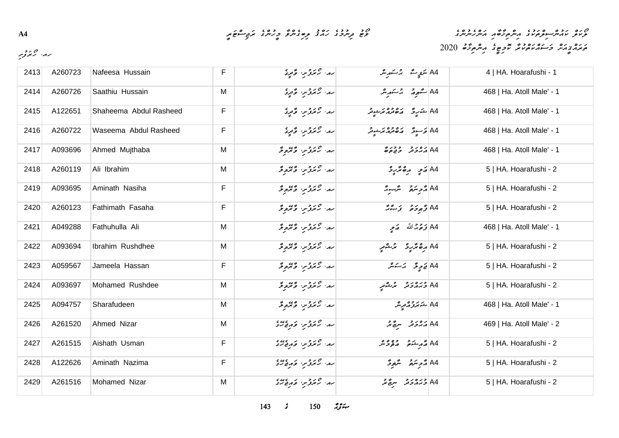*sCw7q7s5w7m< o<n9nOoAw7o< sCq;mAwBoEw7q<m; wBm;vB* م من المرة المرة المرة المرجع المرجع في المركبة 2020<br>مجم*د المريض المربوط المربع المرجع في المراجع المركبة* 

| A260723 | Nafeesa Hussain        | F           | رە. ئەنزۇس ئۇرىيمى             |                                                                                                                                                          | 4   HA. Hoarafushi - 1                                                                                                                                                                                                                                                                                                                                                                                                                                                                                                                                                                                             |
|---------|------------------------|-------------|--------------------------------|----------------------------------------------------------------------------------------------------------------------------------------------------------|--------------------------------------------------------------------------------------------------------------------------------------------------------------------------------------------------------------------------------------------------------------------------------------------------------------------------------------------------------------------------------------------------------------------------------------------------------------------------------------------------------------------------------------------------------------------------------------------------------------------|
| A260726 | Saathiu Hussain        | M           | رە، ئەترۇس قەرى                |                                                                                                                                                          | 468   Ha. Atoll Male' - 1                                                                                                                                                                                                                                                                                                                                                                                                                                                                                                                                                                                          |
| A122651 | Shaheema Abdul Rasheed | F           | رو، رحمزتر علي محمودته         |                                                                                                                                                          | 468   Ha. Atoll Male' - 1                                                                                                                                                                                                                                                                                                                                                                                                                                                                                                                                                                                          |
| A260722 | Waseema Abdul Rasheed  | $\mathsf F$ |                                |                                                                                                                                                          | 468   Ha. Atoll Male' - 1                                                                                                                                                                                                                                                                                                                                                                                                                                                                                                                                                                                          |
| A093696 | Ahmed Mujthaba         | M           | رو، رکيموٽس، وڻمبور            |                                                                                                                                                          | 468   Ha. Atoll Male' - 1                                                                                                                                                                                                                                                                                                                                                                                                                                                                                                                                                                                          |
| A260119 | Ali Ibrahim            | M           |                                |                                                                                                                                                          | 5   HA. Hoarafushi - 2                                                                                                                                                                                                                                                                                                                                                                                                                                                                                                                                                                                             |
| A093695 | Aminath Nasiha         | F           | رە، رىزۇس ئەسىم ئە             |                                                                                                                                                          | 5   HA. Hoarafushi - 2                                                                                                                                                                                                                                                                                                                                                                                                                                                                                                                                                                                             |
| A260123 | Fathimath Fasaha       | F           |                                |                                                                                                                                                          | 5   HA. Hoarafushi - 2                                                                                                                                                                                                                                                                                                                                                                                                                                                                                                                                                                                             |
| A049288 | Fathuhulla Ali         | M           |                                |                                                                                                                                                          | 468   Ha. Atoll Male' - 1                                                                                                                                                                                                                                                                                                                                                                                                                                                                                                                                                                                          |
| A093694 | Ibrahim Rushdhee       | M           |                                |                                                                                                                                                          | 5   HA. Hoarafushi - 2                                                                                                                                                                                                                                                                                                                                                                                                                                                                                                                                                                                             |
| A059567 | Jameela Hassan         | $\mathsf F$ |                                |                                                                                                                                                          | 5   HA. Hoarafushi - 2                                                                                                                                                                                                                                                                                                                                                                                                                                                                                                                                                                                             |
| A093697 | Mohamed Rushdee        | M           | رەر ئەنزۇر، ئۇنجرىرىگە         |                                                                                                                                                          | 5   HA. Hoarafushi - 2                                                                                                                                                                                                                                                                                                                                                                                                                                                                                                                                                                                             |
| A094757 | Sharafudeen            | M           | رە، رىزۇس ئەسىم ئى             |                                                                                                                                                          | 468   Ha. Atoll Male' - 1                                                                                                                                                                                                                                                                                                                                                                                                                                                                                                                                                                                          |
| A261520 | Ahmed Nizar            | M           |                                |                                                                                                                                                          | 469   Ha. Atoll Male' - 2                                                                                                                                                                                                                                                                                                                                                                                                                                                                                                                                                                                          |
| A261515 | Aishath Usman          | F           | رور المحروم، المحاوية والمحارج |                                                                                                                                                          | 5   HA. Hoarafushi - 2                                                                                                                                                                                                                                                                                                                                                                                                                                                                                                                                                                                             |
| A122626 | Aminath Nazima         | $\mathsf F$ | روس کروس کاره ده ده            |                                                                                                                                                          | 5   HA. Hoarafushi - 2                                                                                                                                                                                                                                                                                                                                                                                                                                                                                                                                                                                             |
| A261516 | Mohamed Nizar          | M           | به رمورس توره ده               |                                                                                                                                                          | 5   HA. Hoarafushi - 2                                                                                                                                                                                                                                                                                                                                                                                                                                                                                                                                                                                             |
|         |                        |             |                                | رو، رحمزتوس قرموری<br>رە، رىزۇس ئەسىم ئە<br>رە، رىزۇس ئەسىم ئە<br>رە، رىزۇس ئەسىم ئە<br>ىد. ئەنزۇر، ئەنزۈڭ<br>رە، رىزۇس ئەسىم ئى<br>بر به رود و ده ده ده | A4 سَمِرِ مَشَمَّد بِرَ مَسَمَّدِ مِثَر<br>A4 گجو <i>مۃ بر کے م</i> ریشر<br>A4 خَرَرِدَّ 50 <i>قرق مَرْ</i> شِي <sup>و</sup> َرَ<br>A4 كۆسىرى مەھەر كەر ئىيەتر<br>A4 كەمەد 25% كۈچ<br>A4 <i>مَجِ م</i> ِ صَمَّر <sub>ِ م</sub> ِ 2<br>A4 مَّ حِ سَمَّ مَّ سَنَ مِيْتَ<br>A4 تَ <i>مِوحَمْ تَ</i> سَمَّدُّ<br>A4 قرقر <sup>2</sup> الله ق <sup>ر</sup> مي<br>A4 مەھمگەر ھەر مۇشىمىيە<br>A4 ق ح ع ح م ت م سكون مسكر مس<br>A4 <i>وُبَرُو دَوْ</i> کَرَ مُوْسُورِ<br>A4 شەمىر <i>مەم</i> رىشر<br>A4 كەبرى قىر سىنى ئىر<br>A4 مەم شەھ مەھمۇشر<br>A4 مَّ حِ سَمَّ مِّ سَّمْعِ حَّ<br>A4 <i>\$ بَدُوْدَ قر</i> سِيِّ بَرْ |

*n*<sup>2</sup> *f*<sub>*s*</sub> *f*<sub>*s*</sub> *f*<sub>*s*</sub> *f*<sub>*s*</sub> *f*<sub>*s*</sub> *f*<sub>*s*</sub> *f*<sub>s</sub> *f*<sub>s</sub> *f*<sub>s</sub> *f*<sub>s</sub> *f*<sub>s</sub> *f*<sub>s</sub> *f*<sub>s</sub> *f*<sub>s</sub> *f*<sub>s</sub> *f*<sub>s</sub> *f*<sub>s</sub> *f*<sub>s</sub> *f*<sub>s</sub> *f*<sub>s</sub> *f*<sub>s</sub> *f*<sub>s</sub> *f*<sub>s</sub> *f*<sub>s</sub> *f*<sub>s</sub> *f*<sub>s</sub> *f*<sub>s</sub> *f*<sub>s</sub> *f*<sub>s</sub>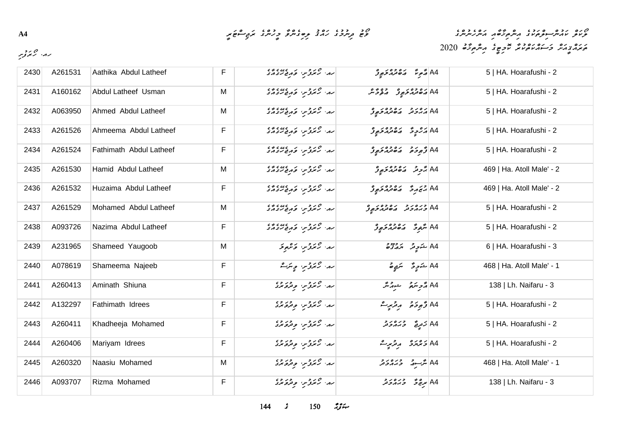*sCw7q7s5w7m< o<n9nOoAw7o< sCq;mAwBoEw7q<m; wBm;vB* م من المسجد المسجد المسجد المسجد المسجد العام 2020<br>مجم*د المسجد المسجد المستجد المسجد المسجد المسجد المسجد المسجد المسجد المسجد المسجد المسجد المسجد المسجد المسجد* 

| 2430 | A261531 | Aathika Abdul Latheef   | F           | رە ئەترۇس كەرەترىدە      | A4 مَّمَّ مَشَرَّ مَصْعَرْ مُرْجَمِّ وَ | 5   HA. Hoarafushi - 2    |
|------|---------|-------------------------|-------------|--------------------------|-----------------------------------------|---------------------------|
| 2431 | A160162 | Abdul Latheef Usman     | M           | رە كەرگەن ئەمەدە         | A4 كەھەر كەرەپ مەھەر سى                 | 5   HA. Hoarafushi - 2    |
| 2432 | A063950 | Ahmed Abdul Latheef     | M           | رد. رکور د ۱۶۵۷ و.       | A4 ג׳כנג ג׳פנג <i>בריפ</i> ל            | 5   HA. Hoarafushi - 2    |
| 2433 | A261526 | Ahmeema Abdul Latheef   | F           | מה ליתריתי פתש בבת       | A4 , جرح حي مقدم محجوز حجم              | 5   HA. Hoarafushi - 2    |
| 2434 | A261524 | Fathimath Abdul Latheef | F           | بر محموم كرومان          | A4 رَّجِ حَمَّ صَفَّر مَحْجِ رَ         | 5   HA. Hoarafushi - 2    |
| 2435 | A261530 | Hamid Abdul Latheef     | M           | روس محموض كالمعام ومعالج | A4 جُوبِرُ مُصْرُمُ مَعْرِمُ مِعْ مِ    | 469   Ha. Atoll Male' - 2 |
| 2436 | A261532 | Huzaima Abdul Latheef   | F           | رە كەرگەن ئەمەدە         | A4 بزيز مرقع مص <i>مر مرج</i> و 3       | 469   Ha. Atoll Male' - 2 |
| 2437 | A261529 | Mohamed Abdul Latheef   | M           | رە رىمروس كەرەپرە        | A4 ديره ده ده ده ده د                   | 5   HA. Hoarafushi - 2    |
| 2438 | A093726 | Nazima Abdul Latheef    | F           | رد. رکوری و دوره ده      | A4 سَّنجرَ صَصْدَمَ <i>جو</i> رَ        | 5   HA. Hoarafushi - 2    |
| 2439 | A231965 | Shameed Yaugoob         | M           | رە، ئەترۇس ئەنگەنج       | A4 ڪوپٽر <i>مزم<sup>و</sup>دھ</i>       | 6   HA. Hoarafushi - 3    |
| 2440 | A078619 | Shameema Najeeb         | $\mathsf F$ | رە، رىمزۇر، پەترىشە      | A4 شَر <sub>َحٍ</sub> مَنَّ سَرَمٍ صَحْ | 468   Ha. Atoll Male' - 1 |
| 2441 | A260413 | Aminath Shiuna          | F           | رد. رنزوس وفرور          | A4 مَرْحِ سَعَ مَصْرَمْتَر              | 138   Lh. Naifaru - 3     |
| 2442 | A132297 | Fathimath Idrees        | F           | رد. رنزوین و فروندی      | A4 وَّجوحَـهُ مِعْرَمِيْــْد            | 5   HA. Hoarafushi - 2    |
| 2443 | A260411 | Khadheeja Mohamed       | F           | ره . رنموتر . و در د ،   | A4 زَمرِيحٌ     دۡ پروُ وَ تَر          | 5   HA. Hoarafushi - 2    |
| 2444 | A260406 | Mariyam Idrees          | F           | رد. رمزوم، وتروبره       | A4  <i>5 پروژو م</i> وتر پرے            | 5   HA. Hoarafushi - 2    |
| 2445 | A260320 | Naasiu Mohamed          | M           | رە بەيزۇس ھەمزە بور      | A4 بترجيه وبره در                       | 468   Ha. Atoll Male' - 1 |
| 2446 | A093707 | Rizma Mohamed           | F           | رە . 2 تۇر مەترە بور دە  | A4  برج 5 محمد 1970 مر                  | 138   Lh. Naifaru - 3     |

*n*<sup>2</sup> *f*<sub>*s*</sub> *s f*<sub>s</sub> *s s s s s s s s s s s s s s s s s s s s s s s s s s s s s s s s*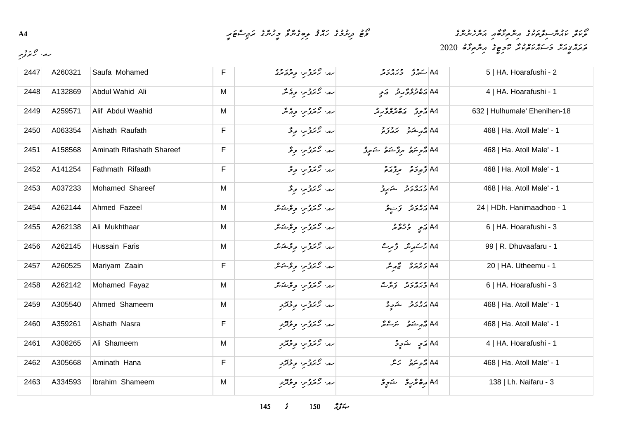*sCw7q7s5w7m< o<n9nOoAw7o< sCq;mAwBoEw7q<m; wBm;vB* م من المسجد المسجد المسجد المسجد المسجد العام 2020<br>مسجد المسجد المسجد المسجد المسجد المسجد المسجد المسجد المسجد ال

| 2447 | A260321 | Saufa Mohamed             | F           | ره برنزوین ویژونده      | A4 كەرز ئەرگەرد                                                                                                                                                                                  | 5   HA. Hoarafushi - 2       |
|------|---------|---------------------------|-------------|-------------------------|--------------------------------------------------------------------------------------------------------------------------------------------------------------------------------------------------|------------------------------|
| 2448 | A132869 | Abdul Wahid Ali           | M           | رە، رىمزۇر، جەمگە       | A4 خەھىرى ھەم ھەمچە                                                                                                                                                                              | 4   HA. Hoarafushi - 1       |
| 2449 | A259571 | Alif Abdul Waahid         | M           | رە بالسكەتىرىن جەمەتىگە | A4 مَّحِرْ مَصْرُحْوَّرِيْرَ                                                                                                                                                                     | 632   Hulhumale' Ehenihen-18 |
| 2450 | A063354 | Aishath Raufath           | $\mathsf F$ | رە ، زىزۇپ بوق          | A4 مەم شەھ ئىمەم <i>ۋە</i>                                                                                                                                                                       | 468   Ha. Atoll Male' - 1    |
| 2451 | A158568 | Aminath Rifashath Shareef | F           | رە - ئەنزۇپ جۇ ئ        | A4 مَّ حِ سَمَّةَ - سِرَّ حَسَنَةَ - حَسَنِيرُ                                                                                                                                                   | 468   Ha. Atoll Male' - 1    |
| 2452 | A141254 | Fathmath Rifaath          | F           | رە ، رىمۇتو، ئۇ ئ       | A4 رَّجِ دَمَ مَعَ مِعَدَّمَ مَ                                                                                                                                                                  | 468   Ha. Atoll Male' - 1    |
| 2453 | A037233 | Mohamed Shareef           | M           | رە ، رىمۇتو، ئۇ         | A4 <i>وُبَرُودَ وَ</i> شَمَعِ <i>وَ</i>                                                                                                                                                          | 468   Ha. Atoll Male' - 1    |
| 2454 | A262144 | Ahmed Fazeel              | M           | رە ئەترۇپ بوقىقەش       | A4 <i>ړېری تی تی</i> و                                                                                                                                                                           | 24   HDh. Hanimaadhoo - 1    |
| 2455 | A262138 | Ali Mukhthaar             | M           | رە ئەترۇس مەمئەش        | A4   كەمچە ئەرىجە ئىسىمىتىكى<br>ئا                                                                                                                                                               | 6   HA. Hoarafushi - 3       |
| 2456 | A262145 | Hussain Faris             | М           | رەر بروتر، ئەبھەشكە     | A4 پرستمبر مگر موسٹر                                                                                                                                                                             | 99   R. Dhuvaafaru - 1       |
| 2457 | A260525 | Mariyam Zaain             | $\mathsf F$ | رە، رىزۇس ھەشكە         | A4 <i>خ</i> مر <i>مرد تج</i> رمر                                                                                                                                                                 | 20   HA. Utheemu - 1         |
| 2458 | A262142 | Mohamed Fayaz             | M           | رە ، ئەترۇس بولۇشكىر    | A4 <i>ۋېزونز ۆت</i> رى                                                                                                                                                                           | 6   HA. Hoarafushi - 3       |
| 2459 | A305540 | Ahmed Shameem             | M           | رر محرور، ووترو         | A4 كەبرى قىر سى <i>كەم</i> و بىر                                                                                                                                                                 | 468   Ha. Atoll Male' - 1    |
| 2460 | A359261 | Aishath Nasra             | F           | بها رموثوب وقعر         | A4 مَ <sub>مْ</sub> مِــْمَعْ <sub>وِ</sub> سَرَــْمَدَّ                                                                                                                                         | 468   Ha. Atoll Male' - 1    |
| 2461 | A308265 | Ali Shameem               | M           | به رموزین و در          | A4 كەمچە ھەمچە ك                                                                                                                                                                                 | 4   HA. Hoarafushi - 1       |
| 2462 | A305668 | Aminath Hana              | F           | رە بەتروپر، ھەقرىر      | A4 مَّ حِ سَعَةٌ حَسَّدَ                                                                                                                                                                         | 468   Ha. Atoll Male' - 1    |
| 2463 | A334593 | Ibrahim Shameem           | M           | ره بر حروس و و پور      | A4 مەھەر ئەھمىي ئىككىمى ئىككىمى ئىككىمى ئىككىمى ئىككىمى ئىككىمى ئىككىمى بىلەن.<br>مەنبەت ئىككىمىسى ئىككىمى ئىككىمى ئىككىمى ئىككىمى ئىككىمى ئىككىمە ئىككىمى ئىككىمى بىلەن ئىككىمى ئىككىمى ئىككىمى | 138   Lh. Naifaru - 3        |

*145 sC 150 nNw?mS*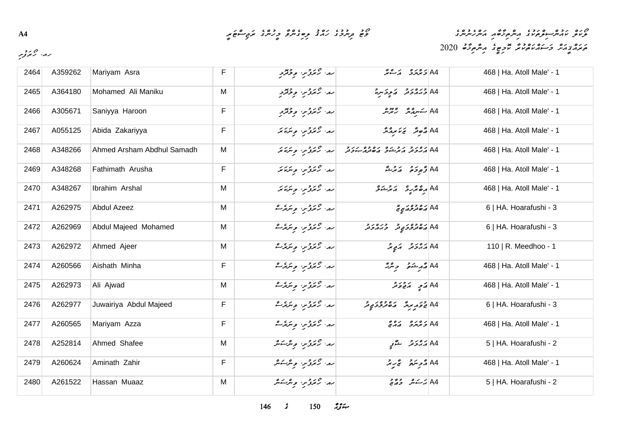*sCw7q7s5w7m< o<n9nOoAw7o< sCq;mAwBoEw7q<m; wBm;vB* م من المسجد المسجد المسجد المسجد المسجد العام 2020<br>مسجد المسجد المسجد المسجد المسجد المسجد المسجد المسجد المسجد ال

| 2464 | A359262 | Mariyam Asra               | F            | رو به رحمزو من و دقترو    | A4 5 يحدد حرم مركبة محدد بحر                                                                                                                                                                                           | 468   Ha. Atoll Male' - 1 |
|------|---------|----------------------------|--------------|---------------------------|------------------------------------------------------------------------------------------------------------------------------------------------------------------------------------------------------------------------|---------------------------|
| 2465 | A364180 | Mohamed Ali Maniku         | M            | أبها رحمة ومن وقترو       | A4 <i>وُبروونو په وِوَسِره</i> ٔ                                                                                                                                                                                       | 468   Ha. Atoll Male' - 1 |
| 2466 | A305671 | Saniyya Haroon             | F            | به رمزوین و دمور          | A4 كەسىدە ئەسىر                                                                                                                                                                                                        | 468   Ha. Atoll Male' - 1 |
| 2467 | A055125 | Abida Zakariyya            | F            | أرما التكروس والكلائم     | A4 مُقْرَّمٌ مَمَّ مُعَهْدِهُمُّ                                                                                                                                                                                       | 468   Ha. Atoll Male' - 1 |
| 2468 | A348266 | Ahmed Arsham Abdhul Samadh | M            |                           | A4 رورو رو رو رو وه ررو در در رو در بروس و شرکتر                                                                                                                                                                       | 468   Ha. Atoll Male' - 1 |
| 2469 | A348268 | Fathimath Arusha           | $\mathsf{F}$ | أبلدا التكوتون والتكاتر   | A4 وَجِعَة صَمَّر مُشَّ                                                                                                                                                                                                | 468   Ha. Atoll Male' - 1 |
| 2470 | A348267 | Ibrahim Arshal             | M            | أرماس محدوثين ويترمانكر   | A4 مەھەرىرى مەمرىشى A4                                                                                                                                                                                                 | 468   Ha. Atoll Male' - 1 |
| 2471 | A262975 | <b>Abdul Azeez</b>         | M            | رە، رىزۇس ھەترىك          | A4 كەھەر <i>ى ھەتى</i> چ                                                                                                                                                                                               | 6   HA. Hoarafushi - 3    |
| 2472 | A262969 | Abdul Majeed Mohamed       | M            | رەس ئەترىق بە ئىركى م     | A4 كەھىر <i>جوڭ جەم</i> رە بەر<br>A4 كەھىر <i>جەم</i> رى                                                                                                                                                               | 6   HA. Hoarafushi - 3    |
| 2473 | A262972 | Ahmed Ajeer                | M            | رە، رىزۇس ھەترىك          | A4 كەش <b>ەتقىلى</b> كەنىي ئىر                                                                                                                                                                                         | 110   R. Meedhoo - 1      |
| 2474 | A260566 | Aishath Minha              | F            | رە، رىمۇرىن ھەتكەت        | A4 مەم ھەقىم ئەرگە                                                                                                                                                                                                     | 468   Ha. Atoll Male' - 1 |
| 2475 | A262973 | Ali Ajwad                  | M            | رەر ئەترىس جەمكەم ھ       | A4 كەنچە كەقىمى قىل                                                                                                                                                                                                    | 468   Ha. Atoll Male' - 1 |
| 2476 | A262977 | Juwairiya Abdul Majeed     | F            | رەر ئەترىس جەمكەم ھ       | A4 في قرم برمر مركز من قرم دير در حرار دير مركز بن المركز بن المركز بن المركز بن المركز بن المركز بن<br>مركز المركز المركز المركز بن المركز بن المركز بن المركز بن المركز بن المركز بن المركز بن المركز بن المركز بن ا | 6   HA. Hoarafushi - 3    |
| 2477 | A260565 | Mariyam Azza               | F            | رە بە ئەترىق بە ئىرىگە شە | $201025$ A4                                                                                                                                                                                                            | 468   Ha. Atoll Male' - 1 |
| 2478 | A252814 | Ahmed Shafee               | M            | رە، رىمۇمى ھەسكە          | A4 كەش <b>كەتتى</b> ر ئىگەم <sub>ىي</sub>                                                                                                                                                                              | 5   HA. Hoarafushi - 2    |
| 2479 | A260624 | Aminath Zahir              | $\mathsf F$  | رەپ ئەتروپە ، ھەسكەنگە    | A4 مَّ حِسَمَعُ تَجْ سِمَّر                                                                                                                                                                                            | 468   Ha. Atoll Male' - 1 |
| 2480 | A261522 | Hassan Muaaz               | M            | رە بەترىرى بەيرىكە        |                                                                                                                                                                                                                        | 5   HA. Hoarafushi - 2    |

*146 s* **150** *<i>n*<sub>1</sub>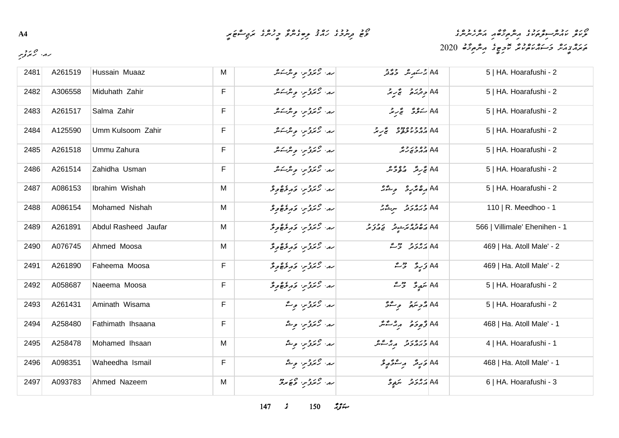*sCw7q7s5w7m< o<n9nOoAw7o< sCq;mAwBoEw7q<m; wBm;vB* م من المسجد المسجد المسجد المسجد المسجد العام 2020<br>مسجد المسجد المسجد المسجد المسجد المسجد المسجد المسجد المسجد ال

| 2481 | A261519 | Hussain Muaaz        | M            | رە. ئەنزۇير، ھەسكەنگە   | A4 پر کے مریکہ حرور ڈیلر                    | 5   HA. Hoarafushi - 2        |
|------|---------|----------------------|--------------|-------------------------|---------------------------------------------|-------------------------------|
| 2482 | A306558 | Miduhath Zahir       | $\mathsf F$  | رە بەترىپ، ئەبۇسەتكە    | A4 <i>ج<sup>و</sup>نديج</i> گھريمه          | 5   HA. Hoarafushi - 2        |
| 2483 | A261517 | Salma Zahir          | $\mathsf F$  | رە، رىمزۇير، ئەبەسكىر   | A4 سَنَوْرَ تَجْرِيْرَ                      | 5   HA. Hoarafushi - 2        |
| 2484 | A125590 | Umm Kulsoom Zahir    | $\mathsf F$  | بدر مرد به ویژینگر      | A4 دەرەرە ئەرىر                             | 5   HA. Hoarafushi - 2        |
| 2485 | A261518 | Ummu Zahura          | $\mathsf F$  | رە بەترىپ ھەسكە         | A4 روح دير حير محمد                         | 5   HA. Hoarafushi - 2        |
| 2486 | A261514 | Zahidha Usman        | $\mathsf F$  | رە، رىمزۇير، يەنگەشكە   | A4 تج برقر محتوج محر                        | 5   HA. Hoarafushi - 2        |
| 2487 | A086153 | Ibrahim Wishah       | M            | رمه رنمزوير، ءَمروع و و | A4 مەھم <i>گرى</i> مەشكە                    | 5   HA. Hoarafushi - 2        |
| 2488 | A086154 | Mohamed Nishah       | M            | رومبروس خدع عوفر        | A4 <i>\$ بَرُوْ دَوْ</i> سِ سِنَّةَ بِرُ    | 110   R. Meedhoo - 1          |
| 2489 | A261891 | Abdul Rasheed Jaufar | M            | رە، ئەترۇس قەرىخ ھوڭ    | A4 كەھەركە <i>كەرىخى</i> كەرىخە كەرىجى      | 566   Villimale' Ehenihen - 1 |
| 2490 | A076745 | Ahmed Moosa          | M            | رە رىزۇر، ئەدىئ ئ       | A4 كەبۇر قوم 25                             | 469   Ha. Atoll Male' - 2     |
| 2491 | A261890 | Faheema Moosa        | $\mathsf F$  | رە ، ئەترۇس قەر ۋە بەڭ  | A4 تورِیح میخشگ                             | 469   Ha. Atoll Male' - 2     |
| 2492 | A058687 | Naeema Moosa         | $\mathsf{F}$ | رە ، ئەترۇپ قەرقۋە بۇ   | A4 سَمِيرَ حَرْ — مَنْ                      | 5   HA. Hoarafushi - 2        |
| 2493 | A261431 | Aminath Wisama       | $\mathsf F$  | رە، رىمۇرىن بەش         | A4 مَّحْرِسَمَّةَ وَسَّتَرَّ                | 5   HA. Hoarafushi - 2        |
| 2494 | A258480 | Fathimath Ihsaana    | $\mathsf F$  | أبها رحمة وسوا ويقو     | A4 ۇ <sub>جو</sub> رَى <sub>م</sub> مەشتىتر | 468   Ha. Atoll Male' - 1     |
| 2495 | A258478 | Mohamed Ihsaan       | M            | رە، ئەتزۇير، ئەھ        | A4  <i>وبروبوفر مب</i> ر مصمر               | 4   HA. Hoarafushi - 1        |
| 2496 | A098351 | Waheedha Ismail      | $\mathsf F$  | رە، ئەترىس ھەھ          | A4 <i>ق پيش پر شوگوي</i> څر                 | 468   Ha. Atoll Male' - 1     |
| 2497 | A093783 | Ahmed Nazeem         | M            | رە بەللەردە ئەلگە دە    | A4 كەبرى كىرى سىر ئىرىم ئى                  | 6   HA. Hoarafushi - 3        |

*n*<sup>2</sup> *f*<sub>*s*</sub> *f*<sub>*s*</sub> *f*<sub>*s*</sub> *f*<sub>*s*</sub> *f*<sub>s</sub> *f*<sub>s</sub> *f*<sub>s</sub> *f*<sub>s</sub> *f*<sub>s</sub> *f*<sub>s</sub> *f*<sub>s</sub> *f*<sub>s</sub> *f*<sub>s</sub> *f*<sub>s</sub> *f*<sub>s</sub> *f*<sub>s</sub> *f*<sub>s</sub> *f*<sub>s</sub> *f*<sub>s</sub> *f*<sub>s</sub> *f*<sub>s</sub> *f*<sub>s</sub> *f*<sub>s</sub> *f*<sub>s</sub> *f*<sub>s</sub> *f*<sub>s</sub> *f*<sub>s</sub> *f*<sub>s</sub> *f*<sub>s</sub> *f*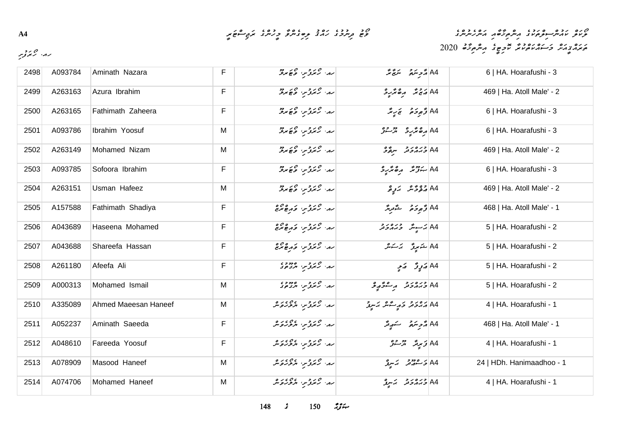*sCw7q7s5w7m< o<n9nOoAw7o< sCq;mAwBoEw7q<m; wBm;vB* م من المسجد المسجد المسجد المسجد المسجد العام 2020<br>مسجد المسجد المسجد المسجد المسجد المسجد المسجد المسجد المسجد ال

| 2498 | A093784 | Aminath Nazara       | F           | رە بە ئەترۇس ھەيدۇ                      | A4 مَّحِ سَمَّعَ سَمَّةَ مَّدَّ                                                                      | 6   HA. Hoarafushi - 3    |
|------|---------|----------------------|-------------|-----------------------------------------|------------------------------------------------------------------------------------------------------|---------------------------|
| 2499 | A263163 | Azura Ibrahim        | $\mathsf F$ | رە بەردىن ھەردە                         | A4 رَبِّيْ مِهْ مَرْرِدْ                                                                             | 469   Ha. Atoll Male' - 2 |
| 2500 | A263165 | Fathimath Zaheera    | F           | رە بەردىن ھەردە                         | A4 تَهِ <i>حَقَّ</i> تَمَ يَسَمَّ                                                                    | 6   HA. Hoarafushi - 3    |
| 2501 | A093786 | Ibrahim Yoosuf       | M           | رە بەردىن ئەنجىمە                       | A4 مەھمگىر قەرىپى مۇسىر                                                                              | 6   HA. Hoarafushi - 3    |
| 2502 | A263149 | Mohamed Nizam        | M           | روم المحروم، المحظيمة                   | A4 \$ يَدْ دْ يَرْ يَحْمَدُ مِنْ يَرْدَمُ مِنْ يَرْدَمُ مِنْ يَرْدَمُ مِنْ يَرْدَمُ مِنْ يَرْدَمُ مِ | 469   Ha. Atoll Male' - 2 |
| 2503 | A093785 | Sofoora Ibrahim      | $\mathsf F$ | رە بەردىن ھەردە                         | A4 سوزىتر مەھەر دە                                                                                   | 6   HA. Hoarafushi - 3    |
| 2504 | A263151 | Usman Hafeez         | M           | رە بەردىن ھەرد                          | A4 مەنزىقى بەر بۇ                                                                                    | 469   Ha. Atoll Male' - 2 |
| 2505 | A157588 | Fathimath Shadiya    | F           | رم ريمزوس كرم وم                        | A4 تَرْجِرْحَمْ شَمَّىرِ مَرَّ                                                                       | 468   Ha. Atoll Male' - 1 |
| 2506 | A043689 | Haseena Mohamed      | $\mathsf F$ | رو. ريزوس توره مه                       | A4 بَرَ <i>پِی وَبَرْهُ وَبَ</i> رُ                                                                  | 5   HA. Hoarafushi - 2    |
| 2507 | A043688 | Shareefa Hassan      | F           | رو. ريزوس توره مه                       | A4 ڪمپر <i>و ترڪش</i>                                                                                | 5   HA. Hoarafushi - 2    |
| 2508 | A261180 | Afeefa Ali           | $\mathsf F$ | رد. رحمه در در ۱۶۶۶<br>رد. رنگوش ارد وی | A4 <i>مَرْدِ تَ</i> مَرِ                                                                             | 5   HA. Hoarafushi - 2    |
| 2509 | A000313 | Mohamed Ismail       | м           | رد. رحمه در در ۱۶۶۶                     | A4 <i>وَبَهُ وَبَوْ وِبِ وَفَهِ وَ</i>                                                               | 5   HA. Hoarafushi - 2    |
| 2510 | A335089 | Ahmed Maeesan Haneef | M           | رە بەيروپ مەمەرە                        | A4 كەندى قىر كەرگەش كەسپۇ                                                                            | 4   HA. Hoarafushi - 1    |
| 2511 | A052237 | Aminath Saeeda       | F           | رە بەيروپ مەمەرە                        | A4 مَرْحِ سَرَمِ مَسَرِ مَرْ                                                                         | 468   Ha. Atoll Male' - 1 |
| 2512 | A048610 | Fareeda Yoosuf       | F           | رە بەر ئەرەب مەمەرە                     | A4 كۈيرىگە كەشكەنى                                                                                   | 4   HA. Hoarafushi - 1    |
| 2513 | A078909 | Masood Haneef        | M           | رە ئەنزىر، مەء ئەھ                      | A4 كەسىھەتىر كەس <i>ى</i> تى                                                                         | 24   HDh. Hanimaadhoo - 1 |
| 2514 | A074706 | Mohamed Haneef       | M           | رەب كەردە بەھ ئەرەبىر                   | A4 دېم <i>ډېر ت</i> ې                                                                                | 4   HA. Hoarafushi - 1    |

*148 s 150 <i>n*<sub>2</sub> *n*<sub>2</sub> *n*<sub>2</sub> *n*<sub>2</sub> *n*<sub>2</sub> *n*<sub>2</sub> *n***<sub>2</sub> <b>***n*<sub>2</sub> *n*<sub>2</sub> *n*<sub>2</sub> *n*<sub>2</sub> *n*<sub>2</sub> *n*<sub>2</sub> *n*<sub>2</sub> *n*<sub>2</sub> *n*<sub>2</sub> *n*<sub>2</sub> *n*<sub>2</sub> *n*<sub>2</sub> *n*<sub>2</sub> *n*<sub>2</sub> *n*<sub>2</sub> *n*<sub></sub>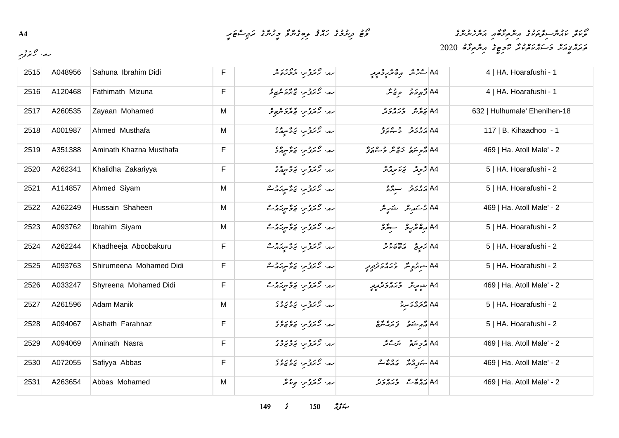*sCw7q7s5w7m< o<n9nOoAw7o< sCq;mAwBoEw7q<m; wBm;vB* م من المسجد المسجد المسجد المسجد المسجد العام 2020<br>مسجد المسجد المسجد المسجد المسجد المسجد المسجد المسجد المسجد ال

| 2515 | A048956 | Sahuna Ibrahim Didi     | F | رە. ئەنزۇس مەدىرەكىر      | A4 سَمَّةْشْرَ مِنْ مُحَمَّدِةْ مِرِمْدِ           | 4   HA. Hoarafushi - 1       |
|------|---------|-------------------------|---|---------------------------|----------------------------------------------------|------------------------------|
| 2516 | A120468 | Fathimath Mizuna        | F | رە ، ئەترۇس ، ئەترىكى ئو  | A4 وَّجِرْحَمْ حِيْمَتَر                           | 4   HA. Hoarafushi - 1       |
| 2517 | A260535 | Zayaan Mohamed          | M | رە، ئەترۇپ ئۇترىگى بۇ     | A4 يَهُرْسُ حَيَدُ جَمَعَ                          | 632   Hulhumale' Ehenihen-18 |
| 2518 | A001987 | Ahmed Musthafa          | M | رە، ئەترۇس ئەۋسەدى        | A4 كەبرو قەسىمى تەرەپە تەرەپ كە                    | 117   B. Kihaadhoo - 1       |
| 2519 | A351388 | Aminath Khazna Musthafa | F | رە ئەتروس ئەڭ ئىدە        | A4 مەمەسىم ئەمەمە ئەسىمى                           | 469   Ha. Atoll Male' - 2    |
| 2520 | A262341 | Khalidha Zakariyya      | F | رو، رىزۇس ئۇسىدۇ          | A4 تَسْعِيقَہ تَمَ <i>مَ</i> مَعِي <i>دُ</i> مَرَّ | 5   HA. Hoarafushi - 2       |
| 2521 | A114857 | Ahmed Siyam             | M | رو. رئىرۇس يۇ ئېرىرو ئ    | A4 كەبرى قىر سىزگە                                 | 5   HA. Hoarafushi - 2       |
| 2522 | A262249 | Hussain Shaheen         | M | رە ، ئەترۇس ، ئەگەرىزە ئە | A4 پر <i>کے <sub>م</sub>ر بٹر</i> ہے کہ پ          | 469   Ha. Atoll Male' - 2    |
| 2523 | A093762 | Ibrahim Siyam           | M | رە ، ئەترۇس ، ئەگەرىزە ئە | A4 مەھەر بەھ سىنى <i>زى</i>                        | 5   HA. Hoarafushi - 2       |
| 2524 | A262244 | Khadheeja Aboobakuru    | F | رە، ئەترىر، ئەڭ ئىرىدە ئ  | A4 دَمِيعٌ مُصَصَمَّعٌ                             | 5   HA. Hoarafushi - 2       |
| 2525 | A093763 | Shirumeena Mohamed Didi | F | رە ، ئەنزۇر، ئەۋسەزە ئ    | A4 شەركەچە <i>ئەڭ ئەقەقەتە</i> پەر                 | 5   HA. Hoarafushi - 2       |
| 2526 | A033247 | Shyreena Mohamed Didi   | F | رە ، ئەترىر، ئەڭ بېرىدە ئ | A4 خومرسر محدد دورور در در م                       | 469   Ha. Atoll Male' - 2    |
| 2527 | A261596 | Adam Manik              | M | رو. رود دره ده ده د       | A4 مُحَرَّدْ حَسِر <i>َة</i>                       | 5   HA. Hoarafushi - 2       |
| 2528 | A094067 | Aishath Farahnaz        | F | رە بەردىن ئەۋەرە ،        | A4 مەم ئىقى ئىقرىر ئىسى ئىق                        | 5   HA. Hoarafushi - 2       |
| 2529 | A094069 | Aminath Nasra           | F | رد. رمزور، محمده می       | A4 مَرْحِ سَرَمْ مَرْسْتَمَتَّر                    | 469   Ha. Atoll Male' - 2    |
| 2530 | A072055 | Safiyya Abbas           | F | رد. رمزور، محوم وه        | $2.622  7.22  + 1.4$                               | 469   Ha. Atoll Male' - 2    |
| 2531 | A263654 | Abbas Mohamed           | M | رە، ئەترۇس يارقم          | A4 <i>مُهُمَّة وَيُهُوفُر</i>                      | 469   Ha. Atoll Male' - 2    |

*n*<sub>49</sub> *s 150 <i>n*<sub>2</sub> *n*<sub>2</sub>